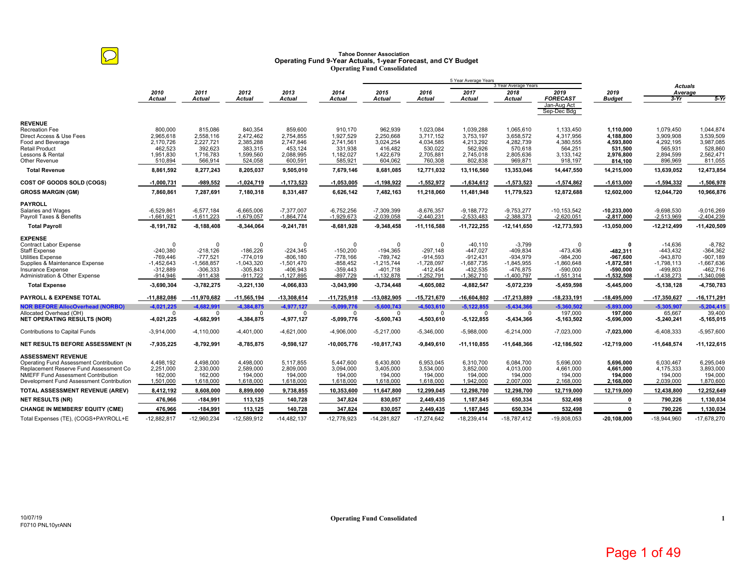# **Tahoe Donner Association Operating Fund 9-Year Actuals, 1-year Forecast, and CY Budget Operating Fund Consolidated**

|                                                                                     |                              |                              |                              |                              |                              |                              |                              | 5 Year Average Years         | 3 Year Average Years         |                                 |                               |                              |                              |
|-------------------------------------------------------------------------------------|------------------------------|------------------------------|------------------------------|------------------------------|------------------------------|------------------------------|------------------------------|------------------------------|------------------------------|---------------------------------|-------------------------------|------------------------------|------------------------------|
|                                                                                     | 2010                         | 2011                         | 2012                         | 2013                         | 2014                         | 2015                         | 2016                         | 2017                         | 2018                         | 2019                            | 2019                          | <b>Actuals</b><br>Average    |                              |
|                                                                                     | <b>Actual</b>                | <b>Actual</b>                | <b>Actual</b>                | Actual                       | Actual                       | <b>Actual</b>                | Actual                       | Actual                       | Actual                       | <b>FORECAST</b>                 | <b>Budget</b>                 | $3-Yr$                       | $5-Yr$                       |
|                                                                                     |                              |                              |                              |                              |                              |                              |                              |                              |                              | Jan-Aug Act<br>Sep-Dec Bdg      |                               |                              |                              |
| <b>REVENUE</b>                                                                      |                              |                              |                              |                              |                              |                              |                              |                              |                              |                                 |                               |                              |                              |
| <b>Recreation Fee</b>                                                               | 800,000                      | 815,086                      | 840,354                      | 859,600                      | 910.170                      | 962,939                      | 1,023,084                    | 1,039,288                    | 1,065,610                    | 1,133,450                       | 1,110,000                     | 1,079,450                    | 1,044,874                    |
| Direct Access & Use Fees<br>Food and Beverage                                       | 2,965,618<br>2,170,726       | 2,558,116<br>2,227,721       | 2,472,462<br>2,385,288       | 2,754,855<br>2,747,846       | 1,927,529<br>2,741,561       | 2,250,668<br>3,024,254       | 3,717,152<br>4,034,585       | 3,753,197<br>4,213,292       | 3,658,572<br>4,282,739       | 4,317,956<br>4,380,555          | 4,188,800<br>4.593.800        | 3,909,908<br>4,292,195       | 3,539,509<br>3,987,085       |
| <b>Retail Product</b>                                                               | 462,523                      | 392,623                      | 383.315                      | 453,124                      | 331.938                      | 416,482                      | 530.022                      | 562.926                      | 570,618                      | 564,251                         | 531.500                       | 565.931                      | 528,860                      |
| Lessons & Rental                                                                    | 1,951,830                    | 1,716,783                    | 1,599,560                    | 2,088,995                    | 1,182,027                    | 1,422,679                    | 2,705,881                    | 2,745,018                    | 2,805,636                    | 3,133,142                       | 2,976,800                     | 2,894,599                    | 2,562,471                    |
| Other Revenue                                                                       | 510,894                      | 566,914                      | 524,058                      | 600,591                      | 585,921                      | 604,062                      | 760,308                      | 802,838                      | 969,871                      | 918,197                         | 814,100                       | 896,969                      | 811,055                      |
| <b>Total Revenue</b>                                                                | 8,861,592                    | 8,277,243                    | 8,205,037                    | 9,505,010                    | 7,679,146                    | 8,681,085                    | 12,771,032                   | 13,116,560                   | 13,353,046                   | 14,447,550                      | 14,215,000                    | 13,639,052                   | 12,473,854                   |
| COST OF GOODS SOLD (COGS)                                                           | $-1,000,731$                 | -989,552                     | $-1,024,719$                 | $-1, 173, 523$               | $-1,053,005$                 | $-1,198,922$                 | $-1,552,972$                 | $-1,634,612$                 | $-1,573,523$                 | $-1,574,862$                    | $-1,613,000$                  | $-1,594,332$                 | $-1,506,978$                 |
| <b>GROSS MARGIN (GM)</b>                                                            | 7,860,861                    | 7,287,691                    | 7,180,318                    | 8,331,487                    | 6,626,142                    | 7,482,163                    | 11,218,060                   | 11.481.948                   | 11,779,523                   | 12,872,688                      | 12,602,000                    | 12,044,720                   | 10,966,876                   |
| <b>PAYROLL</b>                                                                      |                              |                              |                              |                              |                              |                              |                              |                              |                              |                                 |                               |                              |                              |
| Salaries and Wages<br>Payroll Taxes & Benefits                                      | $-6,529,861$<br>$-1,661,921$ | $-6,577,184$<br>$-1,611,223$ | $-6,665,006$<br>$-1,679,057$ | $-7,377,007$<br>$-1,864,774$ | $-6,752,256$<br>$-1,929,673$ | $-7,309,399$<br>$-2,039,058$ | $-8,676,357$<br>$-2,440,231$ | $-9,188,772$<br>$-2,533,483$ | $-9,753,277$<br>$-2,388,373$ | $-10, 153, 542$<br>$-2,620,051$ | $-10,233,000$<br>$-2,817,000$ | $-9,698,530$<br>$-2,513,969$ | $-9,016,269$<br>$-2,404,239$ |
| <b>Total Payroll</b>                                                                | $-8,191,782$                 | $-8,188,408$                 | $-8,344,064$                 | $-9,241,781$                 | $-8,681,928$                 | $-9,348,458$                 | $-11, 116, 588$              | $-11,722,255$                | $-12, 141, 650$              | $-12,773,593$                   | $-13,050,000$                 | -12,212,499                  | $-11,420,509$                |
|                                                                                     |                              |                              |                              |                              |                              |                              |                              |                              |                              |                                 |                               |                              |                              |
| <b>EXPENSE</b><br><b>Contract Labor Expense</b>                                     | $\Omega$                     | O                            | $\Omega$                     | $\Omega$                     | $\Omega$                     | $\Omega$                     | $\Omega$                     | $-40,110$                    | $-3,799$                     | $\Omega$                        | $\Omega$                      | $-14,636$                    | $-8,782$                     |
| <b>Staff Expense</b>                                                                | $-240,380$                   | $-218,126$                   | $-186,226$                   | $-224,345$                   | $-150,200$                   | $-194,365$                   | $-297,148$                   | -447,027                     | $-409,834$                   | $-473,436$                      | -482,311                      | $-443,432$                   | $-364,362$                   |
| <b>Utilities Expense</b>                                                            | $-769.446$                   | $-777.521$                   | $-774.019$                   | $-806.180$                   | $-778.166$                   | -789.742                     | $-914.593$                   | $-912.431$                   | $-934.979$                   | $-984.200$                      | -967.600                      | $-943.870$                   | $-907.189$                   |
| Supplies & Maintenance Expense                                                      | $-1,452,643$                 | $-1,568,857$                 | $-1,043,320$                 | $-1,501,470$                 | $-858,452$                   | $-1,215,744$                 | $-1,728,097$                 | $-1,687,735$                 | $-1,845,955$                 | $-1,860,648$                    | $-1,872,581$                  | $-1,798,113$                 | $-1,667,636$                 |
| Insurance Expense<br>Administration & Other Expense                                 | $-312,889$<br>$-914,946$     | $-306,333$<br>$-911,438$     | $-305,843$<br>$-911,722$     | -406,943<br>$-1, 127, 895$   | $-359,443$<br>$-897,729$     | $-401,718$<br>$-1,132,878$   | $-412,454$<br>$-1,252,791$   | $-432,535$<br>$-1,362,710$   | -476,875<br>$-1,400,797$     | $-590,000$<br>$-1,551,314$      | -590,000<br>$-1,532,508$      | -499,803<br>$-1,438,273$     | -462,716<br>$-1,340,098$     |
| <b>Total Expense</b>                                                                | -3,690,304                   | $-3,782,275$                 | $-3,221,130$                 | $-4,066,833$                 | $-3,043,990$                 | $-3,734,448$                 | $-4,605,082$                 | -4,882,547                   | -5,072,239                   | $-5,459,598$                    | $-5,445,000$                  | $-5, 138, 128$               | -4,750,783                   |
| <b>PAYROLL &amp; EXPENSE TOTAL</b>                                                  | $-11,882,086$                | $-11,970,682$                | $-11,565,194$                | $-13,308,614$                | $-11,725,918$                | -13,082,905                  | $-15,721,670$                | $-16,604,802$                | $-17,213,889$                | $-18,233,191$                   | $-18,495,000$                 | $-17,350,627$                | $-16, 171, 291$              |
| <b>NOR BEFORE AllocOverhead (NORBO)</b>                                             | $-4,021,225$                 | $-4,682,991$                 | $-4,384,875$                 | $-4,977,127$                 | $-5,099,776$                 | $-5,600,743$                 | $-4,503,610$                 | $-5,122,855$                 | $-5,434,366$                 | $-5,360,502$                    | $-5,893,000$                  | $-5,305,907$                 | $-5,204,415$                 |
| Allocated Overhead (OH)                                                             | $\Omega$                     | $\Omega$                     | $\Omega$                     | $\Omega$                     | $\Omega$                     | $\Omega$                     | n                            | $\Omega$                     | n                            | 197,000                         | 197,000                       | 65,667                       | 39,400                       |
| <b>NET OPERATING RESULTS (NOR)</b>                                                  | -4,021,225                   | -4,682,991                   | -4,384,875                   | $-4,977,127$                 | $-5,099,776$                 | $-5,600,743$                 | -4,503,610                   | $-5,122,855$                 | $-5,434,366$                 | $-5,163,502$                    | -5,696,000                    | $-5,240,241$                 | $-5,165,015$                 |
| <b>Contributions to Capital Funds</b>                                               | $-3,914,000$                 | $-4.110.000$                 | $-4,401,000$                 | $-4,621,000$                 | $-4,906,000$                 | $-5,217,000$                 | $-5,346,000$                 | $-5,988,000$                 | $-6,214,000$                 | $-7,023,000$                    | $-7,023,000$                  | $-6,408,333$                 | $-5,957,600$                 |
| NET RESULTS BEFORE ASSESSMENT (N                                                    | $-7,935,225$                 | $-8,792,991$                 | $-8,785,875$                 | $-9,598,127$                 | $-10,005,776$                | -10,817,743                  | $-9,849,610$                 | $-11, 110, 855$              | $-11,648,366$                | $-12,186,502$                   | $-12,719,000$                 | $-11,648,574$                | $-11, 122, 615$              |
| <b>ASSESSMENT REVENUE</b>                                                           |                              |                              |                              |                              |                              |                              |                              |                              |                              |                                 |                               |                              |                              |
| Operating Fund Assessment Contribution                                              | 4,498,192                    | 4,498,000                    | 4,498,000                    | 5,117,855                    | 5,447,600                    | 6,430,800                    | 6,953,045                    | 6,310,700                    | 6,084,700                    | 5,696,000                       | 5,696,000                     | 6,030,467                    | 6,295,049                    |
| Replacement Reserve Fund Assessment Co<br><b>NMEFF Fund Assessment Contribution</b> | 2,251,000<br>162,000         | 2,330,000<br>162,000         | 2,589,000<br>194.000         | 2,809,000<br>194,000         | 3,094,000<br>194.000         | 3,405,000<br>194,000         | 3,534,000<br>194,000         | 3,852,000<br>194.000         | 4,013,000<br>194,000         | 4,661,000<br>194,000            | 4,661,000<br>194.000          | 4,175,333<br>194.000         | 3,893,000<br>194,000         |
| Development Fund Assessment Contribution                                            | 1,501,000                    | 1,618,000                    | 1,618,000                    | 1,618,000                    | 1,618,000                    | 1,618,000                    | 1,618,000                    | 1,942,000                    | 2,007,000                    | 2,168,000                       | 2,168,000                     | 2,039,000                    | 1,870,600                    |
| TOTAL ASSESSMENT REVENUE (AREV)                                                     | 8,412,192                    | 8,608,000                    | 8,899,000                    | 9,738,855                    | 10,353,600                   | 11,647,800                   | 12,299,045                   | 12,298,700                   | 12,298,700                   | 12,719,000                      | 12,719,000                    | 12,438,800                   | 12,252,649                   |
| <b>NET RESULTS (NR)</b>                                                             | 476,966                      | $-184,991$                   | 113,125                      | 140,728                      | 347,824                      | 830,057                      | 2,449,435                    | 1,187,845                    | 650,334                      | 532,498                         | O                             | 790,226                      | 1,130,034                    |
| <b>CHANGE IN MEMBERS' EQUITY (CME)</b>                                              | 476,966                      | $-184,991$                   | 113,125                      | 140,728                      | 347,824                      | 830,057                      | 2,449,435                    | 1,187,845                    | 650,334                      | 532,498                         |                               | 790,226                      | 1,130,034                    |
| Total Expenses (TE), (COGS+PAYROLL+E                                                | $-12,882,817$                | $-12,960,234$                | $-12,589,912$                | $-14,482,137$                | -12.778.923                  | $-14,281,827$                | $-17,274,642$                | $-18,239,414$                | $-18,787,412$                | $-19,808,053$                   | $-20.108.000$                 | $-18.944.960$                | $-17,678,270$                |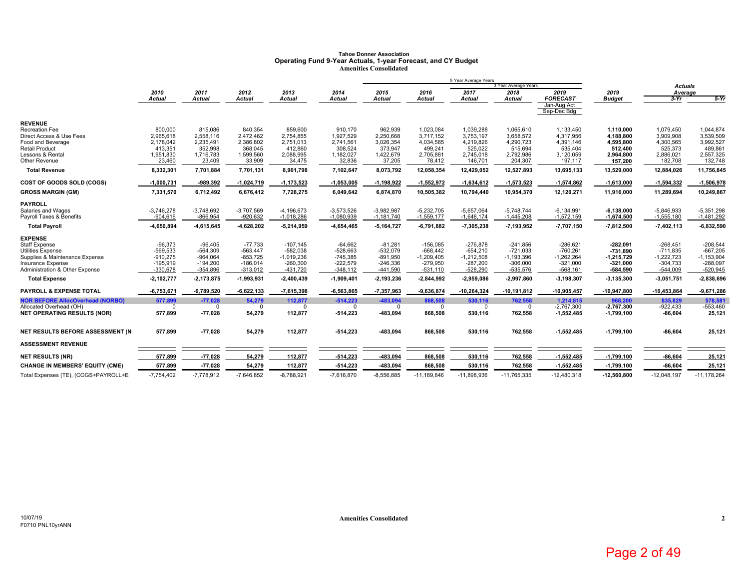# **Tahoe Donner Association Operating Fund 9-Year Actuals, 1-year Forecast, and CY Budget Amenities Consolidated**

|                                                        |                          |                            |                            |                            |                            |                              |                            | 5 Year Average Years       | 3 Year Average Years       |                            |                            |                            |                          |
|--------------------------------------------------------|--------------------------|----------------------------|----------------------------|----------------------------|----------------------------|------------------------------|----------------------------|----------------------------|----------------------------|----------------------------|----------------------------|----------------------------|--------------------------|
|                                                        | 2010                     | 2011                       | 2012                       | 2013                       | 2014                       | 2015                         | 2016                       | 2017                       | 2018                       | 2019                       | 2019                       | <b>Actuals</b><br>Average  |                          |
|                                                        | <b>Actual</b>            | <b>Actual</b>              | <b>Actual</b>              | <b>Actual</b>              | <b>Actual</b>              | <b>Actual</b>                | <b>Actual</b>              | <b>Actual</b>              | Actual                     | <b>FORECAST</b>            | <b>Budget</b>              | $3-Yr$                     | $5-Yr$                   |
|                                                        |                          |                            |                            |                            |                            |                              |                            |                            |                            | Jan-Aug Act<br>Sep-Dec Bdg |                            |                            |                          |
| <b>REVENUE</b>                                         |                          |                            |                            |                            |                            |                              |                            |                            |                            |                            |                            |                            |                          |
| <b>Recreation Fee</b>                                  | 800,000                  | 815,086                    | 840,354                    | 859,600                    | 910,170                    | 962,939                      | 1,023,084                  | 1,039,288                  | 1,065,610                  | 1,133,450                  | 1,110,000                  | 1,079,450                  | 1,044,874                |
| Direct Access & Use Fees                               | 2,965,618                | 2,558,116                  | 2,472,462                  | 2,754,855                  | 1,927,529                  | 2,250,668                    | 3,717,152                  | 3,753,197                  | 3,658,572                  | 4,317,956                  | 4,188,800                  | 3,909,908                  | 3,539,509                |
| Food and Beverage<br><b>Retail Product</b>             | 2,178,042<br>413,351     | 2,235,491<br>352.998       | 2,386,802<br>368.045       | 2,751,013                  | 2,741,561<br>308.524       | 3,026,354                    | 4,034,585<br>499.241       | 4,219,826<br>525.022       | 4,290,723                  | 4,391,146                  | 4.595.800                  | 4,300,565<br>525,373       | 3,992,527<br>489,861     |
| Lessons & Rental                                       | 1,951,830                | 1,716,783                  | 1,599,560                  | 412,860<br>2,088,995       | 1,182,027                  | 373,947<br>1,422,679         | 2,705,881                  | 2,745,018                  | 515,694<br>2,792,986       | 535,404<br>3,120,059       | 512,400<br>2,964,800       | 2,886,021                  | 2,557,325                |
| Other Revenue                                          | 23,460                   | 23,409                     | 33,909                     | 34,475                     | 32,836                     | 37,205                       | 78,412                     | 146,701                    | 204,307                    | 197,117                    | 157,200                    | 182,708                    | 132,748                  |
| <b>Total Revenue</b>                                   | 8,332,301                | 7,701,884                  | 7,701,131                  | 8,901,798                  | 7,102,647                  | 8,073,792                    | 12,058,354                 | 12,429,052                 | 12,527,893                 | 13,695,133                 | 13,529,000                 | 12,884,026                 | 11,756,845               |
| COST OF GOODS SOLD (COGS)                              | $-1,000,731$             | $-989,392$                 | $-1,024,719$               | $-1, 173, 523$             | $-1,053,005$               | $-1,198,922$                 | $-1,552,972$               | $-1,634,612$               | $-1,573,523$               | $-1,574,862$               | $-1,613,000$               | $-1,594,332$               | $-1,506,978$             |
|                                                        |                          |                            |                            |                            |                            |                              |                            |                            |                            |                            |                            |                            |                          |
| <b>GROSS MARGIN (GM)</b>                               | 7,331,570                | 6,712,492                  | 6,676,412                  | 7,728,275                  | 6,049,642                  | 6,874,870                    | 10,505,382                 | 10,794,440                 | 10,954,370                 | 12,120,271                 | 11,916,000                 | 11,289,694                 | 10,249,867               |
| <b>PAYROLL</b>                                         |                          |                            |                            |                            |                            |                              |                            |                            |                            |                            |                            |                            |                          |
| Salaries and Wages                                     | $-3,746,278$             | $-3,748,692$               | $-3,707,569$               | $-4,196,673$               | $-3,573,526$               | $-3,982,987$                 | $-5,232,705$               | $-5,657,064$               | $-5,748,744$               | $-6, 134, 991$             | $-6,138,000$               | $-5,846,933$               | $-5,351,298$             |
| Payroll Taxes & Benefits                               | $-904,616$               | $-866,954$                 | $-920,632$                 | $-1,018,286$               | $-1,080,939$               | $-1,181,740$                 | $-1,559,177$               | $-1,648,174$               | $-1,445,208$               | $-1,572,159$               | $-1,674,500$               | $-1,555,180$               | $-1,481,292$             |
| <b>Total Payroll</b>                                   | -4,650,894               | -4,615,645                 | $-4,628,202$               | $-5,214,959$               | -4,654,465                 | $-5,164,727$                 | $-6,791,882$               | $-7,305,238$               | $-7,193,952$               | -7,707,150                 | $-7,812,500$               | $-7,402,113$               | $-6,832,590$             |
| <b>EXPENSE</b>                                         |                          |                            |                            |                            |                            |                              |                            |                            |                            |                            |                            |                            |                          |
| Staff Expense                                          | $-96,373$                | $-96,405$                  | $-77,733$                  | $-107,145$                 | $-64,662$                  | $-81,281$                    | $-156,085$                 | $-276,878$                 | $-241,856$                 | $-286,621$                 | $-282,091$                 | $-268,451$                 | $-208,544$               |
| <b>Utilities Expense</b>                               | $-569,533$               | $-564,309$                 | $-563,447$                 | $-582,038$                 | $-528,663$                 | $-532,079$                   | $-668,442$                 | $-654,210$                 | $-721,033$                 | $-760,261$                 | $-731,890$                 | $-711,835$                 | $-667,205$               |
| Supplies & Maintenance Expense                         | $-910,275$               | $-964.064$                 | $-853.725$                 | $-1,019,236$               | $-745.385$                 | $-891,950$                   | $-1.209.405$               | $-1,212,508$               | $-1,193,396$               | $-1,262,264$               | $-1,215,729$               | $-1.222.723$               | $-1,153,904$             |
| Insurance Expense                                      | $-195,919$<br>$-330,678$ | $-194,200$                 | $-186,014$                 | $-260,300$                 | $-222,579$                 | $-246,336$                   | $-279,950$                 | $-287,200$                 | $-306,000$                 | $-321,000$                 | $-321,000$                 | $-304,733$                 | $-288,097$<br>$-520,945$ |
| Administration & Other Expense<br><b>Total Expense</b> | $-2,102,777$             | $-354,896$<br>$-2,173,875$ | $-313,012$<br>$-1,993,931$ | $-431,720$<br>$-2,400,439$ | $-348,112$<br>$-1,909,401$ | $-441,590$<br>$-2, 193, 236$ | $-531,110$<br>$-2,844,992$ | $-528,290$<br>$-2,959,086$ | $-535,576$<br>$-2,997,860$ | $-568,161$<br>$-3,198,307$ | $-584,590$<br>$-3,135,300$ | $-544,009$<br>$-3,051,751$ | $-2,838,696$             |
|                                                        |                          |                            |                            |                            |                            |                              |                            |                            |                            |                            |                            |                            |                          |
| <b>PAYROLL &amp; EXPENSE TOTAL</b>                     | $-6,753,671$             | $-6,789,520$               | $-6,622,133$               | -7,615,398                 | $-6,563,865$               | $-7,357,963$                 | $-9,636,874$               | $-10,264,324$              | $-10, 191, 812$            | $-10,905,457$              | $-10,947,800$              | $-10,453,864$              | $-9,671,286$             |
| <b>NOR BEFORE AllocOverhead (NORBO)</b>                | 577,899                  | $-77,028$                  | 54,279                     | 112,877                    | $-514,223$                 | $-483,094$                   | 868,508                    | 530,116                    | 762,558                    | 1,214,815                  | 968,200                    | 835,829                    | 578,581                  |
| Allocated Overhead (OH)                                | $^{\circ}$               | $^{\circ}$                 | $^{\circ}$                 | $^{\circ}$                 | $\Omega$                   | $\mathbf 0$                  | $\mathbf 0$                | $\mathbf 0$                | $\mathbf{0}$               | $-2,767,300$               | $-2,767,300$               | $-922,433$                 | $-553,460$               |
| <b>NET OPERATING RESULTS (NOR)</b>                     | 577,899                  | $-77,028$                  | 54,279                     | 112,877                    | $-514,223$                 | -483,094                     | 868,508                    | 530,116                    | 762,558                    | $-1,552,485$               | $-1,799,100$               | $-86,604$                  | 25,121                   |
| NET RESULTS BEFORE ASSESSMENT (N                       | 577,899                  | $-77,028$                  | 54,279                     | 112,877                    | $-514,223$                 | -483,094                     | 868,508                    | 530,116                    | 762,558                    | $-1,552,485$               | $-1,799,100$               | $-86,604$                  | 25,121                   |
| <b>ASSESSMENT REVENUE</b>                              |                          |                            |                            |                            |                            |                              |                            |                            |                            |                            |                            |                            |                          |
| <b>NET RESULTS (NR)</b>                                | 577,899                  | $-77,028$                  | 54,279                     | 112,877                    | $-514,223$                 | -483,094                     | 868,508                    | 530,116                    | 762,558                    | $-1,552,485$               | $-1,799,100$               | $-86,604$                  | 25,121                   |
| <b>CHANGE IN MEMBERS' EQUITY (CME)</b>                 | 577,899                  | $-77,028$                  | 54,279                     | 112,877                    | $-514,223$                 | -483,094                     | 868,508                    | 530,116                    | 762,558                    | $-1,552,485$               | $-1,799,100$               | $-86,604$                  | 25,121                   |
| Total Expenses (TE), (COGS+PAYROLL+E                   | $-7,754,402$             | $-7.778.912$               | $-7.646.852$               | $-8,788,921$               | $-7,616,870$               | $-8,556,885$                 | $-11,189,846$              | $-11,898,936$              | $-11,765,335$              | $-12,480,318$              | $-12,560,800$              | $-12,048,197$              | $-11,178,264$            |

**2**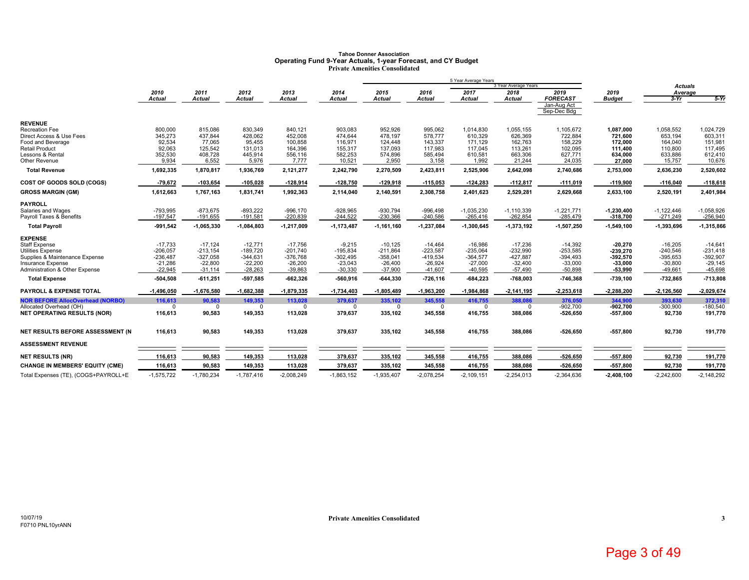# Tahoe Donner Association<br>Operating Fund 9-Year Actuals, 1-year Forecast, and CY Budget<br>Private Amenities Consolidated

|                                                     |                        |                        |                        |                        |                        |                        |                        | 5 Year Average Years   |                              |                            |                        |                           |                        |
|-----------------------------------------------------|------------------------|------------------------|------------------------|------------------------|------------------------|------------------------|------------------------|------------------------|------------------------------|----------------------------|------------------------|---------------------------|------------------------|
|                                                     | 2010                   | 2011                   | 2012                   | 2013                   | 2014                   | 2015                   | 2016                   | 2017                   | 3 Year Average Years<br>2018 | 2019                       | 2019                   | <b>Actuals</b><br>Average |                        |
|                                                     | <b>Actual</b>          | <b>Actual</b>          | Actual                 | <b>Actual</b>          | <b>Actual</b>          | <b>Actual</b>          | <b>Actual</b>          | <b>Actual</b>          | <b>Actual</b>                | <b>FORECAST</b>            | <b>Budget</b>          | $3-Yr$                    | $5-Yr$                 |
|                                                     |                        |                        |                        |                        |                        |                        |                        |                        |                              | Jan-Aug Act<br>Sep-Dec Bdg |                        |                           |                        |
| <b>REVENUE</b>                                      |                        |                        |                        |                        |                        |                        |                        |                        |                              |                            |                        |                           |                        |
| Recreation Fee                                      | 800,000                | 815,086                | 830,349                | 840,121                | 903,083                | 952,926                | 995,062                | 1,014,830              | 1,055,155                    | 1,105,672                  | 1,087,000              | 1,058,552                 | 1,024,729              |
| Direct Access & Use Fees                            | 345,273                | 437,844                | 428,062                | 452,008                | 474,644                | 478,197                | 578,777                | 610,329                | 626,369                      | 722,884                    | 721,600                | 653,194                   | 603,311                |
| Food and Beverage<br><b>Retail Product</b>          | 92,534<br>92,063       | 77.065<br>125,542      | 95.455<br>131,013      | 100,858<br>164,396     | 116.971<br>155,317     | 124,448<br>137,093     | 143,337<br>117,983     | 171.129<br>117,045     | 162,763<br>113,261           | 158,229<br>102,095         | 172.000<br>111,400     | 164,040<br>110,800        | 151,981<br>117,495     |
| Lessons & Rental                                    | 352,530                | 408,728                | 445,914                | 556,116                | 582,253                | 574,896                | 585,494                | 610,581                | 663,306                      | 627,771                    | 634.000                | 633,886                   | 612,410                |
| Other Revenue                                       | 9,934                  | 6,552                  | 5,976                  | 7,777                  | 10,521                 | 2,950                  | 3,158                  | 1,992                  | 21,244                       | 24,035                     | 27,000                 | 15,757                    | 10,676                 |
| <b>Total Revenue</b>                                | 1,692,335              | 1,870,817              | 1,936,769              | 2,121,277              | 2,242,790              | 2,270,509              | 2,423,811              | 2,525,906              | 2,642,098                    | 2,740,686                  | 2,753,000              | 2,636,230                 | 2,520,602              |
| COST OF GOODS SOLD (COGS)                           | $-79,672$              | $-103,654$             | $-105,028$             | $-128,914$             | $-128,750$             | $-129,918$             | $-115,053$             | $-124,283$             | $-112,817$                   | $-111,019$                 | $-119,900$             | $-116,040$                | $-118,618$             |
| <b>GROSS MARGIN (GM)</b>                            | 1,612,663              | 1,767,163              | 1,831,741              | 1,992,363              | 2,114,040              | 2,140,591              | 2,308,758              | 2,401,623              | 2,529,281                    | 2,629,668                  | 2,633,100              | 2,520,191                 | 2,401,984              |
| <b>PAYROLL</b>                                      |                        |                        |                        |                        |                        |                        |                        |                        |                              |                            |                        |                           |                        |
| Salaries and Wages                                  | $-793,995$             | $-873,675$             | $-893,222$             | $-996,170$             | $-928,965$             | $-930,794$             | $-996.498$             | $-1,035,230$           | $-1, 110, 339$               | $-1,221,771$               | $-1,230,400$           | $-1,122,446$              | $-1,058,926$           |
| Payroll Taxes & Benefits                            | $-197,547$             | $-191,655$             | $-191,581$             | $-220,839$             | $-244,522$             | $-230,366$             | $-240,586$             | $-265,416$             | $-262,854$                   | $-285,479$                 | $-318,700$             | $-271,249$                | $-256,940$             |
| <b>Total Payroll</b>                                | $-991,542$             | $-1,065,330$           | $-1,084,803$           | $-1,217,009$           | $-1,173,487$           | $-1,161,160$           | $-1,237,084$           | $-1,300,645$           | -1,373,192                   | $-1,507,250$               | $-1,549,100$           | $-1,393,696$              | $-1,315,866$           |
| <b>EXPENSE</b>                                      |                        |                        |                        |                        |                        |                        |                        |                        |                              |                            |                        |                           |                        |
| <b>Staff Expense</b>                                | $-17,733$              | $-17,124$              | $-12,771$              | $-17,756$              | $-9,215$               | $-10,125$              | $-14,464$              | $-16,986$              | $-17,236$                    | $-14,392$                  | $-20,270$              | $-16,205$                 | $-14,641$              |
| <b>Utilities Expense</b>                            | $-206,057$             | $-213.154$             | $-189.720$             | $-201,740$             | $-195.834$             | $-211,864$             | $-223.587$             | $-235.064$             | $-232,990$                   | $-253,585$                 | -239.270               | $-240,546$                | $-231.418$             |
| Supplies & Maintenance Expense                      | $-236,487$             | $-327,058$             | $-344,631$             | $-376,768$             | $-302,495$             | $-358,041$             | $-419.534$             | $-364,577$             | $-427,887$                   | $-394,493$                 | $-392,570$             | $-395,653$                | $-392,907$             |
| Insurance Expense<br>Administration & Other Expense | $-21,286$<br>$-22,945$ | $-22,800$<br>$-31,114$ | $-22,200$<br>$-28,263$ | $-26,200$<br>$-39,863$ | $-23,043$<br>$-30,330$ | $-26,400$<br>$-37,900$ | $-26,924$<br>$-41,607$ | $-27,000$<br>$-40,595$ | $-32,400$<br>$-57,490$       | $-33,000$<br>$-50,898$     | $-33,000$<br>$-53,990$ | $-30,800$<br>$-49,661$    | $-29,145$<br>$-45,698$ |
| <b>Total Expense</b>                                | -504,508               | $-611,251$             | -597,585               | $-662,326$             | $-560,916$             | $-644,330$             | $-726,116$             | $-684,223$             | $-768,003$                   | $-746,368$                 | $-739,100$             | $-732,865$                | $-713,808$             |
| <b>PAYROLL &amp; EXPENSE TOTAL</b>                  | $-1,496,050$           | $-1,676,580$           | $-1,682,388$           | $-1,879,335$           | $-1,734,403$           | $-1,805,489$           | $-1,963,200$           | $-1,984,868$           | $-2,141,195$                 | $-2,253,618$               | $-2,288,200$           | $-2,126,560$              | $-2,029,674$           |
| <b>NOR BEFORE AllocOverhead (NORBO)</b>             | 116.613                | 90.583                 | 149.353                | 113.028                | 379,637                | 335,102                | 345.558                | 416.755                | 388.086                      | 376,050                    | 344.900                | 393.630                   | 372.310                |
| Allocated Overhead (OH)                             | $\Omega$               | $\Omega$               | $\Omega$               | $\Omega$               | $\Omega$               | $\Omega$               | $\Omega$               | $\Omega$               | $\Omega$                     | $-902.700$                 | $-902.700$             | $-300,900$                | $-180.540$             |
| <b>NET OPERATING RESULTS (NOR)</b>                  | 116,613                | 90,583                 | 149,353                | 113,028                | 379,637                | 335,102                | 345,558                | 416,755                | 388,086                      | $-526,650$                 | $-557,800$             | 92,730                    | 191,770                |
| NET RESULTS BEFORE ASSESSMENT (N)                   | 116,613                | 90,583                 | 149,353                | 113,028                | 379,637                | 335,102                | 345,558                | 416,755                | 388,086                      | $-526,650$                 | $-557,800$             | 92,730                    | 191,770                |
|                                                     |                        |                        |                        |                        |                        |                        |                        |                        |                              |                            |                        |                           |                        |
| <b>ASSESSMENT REVENUE</b>                           |                        |                        |                        |                        |                        |                        |                        |                        |                              |                            |                        |                           |                        |
| <b>NET RESULTS (NR)</b>                             | 116,613                | 90,583                 | 149,353                | 113,028                | 379,637                | 335,102                | 345,558                | 416,755                | 388,086                      | $-526,650$                 | $-557,800$             | 92,730                    | 191,770                |
| <b>CHANGE IN MEMBERS' EQUITY (CME)</b>              | 116,613                | 90,583                 | 149,353                | 113,028                | 379,637                | 335,102                | 345,558                | 416,755                | 388,086                      | $-526,650$                 | $-557,800$             | 92,730                    | 191,770                |
| Total Expenses (TE), (COGS+PAYROLL+E                | $-1,575,722$           | $-1,780,234$           | $-1,787,416$           | $-2,008,249$           | $-1,863,152$           | $-1,935,407$           | $-2,078,254$           | $-2,109,151$           | $-2,254,013$                 | $-2,364,636$               | $-2,408,100$           | $-2,242,600$              | $-2,148,292$           |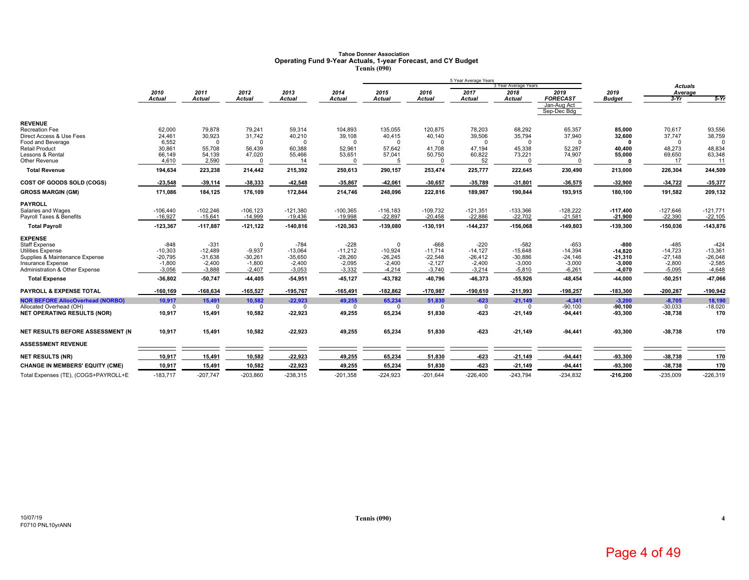## **Tahoe Donner Association Operating Fund 9-Year Actuals, 1-year Forecast, and CY Budget Tennis (090)**

|                                                            |                       |                       |                       |                       |                       |                       |                       | 5 Year Average Years  |                              |                            |                       |                           |                        |
|------------------------------------------------------------|-----------------------|-----------------------|-----------------------|-----------------------|-----------------------|-----------------------|-----------------------|-----------------------|------------------------------|----------------------------|-----------------------|---------------------------|------------------------|
|                                                            | 2010                  | 2011                  | 2012                  | 2013                  | 2014                  | 2015                  | 2016                  | 2017                  | 3 Year Average Years<br>2018 | 2019                       | 2019                  | <b>Actuals</b><br>Average |                        |
|                                                            | Actual                | <b>Actual</b>         | <b>Actual</b>         | <b>Actual</b>         | Actual                | <b>Actual</b>         | <b>Actual</b>         | <b>Actual</b>         | <b>Actual</b>                | <b>FORECAST</b>            | <b>Budget</b>         | $3-Yr$                    | $5-Yr$                 |
|                                                            |                       |                       |                       |                       |                       |                       |                       |                       |                              | Jan-Aug Act<br>Sep-Dec Bdg |                       |                           |                        |
| <b>REVENUE</b>                                             |                       |                       |                       |                       |                       |                       |                       |                       |                              |                            |                       |                           |                        |
| <b>Recreation Fee</b>                                      | 62,000                | 79,878                | 79,241                | 59,314                | 104,893               | 135,055               | 120,875               | 78,203                | 68,292                       | 65,357                     | 85,000                | 70,617                    | 93,556                 |
| Direct Access & Use Fees<br>Food and Beverage              | 24,461<br>6,552       | 30,923<br>$\Omega$    | 31,742<br>$\Omega$    | 40,210<br>$\Omega$    | 39,108<br>$\Omega$    | 40,415<br>$\Omega$    | 40,140<br>$\Omega$    | 39,506<br>$\Omega$    | 35,794<br>$\Omega$           | 37,940<br>$\Omega$         | 32,600                | 37,747                    | 38,759<br><sup>0</sup> |
| <b>Retail Product</b>                                      | 30,861                | 55,708                | 56,439                | 60,388                | 52,961                | 57,642                | 41,708                | 47,194                | 45,338                       | 52,287                     | 40,400                | 48,273                    | 48,834                 |
| Lessons & Rental                                           | 66,149                | 54,139                | 47,020                | 55,466                | 53,651                | 57,041                | 50,750                | 60,822                | 73,221                       | 74,907                     | 55,000                | 69,650                    | 63,348                 |
| Other Revenue                                              | 4,610                 | 2,590                 | $\Omega$              | 14                    |                       |                       | $\Omega$              | 52                    |                              | $\Omega$                   |                       | 17                        | 11                     |
| <b>Total Revenue</b>                                       | 194,634               | 223,238               | 214,442               | 215,392               | 250,613               | 290,157               | 253,474               | 225,777               | 222,645                      | 230,490                    | 213,000               | 226,304                   | 244,509                |
| COST OF GOODS SOLD (COGS)                                  | 23,548                | $-39,114$             | $-38,333$             | -42,548               | -35,867               | $-42,061$             | $-30,657$             | -35,789               | $-31,801$                    | -36,575                    | $-32,900$             | $-34,722$                 | -35,377                |
| <b>GROSS MARGIN (GM)</b>                                   | 171,086               | 184,125               | 176,109               | 172,844               | 214,746               | 248,096               | 222,816               | 189,987               | 190,844                      | 193,915                    | 180,100               | 191,582                   | 209,132                |
| <b>PAYROLL</b>                                             |                       |                       |                       |                       |                       |                       |                       |                       |                              |                            |                       |                           |                        |
| Salaries and Wages                                         | $-106,440$            | $-102.246$            | $-106, 123$           | $-121,380$            | $-100,365$            | $-116,183$            | $-109,732$            | $-121,351$            | $-133,366$                   | $-128,222$                 | $-117,400$            | $-127,646$                | $-121,771$             |
| Payroll Taxes & Benefits                                   | $-16,927$             | $-15,641$             | $-14,999$             | $-19,436$             | $-19,998$             | $-22,897$             | $-20,458$             | $-22,886$             | $-22,702$                    | $-21,581$                  | $-21,900$             | $-22,390$                 | $-22,105$              |
| <b>Total Payroll</b>                                       | $-123,367$            | $-117,887$            | $-121, 122$           | $-140,816$            | $-120,363$            | $-139,080$            | $-130,191$            | $-144,237$            | $-156,068$                   | $-149,803$                 | $-139,300$            | $-150,036$                | $-143,876$             |
| <b>EXPENSE</b>                                             |                       |                       |                       |                       |                       |                       |                       |                       |                              |                            |                       |                           |                        |
| Staff Expense                                              | $-848$                | $-331$                | $^{\circ}$            | $-784$                | $-228$                | $\Omega$              | $-668$                | $-220$                | $-582$                       | $-653$                     | $-800$                | $-485$                    | $-424$                 |
| <b>Utilities Expense</b>                                   | $-10,303$             | $-12.489$             | $-9.937$              | $-13.064$             | $-11.212$             | $-10.924$             | $-11.714$             | $-14.127$             | $-15.648$                    | $-14.394$                  | $-14.820$             | $-14.723$                 | $-13.361$              |
| Supplies & Maintenance Expense<br><b>Insurance Expense</b> | $-20,795$<br>$-1,800$ | $-31,638$<br>$-2,400$ | $-30,261$<br>$-1,800$ | $-35,650$<br>$-2,400$ | $-28.260$<br>$-2,095$ | $-26,245$<br>$-2,400$ | $-22,548$<br>$-2,127$ | $-26,412$<br>$-2,400$ | $-30,886$<br>$-3,000$        | $-24,146$<br>$-3,000$      | $-21,310$<br>$-3,000$ | $-27,148$<br>$-2,800$     | $-26,048$<br>$-2,585$  |
| Administration & Other Expense                             | $-3,056$              | $-3,888$              | $-2,407$              | $-3,053$              | $-3,332$              | $-4,214$              | $-3,740$              | $-3,214$              | $-5,810$                     | $-6,261$                   | $-4,070$              | $-5,095$                  | $-4,648$               |
| <b>Total Expense</b>                                       | $-36,802$             | $-50,747$             | 44,405                | $-54,951$             | 45,127                | -43,782               | $-40,796$             | 46,373                | -55,926                      | $-48,454$                  | -44,000               | $-50,251$                 | 47,066                 |
| <b>PAYROLL &amp; EXPENSE TOTAL</b>                         | $-160, 169$           | $-168,634$            | $-165,527$            | $-195,767$            | $-165,491$            | $-182,862$            | $-170,987$            | $-190,610$            | $-211,993$                   | $-198,257$                 | $-183,300$            | $-200,287$                | $-190,942$             |
| <b>NOR BEFORE AllocOverhead (NORBO)</b>                    | 10.917                | 15.491                | 10,582                | $-22.923$             | 49.255                | 65,234                | 51.830                | $-623$                | $-21.149$                    | $-4,341$                   | $-3.200$              | $-8,705$                  | 18,190                 |
| Allocated Overhead (OH)                                    | $\Omega$              | $\Omega$              | $\Omega$              | $\Omega$              | $\Omega$              | $\Omega$              | $\Omega$              | $\mathbf 0$           | $\Omega$                     | $-90,100$                  | $-90,100$             | $-30,033$                 | $-18,020$              |
| <b>NET OPERATING RESULTS (NOR)</b>                         | 10,917                | 15,491                | 10,582                | $-22,923$             | 49,255                | 65,234                | 51,830                | $-623$                | $-21,149$                    | $-94,441$                  | -93,300               | $-38,738$                 | 170                    |
| NET RESULTS BEFORE ASSESSMENT (N                           | 10.917                | 15,491                | 10,582                | $-22,923$             | 49,255                | 65,234                | 51,830                | $-623$                | $-21,149$                    | $-94,441$                  | -93,300               | $-38,738$                 | 170                    |
| <b>ASSESSMENT REVENUE</b>                                  |                       |                       |                       |                       |                       |                       |                       |                       |                              |                            |                       |                           |                        |
| <b>NET RESULTS (NR)</b>                                    | 10,917                | 15,491                | 10,582                | $-22,923$             | 49,255                | 65,234                | 51,830                | $-623$                | $-21,149$                    | $-94,441$                  | -93,300               | -38,738                   | 170                    |
| <b>CHANGE IN MEMBERS' EQUITY (CME)</b>                     | 10,917                | 15,491                | 10,582                | $-22,923$             | 49,255                | 65,234                | 51,830                | $-623$                | $-21,149$                    | $-94,441$                  | -93,300               | $-38,738$                 | 170                    |
| Total Expenses (TE), (COGS+PAYROLL+E                       | $-183,717$            | $-207,747$            | $-203,860$            | $-238,315$            | $-201,358$            | $-224,923$            | $-201.644$            | $-226,400$            | $-243,794$                   | $-234,832$                 | $-216,200$            | $-235,009$                | $-226,319$             |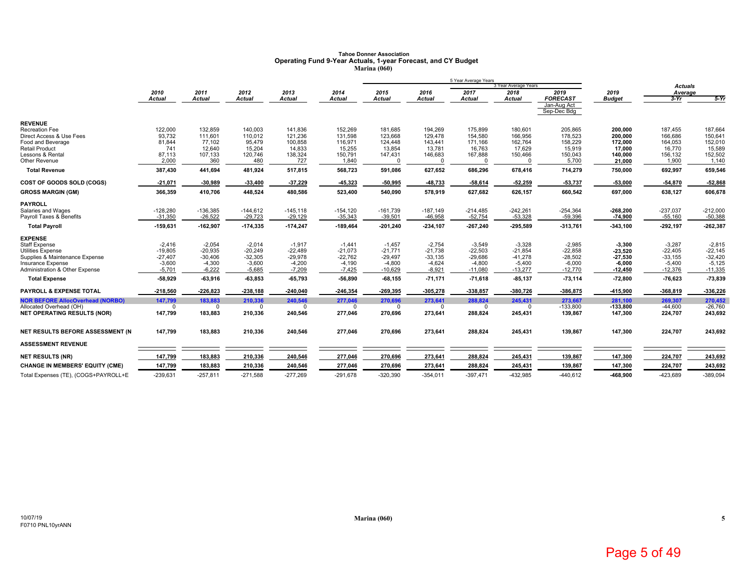## **Tahoe Donner Association Operating Fund 9-Year Actuals, 1-year Forecast, and CY Budget Marina (060)**

|                                                               |                       |                       |                       |                      |                      |                       |                         | 5 Year Average Years   | 3 Year Average Years  |                            |                       |                           |                       |
|---------------------------------------------------------------|-----------------------|-----------------------|-----------------------|----------------------|----------------------|-----------------------|-------------------------|------------------------|-----------------------|----------------------------|-----------------------|---------------------------|-----------------------|
|                                                               | 2010                  | 2011                  | 2012                  | 2013                 | 2014                 | 2015                  | 2016                    | 2017                   | 2018                  | 2019                       | 2019                  | <b>Actuals</b><br>Average |                       |
|                                                               | Actual                | <b>Actual</b>         | <b>Actual</b>         | <b>Actual</b>        | <b>Actual</b>        | <b>Actual</b>         | <b>Actual</b>           | <b>Actual</b>          | Actual                | <b>FORECAST</b>            | <b>Budget</b>         | $3-Yr$                    | $5-Yr$                |
|                                                               |                       |                       |                       |                      |                      |                       |                         |                        |                       | Jan-Aug Act<br>Sep-Dec Bdg |                       |                           |                       |
| <b>REVENUE</b>                                                |                       |                       |                       |                      |                      |                       |                         |                        |                       |                            |                       |                           |                       |
| Recreation Fee                                                | 122,000               | 132,859               | 140,003               | 141,836              | 152,269              | 181,685               | 194,269                 | 175,899                | 180,601               | 205,865                    | 200,000               | 187,455                   | 187,664               |
| Direct Access & Use Fees                                      | 93,732                | 111,601               | 110,012               | 121,236              | 131,598              | 123,668               | 129,478                 | 154,580                | 166,956               | 178,523                    | 200,000               | 166,686                   | 150,641               |
| Food and Beverage                                             | 81,844                | 77,102                | 95,479                | 100,858              | 116,971              | 124,448               | 143,441                 | 171,166                | 162,764               | 158,229                    | 172.000               | 164,053                   | 152,010               |
| <b>Retail Product</b><br>Lessons & Rental                     | 741<br>87,113         | 12,640<br>107,133     | 15,204<br>120,746     | 14,833<br>138,324    | 15,255<br>150,791    | 13,854<br>147,431     | 13,781<br>146,683       | 16,763<br>167,888      | 17,629<br>150,466     | 15,919<br>150,043          | 17,000<br>140,000     | 16,770<br>156,132         | 15,589<br>152,502     |
| Other Revenue                                                 | 2,000                 | 360                   | 480                   | 727                  | 1,840                |                       | $\Omega$                | $\Omega$               |                       | 5,700                      | 21,000                | 1,900                     | 1,140                 |
| <b>Total Revenue</b>                                          | 387,430               | 441,694               | 481,924               | 517,815              | 568,723              | 591,086               | 627,652                 | 686,296                | 678,416               | 714,279                    | 750,000               | 692,997                   | 659,546               |
| COST OF GOODS SOLD (COGS)                                     | $-21,071$             | $-30,989$             | $-33,400$             | $-37,229$            | 45,323               | $-50,995$             | -48,733                 | 58,614                 | $-52,259$             | $-53,737$                  | $-53,000$             | $-54,870$                 | $-52,868$             |
|                                                               |                       |                       |                       |                      |                      |                       |                         |                        |                       |                            |                       |                           |                       |
| <b>GROSS MARGIN (GM)</b>                                      | 366,359               | 410,706               | 448,524               | 480,586              | 523,400              | 540,090               | 578,919                 | 627,682                | 626,157               | 660,542                    | 697,000               | 638,127                   | 606,678               |
| <b>PAYROLL</b>                                                |                       |                       |                       |                      |                      |                       |                         |                        |                       |                            |                       |                           |                       |
| Salaries and Wages                                            | $-128,280$            | $-136,385$            | $-144,612$            | $-145, 118$          | $-154, 120$          | $-161,739$            | $-187,149$              | $-214,485$             | $-242,261$            | $-254,364$                 | $-268,200$            | $-237,037$                | $-212,000$            |
| Payroll Taxes & Benefits                                      | $-31,350$             | $-26,522$             | $-29,723$             | $-29,129$            | $-35,343$            | $-39,501$             | $-46,958$               | $-52,754$              | $-53,328$             | $-59,396$                  | $-74,900$             | $-55,160$                 | $-50,388$             |
| <b>Total Payroll</b>                                          | $-159,631$            | $-162,907$            | $-174,335$            | $-174,247$           | $-189,464$           | $-201,240$            | $-234, 107$             | $-267,240$             | $-295,589$            | $-313,761$                 | $-343,100$            | $-292,197$                | $-262,387$            |
| <b>EXPENSE</b>                                                |                       |                       |                       |                      |                      |                       |                         |                        |                       |                            |                       |                           |                       |
| Staff Expense                                                 | $-2,416$              | $-2,054$              | $-2,014$              | $-1,917$             | $-1,441$             | $-1,457$              | $-2,754$                | $-3,549$               | $-3,328$              | $-2,985$                   | $-3,300$              | $-3,287$                  | $-2,815$              |
| <b>Utilities Expense</b>                                      | $-19,805$             | $-20,935$             | $-20,249$             | $-22,489$            | $-21,073$            | $-21,771$             | $-21,738$               | $-22,503$              | $-21,854$             | $-22,858$                  | -23,520               | $-22,405$                 | $-22,145$             |
| Supplies & Maintenance Expense                                | $-27,407$             | $-30.406$             | $-32.305$             | $-29,978$            | $-22.762$            | $-29,497$             | $-33.135$               | $-29.686$              | $-41,278$             | $-28,502$                  | $-27,530$             | $-33,155$                 | $-32,420$             |
| Insurance Expense<br>Administration & Other Expense           | $-3,600$<br>$-5,701$  | $-4,300$<br>$-6,222$  | $-3,600$<br>$-5,685$  | $-4,200$<br>$-7,209$ | $-4,190$<br>$-7,425$ | $-4,800$<br>$-10,629$ | $-4,624$<br>$-8,921$    | $-4,800$<br>$-11,080$  | $-5,400$<br>$-13,277$ | $-6,000$<br>$-12,770$      | $-6,000$<br>$-12,450$ | $-5,400$<br>$-12,376$     | $-5,125$<br>$-11,335$ |
| <b>Total Expense</b>                                          | -58,929               | $-63,916$             | 63,853                | $-65,793$            | 56,890               | $-68,155$             | $-71,171$               | $-71,618$              | $-85,137$             | $-73,114$                  | $-72,800$             | $-76,623$                 | -73,839               |
|                                                               |                       |                       |                       |                      |                      |                       |                         |                        |                       |                            |                       |                           |                       |
| PAYROLL & EXPENSE TOTAL                                       | $-218,560$            | $-226,823$            | $-238,188$            | $-240,040$           | $-246,354$           | $-269,395$            | $-305,278$              | $-338,857$             | $-380,726$            | -386,875                   | -415,900              | $-368,819$                | $-336,226$            |
| <b>NOR BEFORE AllocOverhead (NORBO)</b>                       | 147,799               | 183,883               | 210,336               | 240,546              | 277,046              | 270,696               | 273,641                 | 288,824                | 245,431               | 273,667                    | 281,100               | 269,307                   | 270,452               |
| Allocated Overhead (OH)<br><b>NET OPERATING RESULTS (NOR)</b> | $^{\circ}$<br>147,799 | $^{\circ}$<br>183,883 | $^{\circ}$<br>210,336 | $\Omega$<br>240,546  | $\Omega$<br>277,046  | $\Omega$<br>270,696   | $\mathbf{0}$<br>273,641 | $\mathbf 0$<br>288,824 | $\Omega$<br>245,431   | $-133,800$<br>139,867      | $-133.800$<br>147,300 | $-44,600$<br>224,707      | $-26.760$<br>243,692  |
|                                                               |                       |                       |                       |                      |                      |                       |                         |                        |                       |                            |                       |                           |                       |
| NET RESULTS BEFORE ASSESSMENT (N                              | 147.799               | 183,883               | 210,336               | 240,546              | 277,046              | 270,696               | 273,641                 | 288,824                | 245,431               | 139,867                    | 147,300               | 224,707                   | 243,692               |
| <b>ASSESSMENT REVENUE</b>                                     |                       |                       |                       |                      |                      |                       |                         |                        |                       |                            |                       |                           |                       |
| <b>NET RESULTS (NR)</b>                                       | 147,799               | 183,883               | 210,336               | 240,546              | 277,046              | 270,696               | 273,641                 | 288,824                | 245,431               | 139,867                    | 147,300               | 224,707                   | 243,692               |
| <b>CHANGE IN MEMBERS' EQUITY (CME)</b>                        | 147,799               | 183,883               | 210,336               | 240,546              | 277,046              | 270,696               | 273,641                 | 288,824                | 245,431               | 139,867                    | 147,300               | 224,707                   | 243,692               |
| Total Expenses (TE), (COGS+PAYROLL+E                          | $-239,631$            | $-257,811$            | $-271,588$            | $-277,269$           | $-291,678$           | $-320,390$            | $-354,011$              | $-397,471$             | $-432,985$            | $-440,612$                 | $-468,900$            | $-423,689$                | $-389,094$            |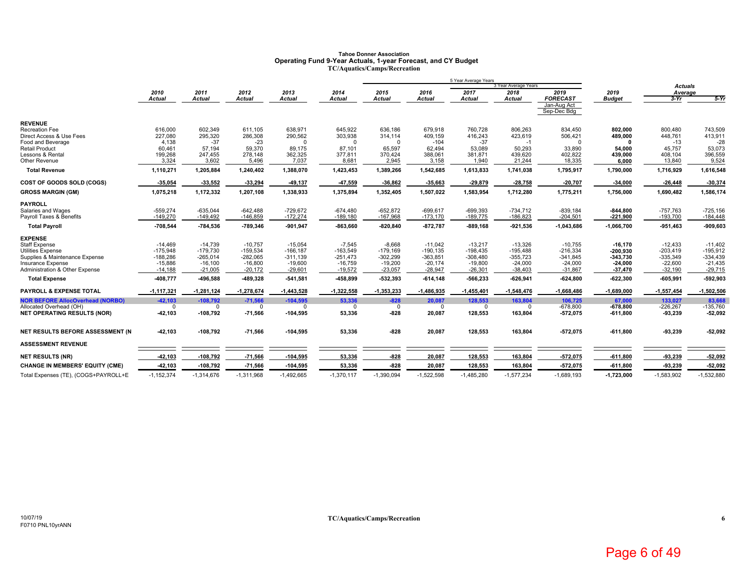# Tahoe Donner Association<br>Operating Fund 9-Year Actuals, 1-year Forecast, and CY Budget<br>TC/Aquatics/Camps/Recreation

|                                                                    |                        |                        |                        |                        |                        |                        |                        | 5 Year Average Years   |                        |                            |                        |                        |                        |
|--------------------------------------------------------------------|------------------------|------------------------|------------------------|------------------------|------------------------|------------------------|------------------------|------------------------|------------------------|----------------------------|------------------------|------------------------|------------------------|
|                                                                    |                        |                        |                        |                        |                        |                        |                        |                        | 3 Year Average Years   |                            |                        | <b>Actuals</b>         |                        |
|                                                                    | 2010                   | 2011<br><b>Actual</b>  | 2012                   | 2013                   | 2014                   | 2015                   | 2016<br><b>Actual</b>  | 2017                   | 2018                   | 2019<br><b>FORECAST</b>    | 2019                   | Average                |                        |
|                                                                    | <b>Actual</b>          |                        | Actual                 | <b>Actual</b>          | Actual                 | <b>Actual</b>          |                        | <b>Actual</b>          | <b>Actual</b>          | Jan-Aug Act<br>Sep-Dec Bdg | <b>Budget</b>          | $3-Yr$                 | $5-Yr$                 |
| <b>REVENUE</b>                                                     |                        |                        |                        |                        |                        |                        |                        |                        |                        |                            |                        |                        |                        |
| Recreation Fee                                                     | 616,000                | 602,349                | 611.105                | 638,971                | 645,922                | 636,186                | 679,918                | 760,728                | 806,263                | 834,450                    | 802,000                | 800,480                | 743,509                |
| Direct Access & Use Fees                                           | 227,080                | 295,320                | 286,308                | 290,562                | 303,938                | 314,114                | 409,159                | 416,243                | 423,619                | 506,421                    | 489,000                | 448,761                | 413,911                |
| Food and Beverage                                                  | 4,138                  | $-37$                  | $-23$                  | $\Omega$               | $\Omega$               | $\Omega$               | $-104$                 | $-37$                  | $-1$                   | $\Omega$                   | 0                      | $-13$                  | $-28$                  |
| <b>Retail Product</b><br>Lessons & Rental                          | 60,461                 | 57,194                 | 59,370                 | 89,175                 | 87.101                 | 65,597                 | 62,494                 | 53.089                 | 50,293                 | 33,890                     | 54,000                 | 45.757                 | 53,073                 |
| Other Revenue                                                      | 199,268<br>3,324       | 247,455<br>3,602       | 278,148<br>5,496       | 362,325<br>7,037       | 377,811<br>8,681       | 370,424<br>2,945       | 388,061<br>3,158       | 381,871<br>1,940       | 439,620<br>21,244      | 402,822<br>18,335          | 439,000<br>6,000       | 408,104<br>13,840      | 396,559<br>9,524       |
| <b>Total Revenue</b>                                               | 1,110,271              | 1,205,884              | 1,240,402              | 1,388,070              | 1,423,453              | 1,389,266              | 1,542,685              | 1,613,833              | 1,741,038              | 1,795,917                  | 1,790,000              | 1,716,929              | 1,616,548              |
|                                                                    |                        |                        |                        |                        |                        |                        |                        |                        |                        |                            |                        |                        |                        |
| COST OF GOODS SOLD (COGS)                                          | -35,054                | $-33,552$              | $-33,294$              | $-49,137$              | 47,559                 | $-36,862$              | -35,663                | $-29,879$              | -28,758                | $-20,707$                  | $-34,000$              | $-26,448$              | $-30,374$              |
| <b>GROSS MARGIN (GM)</b>                                           | 1,075,218              | 1,172,332              | 1,207,108              | 1,338,933              | 1,375,894              | 1,352,405              | 1,507,022              | 1,583,954              | 1,712,280              | 1,775,211                  | 1,756,000              | 1,690,482              | 1,586,174              |
| <b>PAYROLL</b>                                                     |                        |                        |                        |                        |                        |                        |                        |                        |                        |                            |                        |                        |                        |
| Salaries and Wages                                                 | $-559,274$             | $-635,044$             | $-642,488$             | $-729,672$             | $-674,480$             | $-652,872$             | $-699,617$             | $-699,393$             | $-734,712$             | $-839,184$                 | $-844,800$             | $-757,763$             | $-725,156$             |
| Payroll Taxes & Benefits                                           | $-149,270$             | $-149,492$             | $-146,859$             | $-172,274$             | $-189,180$             | $-167,968$             | $-173,170$             | $-189,775$             | $-186,823$             | $-204,501$                 | $-221,900$             | $-193,700$             | $-184,448$             |
| <b>Total Payroll</b>                                               | -708,544               | $-784,536$             | -789,346               | $-901,947$             | $-863,660$             | $-820, 840$            | $-872,787$             | $-889,168$             | $-921,536$             | $-1,043,686$               | $-1,066,700$           | $-951,463$             | $-909,603$             |
| <b>EXPENSE</b>                                                     |                        |                        |                        |                        |                        |                        |                        |                        |                        |                            |                        |                        |                        |
| <b>Staff Expense</b>                                               | $-14,469$              | $-14.739$              | $-10.757$              | $-15,054$              | $-7,545$               | $-8,668$               | $-11.042$              | $-13,217$              | $-13,326$              | $-10.755$                  | $-16, 170$             | $-12,433$              | $-11.402$              |
| <b>Utilities Expense</b>                                           | $-175,948$             | $-179.730$             | $-159,534$             | $-166, 187$            | $-163.549$             | $-179,169$             | $-190.135$             | $-198,435$             | $-195,488$             | $-216,334$                 | $-200.930$             | $-203,419$             | $-195,912$             |
| Supplies & Maintenance Expense                                     | $-188,286$             | $-265.014$             | $-282.065$             | $-311,139$             | $-251.473$             | $-302,299$             | $-363.851$             | $-308,480$             | $-355,723$             | $-341,845$                 | $-343.730$             | $-335,349$             | $-334,439$             |
| <b>Insurance Expense</b><br>Administration & Other Expense         | $-15,886$<br>$-14,188$ | $-16,100$<br>$-21,005$ | $-16,800$<br>$-20,172$ | $-19,600$<br>$-29,601$ | $-16,759$<br>$-19,572$ | $-19,200$<br>$-23,057$ | $-20.174$<br>$-28,947$ | $-19,800$<br>$-26,301$ | $-24,000$<br>$-38,403$ | $-24,000$<br>$-31,867$     | $-24,000$<br>$-37,470$ | $-22,600$<br>$-32,190$ | $-21,435$<br>$-29,715$ |
| <b>Total Expense</b>                                               | -408,777               | -496,588               | -489,328               | $-541,581$             | -458,899               | -532,393               | $-614, 148$            | -566,233               | $-626,941$             | $-624,800$                 | $-622,300$             | $-605,991$             | -592,903               |
|                                                                    |                        |                        |                        |                        |                        |                        |                        |                        |                        |                            |                        |                        |                        |
| PAYROLL & EXPENSE TOTAL                                            | $-1, 117, 321$         | $-1,281,124$           | $-1,278,674$           | $-1,443,528$           | $-1,322,558$           | $-1,353,233$           | $-1,486,935$           | $-1,455,401$           | $-1,548,476$           | $-1,668,486$               | $-1,689,000$           | $-1,557,454$           | $-1,502,506$           |
| <b>NOR BEFORE AllocOverhead (NORBO)</b><br>Allocated Overhead (OH) | $-42,103$<br>$\Omega$  | $-108,792$             | $-71,566$<br>$\Omega$  | $-104.595$<br>$\Omega$ | 53,336<br>$\Omega$     | $-828$<br>$\mathbf 0$  | 20,087<br>- 0          | 128.553<br>$\Omega$    | 163.804                | 106,725<br>$-678,800$      | 67,000<br>$-678,800$   | 133.027<br>$-226,267$  | 83,668<br>$-135,760$   |
| <b>NET OPERATING RESULTS (NOR)</b>                                 | -42,103                | $-108,792$             | $-71,566$              | $-104,595$             | 53,336                 | $-828$                 | 20,087                 | 128,553                | 163,804                | $-572,075$                 | $-611,800$             | $-93,239$              | $-52,092$              |
|                                                                    |                        |                        |                        |                        |                        |                        |                        |                        |                        |                            |                        |                        |                        |
| NET RESULTS BEFORE ASSESSMENT (N                                   | $-42,103$              | $-108,792$             | $-71,566$              | $-104,595$             | 53,336                 | $-828$                 | 20,087                 | 128,553                | 163,804                | $-572,075$                 | $-611,800$             | $-93,239$              | $-52,092$              |
| <b>ASSESSMENT REVENUE</b>                                          |                        |                        |                        |                        |                        |                        |                        |                        |                        |                            |                        |                        |                        |
| <b>NET RESULTS (NR)</b>                                            | $-42,103$              | $-108,792$             | $-71,566$              | $-104,595$             | 53,336                 | $-828$                 | 20,087                 | 128,553                | 163,804                | $-572,075$                 | $-611,800$             | $-93,239$              | $-52,092$              |
| <b>CHANGE IN MEMBERS' EQUITY (CME)</b>                             | $-42,103$              | $-108,792$             | $-71,566$              | $-104,595$             | 53,336                 | $-828$                 | 20,087                 | 128,553                | 163,804                | $-572,075$                 | $-611,800$             | $-93,239$              | $-52,092$              |
| Total Expenses (TE), (COGS+PAYROLL+E                               | $-1,152,374$           | $-1,314,676$           | $-1,311,968$           | $-1,492,665$           | $-1,370,117$           | $-1,390,094$           | $-1,522,598$           | $-1,485,280$           | $-1,577,234$           | $-1,689,193$               | $-1,723,000$           | $-1,583,902$           | $-1,532,880$           |
|                                                                    |                        |                        |                        |                        |                        |                        |                        |                        |                        |                            |                        |                        |                        |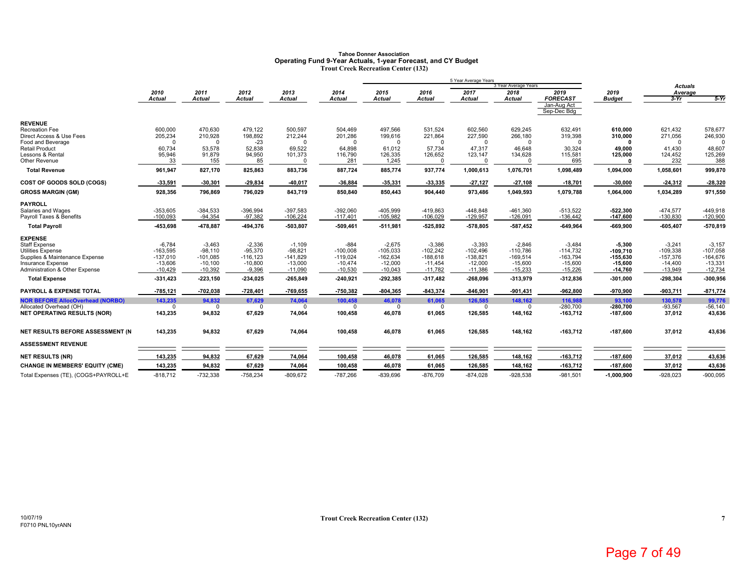### **Tahoe Donner AssociationOperating Fund 9-Year Actuals, 1-year Forecast, and CY Budget Trout Creek Recreation Center (132)**

|                                                            |                          |                         |                          |                         |                          |                          |                          | 5 Year Average Years     |                              |                            |                         |                           |                          |
|------------------------------------------------------------|--------------------------|-------------------------|--------------------------|-------------------------|--------------------------|--------------------------|--------------------------|--------------------------|------------------------------|----------------------------|-------------------------|---------------------------|--------------------------|
|                                                            | 2010                     | 2011                    | 2012                     | 2013                    | 2014                     | 2015                     | 2016                     | 2017                     | 3 Year Average Years<br>2018 | 2019                       | 2019                    | <b>Actuals</b><br>Average |                          |
|                                                            | <b>Actual</b>            | <b>Actual</b>           | Actual                   | <b>Actual</b>           | <b>Actual</b>            | <b>Actual</b>            | <b>Actual</b>            | <b>Actual</b>            | <b>Actual</b>                | <b>FORECAST</b>            | <b>Budget</b>           | $3-Yr$                    | $5-Yr$                   |
|                                                            |                          |                         |                          |                         |                          |                          |                          |                          |                              | Jan-Aug Act<br>Sep-Dec Bdg |                         |                           |                          |
| <b>REVENUE</b>                                             |                          |                         |                          |                         |                          |                          |                          |                          |                              |                            |                         |                           |                          |
| <b>Recreation Fee</b>                                      | 600,000                  | 470,630                 | 479.122                  | 500,597                 | 504,469                  | 497,566                  | 531,524                  | 602,560                  | 629,245                      | 632.491                    | 610.000                 | 621,432                   | 578.677                  |
| Direct Access & Use Fees<br>Food and Beverage              | 205,234<br>$\mathbf 0$   | 210,928<br>$\Omega$     | 198,892<br>$-23$         | 212,244<br>$\Omega$     | 201,286<br>$\Omega$      | 199,616<br>$\Omega$      | 221,864<br>$\Omega$      | 227,590<br>$\Omega$      | 266,180<br>$\Omega$          | 319,398<br>$\Omega$        | 310,000<br>$\mathbf{r}$ | 271,056<br>$\Omega$       | 246,930                  |
| <b>Retail Product</b>                                      | 60,734                   | 53,578                  | 52.838                   | 69,522                  | 64.898                   | 61,012                   | 57,734                   | 47,317                   | 46,648                       | 30.324                     | 49,000                  | 41,430                    | 48.607                   |
| Lessons & Rental                                           | 95,946                   | 91,879                  | 94,950                   | 101,373                 | 116,790                  | 126,335                  | 126,652                  | 123,147                  | 134,628                      | 115,581                    | 125,000                 | 124,452                   | 125,269                  |
| Other Revenue                                              | 33                       | 155                     | 85                       | $\Omega$                | 281                      | 1,245                    | $\Omega$                 | $\Omega$                 |                              | 695                        | n                       | 232                       | 388                      |
| <b>Total Revenue</b>                                       | 961,947                  | 827,170                 | 825,863                  | 883,736                 | 887,724                  | 885,774                  | 937,774                  | 1,000,613                | 1,076,701                    | 1,098,489                  | 1,094,000               | 1,058,601                 | 999,870                  |
| COST OF GOODS SOLD (COGS)                                  | -33,591                  | $-30,301$               | $-29,834$                | $-40,017$               | $-36,884$                | $-35,331$                | -33,335                  | $-27,127$                | $-27,108$                    | $-18,701$                  | $-30,000$               | $-24,312$                 | $-28,320$                |
| <b>GROSS MARGIN (GM)</b>                                   | 928,356                  | 796,869                 | 796,029                  | 843,719                 | 850,840                  | 850,443                  | 904,440                  | 973,486                  | 1,049,593                    | 1,079,788                  | 1,064,000               | 1,034,289                 | 971,550                  |
| <b>PAYROLL</b>                                             |                          |                         |                          |                         |                          |                          |                          |                          |                              |                            |                         |                           |                          |
| Salaries and Wages                                         | $-353,605$               | $-384.533$              | $-396.994$               | $-397.583$              | $-392.060$               | $-405.999$               | $-419.863$               | $-448.848$               | $-461.360$                   | $-513,522$                 | -522.300                | $-474.577$                | $-449.918$               |
| Payroll Taxes & Benefits                                   | $-100,093$               | $-94,354$               | $-97,382$                | $-106,224$              | $-117,401$               | $-105,982$               | $-106,029$               | $-129,957$               | $-126,091$                   | $-136,442$                 | $-147,600$              | $-130,830$                | $-120,900$               |
| <b>Total Payroll</b>                                       | 453,698                  | 478,887                 | -494,376                 | $-503,807$              | $-509,461$               | $-511,981$               | $-525,892$               | $-578,805$               | -587,452                     | $-649,964$                 | $-669,900$              | $-605,407$                | $-570,819$               |
| <b>EXPENSE</b>                                             |                          |                         |                          |                         |                          |                          |                          |                          |                              |                            |                         |                           |                          |
| <b>Staff Expense</b>                                       | $-6,784$                 | $-3.463$                | $-2.336$                 | $-1,109$                | $-884$                   | $-2,675$                 | $-3.386$                 | $-3.393$                 | $-2,846$                     | $-3.484$                   | $-5.300$                | $-3.241$                  | $-3.157$                 |
| <b>Utilities Expense</b><br>Supplies & Maintenance Expense | $-163,595$<br>$-137,010$ | $-98.110$<br>$-101,085$ | $-95.370$<br>$-116, 123$ | $-98,821$<br>$-141,829$ | $-100,008$<br>$-119,024$ | $-105,033$<br>$-162,634$ | $-102,242$<br>$-188,618$ | $-102,496$<br>$-138,821$ | $-110,786$<br>$-169,514$     | $-114,732$<br>$-163,794$   | $-109.710$<br>-155,630  | $-109,338$<br>$-157,376$  | $-107,058$<br>$-164,676$ |
| <b>Insurance Expense</b>                                   | $-13,606$                | $-10,100$               | $-10,800$                | $-13,000$               | $-10,474$                | $-12,000$                | $-11,454$                | $-12,000$                | $-15,600$                    | $-15,600$                  | $-15,600$               | $-14,400$                 | $-13,331$                |
| Administration & Other Expense                             | $-10,429$                | $-10,392$               | $-9,396$                 | $-11,090$               | $-10,530$                | $-10,043$                | $-11,782$                | $-11,386$                | $-15,233$                    | $-15,226$                  | $-14,760$               | $-13,949$                 | $-12,734$                |
| <b>Total Expense</b>                                       | $-331,423$               | $-223,150$              | $-234,025$               | $-265,849$              | $-240,921$               | $-292,385$               | $-317,482$               | $-268,096$               | $-313,979$                   | $-312,836$                 | $-301,000$              | $-298,304$                | -300,956                 |
| PAYROLL & EXPENSE TOTAL                                    | $-785,121$               | $-702,038$              | $-728,401$               | $-769,655$              | -750,382                 | $-804,365$               | $-843,374$               | $-846,901$               | $-901,431$                   | $-962,800$                 | $-970,900$              | $-903,711$                | $-871,774$               |
| <b>NOR BEFORE AllocOverhead (NORBO)</b>                    | 143,235                  | 94,832                  | 67,629                   | 74,064                  | 100,458                  | 46,078                   | 61,065                   | 126,585                  | 148,162                      | 116,988                    | 93,100                  | 130,578                   | 99,776                   |
| Allocated Overhead (OH)                                    | $\Omega$                 | $\Omega$                | $\mathbf 0$              | $\Omega$                | $\Omega$                 | $\Omega$                 | $\Omega$                 | $\Omega$                 | $\Omega$                     | $-280,700$                 | $-280.700$              | $-93,567$                 | $-56,140$                |
| <b>NET OPERATING RESULTS (NOR)</b>                         | 143,235                  | 94,832                  | 67,629                   | 74,064                  | 100,458                  | 46,078                   | 61,065                   | 126,585                  | 148,162                      | $-163,712$                 | $-187,600$              | 37,012                    | 43,636                   |
| NET RESULTS BEFORE ASSESSMENT (N                           | 143,235                  | 94,832                  | 67,629                   | 74,064                  | 100,458                  | 46,078                   | 61,065                   | 126,585                  | 148,162                      | $-163,712$                 | $-187,600$              | 37,012                    | 43,636                   |
| <b>ASSESSMENT REVENUE</b>                                  |                          |                         |                          |                         |                          |                          |                          |                          |                              |                            |                         |                           |                          |
| <b>NET RESULTS (NR)</b>                                    | 143,235                  | 94,832                  | 67,629                   | 74,064                  | 100,458                  | 46,078                   | 61,065                   | 126,585                  | 148,162                      | $-163,712$                 | $-187,600$              | 37,012                    | 43,636                   |
| <b>CHANGE IN MEMBERS' EQUITY (CME)</b>                     | 143,235                  | 94,832                  | 67,629                   | 74,064                  | 100,458                  | 46,078                   | 61,065                   | 126,585                  | 148,162                      | $-163,712$                 | $-187,600$              | 37,012                    | 43,636                   |
| Total Expenses (TE), (COGS+PAYROLL+E                       | $-818,712$               | $-732,338$              | $-758,234$               | $-809,672$              | $-787,266$               | $-839,696$               | $-876,709$               | $-874,028$               | $-928,538$                   | $-981,501$                 | $-1,000,900$            | $-928,023$                | $-900,095$               |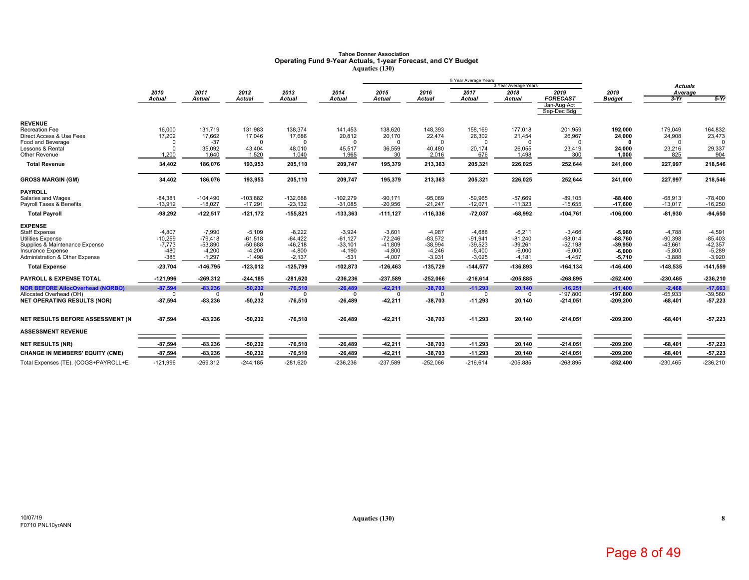# **Tahoe Donner Association Operating Fund 9-Year Actuals, 1-year Forecast, and CY Budget Aquatics (130)**

|                                                            |                       |                        |                        |                        |                        |                        |                        | 5 Year Average Years   | 3 Year Average Years   |                            |                        | <b>Actuals</b>         |                        |
|------------------------------------------------------------|-----------------------|------------------------|------------------------|------------------------|------------------------|------------------------|------------------------|------------------------|------------------------|----------------------------|------------------------|------------------------|------------------------|
|                                                            | 2010                  | 2011                   | 2012                   | 2013                   | 2014                   | 2015                   | 2016                   | 2017                   | 2018                   | 2019                       | 2019                   | Average                |                        |
|                                                            | <b>Actual</b>         | <b>Actual</b>          | Actual                 | <b>Actual</b>          | Actual                 | <b>Actual</b>          | <b>Actual</b>          | <b>Actual</b>          | Actual                 | <b>FORECAST</b>            | <b>Budget</b>          | $3-Yr$                 | $5-Yr$                 |
|                                                            |                       |                        |                        |                        |                        |                        |                        |                        |                        | Jan-Aug Act<br>Sep-Dec Bdg |                        |                        |                        |
| <b>REVENUE</b>                                             |                       |                        |                        |                        |                        |                        |                        |                        |                        |                            |                        |                        |                        |
| Recreation Fee                                             | 16,000                | 131,719                | 131,983                | 138,374                | 141,453                | 138,620                | 148,393                | 158,169                | 177,018                | 201,959                    | 192,000                | 179,049                | 164,832                |
| Direct Access & Use Fees                                   | 17,202                | 17,662                 | 17,046                 | 17,686                 | 20,812                 | 20,170                 | 22,474                 | 26,302                 | 21,454                 | 26,967                     | 24,000                 | 24,908                 | 23,473                 |
| Food and Beverage<br>Lessons & Rental                      | $\Omega$<br>$\Omega$  | $-37$<br>35,092        | $\Omega$<br>43,404     | $\Omega$<br>48,010     | $\Omega$<br>45,517     | $\Omega$<br>36,559     | $\Omega$<br>40,480     | $\Omega$<br>20,174     | 26,055                 | $\Omega$<br>23,419         | n<br>24,000            | $\Omega$<br>23,216     | $\Omega$<br>29,337     |
| Other Revenue                                              | 1.200                 | 1.640                  | 1,520                  | 1,040                  | 1,965                  | 30                     | 2,016                  | 676                    | 1,498                  | 300                        | 1,000                  | 825                    | 904                    |
| <b>Total Revenue</b>                                       | 34,402                | 186,076                | 193,953                | 205,110                | 209,747                | 195,379                | 213,363                | 205,321                | 226,025                | 252,644                    | 241,000                | 227,997                | 218,546                |
| <b>GROSS MARGIN (GM)</b>                                   | 34,402                | 186,076                | 193,953                | 205,110                | 209,747                | 195,379                | 213,363                | 205,321                | 226,025                | 252,644                    | 241,000                | 227,997                | 218,546                |
| <b>PAYROLL</b>                                             |                       |                        |                        |                        |                        |                        |                        |                        |                        |                            |                        |                        |                        |
| Salaries and Wages                                         | $-84,381$             | $-104,490$             | $-103,882$             | $-132,688$             | $-102,279$             | $-90,171$              | $-95,089$              | $-59,965$              | $-57,669$              | $-89,105$                  | $-88,400$              | $-68,913$              | $-78,400$              |
| Payroll Taxes & Benefits                                   | $-13,912$             | $-18,027$              | $-17,291$              | $-23,132$              | $-31,085$              | $-20,956$              | $-21,247$              | $-12,071$              | $-11,323$              | $-15,655$                  | $-17,600$              | $-13,017$              | $-16,250$              |
| <b>Total Payroll</b>                                       | $-98,292$             | $-122,517$             | $-121,172$             | $-155,821$             | -133,363               | $-111,127$             | $-116,336$             | $-72,037$              | $-68,992$              | $-104,761$                 | $-106,000$             | $-81,930$              | $-94,650$              |
| <b>EXPENSE</b>                                             |                       |                        |                        |                        |                        |                        |                        |                        |                        |                            |                        |                        |                        |
| <b>Staff Expense</b>                                       | $-4.807$              | $-7.990$               | $-5.109$               | $-8.222$               | $-3.924$               | $-3,601$               | $-4.987$               | $-4.688$               | $-6,211$               | $-3.466$                   | $-5.980$               | $-4.788$               | $-4.591$               |
| <b>Utilities Expense</b><br>Supplies & Maintenance Expense | $-10,259$<br>$-7,773$ | $-79.418$<br>$-53,890$ | $-61.518$<br>$-50,688$ | $-64,422$<br>$-46,218$ | $-61.127$<br>$-33,101$ | $-72,246$<br>$-41,809$ | $-83.572$<br>$-38,994$ | $-91.941$<br>$-39,523$ | $-81,240$<br>$-39,261$ | $-98.014$<br>$-52,198$     | $-88,760$<br>$-39,950$ | $-90,398$<br>$-43,661$ | $-85,403$<br>$-42,357$ |
| Insurance Expense                                          | $-480$                | $-4,200$               | $-4,200$               | $-4,800$               | $-4,190$               | $-4,800$               | $-4,246$               | $-5,400$               | $-6,000$               | $-6,000$                   | $-6,000$               | $-5,800$               | $-5,289$               |
| <b>Administration &amp; Other Expense</b>                  | $-385$                | $-1.297$               | $-1.498$               | $-2.137$               | $-531$                 | $-4.007$               | $-3,931$               | $-3.025$               | $-4,181$               | $-4,457$                   | $-5,710$               | $-3,888$               | $-3,920$               |
| <b>Total Expense</b>                                       | $-23,704$             | $-146,795$             | $-123,012$             | $-125,799$             | $-102,873$             | $-126,463$             | $-135,729$             | $-144,577$             | -136,893               | $-164, 134$                | $-146,400$             | $-148,535$             | $-141,559$             |
| <b>PAYROLL &amp; EXPENSE TOTAL</b>                         | $-121,996$            | $-269,312$             | $-244, 185$            | $-281,620$             | $-236,236$             | -237,589               | $-252,066$             | $-216,614$             | $-205,885$             | $-268,895$                 | $-252,400$             | $-230,465$             | $-236,210$             |
| <b>NOR BEFORE AllocOverhead (NORBO)</b>                    | $-87,594$             | $-83,236$              | $-50,232$              | $-76,510$              | $-26,489$              | $-42,211$              | $-38,703$              | $-11,293$              | 20,140                 | $-16,251$                  | $-11.400$              | $-2,468$               | $-17,663$              |
| Allocated Overhead (OH)                                    | $\Omega$              |                        | $\Omega$               | $\Omega$               | $\Omega$               | $\Omega$               |                        | $\Omega$               | n                      | $-197,800$                 | $-197.800$             | $-65,933$              | $-39,560$              |
| <b>NET OPERATING RESULTS (NOR)</b>                         | $-87,594$             | $-83,236$              | $-50,232$              | $-76,510$              | $-26,489$              | $-42,211$              | $-38,703$              | $-11,293$              | 20,140                 | $-214,051$                 | $-209,200$             | $-68,401$              | 57,223                 |
| NET RESULTS BEFORE ASSESSMENT (N                           | $-87,594$             | $-83,236$              | $-50,232$              | $-76,510$              | $-26,489$              | $-42,211$              | $-38,703$              | $-11,293$              | 20,140                 | $-214,051$                 | $-209,200$             | $-68,401$              | $-57,223$              |
| <b>ASSESSMENT REVENUE</b>                                  |                       |                        |                        |                        |                        |                        |                        |                        |                        |                            |                        |                        |                        |
| <b>NET RESULTS (NR)</b>                                    | $-87,594$             | $-83,236$              | $-50,232$              | $-76,510$              | $-26,489$              | $-42,211$              | $-38,703$              | $-11,293$              | 20,140                 | $-214,051$                 | $-209,200$             | $-68,401$              | $-57,223$              |
| <b>CHANGE IN MEMBERS' EQUITY (CME)</b>                     | $-87,594$             | $-83,236$              | $-50,232$              | $-76,510$              | $-26,489$              | $-42,211$              | $-38,703$              | $-11,293$              | 20,140                 | $-214,051$                 | $-209,200$             | $-68,401$              | $-57,223$              |
| Total Expenses (TE), (COGS+PAYROLL+E                       | $-121,996$            | $-269.312$             | $-244.185$             | $-281,620$             | $-236,236$             | $-237,589$             | $-252.066$             | $-216.614$             | $-205.885$             | $-268.895$                 | $-252.400$             | $-230,465$             | $-236,210$             |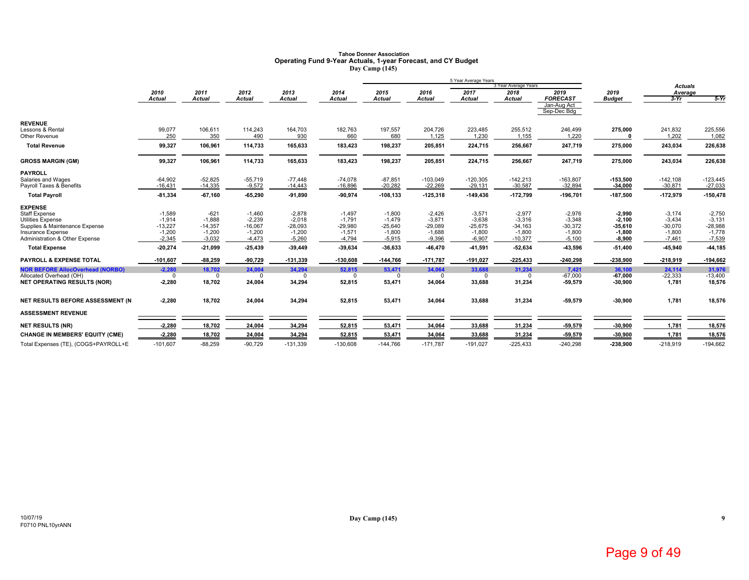# **Tahoe Donner Association Operating Fund 9-Year Actuals, 1-year Forecast, and CY Budget Day Camp (145)**

|                                                            |                       |                       |                       |                       |                       |                       |                       | 5 Year Average Years  |                              |                            |                       |                       |                       |
|------------------------------------------------------------|-----------------------|-----------------------|-----------------------|-----------------------|-----------------------|-----------------------|-----------------------|-----------------------|------------------------------|----------------------------|-----------------------|-----------------------|-----------------------|
|                                                            | 2010                  | 2011                  | 2012                  | 2013                  | 2014                  | 2015                  | 2016                  | 2017                  | 3 Year Average Years<br>2018 | 2019                       | 2019                  | <b>Actuals</b>        |                       |
|                                                            | Actual                | <b>Actual</b>         | <b>Actual</b>         | <b>Actual</b>         | <b>Actual</b>         | <b>Actual</b>         | <b>Actual</b>         | <b>Actual</b>         | <b>Actual</b>                | <b>FORECAST</b>            | <b>Budget</b>         | Average<br>$3-Yr$     | $5-Yr$                |
|                                                            |                       |                       |                       |                       |                       |                       |                       |                       |                              | Jan-Aug Act<br>Sep-Dec Bdg |                       |                       |                       |
| <b>REVENUE</b>                                             |                       |                       |                       |                       |                       |                       |                       |                       |                              |                            |                       |                       |                       |
| Lessons & Rental                                           | 99,077                | 106,611               | 114,243               | 164,703               | 182,763               | 197,557               | 204,726               | 223,485               | 255,512                      | 246,499                    | 275,000               | 241,832               | 225,556               |
| Other Revenue                                              | 250                   | 350                   | 490                   | 930                   | 660                   | 680                   | 1.125                 | 1.230                 | 1,155                        | 1,220                      |                       | 1,202                 | 1,082                 |
| <b>Total Revenue</b>                                       | 99,327                | 106,961               | 114,733               | 165,633               | 183,423               | 198,237               | 205,851               | 224,715               | 256,667                      | 247,719                    | 275,000               | 243,034               | 226,638               |
| <b>GROSS MARGIN (GM)</b>                                   | 99,327                | 106,961               | 114,733               | 165,633               | 183,423               | 198,237               | 205,851               | 224,715               | 256,667                      | 247,719                    | 275,000               | 243,034               | 226,638               |
| <b>PAYROLL</b>                                             |                       |                       |                       |                       |                       |                       |                       |                       |                              |                            |                       |                       |                       |
| Salaries and Wages                                         | $-64,902$             | $-52,825$             | $-55,719$             | $-77,448$             | $-74.078$             | $-87,851$             | $-103,049$            | $-120,305$            | $-142,213$                   | $-163,807$                 | $-153,500$            | $-142,108$            | $-123,445$            |
| Payroll Taxes & Benefits                                   | $-16.431$             | $-14,335$             | $-9,572$              | $-14,443$             | $-16,896$             | $-20,282$             | $-22,269$             | $-29,131$             | $-30,587$                    | $-32,894$                  | $-34,000$             | $-30,871$             | $-27,033$             |
| <b>Total Payroll</b>                                       | $-81,334$             | $-67,160$             | $-65,290$             | $-91,890$             | $-90,974$             | $-108, 133$           | $-125,318$            | $-149,436$            | $-172,799$                   | $-196,701$                 | $-187,500$            | -172,979              | $-150,478$            |
| <b>EXPENSE</b>                                             |                       |                       |                       |                       |                       |                       |                       |                       |                              |                            |                       |                       |                       |
| Staff Expense                                              | $-1,589$              | $-621$                | $-1,460$              | $-2,878$              | $-1,497$              | $-1,800$              | $-2,426$              | $-3,571$              | $-2,977$                     | $-2,976$                   | $-2,990$              | $-3,174$              | $-2,750$              |
| <b>Utilities Expense</b><br>Supplies & Maintenance Expense | $-1,914$<br>$-13,227$ | $-1,888$<br>$-14,357$ | $-2,239$<br>$-16,067$ | $-2,018$<br>$-28,093$ | $-1.791$<br>$-29.980$ | $-1,479$<br>$-25,640$ | $-3.871$<br>$-29,089$ | $-3.638$<br>$-25,675$ | $-3,316$                     | $-3.348$<br>$-30,372$      | $-2.100$              | $-3,434$<br>$-30,070$ | $-3.131$<br>$-28,988$ |
| Insurance Expense                                          | $-1,200$              | $-1,200$              | $-1,200$              | $-1,200$              | $-1,571$              | $-1,800$              | $-1,688$              | $-1,800$              | $-34,163$<br>$-1,800$        | $-1,800$                   | $-35,610$<br>$-1,800$ | $-1,800$              | $-1,778$              |
| Administration & Other Expense                             | $-2,345$              | $-3,032$              | $-4,473$              | $-5,260$              | $-4,794$              | $-5,915$              | $-9,396$              | $-6,907$              | $-10,377$                    | $-5,100$                   | $-8,900$              | $-7,461$              | $-7,539$              |
| <b>Total Expense</b>                                       | $-20,274$             | $-21,099$             | -25,439               | $-39,449$             | $-39,634$             | $-36,633$             | 46,470                | 41,591                | 52,634                       | -43,596                    | $-51,400$             | -45,940               | 44,185                |
| <b>PAYROLL &amp; EXPENSE TOTAL</b>                         | $-101,607$            | $-88,259$             | $-90,729$             | $-131,339$            | $-130,608$            | $-144,766$            | $-171,787$            | $-191,027$            | $-225,433$                   | $-240,298$                 | $-238,900$            | $-218,919$            | $-194,662$            |
| <b>NOR BEFORE AllocOverhead (NORBO)</b>                    | $-2,280$              | 18,702                | 24,004                | 34,294                | 52,815                | 53,471                | 34,064                | 33,688                | 31,234                       | 7,421                      | 36,100                | 24,114                | 31.976                |
| Allocated Overhead (OH)                                    | $\mathbf 0$           | $\Omega$              | $\Omega$              | $\mathbf 0$           | $\Omega$              | $\Omega$              | $\Omega$              | $\Omega$              | $\Omega$                     | $-67.000$                  | $-67.000$             | $-22,333$             | $-13,400$             |
| <b>NET OPERATING RESULTS (NOR)</b>                         | $-2,280$              | 18,702                | 24,004                | 34,294                | 52,815                | 53,471                | 34,064                | 33,688                | 31,234                       | -59,579                    | $-30,900$             | 1,781                 | 18,576                |
| NET RESULTS BEFORE ASSESSMENT (N                           | $-2,280$              | 18,702                | 24,004                | 34,294                | 52,815                | 53,471                | 34,064                | 33,688                | 31,234                       | $-59,579$                  | $-30,900$             | 1,781                 | 18,576                |
| <b>ASSESSMENT REVENUE</b>                                  |                       |                       |                       |                       |                       |                       |                       |                       |                              |                            |                       |                       |                       |
| <b>NET RESULTS (NR)</b>                                    | $-2,280$              | 18,702                | 24,004                | 34,294                | 52,815                | 53,471                | 34,064                | 33,688                | 31,234                       | $-59,579$                  | $-30,900$             | 1,781                 | 18,576                |
| <b>CHANGE IN MEMBERS' EQUITY (CME)</b>                     | $-2,280$              | 18,702                | 24,004                | 34,294                | 52,815                | 53,471                | 34,064                | 33,688                | 31,234                       | $-59,579$                  | $-30,900$             | 1,781                 | 18,576                |
| Total Expenses (TE), (COGS+PAYROLL+E                       | $-101,607$            | $-88,259$             | $-90,729$             | $-131,339$            | $-130,608$            | $-144,766$            | $-171,787$            | $-191,027$            | $-225,433$                   | $-240,298$                 | $-238,900$            | $-218,919$            | $-194,662$            |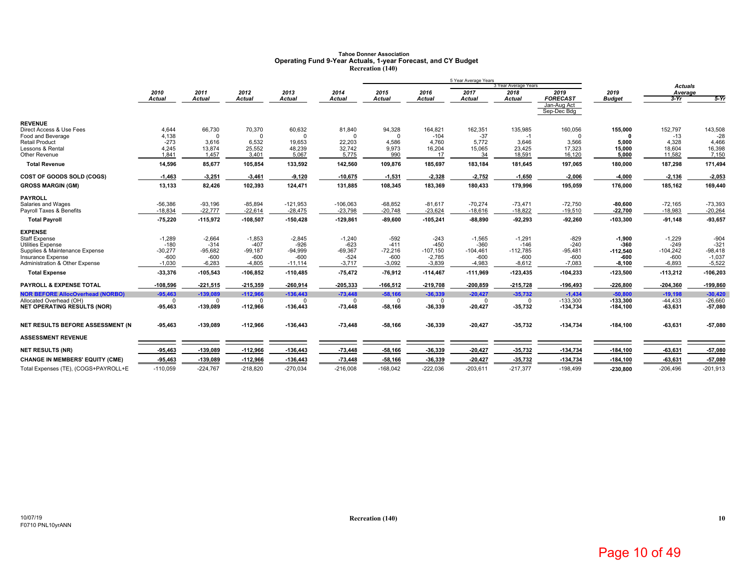# Tahoe Donner Association<br>Operating Fund 9-Year Actuals, 1-year Forecast, and CY Budget<br>Recreation (140)

|                                         |                |                 |                 |                 |                 |               |               | 5 Year Average Years |                              |                            |               |                           |                 |
|-----------------------------------------|----------------|-----------------|-----------------|-----------------|-----------------|---------------|---------------|----------------------|------------------------------|----------------------------|---------------|---------------------------|-----------------|
|                                         | 2010           | 2011            | 2012            | 2013            | 2014            | 2015          | 2016          | 2017                 | 3 Year Average Years<br>2018 | 2019                       | 2019          | <b>Actuals</b><br>Average |                 |
|                                         | Actual         | <b>Actual</b>   | <b>Actual</b>   | <b>Actual</b>   | <b>Actual</b>   | <b>Actual</b> | <b>Actual</b> | <b>Actual</b>        | <b>Actual</b>                | <b>FORECAST</b>            | <b>Budget</b> | $3-Yr$                    | $5-Yr$          |
|                                         |                |                 |                 |                 |                 |               |               |                      |                              | Jan-Aug Act<br>Sep-Dec Bdg |               |                           |                 |
| <b>REVENUE</b>                          |                |                 |                 |                 |                 |               |               |                      |                              |                            |               |                           |                 |
| Direct Access & Use Fees                | 4,644          | 66,730          | 70,370          | 60,632          | 81,840          | 94,328        | 164,821       | 162,351              | 135,985                      | 160,056                    | 155,000       | 152,797                   | 143,508         |
| Food and Beverage                       | 4,138          | $\Omega$        | $\Omega$        | $\Omega$        |                 | $\Omega$      | $-104$        | $-37$                | $-1$                         | $\Omega$                   |               | $-13$                     | $-28$           |
| <b>Retail Product</b>                   | $-273$         | 3,616           | 6.532           | 19,653          | 22.203          | 4,586         | 4,760         | 5.772                | 3,646                        | 3,566                      | 5,000         | 4,328                     | 4,466           |
| Lessons & Rental<br>Other Revenue       | 4.245<br>1.841 | 13,874<br>1,457 | 25,552<br>3,401 | 48,239<br>5,067 | 32,742<br>5,775 | 9,973<br>990  | 16,204<br>17  | 15,065<br>34         | 23,425<br>18,591             | 17,323<br>16,120           | 15,000        | 18,604<br>11,582          | 16,398<br>7,150 |
|                                         |                |                 |                 |                 |                 |               |               |                      |                              |                            | 5,000         |                           |                 |
| <b>Total Revenue</b>                    | 14,596         | 85,677          | 105,854         | 133,592         | 142,560         | 109,876       | 185,697       | 183,184              | 181,645                      | 197,065                    | 180,000       | 187,298                   | 171,494         |
| COST OF GOODS SOLD (COGS)               | $-1,463$       | $-3,251$        | 3,461           | $-9,120$        | $-10,675$       | $-1,531$      | $-2,328$      | $-2,752$             | $-1,650$                     | $-2,006$                   | $-4,000$      | $-2,136$                  | $-2,053$        |
| <b>GROSS MARGIN (GM)</b>                | 13,133         | 82,426          | 102,393         | 124,471         | 131,885         | 108,345       | 183,369       | 180,433              | 179,996                      | 195,059                    | 176,000       | 185,162                   | 169,440         |
| <b>PAYROLL</b>                          |                |                 |                 |                 |                 |               |               |                      |                              |                            |               |                           |                 |
| Salaries and Wages                      | $-56,386$      | $-93,196$       | $-85,894$       | $-121,953$      | $-106,063$      | $-68,852$     | $-81,617$     | $-70,274$            | $-73,471$                    | $-72,750$                  | $-80,600$     | $-72,165$                 | $-73,393$       |
| Payroll Taxes & Benefits                | $-18.834$      | $-22.777$       | $-22.614$       | $-28,475$       | $-23,798$       | $-20,748$     | $-23,624$     | $-18,616$            | $-18,822$                    | $-19,510$                  | $-22,700$     | $-18,983$                 | $-20,264$       |
| <b>Total Payroll</b>                    | $-75,220$      | $-115,972$      | $-108,507$      | $-150,428$      | $-129,861$      | $-89,600$     | $-105,241$    | $-88,890$            | $-92,293$                    | $-92,260$                  | $-103,300$    | $-91,148$                 | 93,657          |
| <b>EXPENSE</b>                          |                |                 |                 |                 |                 |               |               |                      |                              |                            |               |                           |                 |
| Staff Expense                           | $-1,289$       | $-2,664$        | $-1,853$        | $-2,845$        | $-1,240$        | $-592$        | $-243$        | $-1,565$             | $-1,291$                     | $-829$                     | $-1,900$      | $-1,229$                  | $-904$          |
| Utilities Expense                       | $-180$         | $-314$          | $-407$          | $-926$          | $-623$          | $-411$        | $-450$        | $-360$               | $-146$                       | $-240$                     | -360          | $-249$                    | $-321$          |
| Supplies & Maintenance Expense          | $-30,277$      | $-95,682$       | $-99,187$       | $-94,999$       | $-69,367$       | $-72,216$     | $-107,150$    | $-104,461$           | $-112,785$                   | $-95,481$                  | $-112,540$    | $-104,242$                | $-98,418$       |
| Insurance Expense                       | $-600$         | $-600$          | $-600$          | $-600$          | $-524$          | $-600$        | $-2,785$      | $-600$               | $-600$                       | $-600$                     | $-600$        | $-600$                    | $-1,037$        |
| Administration & Other Expense          | $-1,030$       | $-6,283$        | $-4,805$        | $-11,114$       | $-3,717$        | $-3,092$      | $-3,839$      | $-4,983$             | $-8,612$                     | $-7,083$                   | $-8,100$      | $-6,893$                  | $-5,522$        |
| <b>Total Expense</b>                    | -33,376        | $-105,543$      | $-106,852$      | $-110,485$      | $-75,472$       | $-76,912$     | $-114,467$    | $-111,969$           | $-123,435$                   | $-104,233$                 | $-123,500$    | $-113,212$                | $-106,203$      |
| PAYROLL & EXPENSE TOTAL                 | $-108,596$     | $-221,515$      | $-215,359$      | $-260,914$      | $-205,333$      | $-166,512$    | $-219,708$    | $-200,859$           | $-215,728$                   | $-196,493$                 | $-226,800$    | $-204,360$                | $-199,860$      |
| <b>NOR BEFORE AllocOverhead (NORBO)</b> | $-95,463$      | $-139.089$      | $-112.966$      | $-136,443$      | $-73,448$       | $-58,166$     | $-36,339$     | $-20,427$            | $-35,732$                    | $-1,434$                   | $-50,800$     | $-19,198$                 | $-30,420$       |
| Allocated Overhead (OH)                 | $\mathbf 0$    | $\Omega$        | $\Omega$        | $\Omega$        | $\Omega$        | $\Omega$      | $\Omega$      | $\Omega$             | 0                            | $-133,300$                 | $-133.300$    | $-44,433$                 | $-26,660$       |
| <b>NET OPERATING RESULTS (NOR)</b>      | $-95,463$      | $-139,089$      | $-112,966$      | $-136,443$      | $-73,448$       | $-58,166$     | $-36,339$     | $-20,427$            | 35,732                       | $-134,734$                 | $-184,100$    | $-63,631$                 | $-57,080$       |
| NET RESULTS BEFORE ASSESSMENT (N        | 95,463         | $-139,089$      | $-112,966$      | $-136,443$      | $-73,448$       | $-58,166$     | $-36,339$     | $-20,427$            | -35,732                      | $-134,734$                 | $-184,100$    | $-63,631$                 | $-57,080$       |
| <b>ASSESSMENT REVENUE</b>               |                |                 |                 |                 |                 |               |               |                      |                              |                            |               |                           |                 |
| <b>NET RESULTS (NR)</b>                 | 95,463         | $-139,089$      | $-112,966$      | $-136,443$      | $-73,448$       | $-58,166$     | $-36,339$     | $-20,427$            | -35,732                      | $-134,734$                 | $-184,100$    | $-63,631$                 | $-57,080$       |
| <b>CHANGE IN MEMBERS' EQUITY (CME)</b>  | -95,463        | $-139,089$      | $-112,966$      | $-136,443$      | $-73,448$       | $-58,166$     | -36,339       | $-20,427$            | -35,732                      | -134,734                   | $-184, 100$   | $-63,631$                 | $-57,080$       |
| Total Expenses (TE), (COGS+PAYROLL+E    | $-110,059$     | $-224,767$      | $-218,820$      | $-270,034$      | $-216,008$      | $-168,042$    | $-222,036$    | $-203,611$           | $-217,377$                   | $-198,499$                 | $-230,800$    | $-206.496$                | $-201,913$      |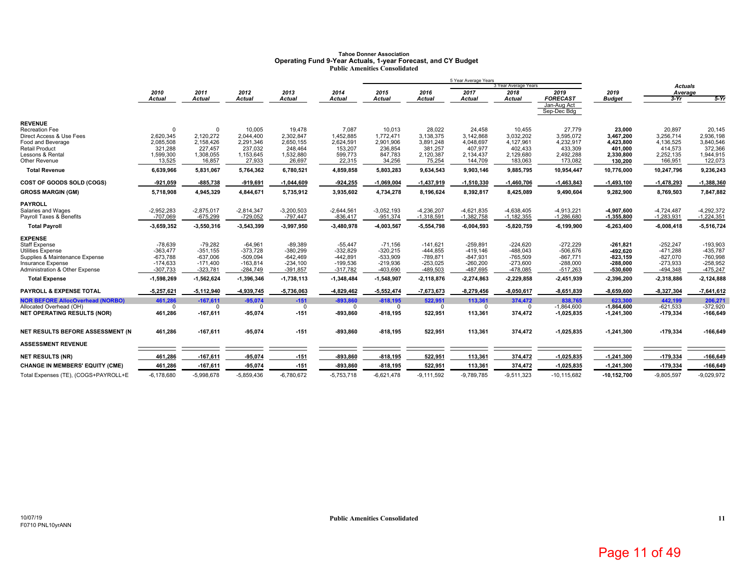# **Tahoe Donner Association Operating Fund 9-Year Actuals, 1-year Forecast, and CY Budget Public Amenities Consolidated**

|                                                                    |                          |                          |                          |                          |                           |                          |                          | 5 Year Average Years   | 3 Year Average Years     |                            |                         |                           |                          |
|--------------------------------------------------------------------|--------------------------|--------------------------|--------------------------|--------------------------|---------------------------|--------------------------|--------------------------|------------------------|--------------------------|----------------------------|-------------------------|---------------------------|--------------------------|
|                                                                    | 2010                     | 2011                     | 2012                     | 2013                     | 2014                      | 2015                     | 2016                     | 2017                   | 2018                     | 2019                       | 2019                    | <b>Actuals</b><br>Average |                          |
|                                                                    | <b>Actual</b>            | <b>Actual</b>            | <b>Actual</b>            | Actual                   | <b>Actual</b>             | <b>Actual</b>            | <b>Actual</b>            | <b>Actual</b>          | <b>Actual</b>            | <b>FORECAST</b>            | <b>Budget</b>           | $3-Yr$                    | $5-Yr$                   |
|                                                                    |                          |                          |                          |                          |                           |                          |                          |                        |                          | Jan-Aug Act<br>Sep-Dec Bdg |                         |                           |                          |
| <b>REVENUE</b>                                                     |                          |                          |                          |                          |                           |                          |                          |                        |                          |                            |                         |                           |                          |
| <b>Recreation Fee</b>                                              | $\Omega$                 | $\Omega$                 | 10.005                   | 19,478                   | 7,087                     | 10,013                   | 28,022                   | 24,458                 | 10,455                   | 27,779                     | 23,000                  | 20,897                    | 20,145                   |
| Direct Access & Use Fees                                           | 2,620,345                | 2,120,272                | 2,044,400                | 2,302,847                | 1,452,885                 | 1,772,471                | 3,138,375                | 3,142,868              | 3,032,202                | 3,595,072                  | 3,467,200               | 3,256,714                 | 2,936,198                |
| Food and Beverage<br><b>Retail Product</b>                         | 2,085,508<br>321,288     | 2,158,426<br>227,457     | 2,291,346<br>237.032     | 2,650,155<br>248,464     | 2,624,591<br>153,207      | 2,901,906<br>236,854     | 3,891,248<br>381,257     | 4,048,697<br>407,977   | 4,127,961<br>402,433     | 4,232,917<br>433,309       | 4,423,800<br>401,000    | 4,136,525<br>414,573      | 3,840,546<br>372,366     |
| Lessons & Rental                                                   | 1,599,300                | 1,308,055                | 1,153,645                | 1,532,880                | 599,773                   | 847,783                  | 2,120,387                | 2,134,437              | 2,129,680                | 2,492,288                  | 2,330,800               | 2,252,135                 | 1,944,915                |
| Other Revenue                                                      | 13,525                   | 16,857                   | 27,933                   | 26,697                   | 22,315                    | 34,256                   | 75,254                   | 144,709                | 183,063                  | 173,082                    | 130,200                 | 166,951                   | 122,073                  |
| <b>Total Revenue</b>                                               | 6,639,966                | 5,831,067                | 5,764,362                | 6,780,521                | 4,859,858                 | 5,803,283                | 9,634,543                | 9,903,146              | 9,885,795                | 10,954,447                 | 10,776,000              | 10,247,796                | 9,236,243                |
| COST OF GOODS SOLD (COGS)                                          | $-921,059$               | $-885,738$               | $-919,691$               | $-1,044,609$             | $-924,255$                | $-1,069,004$             | $-1,437,919$             | $-1,510,330$           | $-1,460,706$             | $-1,463,843$               | $-1,493,100$            | $-1,478,293$              | $-1,388,360$             |
| <b>GROSS MARGIN (GM)</b>                                           | 5,718,908                | 4,945,329                | 4,844,671                | 5,735,912                | 3,935,602                 | 4,734,278                | 8,196,624                | 8,392,817              | 8,425,089                | 9,490,604                  | 9,282,900               | 8,769,503                 | 7,847,882                |
| <b>PAYROLL</b>                                                     |                          |                          |                          |                          |                           |                          |                          |                        |                          |                            |                         |                           |                          |
| Salaries and Wages                                                 | $-2,952,283$             | $-2,875,017$             | $-2,814,347$             | $-3,200,503$             | $-2,644,561$              | $-3,052,193$             | $-4,236,207$             | $-4,621,835$           | $-4,638,405$             | $-4,913,221$               | -4,907,600              | $-4,724,487$              | $-4,292,372$             |
| Payroll Taxes & Benefits                                           | $-707,069$               | $-675,299$               | $-729,052$               | $-797,447$               | $-836,417$                | $-951,374$               | $-1,318,591$             | $-1,382,758$           | $-1,182,355$             | $-1,286,680$               | $-1,355,800$            | $-1,283,931$              | $-1,224,351$             |
| <b>Total Payroll</b>                                               | $-3,659,352$             | $-3,550,316$             | -3,543,399               | $-3,997,950$             | -3,480,978                | -4,003,567               | $-5,554,798$             | $-6,004,593$           | $-5,820,759$             | $-6,199,900$               | $-6,263,400$            | $-6,008,418$              | $-5,516,724$             |
| <b>EXPENSE</b>                                                     |                          |                          |                          |                          |                           |                          |                          |                        |                          |                            |                         |                           |                          |
| Staff Expense                                                      | $-78,639$                | $-79,282$                | $-64,961$                | $-89,389$                | $-55,447$                 | $-71,156$                | $-141.621$               | $-259,891$             | $-224,620$               | $-272,229$                 | $-261.821$              | $-252.247$                | $-193,903$               |
| <b>Utilities Expense</b>                                           | $-363,477$               | $-351,155$               | $-373,728$               | $-380,299$               | $-332,829$                | $-320,215$               | $-444,855$               | $-419,146$             | $-488,043$               | $-506,676$                 | -492,620                | $-471,288$                | $-435,787$               |
| Supplies & Maintenance Expense                                     | $-673,788$               | $-637.006$               | $-509.094$               | $-642,469$               | $-442.891$                | $-533.909$               | $-789.871$               | $-847.931$             | $-765.509$               | $-867.771$                 | $-823.159$              | $-827.070$                | $-760.998$               |
| Insurance Expense<br>Administration & Other Expense                | $-174,633$<br>$-307,733$ | $-171,400$<br>$-323,781$ | $-163,814$<br>$-284,749$ | $-234,100$<br>$-391,857$ | $-199,536$<br>$-317,782$  | $-219,936$<br>$-403,690$ | $-253,025$<br>$-489,503$ | $-260,200$<br>-487,695 | $-273,600$<br>$-478,085$ | $-288,000$<br>$-517,263$   | $-288,000$<br>-530,600  | $-273,933$<br>$-494,348$  | $-258,952$<br>$-475,247$ |
| <b>Total Expense</b>                                               | $-1,598,269$             | $-1,562,624$             | $-1,396,346$             | $-1,738,113$             | $-1,348,484$              | $-1,548,907$             | $-2,118,876$             | $-2,274,863$           | $-2,229,858$             | $-2,451,939$               | $-2,396,200$            | $-2,318,886$              | $-2,124,888$             |
| PAYROLL & EXPENSE TOTAL                                            | $-5,257,621$             | $-5,112,940$             | -4,939,745               | $-5,736,063$             | -4,829,462                | $-5,552,474$             | $-7,673,673$             | $-8,279,456$           | $-8,050,617$             | $-8,651,839$               | $-8,659,600$            | $-8,327,304$              | $-7,641,612$             |
|                                                                    |                          |                          |                          |                          |                           |                          |                          |                        |                          |                            |                         |                           |                          |
| <b>NOR BEFORE AllocOverhead (NORBO)</b><br>Allocated Overhead (OH) | 461,286<br>$\mathbf 0$   | $-167,611$<br>$\Omega$   | $-95,074$<br>$\mathbf 0$ | $-151$<br>$\mathbf 0$    | $-893,860$<br>$\mathbf 0$ | $-818,195$<br>$\Omega$   | 522,951<br>$\Omega$      | 113,361<br>$^{\circ}$  | 374,472<br>$\Omega$      | 838,765<br>$-1.864.600$    | 623,300<br>$-1,864,600$ | 442,199<br>$-621,533$     | 206,271<br>$-372,920$    |
| <b>NET OPERATING RESULTS (NOR)</b>                                 | 461,286                  | $-167,611$               | 95,074                   | $-151$                   | -893,860                  | $-818,195$               | 522,951                  | 113,361                | 374,472                  | $-1,025,835$               | $-1,241,300$            | -179,334                  | $-166,649$               |
| NET RESULTS BEFORE ASSESSMENT (N)                                  | 461.286                  | $-167.611$               | -95,074                  | $-151$                   | -893.860                  | $-818.195$               | 522.951                  | 113,361                | 374.472                  | $-1,025,835$               | $-1,241,300$            | -179,334                  | $-166,649$               |
|                                                                    |                          |                          |                          |                          |                           |                          |                          |                        |                          |                            |                         |                           |                          |
| <b>ASSESSMENT REVENUE</b>                                          |                          |                          |                          |                          |                           |                          |                          |                        |                          |                            |                         |                           |                          |
| <b>NET RESULTS (NR)</b>                                            | 461,286                  | $-167,611$               | -95,074                  | $-151$                   | -893,860                  | $-818,195$               | 522,951                  | 113,361                | 374,472                  | $-1,025,835$               | $-1,241,300$            | -179,334                  | $-166,649$               |
| <b>CHANGE IN MEMBERS' EQUITY (CME)</b>                             | 461,286                  | $-167,611$               | $-95,074$                | $-151$                   | $-893,860$                | $-818,195$               | 522,951                  | 113,361                | 374,472                  | $-1,025,835$               | $-1,241,300$            | -179,334                  | $-166,649$               |
| Total Expenses (TE), (COGS+PAYROLL+E                               | $-6,178,680$             | $-5,998,678$             | $-5,859,436$             | $-6,780,672$             | $-5,753,718$              | $-6,621,478$             | $-9,111,592$             | $-9,789,785$           | $-9,511,323$             | $-10, 115, 682$            | $-10, 152, 700$         | $-9,805,597$              | $-9,029,972$             |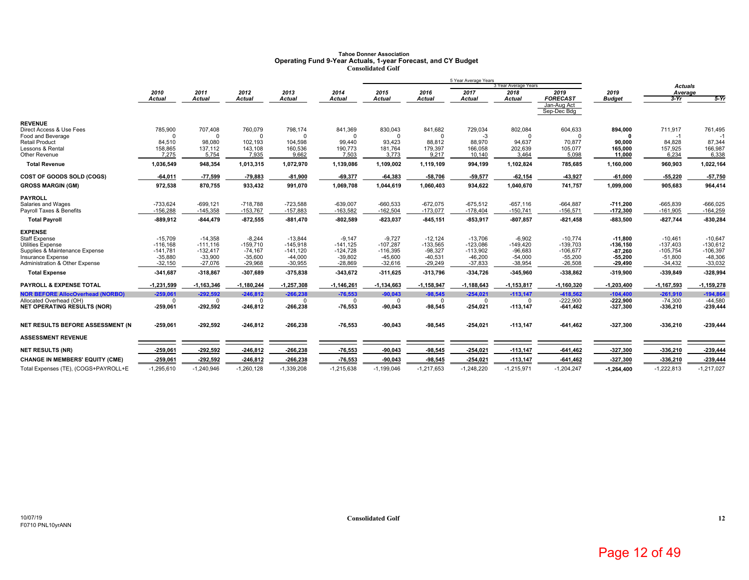## Tahoe Donner Association<br>Operating Fund 9-Year Actuals, 1-year Forecast, and CY Budget<br>Consolidated Golf

|                                                     |                        |                        |                        |                        |                        |                        |                        | 5 Year Average Years   |                              |                            |                        |                           |                        |
|-----------------------------------------------------|------------------------|------------------------|------------------------|------------------------|------------------------|------------------------|------------------------|------------------------|------------------------------|----------------------------|------------------------|---------------------------|------------------------|
|                                                     | 2010                   | 2011                   | 2012                   | 2013                   | 2014                   | 2015                   | 2016                   | 2017                   | 3 Year Average Years<br>2018 | 2019                       | 2019                   | <b>Actuals</b><br>Average |                        |
|                                                     | Actual                 | <b>Actual</b>          | <b>Actual</b>          | <b>Actual</b>          | Actual                 | <b>Actual</b>          | <b>Actual</b>          | <b>Actual</b>          | <b>Actual</b>                | <b>FORECAST</b>            | <b>Budget</b>          | $3-Yr$                    | $5-Yr$                 |
|                                                     |                        |                        |                        |                        |                        |                        |                        |                        |                              | Jan-Aug Act<br>Sep-Dec Bdg |                        |                           |                        |
| <b>REVENUE</b>                                      |                        |                        |                        |                        |                        |                        |                        |                        |                              |                            |                        |                           |                        |
| Direct Access & Use Fees                            | 785,900                | 707,408                | 760,079                | 798,174                | 841,369                | 830,043                | 841.682                | 729,034                | 802,084                      | 604,633                    | 894.000                | 711,917                   | 761,495                |
| Food and Beverage                                   | $\Omega$               | O                      | $\Omega$               | $\Omega$               | O                      | $\cap$                 | $\Omega$               | -3                     |                              | $\Omega$                   |                        | -1                        |                        |
| <b>Retail Product</b><br>Lessons & Rental           | 84,510<br>158,865      | 98,080<br>137,112      | 102,193<br>143,108     | 104,598<br>160,536     | 99,440<br>190,773      | 93,423<br>181,764      | 88,812<br>179,397      | 88,970<br>166,058      | 94,637<br>202,639            | 70,877<br>105,077          | 90.000                 | 84,828<br>157,925         | 87,344<br>166,987      |
| Other Revenue                                       | 7,275                  | 5,754                  | 7,935                  | 9,662                  | 7,503                  | 3,773                  | 9,217                  | 10,140                 | 3,464                        | 5,098                      | 165,000<br>11,000      | 6,234                     | 6,338                  |
| <b>Total Revenue</b>                                | 1,036,549              | 948,354                | 1,013,315              | 1,072,970              | 1,139,086              | 1,109,002              | 1,119,109              | 994,199                | 1,102,824                    | 785,685                    | 1,160,000              | 960,903                   | 1,022,164              |
| COST OF GOODS SOLD (COGS)                           | $-64,011$              | $-77,599$              | $-79,883$              | $-81,900$              | $-69,377$              | $-64,383$              | -58,706                | 59,577                 | $-62,154$                    | -43,927                    | $-61,000$              | $-55,220$                 | $-57,750$              |
| <b>GROSS MARGIN (GM)</b>                            | 972,538                | 870,755                | 933,432                | 991,070                | 1,069,708              | 1,044,619              | 1,060,403              | 934,622                | 1,040,670                    | 741,757                    | 1,099,000              | 905,683                   | 964,414                |
| <b>PAYROLL</b>                                      |                        |                        |                        |                        |                        |                        |                        |                        |                              |                            |                        |                           |                        |
| Salaries and Wages                                  | $-733,624$             | $-699.121$             | $-718.788$             | $-723,588$             | $-639.007$             | $-660.533$             | $-672.075$             | $-675.512$             | $-657.116$                   | $-664.887$                 | $-711.200$             | $-665.839$                | $-666.025$             |
| Payroll Taxes & Benefits                            | $-156,288$             | $-145,358$             | $-153,767$             | $-157,883$             | $-163,582$             | $-162,504$             | $-173,077$             | $-178,404$             | $-150,741$                   | $-156,571$                 | $-172,300$             | $-161,905$                | $-164,259$             |
| <b>Total Payroll</b>                                | $-889,912$             | $-844,479$             | $-872,555$             | $-881,470$             | $-802,589$             | $-823,037$             | $-845.151$             | $-853,917$             | $-807, 857$                  | $-821,458$                 | $-883,500$             | $-827,744$                | -830,284               |
| <b>EXPENSE</b>                                      |                        |                        |                        |                        |                        |                        |                        |                        |                              |                            |                        |                           |                        |
| <b>Staff Expense</b>                                | $-15,709$              | $-14,358$              | $-8,244$               | $-13,844$              | $-9,147$               | $-9,727$               | $-12,124$              | $-13,706$              | $-6,902$                     | $-10,774$                  | $-11.800$              | $-10,461$                 | $-10,647$              |
| <b>Utilities Expense</b>                            | $-116, 168$            | $-111,116$             | $-159,710$             | $-145,918$             | $-141, 125$            | $-107,287$             | $-133,565$             | $-123,086$             | $-149,420$                   | $-139,703$                 | $-136, 150$            | $-137,403$                | $-130,612$             |
| Supplies & Maintenance Expense                      | $-141,781$             | $-132,417$             | $-74,167$              | $-141,120$             | $-124,728$             | $-116,395$             | $-98,327$              | $-113,902$             | $-96,683$                    | $-106,677$                 | $-87,260$              | $-105,754$                | $-106,397$             |
| Insurance Expense<br>Administration & Other Expense | $-35,880$<br>$-32,150$ | $-33,900$<br>$-27,076$ | $-35,600$<br>$-29,968$ | $-44,000$<br>$-30,955$ | $-39,802$<br>$-28,869$ | $-45,600$<br>$-32,616$ | $-40,531$<br>$-29.249$ | $-46,200$<br>$-37,833$ | $-54,000$<br>$-38,954$       | $-55,200$<br>$-26,508$     | $-55,200$<br>$-29,490$ | $-51,800$<br>$-34,432$    | $-48,306$<br>$-33,032$ |
| <b>Total Expense</b>                                | -341,687               | $-318,867$             | $-307,689$             | $-375,838$             | -343,672               | $-311,625$             | $-313,796$             | $-334,726$             | $-345,960$                   | -338,862                   | $-319,900$             | $-339,849$                | -328,994               |
| PAYROLL & EXPENSE TOTAL                             | $-1,231,599$           | $-1, 163, 346$         | $-1,180,244$           | $-1,257,308$           | $-1,146,261$           | $-1, 134, 663$         | $-1,158,947$           | $-1,188,643$           | $-1, 153, 817$               | $-1,160,320$               | $-1,203,400$           | $-1, 167, 593$            | $-1,159,278$           |
| <b>NOR BEFORE AllocOverhead (NORBO)</b>             | $-259,061$             | $-292,592$             | $-246,812$             | $-266,238$             | $-76,553$              | $-90,043$              | $-98,545$              | $-254,021$             | $-113,147$                   | $-418,562$                 | $-104,400$             | $-261,910$                | $-194,864$             |
| Allocated Overhead (OH)                             | $\Omega$               | O                      | $\Omega$               | $\Omega$               | $\Omega$               |                        | $\Omega$               | $\Omega$               | $\Omega$                     | $-222,900$                 | $-222.900$             | $-74,300$                 | $-44.580$              |
| <b>NET OPERATING RESULTS (NOR)</b>                  | -259,061               | $-292,592$             | $-246,812$             | $-266,238$             | $-76,553$              | $-90,043$              | -98,545                | $-254,021$             | $-113,147$                   | $-641,462$                 | -327,300               | $-336,210$                | $-239,444$             |
| NET RESULTS BEFORE ASSESSMENT (N                    | $-259.061$             | $-292,592$             | $-246.812$             | $-266.238$             | $-76,553$              | $-90,043$              | -98,545                | $-254,021$             | $-113,147$                   | $-641,462$                 | $-327,300$             | $-336,210$                | $-239,444$             |
| <b>ASSESSMENT REVENUE</b>                           |                        |                        |                        |                        |                        |                        |                        |                        |                              |                            |                        |                           |                        |
| <b>NET RESULTS (NR)</b>                             | -259,061               | $-292,592$             | $-246,812$             | $-266,238$             | $-76,553$              | $-90,043$              | $-98,545$              | 254,021                | $-113,147$                   | $-641,462$                 | -327,300               | $-336,210$                | $-239,444$             |
| <b>CHANGE IN MEMBERS' EQUITY (CME)</b>              | $-259,061$             | $-292,592$             | $-246,812$             | $-266,238$             | $-76,553$              | $-90,043$              | $-98,545$              | $-254,021$             | $-113,147$                   | $-641,462$                 | -327,300               | $-336,210$                | -239,444               |
| Total Expenses (TE), (COGS+PAYROLL+E                | $-1,295,610$           | $-1.240.946$           | $-1.260.128$           | $-1.339.208$           | $-1.215.638$           | $-1,199,046$           | $-1.217.653$           | $-1,248,220$           | $-1.215.971$                 | $-1.204.247$               | $-1.264.400$           | $-1.222.813$              | $-1.217.027$           |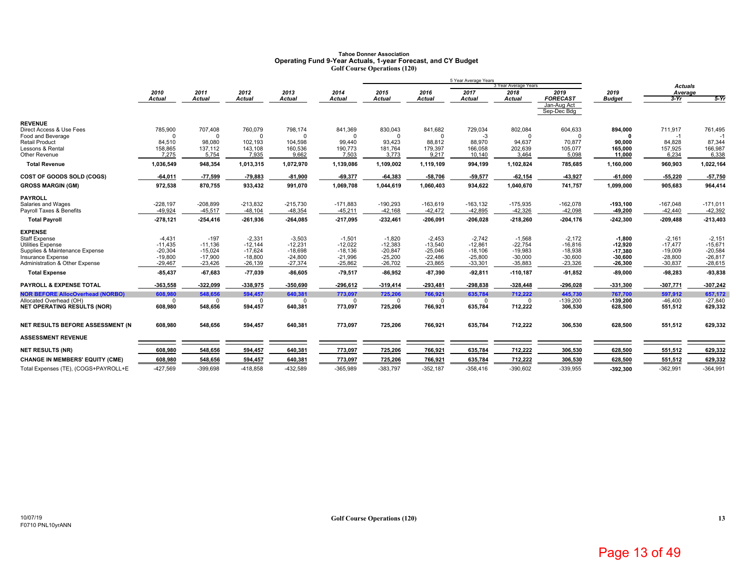### **Tahoe Donner AssociationOperating Fund 9-Year Actuals, 1-year Forecast, and CY Budget Golf Course Operations (120)**

|                                         |                  |                  |                  |                  |                  |                  |                  | 5 Year Average Years |                      |                                               |                   |                  |                  |
|-----------------------------------------|------------------|------------------|------------------|------------------|------------------|------------------|------------------|----------------------|----------------------|-----------------------------------------------|-------------------|------------------|------------------|
|                                         |                  |                  |                  |                  |                  |                  |                  |                      | 3 Year Average Years |                                               |                   | <b>Actuals</b>   |                  |
|                                         | 2010             | 2011             | 2012             | 2013             | 2014             | 2015             | 2016             | 2017                 | 2018                 | 2019                                          | 2019              | Average          |                  |
|                                         | <b>Actual</b>    | <b>Actual</b>    | Actual           | <b>Actual</b>    | Actual           | <b>Actual</b>    | <b>Actual</b>    | <b>Actual</b>        | <b>Actual</b>        | <b>FORECAST</b><br>Jan-Aug Act<br>Sep-Dec Bdg | <b>Budget</b>     | $3-Yr$           | $5-Yr$           |
| <b>REVENUE</b>                          |                  |                  |                  |                  |                  |                  |                  |                      |                      |                                               |                   |                  |                  |
| Direct Access & Use Fees                | 785,900          | 707,408          | 760,079          | 798,174          | 841,369          | 830,043          | 841,682          | 729,034              | 802,084              | 604,633                                       | 894,000           | 711,917          | 761,495          |
| Food and Beverage                       | $\Omega$         | U                | $\Omega$         | $\Omega$         | n                |                  |                  | $-3$                 |                      | $\Omega$                                      |                   | -1               |                  |
| <b>Retail Product</b>                   | 84,510           | 98.080           | 102.193          | 104,598          | 99.440           | 93.423           | 88.812           | 88.970               | 94,637               | 70,877                                        | 90.000            | 84.828           | 87.344           |
| Lessons & Rental<br>Other Revenue       | 158,865<br>7,275 | 137,112<br>5,754 | 143,108<br>7,935 | 160,536<br>9,662 | 190,773<br>7,503 | 181,764<br>3,773 | 179,397<br>9,217 | 166,058<br>10,140    | 202,639<br>3,464     | 105,077<br>5,098                              | 165,000<br>11,000 | 157,925<br>6,234 | 166,987<br>6,338 |
| <b>Total Revenue</b>                    | 1,036,549        | 948,354          | 1,013,315        | 1,072,970        | 1,139,086        | 1,109,002        | 1,119,109        | 994,199              | 1,102,824            | 785,685                                       | 1,160,000         | 960,903          | 1,022,164        |
|                                         |                  |                  |                  |                  |                  |                  |                  |                      |                      |                                               |                   |                  |                  |
| COST OF GOODS SOLD (COGS)               | $-64,011$        | $-77,599$        | $-79,883$        | $-81,900$        | $-69,377$        | $-64,383$        | $-58,706$        | $-59,577$            | $-62, 154$           | 43,927                                        | $-61,000$         | $-55.220$        | $-57,750$        |
| <b>GROSS MARGIN (GM)</b>                | 972,538          | 870,755          | 933,432          | 991,070          | 1,069,708        | 1,044,619        | 1,060,403        | 934,622              | 1,040,670            | 741,757                                       | 1,099,000         | 905,683          | 964,414          |
| <b>PAYROLL</b>                          |                  |                  |                  |                  |                  |                  |                  |                      |                      |                                               |                   |                  |                  |
| Salaries and Wages                      | $-228,197$       | $-208,899$       | $-213,832$       | $-215,730$       | $-171,883$       | $-190,293$       | $-163,619$       | $-163, 132$          | $-175,935$           | $-162,078$                                    | $-193,100$        | $-167,048$       | $-171,011$       |
| Payroll Taxes & Benefits                | $-49,924$        | $-45,517$        | $-48,104$        | $-48,354$        | $-45,211$        | $-42,168$        | $-42,472$        | $-42,895$            | $-42,326$            | $-42,098$                                     | $-49,200$         | $-42,440$        | $-42,392$        |
| <b>Total Payroll</b>                    | $-278,121$       | $-254,416$       | $-261,936$       | $-264,085$       | $-217,095$       | $-232,461$       | $-206,091$       | $-206,028$           | $-218,260$           | $-204, 176$                                   | $-242,300$        | $-209,488$       | $-213,403$       |
| <b>EXPENSE</b>                          |                  |                  |                  |                  |                  |                  |                  |                      |                      |                                               |                   |                  |                  |
| Staff Expense                           | $-4,431$         | $-197$           | $-2,331$         | $-3,503$         | $-1,501$         | $-1,820$         | $-2.453$         | $-2.742$             | $-1,568$             | $-2.172$                                      | $-1,800$          | $-2.161$         | $-2,151$         |
| <b>Utilities Expense</b>                | $-11,435$        | $-11,136$        | $-12,144$        | $-12,231$        | $-12,022$        | $-12,383$        | $-13,540$        | $-12,861$            | $-22,754$            | $-16,816$                                     | $-12,920$         | $-17,477$        | $-15,671$        |
| Supplies & Maintenance Expense          | $-20,304$        | $-15,024$        | $-17.624$        | $-18,698$        | $-18,136$        | $-20,847$        | $-25,046$        | $-18,106$            | $-19,983$            | $-18,938$                                     | $-17,380$         | $-19,009$        | $-20,584$        |
| Insurance Expense                       | $-19.800$        | $-17.900$        | $-18.800$        | $-24,800$        | $-21.996$        | $-25,200$        | $-22.486$        | $-25.800$            | $-30,000$            | $-30,600$                                     | $-30.600$         | $-28.800$        | $-26.817$        |
| Administration & Other Expense          | $-29,467$        | $-23,426$        | $-26,139$        | $-27,374$        | $-25,862$        | $-26,702$        | $-23,865$        | $-33,301$            | $-35,883$            | $-23,326$                                     | $-26,300$         | $-30,837$        | $-28,615$        |
| <b>Total Expense</b>                    | -85,437          | $-67,683$        | $-77,039$        | $-86.605$        | $-79,517$        | $-86.952$        | $-87,390$        | $-92,811$            | $-110, 187$          | $-91,852$                                     | $-89,000$         | $-98.283$        | -93,838          |
| <b>PAYROLL &amp; EXPENSE TOTAL</b>      | -363,558         | $-322,099$       | -338,975         | $-350.690$       | $-296,612$       | $-319,414$       | $-293,481$       | -298.838             | $-328,448$           | $-296.028$                                    | $-331,300$        | -307,771         | $-307,242$       |
| <b>NOR BEFORE AllocOverhead (NORBO)</b> | 608,980          | 548,656          | 594,457          | 640,381          | 773,097          | 725,206          | 766,921          | 635,784              | 712.222              | 445,730                                       | 767,700           | 597,912          | 657,172          |
| Allocated Overhead (OH)                 | $\mathbf 0$      | $\Omega$         | $\Omega$         | $\Omega$         | $^{\circ}$       | $\Omega$         | $\mathbf 0$      | $^{\circ}$           | $\Omega$             | $-139,200$                                    | $-139,200$        | $-46,400$        | $-27,840$        |
| <b>NET OPERATING RESULTS (NOR)</b>      | 608,980          | 548,656          | 594,457          | 640,381          | 773,097          | 725,206          | 766,921          | 635,784              | 712,222              | 306,530                                       | 628,500           | 551,512          | 629,332          |
| NET RESULTS BEFORE ASSESSMENT (N        | 608.980          | 548,656          | 594,457          | 640,381          | 773,097          | 725,206          | 766.921          | 635,784              | 712,222              | 306,530                                       | 628,500           | 551,512          | 629,332          |
| <b>ASSESSMENT REVENUE</b>               |                  |                  |                  |                  |                  |                  |                  |                      |                      |                                               |                   |                  |                  |
| <b>NET RESULTS (NR)</b>                 | 608,980          | 548,656          | 594,457          | 640,381          | 773,097          | 725,206          | 766,921          | 635,784              | 712,222              | 306,530                                       | 628,500           | 551,512          | 629,332          |
| <b>CHANGE IN MEMBERS' EQUITY (CME)</b>  | 608,980          | 548,656          | 594,457          | 640,381          | 773,097          | 725,206          | 766,921          | 635,784              | 712,222              | 306,530                                       | 628,500           | 551,512          | 629,332          |
| Total Expenses (TE), (COGS+PAYROLL+E    | $-427.569$       | $-399.698$       | $-418.858$       | $-432.589$       | $-365.989$       | $-383.797$       | $-352.187$       | $-358.416$           | $-390.602$           | $-339.955$                                    | -392.300          | $-362.991$       | $-364.991$       |
|                                         |                  |                  |                  |                  |                  |                  |                  |                      |                      |                                               |                   |                  |                  |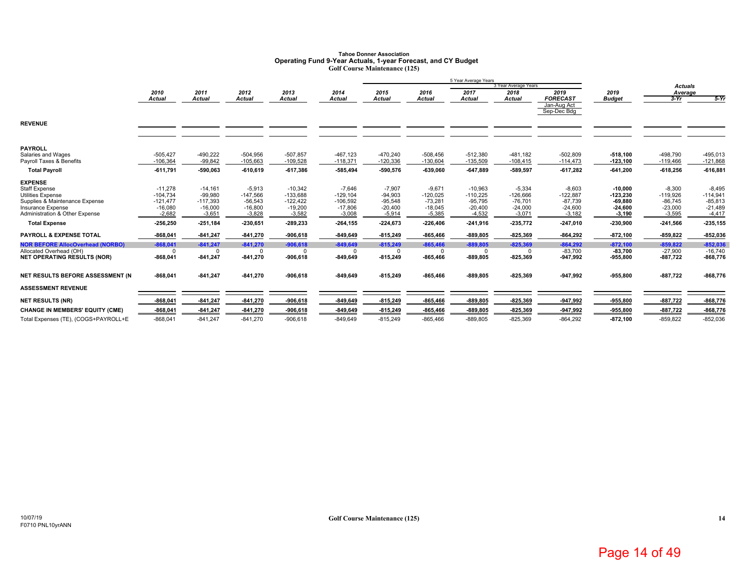### **Tahoe Donner AssociationOperating Fund 9-Year Actuals, 1-year Forecast, and CY Budget Golf Course Maintenance (125)**

|                                         |            |               |            |               |               |               |            | 5 Year Average Years |                      |                            |               |                |             |
|-----------------------------------------|------------|---------------|------------|---------------|---------------|---------------|------------|----------------------|----------------------|----------------------------|---------------|----------------|-------------|
|                                         |            |               |            |               |               |               |            |                      | 3 Year Average Years |                            |               | <b>Actuals</b> |             |
|                                         | 2010       | 2011          | 2012       | 2013          | 2014          | 2015          | 2016       | 2017                 | 2018                 | 2019                       | 2019          | Average        |             |
|                                         | Actual     | <b>Actual</b> | Actual     | <b>Actual</b> | <b>Actual</b> | <b>Actual</b> | Actual     | <b>Actual</b>        | <b>Actual</b>        | <b>FORECAST</b>            | <b>Budget</b> | $3-Yr$         | $5-Yr$      |
|                                         |            |               |            |               |               |               |            |                      |                      | Jan-Aug Act<br>Sep-Dec Bdg |               |                |             |
|                                         |            |               |            |               |               |               |            |                      |                      |                            |               |                |             |
| <b>REVENUE</b>                          |            |               |            |               |               |               |            |                      |                      |                            |               |                |             |
|                                         |            |               |            |               |               |               |            |                      |                      |                            |               |                |             |
| <b>PAYROLL</b>                          |            |               |            |               |               |               |            |                      |                      |                            |               |                |             |
| Salaries and Wages                      | $-505,427$ | $-490,222$    | $-504,956$ | $-507,857$    | $-467, 123$   | $-470,240$    | $-508,456$ | $-512,380$           | $-481,182$           | $-502,809$                 | $-518,100$    | $-498,790$     | $-495,013$  |
| Payroll Taxes & Benefits                | $-106,364$ | $-99,842$     | $-105,663$ | $-109,528$    | $-118,371$    | $-120,336$    | $-130,604$ | $-135,509$           | $-108,415$           | $-114,473$                 | $-123,100$    | $-119,466$     | $-121,868$  |
| <b>Total Payroll</b>                    | $-611,791$ | -590.063      | $-610.619$ | $-617.386$    | -585.494      | -590.576      | $-639.060$ | $-647.889$           | $-589.597$           | $-617,282$                 | $-641,200$    | $-618.256$     | $-616,881$  |
| <b>EXPENSE</b>                          |            |               |            |               |               |               |            |                      |                      |                            |               |                |             |
| <b>Staff Expense</b>                    | $-11,278$  | $-14,161$     | $-5,913$   | $-10,342$     | $-7,646$      | $-7,907$      | $-9,671$   | $-10,963$            | $-5,334$             | $-8,603$                   | $-10.000$     | $-8,300$       | $-8,495$    |
| Utilities Expense                       | $-104,734$ | $-99,980$     | $-147,566$ | $-133,688$    | $-129, 104$   | $-94,903$     | $-120,025$ | $-110,225$           | $-126,666$           | $-122,887$                 | $-123,230$    | $-119,926$     | $-114,941$  |
| Supplies & Maintenance Expense          | $-121,477$ | $-117,393$    | $-56,543$  | $-122,422$    | $-106.592$    | $-95,548$     | $-73,281$  | $-95,795$            | $-76,701$            | $-87,739$                  | $-69,880$     | $-86.745$      | $-85,813$   |
| <b>Insurance Expense</b>                | $-16,080$  | $-16,000$     | $-16,800$  | $-19,200$     | $-17,806$     | $-20,400$     | $-18,045$  | $-20,400$            | $-24,000$            | $-24,600$                  | $-24,600$     | $-23,000$      | $-21,489$   |
| Administration & Other Expense          | $-2,682$   | $-3,651$      | $-3,828$   | $-3,582$      | $-3,008$      | $-5,914$      | $-5,385$   | $-4,532$             | $-3,071$             | $-3.182$                   | $-3,190$      | $-3,595$       | $-4,417$    |
| <b>Total Expense</b>                    | $-256,250$ | $-251,184$    | $-230,651$ | $-289,233$    | $-264, 155$   | $-224,673$    | $-226,406$ | $-241,916$           | $-235,772$           | $-247,010$                 | -230,900      | $-241,566$     | $-235, 155$ |
| <b>PAYROLL &amp; EXPENSE TOTAL</b>      | -868,041   | $-841,247$    | $-841,270$ | $-906,618$    | $-849,649$    | $-815,249$    | $-865,466$ | $-889, 805$          | $-825,369$           | $-864,292$                 | $-872,100$    | $-859, 822$    | $-852,036$  |
| <b>NOR BEFORE AllocOverhead (NORBO)</b> | $-868,041$ | $-841,247$    | $-841,270$ | $-906,618$    | $-849,649$    | $-815,249$    | $-865,466$ | $-889,805$           | $-825,369$           | $-864,292$                 | $-872,100$    | $-859,822$     | $-852,036$  |
| Allocated Overhead (OH)                 | $\Omega$   | $\Omega$      | $\Omega$   | $\Omega$      | $\Omega$      | $\Omega$      |            | $\Omega$             |                      | $-83,700$                  | $-83.700$     | $-27,900$      | $-16,740$   |
| <b>NET OPERATING RESULTS (NOR)</b>      | $-868,041$ | $-841,247$    | $-841,270$ | $-906,618$    | $-849,649$    | $-815,249$    | $-865,466$ | $-889, 805$          | $-825,369$           | $-947,992$                 | $-955,800$    | $-887,722$     | $-868,776$  |
| NET RESULTS BEFORE ASSESSMENT (N        | $-868.041$ | $-841,247$    | $-841.270$ | $-906,618$    | $-849.649$    | $-815,249$    | $-865.466$ | $-889.805$           | $-825,369$           | $-947,992$                 | $-955,800$    | $-887,722$     | $-868,776$  |
| <b>ASSESSMENT REVENUE</b>               |            |               |            |               |               |               |            |                      |                      |                            |               |                |             |
|                                         |            |               |            |               |               |               |            |                      |                      |                            |               |                |             |
| <b>NET RESULTS (NR)</b>                 | $-868,041$ | $-841,247$    | $-841,270$ | $-906,618$    | $-849,649$    | $-815,249$    | $-865,466$ | $-889, 805$          | $-825,369$           | $-947,992$                 | $-955,800$    | $-887,722$     | $-868,776$  |
| <b>CHANGE IN MEMBERS' EQUITY (CME)</b>  | $-868,041$ | $-841,247$    | $-841.270$ | $-906,618$    | $-849,649$    | $-815,249$    | $-865,466$ | $-889, 805$          | $-825,369$           | $-947,992$                 | $-955,800$    | $-887,722$     | $-868,776$  |
| Total Expenses (TE), (COGS+PAYROLL+E    | $-868,041$ | $-841,247$    | $-841,270$ | $-906,618$    | $-849,649$    | $-815,249$    | $-865,466$ | $-889, 805$          | $-825,369$           | $-864,292$                 | $-872,100$    | $-859,822$     | $-852,036$  |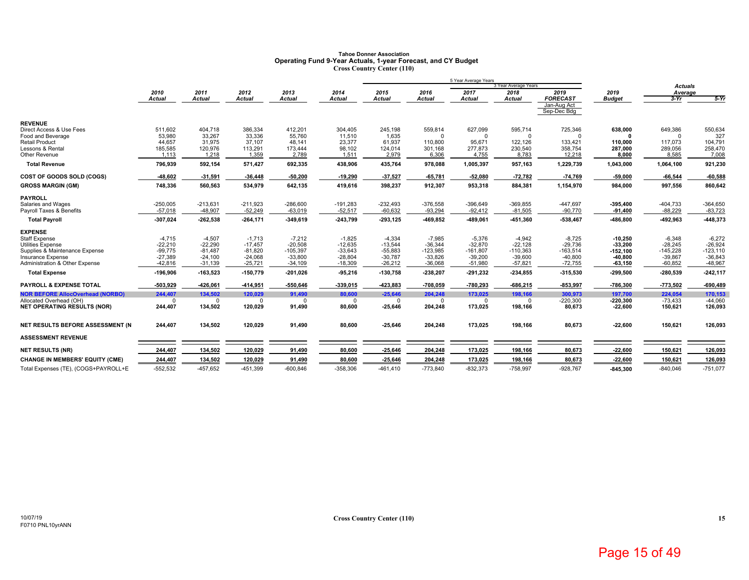### **Tahoe Donner AssociationOperating Fund 9-Year Actuals, 1-year Forecast, and CY Budget Cross Country Center (110)**

|                                                               |                     |                  |                     |                    |                    |                           |                     | 5 Year Average Years   |                              |                            |                         |                           |                      |
|---------------------------------------------------------------|---------------------|------------------|---------------------|--------------------|--------------------|---------------------------|---------------------|------------------------|------------------------------|----------------------------|-------------------------|---------------------------|----------------------|
|                                                               | 2010                | 2011             | 2012                | 2013               | 2014               | 2015                      | 2016                | 2017                   | 3 Year Average Years<br>2018 | 2019                       | 2019                    | <b>Actuals</b><br>Average |                      |
|                                                               | Actual              | <b>Actual</b>    | <b>Actual</b>       | <b>Actual</b>      | Actual             | <b>Actual</b>             | <b>Actual</b>       | <b>Actual</b>          | <b>Actual</b>                | <b>FORECAST</b>            | <b>Budget</b>           | $3-Yr$                    | $5-Yr$               |
|                                                               |                     |                  |                     |                    |                    |                           |                     |                        |                              | Jan-Aug Act<br>Sep-Dec Bdg |                         |                           |                      |
| <b>REVENUE</b>                                                |                     |                  |                     |                    |                    |                           |                     |                        |                              |                            |                         |                           |                      |
| Direct Access & Use Fees                                      | 511,602             | 404,718          | 386,334             | 412,201            | 304,405            | 245,198                   | 559,814             | 627,099                | 595,714                      | 725,346                    | 638,000                 | 649,386                   | 550,634              |
| Food and Beverage                                             | 53,980              | 33,267           | 33,336              | 55,760             | 11.510             | 1,635                     | $\Omega$            | $\Omega$               | <sup>0</sup>                 | $\Omega$                   |                         | $\Omega$                  | 327                  |
| <b>Retail Product</b>                                         | 44,657              | 31,975           | 37.107              | 48,141             | 23,377             | 61,937                    | 110.800             | 95.671                 | 122,126                      | 133,421                    | 110,000                 | 117.073                   | 104,791              |
| Lessons & Rental<br>Other Revenue                             | 185,585<br>1,113    | 120,976<br>1,218 | 113,291<br>1,359    | 173,444<br>2,789   | 98,102<br>1,511    | 124,014<br>2,979          | 301,168<br>6,306    | 277,873<br>4,755       | 230,540<br>8,783             | 358,754<br>12,218          | 287,000<br>8,000        | 289,056<br>8,585          | 258,470<br>7,008     |
| <b>Total Revenue</b>                                          | 796,939             | 592,154          | 571,427             | 692,335            | 438,906            | 435,764                   | 978,088             | 1,005,397              | 957,163                      | 1,229,739                  | 1,043,000               | 1,064,100                 | 921,230              |
| COST OF GOODS SOLD (COGS)                                     | -48,602             | -31,591          | $-36,448$           | $-50,200$          | $-19,290$          | $-37,527$                 | $-65,781$           | 52,080                 | $-72,782$                    | $-74,769$                  | $-59,000$               | $-66,544$                 | $-60,588$            |
| <b>GROSS MARGIN (GM)</b>                                      | 748,336             | 560.563          | 534,979             | 642,135            | 419,616            | 398,237                   | 912,307             | 953,318                | 884,381                      | 1,154,970                  | 984,000                 | 997,556                   | 860,642              |
| <b>PAYROLL</b>                                                |                     |                  |                     |                    |                    |                           |                     |                        |                              |                            |                         |                           |                      |
| Salaries and Wages                                            | $-250,005$          | $-213,631$       | $-211,923$          | $-286,600$         | $-191,283$         | $-232,493$                | $-376,558$          | $-396,649$             | $-369,855$                   | -447,697                   | $-395,400$              | $-404,733$                | $-364,650$           |
| Payroll Taxes & Benefits                                      | $-57.018$           | $-48,907$        | $-52,249$           | $-63,019$          | $-52,517$          | $-60,632$                 | $-93,294$           | $-92,412$              | $-81,505$                    | $-90,770$                  | $-91,400$               | $-88,229$                 | $-83,723$            |
| <b>Total Payroll</b>                                          | -307,024            | $-262,538$       | $-264,171$          | $-349,619$         | $-243,799$         | $-293, 125$               | -469,852            | -489,061               | -451,360                     | -538,467                   | -486,800                | -492,963                  | -448,373             |
| <b>EXPENSE</b>                                                |                     |                  |                     |                    |                    |                           |                     |                        |                              |                            |                         |                           |                      |
| Staff Expense                                                 | $-4,715$            | $-4,507$         | $-1.713$            | $-7,212$           | $-1,825$           | $-4,334$                  | $-7,985$            | $-5.376$               | $-4,942$                     | $-8.725$                   | $-10,250$               | $-6,348$                  | $-6.272$             |
| Utilities Expense                                             | $-22,210$           | $-22,290$        | $-17.457$           | $-20,508$          | $-12,635$          | $-13,544$                 | $-36.344$           | $-32.870$              | $-22,128$                    | $-29,736$                  | $-33.200$               | $-28,245$                 | $-26,924$            |
| Supplies & Maintenance Expense                                | $-99,775$           | $-81,487$        | $-81,820$           | $-105,397$         | $-33,643$          | $-55,883$                 | $-123,985$          | $-161,807$             | $-110,363$                   | $-163,514$                 | $-152,100$              | $-145,228$                | $-123,110$           |
| Insurance Expense                                             | $-27.389$           | $-24.100$        | $-24.068$           | $-33,800$          | $-28.804$          | $-30,787$                 | $-33.826$           | $-39.200$              | $-39,600$                    | $-40,800$                  | $-40,800$               | $-39,867$                 | $-36.843$            |
| Administration & Other Expense                                | $-42,816$           | $-31,139$        | $-25,721$           | $-34,109$          | $-18,309$          | $-26,212$                 | $-36,068$           | $-51,980$              | $-57,821$                    | $-72,755$                  | $-63,150$               | $-60,852$                 | $-48,967$            |
| <b>Total Expense</b>                                          | $-196,906$          | $-163,523$       | $-150,779$          | $-201,026$         | $-95,216$          | $-130,758$                | $-238,207$          | $-291,232$             | $-234,855$                   | $-315,530$                 | $-299,500$              | $-280,539$                | $-242, 117$          |
| PAYROLL & EXPENSE TOTAL                                       | -503,929            | $-426,061$       | $-414,951$          | $-550,646$         | $-339,015$         | -423,883                  | $-708,059$          | $-780,293$             | $-686,215$                   | $-853,997$                 | $-786,300$              | $-773,502$                | $-690,489$           |
| <b>NOR BEFORE AllocOverhead (NORBO)</b>                       | 244,407             | 134,502          | 120,029             | 91,490             | 80,600             | $-25,646$                 | 204,248             | 173,025                | 198,166                      | 300,973                    | 197,700                 | 224,054                   | 170,153              |
| Allocated Overhead (OH)<br><b>NET OPERATING RESULTS (NOR)</b> | $\Omega$<br>244,407 | 0<br>134,502     | $\Omega$<br>120,029 | $\Omega$<br>91,490 | $\Omega$<br>80,600 | <sup>0</sup><br>$-25,646$ | $\Omega$<br>204,248 | $\mathbf 0$<br>173,025 | $\Omega$<br>198,166          | $-220,300$<br>80,673       | $-220,300$<br>$-22,600$ | $-73,433$<br>150,621      | $-44,060$<br>126,093 |
|                                                               |                     |                  |                     |                    |                    |                           |                     |                        |                              |                            |                         |                           |                      |
| NET RESULTS BEFORE ASSESSMENT (N                              | 244,407             | 134,502          | 120,029             | 91,490             | 80,600             | $-25,646$                 | 204,248             | 173,025                | 198,166                      | 80,673                     | $-22,600$               | 150,621                   | 126,093              |
| <b>ASSESSMENT REVENUE</b>                                     |                     |                  |                     |                    |                    |                           |                     |                        |                              |                            |                         |                           |                      |
| <b>NET RESULTS (NR)</b>                                       | 244,407             | 134,502          | 120,029             | 91,490             | 80,600             | $-25,646$                 | 204,248             | 173,025                | 198,166                      | 80,673                     | $-22,600$               | 150,621                   | 126,093              |
| <b>CHANGE IN MEMBERS' EQUITY (CME)</b>                        | 244,407             | 134,502          | 120,029             | 91,490             | 80,600             | $-25,646$                 | 204,248             | 173,025                | 198,166                      | 80,673                     | $-22,600$               | 150,621                   | 126,093              |
| Total Expenses (TE), (COGS+PAYROLL+E                          | $-552,532$          | $-457,652$       | $-451.399$          | $-600, 846$        | $-358,306$         | $-461,410$                | $-773,840$          | $-832,373$             | $-758,997$                   | $-928,767$                 | $-845,300$              | $-840,046$                | $-751,077$           |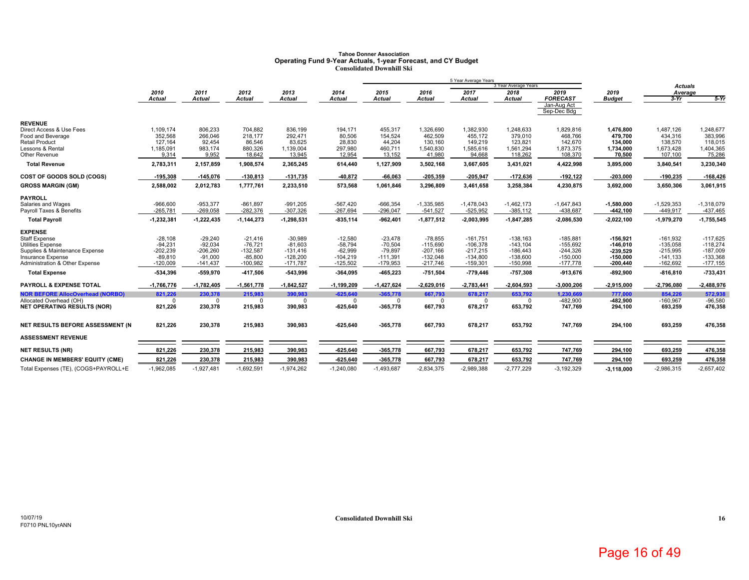### **Tahoe Donner AssociationOperating Fund 9-Year Actuals, 1-year Forecast, and CY Budget Consolidated Downhill Ski**

|                                                     |                         |                         |                         |                          |                         |                         |                          | 5 Year Average Years     |                              |                            |                          |                           |                          |
|-----------------------------------------------------|-------------------------|-------------------------|-------------------------|--------------------------|-------------------------|-------------------------|--------------------------|--------------------------|------------------------------|----------------------------|--------------------------|---------------------------|--------------------------|
|                                                     | 2010                    | 2011                    | 2012                    | 2013                     | 2014                    | 2015                    | 2016                     | 2017                     | 3 Year Average Years<br>2018 | 2019                       | 2019                     | <b>Actuals</b><br>Average |                          |
|                                                     | <b>Actual</b>           | <b>Actual</b>           | <b>Actual</b>           | <b>Actual</b>            | <b>Actual</b>           | <b>Actual</b>           | <b>Actual</b>            | <b>Actual</b>            | <b>Actual</b>                | <b>FORECAST</b>            | <b>Budget</b>            | $3-Yr$                    | $5-Yr$                   |
|                                                     |                         |                         |                         |                          |                         |                         |                          |                          |                              | Jan-Aug Act<br>Sep-Dec Bdg |                          |                           |                          |
| <b>REVENUE</b>                                      |                         |                         |                         |                          |                         |                         |                          |                          |                              |                            |                          |                           |                          |
| Direct Access & Use Fees                            | 1,109,174               | 806,233                 | 704,882                 | 836,199                  | 194,171                 | 455,317                 | 1,326,690                | 1,382,930                | 1,248,633                    | 1,829,816                  | 1,476,800                | 1,487,126                 | 1,248,677                |
| Food and Beverage                                   | 352,568                 | 266,046                 | 218.177                 | 292,471                  | 80.506                  | 154,524                 | 462,509                  | 455.172                  | 379,010                      | 468,766                    | 479.700                  | 434,316                   | 383.996                  |
| <b>Retail Product</b><br>Lessons & Rental           | 127.164<br>1,185,091    | 92.454<br>983.174       | 86.546<br>880.326       | 83,625<br>1,139,004      | 28,830<br>297,980       | 44,204<br>460,711       | 130,160<br>1,540,830     | 149,219<br>1,585,616     | 123,821<br>1,561,294         | 142.670<br>1,873,375       | 134,000<br>1,734,000     | 138,570<br>1,673,428      | 118,015<br>1,404,365     |
| Other Revenue                                       | 9,314                   | 9,952                   | 18,642                  | 13,945                   | 12,954                  | 13,152                  | 41,980                   | 94,668                   | 118,262                      | 108,370                    | 70,500                   | 107,100                   | 75,286                   |
| <b>Total Revenue</b>                                | 2,783,311               | 2,157,859               | 1,908,574               | 2,365,245                | 614,440                 | 1,127,909               | 3,502,168                | 3,667,605                | 3,431,021                    | 4,422,998                  | 3,895,000                | 3,840,541                 | 3,230,340                |
| COST OF GOODS SOLD (COGS)                           | -195,308                | $-145,076$              | $-130,813$              | $-131,735$               | -40,872                 | $-66,063$               | $-205,359$               | $-205,947$               | $-172,636$                   | $-192, 122$                | $-203,000$               | $-190,235$                | $-168,426$               |
| <b>GROSS MARGIN (GM)</b>                            | 2,588,002               | 2,012,783               | 1,777,761               | 2,233,510                | 573,568                 | 1,061,846               | 3,296,809                | 3,461,658                | 3,258,384                    | 4,230,875                  | 3,692,000                | 3,650,306                 | 3,061,915                |
| <b>PAYROLL</b>                                      |                         |                         |                         |                          |                         |                         |                          |                          |                              |                            |                          |                           |                          |
| Salaries and Wages                                  | $-966,600$              | $-953,377$              | $-861,897$              | $-991,205$               | $-567,420$              | $-666,354$              | $-1,335,985$             | $-1,478,043$             | $-1,462,173$                 | $-1,647,843$               | $-1,580,000$             | $-1,529,353$              | $-1,318,079$             |
| Payroll Taxes & Benefits                            | $-265,781$              | $-269,058$              | $-282,376$              | $-307,326$               | $-267,694$              | $-296,047$              | $-541,527$               | $-525,952$               | $-385,112$                   | -438,687                   | $-442,100$               | $-449,917$                | $-437,465$               |
| <b>Total Payroll</b>                                | $-1,232,381$            | $-1,222,435$            | $-1,144,273$            | $-1,298,531$             | $-835,114$              | $-962,401$              | $-1,877,512$             | $-2,003,995$             | 1,847,285                    | $-2,086,530$               | $-2,022,100$             | $-1,979,270$              | $-1,755,545$             |
| <b>EXPENSE</b>                                      |                         |                         |                         |                          |                         |                         |                          |                          |                              |                            |                          |                           |                          |
| <b>Staff Expense</b>                                | $-28,108$               | $-29.240$               | $-21.416$               | $-30,989$                | $-12,580$               | $-23,478$               | $-78.855$                | $-161.751$               | $-138.163$                   | $-185,881$                 | -156.921                 | $-161.932$                | $-117.625$               |
| <b>Utilities Expense</b>                            | $-94.231$               | $-92.034$               | $-76.721$               | $-81,603$                | $-58.794$               | $-70,504$               | $-115.690$               | $-106.378$               | $-143, 104$                  | $-155,692$                 | $-146.010$               | $-135,058$                | $-118,274$               |
| Supplies & Maintenance Expense<br>Insurance Expense | $-202,239$<br>$-89,810$ | $-206,260$<br>$-91.000$ | $-132,587$<br>$-85.800$ | $-131,416$<br>$-128,200$ | $-62,999$<br>$-104.219$ | $-79,897$<br>$-111,391$ | $-207,166$<br>$-132.048$ | $-217,215$<br>$-134.800$ | $-186,443$<br>$-138.600$     | $-244,326$<br>$-150,000$   | $-239,529$<br>$-150.000$ | $-215,995$<br>$-141.133$  | $-187,009$<br>$-133,368$ |
| Administration & Other Expense                      | $-120,009$              | $-141,437$              | $-100,982$              | $-171,787$               | $-125,502$              | $-179,953$              | $-217,746$               | $-159,301$               | $-150,998$                   | $-177,778$                 | $-200,440$               | $-162,692$                | $-177, 155$              |
| <b>Total Expense</b>                                | -534,396                | $-559,970$              | $-417,506$              | $-543,996$               | $-364,095$              | $-465,223$              | $-751,504$               | $-779,446$               | $-757,308$                   | $-913,676$                 | $-892,900$               | $-816, 810$               | -733,431                 |
| PAYROLL & EXPENSE TOTAL                             | -1,766,776              | $-1,782,405$            | $-1,561,778$            | $-1,842,527$             | $-1,199,209$            | $-1,427,624$            | $-2,629,016$             | $-2,783,441$             | $-2,604,593$                 | $-3,000,206$               | $-2,915,000$             | $-2,796,080$              | $-2,488,976$             |
| <b>NOR BEFORE AllocOverhead (NORBO)</b>             | 821.226                 | 230,378                 | 215,983                 | 390.983                  | $-625.640$              | $-365.778$              | 667,793                  | 678,217                  | 653,792                      | 1,230,669                  | 777,000                  | 854.226                   | 572,938                  |
| Allocated Overhead (OH)                             | $\mathbf 0$             |                         | $\mathbf 0$             | $\Omega$                 | $\Omega$                | $\Omega$                | $\Omega$                 | $\Omega$                 | O                            | $-482,900$                 | $-482.900$               | $-160,967$                | $-96.580$                |
| <b>NET OPERATING RESULTS (NOR)</b>                  | 821,226                 | 230,378                 | 215,983                 | 390,983                  | $-625,640$              | $-365,778$              | 667,793                  | 678,217                  | 653,792                      | 747,769                    | 294,100                  | 693,259                   | 476,358                  |
| NET RESULTS BEFORE ASSESSMENT (N                    | 821,226                 | 230,378                 | 215,983                 | 390,983                  | $-625,640$              | $-365,778$              | 667,793                  | 678,217                  | 653,792                      | 747,769                    | 294,100                  | 693,259                   | 476,358                  |
| <b>ASSESSMENT REVENUE</b>                           |                         |                         |                         |                          |                         |                         |                          |                          |                              |                            |                          |                           |                          |
| <b>NET RESULTS (NR)</b>                             | 821,226                 | 230,378                 | 215,983                 | 390,983                  | $-625,640$              | -365,778                | 667,793                  | 678,217                  | 653,792                      | 747,769                    | 294,100                  | 693,259                   | 476,358                  |
| <b>CHANGE IN MEMBERS' EQUITY (CME)</b>              | 821,226                 | 230,378                 | 215,983                 | 390,983                  | $-625,640$              | $-365,778$              | 667,793                  | 678,217                  | 653,792                      | 747,769                    | 294,100                  | 693,259                   | 476,358                  |
| Total Expenses (TE), (COGS+PAYROLL+E                | $-1,962,085$            | $-1,927,481$            | $-1,692,591$            | $-1,974,262$             | $-1,240,080$            | $-1,493,687$            | $-2,834,375$             | $-2,989,388$             | $-2,777,229$                 | $-3,192,329$               | $-3,118,000$             | $-2,986,315$              | $-2,657,402$             |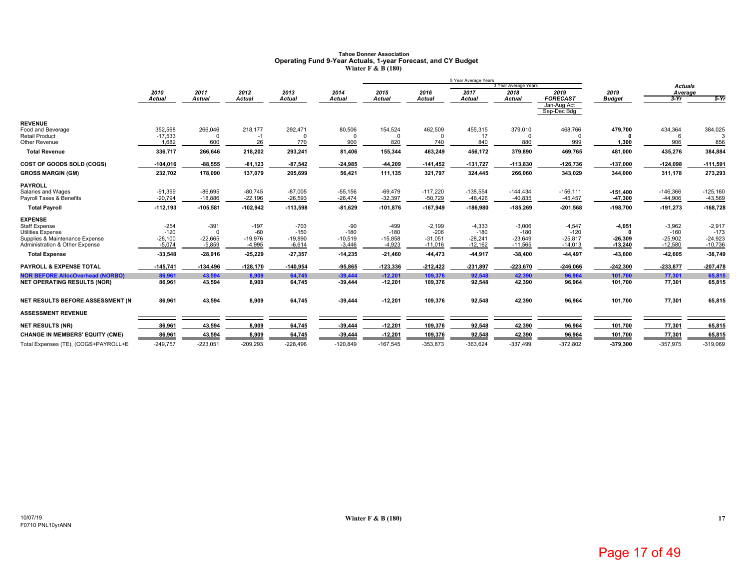### **Tahoe Donner AssociationOperating Fund 9-Year Actuals, 1-year Forecast, and CY Budget Winter F & B (180)**

|                                                            |                     |                       |                    |                     |                     |                     |                     | 5 Year Average Years |                        |                                               |                        |                     |                     |
|------------------------------------------------------------|---------------------|-----------------------|--------------------|---------------------|---------------------|---------------------|---------------------|----------------------|------------------------|-----------------------------------------------|------------------------|---------------------|---------------------|
|                                                            |                     |                       |                    |                     |                     |                     |                     |                      | 3 Year Average Years   |                                               |                        | <b>Actuals</b>      |                     |
|                                                            | 2010                | 2011                  | 2012               | 2013                | 2014                | 2015                | 2016                | 2017                 | 2018                   | 2019                                          | 2019                   | Average             | $5-Yr$              |
|                                                            | Actual              | <b>Actual</b>         | Actual             | <b>Actual</b>       | Actual              | <b>Actual</b>       | <b>Actual</b>       | <b>Actual</b>        | <b>Actual</b>          | <b>FORECAST</b><br>Jan-Aug Act<br>Sep-Dec Bdg | <b>Budget</b>          | $3-Yr$              |                     |
| <b>REVENUE</b>                                             |                     |                       |                    |                     |                     |                     |                     |                      |                        |                                               |                        |                     |                     |
| Food and Beverage                                          | 352,568             | 266,046<br>$\Omega$   | 218,177            | 292,471             | 80,506              | 154,524             | 462,509             | 455,315              | 379,010                | 468,766                                       | 479,700                | 434,364             | 384,025             |
| <b>Retail Product</b><br>Other Revenue                     | $-17,533$<br>1,682  | 600                   | $-1$<br>26         | $\Omega$<br>770     | <sup>0</sup><br>900 | $\Omega$<br>820     | $\Omega$<br>740     | 17<br>840            | 880                    | $\Omega$<br>999                               | 1,300                  | 906                 | 856                 |
| <b>Total Revenue</b>                                       | 336,717             | 266,646               | 218,202            | 293,241             | 81,406              | 155,344             | 463,249             | 456,172              | 379,890                | 469,765                                       | 481,000                | 435,276             | 384,884             |
| COST OF GOODS SOLD (COGS)                                  | $-104,016$          | $-88,555$             | $-81,123$          | $-87,542$           | -24,985             | $-44,209$           | $-141,452$          | $-131,727$           | $-113,830$             | $-126,736$                                    | $-137,000$             | $-124,098$          | $-111,591$          |
| <b>GROSS MARGIN (GM)</b>                                   | 232,702             | 178,090               | 137,079            | 205,699             | 56,421              | 111,135             | 321,797             | 324,445              | 266,060                | 343,029                                       | 344,000                | 311,178             | 273,293             |
| <b>PAYROLL</b>                                             |                     |                       |                    |                     |                     |                     |                     |                      |                        |                                               |                        |                     |                     |
| Salaries and Wages                                         | $-91,399$           | $-86,695$             | $-80,745$          | $-87,005$           | $-55,156$           | $-69,479$           | $-117,220$          | $-138,554$           | $-144,434$             | $-156, 111$                                   | $-151,400$             | $-146,366$          | $-125,160$          |
| Payroll Taxes & Benefits                                   | $-20,794$           | $-18,886$             | $-22,196$          | $-26,593$           | $-26,474$           | $-32,397$           | $-50,729$           | $-48,426$            | $-40,835$              | $-45,457$                                     | 47,300                 | $-44,906$           | $-43,569$           |
| <b>Total Payroll</b>                                       | $-112,193$          | $-105,581$            | $-102,942$         | $-113,598$          | $-81,629$           | $-101,876$          | $-167,949$          | $-186,980$           | $-185,269$             | $-201,568$                                    | $-198,700$             | $-191,273$          | $-168,728$          |
| <b>EXPENSE</b>                                             |                     |                       |                    |                     |                     |                     |                     |                      |                        |                                               |                        |                     |                     |
| <b>Staff Expense</b>                                       | $-254$              | $-391$                | $-197$             | $-703$              | $-90$               | $-499$              | $-2,199$            | $-4,333$             | $-3,006$               | $-4,547$                                      | $-4,051$               | $-3,962$            | $-2,917$            |
| <b>Utilities Expense</b><br>Supplies & Maintenance Expense | $-120$<br>$-28,100$ | $\Omega$<br>$-22,665$ | $-60$<br>$-19,976$ | $-150$<br>$-19,890$ | $-180$<br>$-10,519$ | $-180$<br>$-15,858$ | $-206$<br>$-31,051$ | $-180$<br>$-28,241$  | $-180$                 | $-120$<br>$-25,817$                           | $\Omega$               | $-160$<br>$-25,902$ | $-173$<br>$-24,923$ |
| Administration & Other Expense                             | $-5,074$            | $-5,859$              | $-4,995$           | $-6,614$            | $-3,446$            | $-4,923$            | $-11,016$           | $-12,162$            | $-23,649$<br>$-11,565$ | $-14,013$                                     | $-26,309$<br>$-13,240$ | $-12,580$           | $-10,736$           |
| <b>Total Expense</b>                                       | $-33,548$           | $-28,916$             | -25,229            | $-27,357$           | $-14,235$           | $-21,460$           | 44,473              | -44,917              | $-38,400$              | 44,497                                        | -43,600                | $-42,605$           | -38,749             |
| <b>PAYROLL &amp; EXPENSE TOTAL</b>                         | $-145,741$          | $-134,496$            | $-128,170$         | $-140,954$          | $-95,865$           | $-123,336$          | $-212,422$          | $-231,897$           | $-223,670$             | $-246,066$                                    | $-242,300$             | -233,877            | $-207,478$          |
| <b>NOR BEFORE AllocOverhead (NORBO)</b>                    | 86,961              | 43.594                | 8.909              | 64,745              | $-39.444$           | $-12.201$           | 109.376             | 92.548               | 42.390                 | 96,964                                        | 101.700                | 77.301              | 65.815              |
| <b>NET OPERATING RESULTS (NOR)</b>                         | 86,961              | 43,594                | 8,909              | 64,745              | $-39,444$           | $-12,201$           | 109,376             | 92,548               | 42,390                 | 96,964                                        | 101,700                | 77,301              | 65,815              |
| NET RESULTS BEFORE ASSESSMENT (N)                          | 86,961              | 43,594                | 8,909              | 64,745              | $-39,444$           | $-12,201$           | 109,376             | 92,548               | 42,390                 | 96,964                                        | 101,700                | 77,301              | 65,815              |
| <b>ASSESSMENT REVENUE</b>                                  |                     |                       |                    |                     |                     |                     |                     |                      |                        |                                               |                        |                     |                     |
| <b>NET RESULTS (NR)</b>                                    | 86,961              | 43,594                | 8,909              | 64,745              | $-39,444$           | $-12,201$           | 109,376             | 92,548               | 42,390                 | 96,964                                        | 101,700                | 77,301              | 65,815              |
| <b>CHANGE IN MEMBERS' EQUITY (CME)</b>                     | 86,961              | 43,594                | 8,909              | 64,745              | $-39,444$           | $-12,201$           | 109,376             | 92,548               | 42,390                 | 96,964                                        | 101,700                | 77,301              | 65,815              |
| Total Expenses (TE), (COGS+PAYROLL+E                       | $-249,757$          | $-223,051$            | $-209,293$         | $-228,496$          | $-120,849$          | $-167,545$          | $-353,873$          | $-363,624$           | $-337,499$             | $-372,802$                                    | -379,300               | $-357,975$          | $-319,069$          |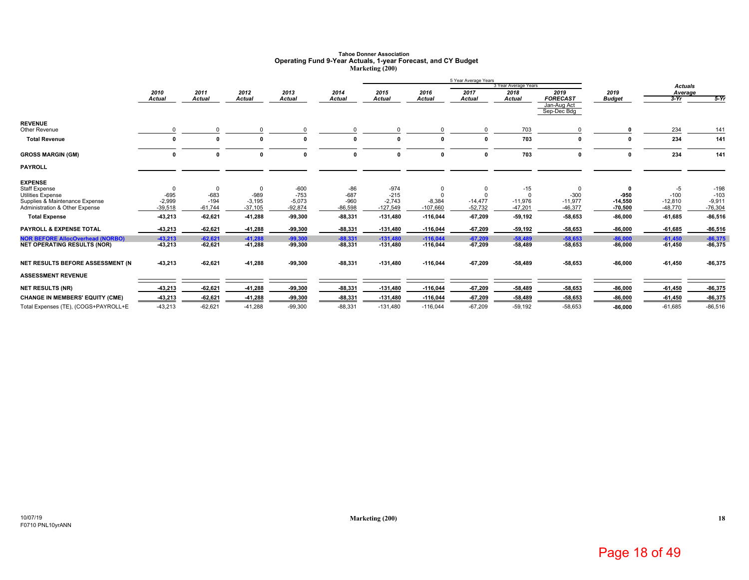# **Tahoe Donner Association Operating Fund 9-Year Actuals, 1-year Forecast, and CY Budget Marketing (200)**

|                                         |               |               |               |               |              |               |               | 5 Year Average Years |                      |                            |               |                |           |
|-----------------------------------------|---------------|---------------|---------------|---------------|--------------|---------------|---------------|----------------------|----------------------|----------------------------|---------------|----------------|-----------|
|                                         |               |               |               |               |              |               |               |                      | 3 Year Average Years |                            |               | <b>Actuals</b> |           |
|                                         | 2010          | 2011          | 2012          | 2013          | 2014         | 2015          | 2016          | 2017                 | 2018                 | 2019                       | 2019          | Average        |           |
|                                         | <b>Actual</b> | <b>Actual</b> | <b>Actual</b> | <b>Actual</b> | Actual       | <b>Actual</b> | <b>Actual</b> | <b>Actual</b>        | <b>Actual</b>        | <b>FORECAST</b>            | <b>Budget</b> | $3-Yr$         | $-5-Yr$   |
|                                         |               |               |               |               |              |               |               |                      |                      | Jan-Aug Act<br>Sep-Dec Bdg |               |                |           |
| <b>REVENUE</b>                          |               |               |               |               |              |               |               |                      |                      |                            |               |                |           |
| Other Revenue                           |               |               |               |               |              |               |               |                      | 703                  | $\Omega$                   |               | 234            | 141       |
| <b>Total Revenue</b>                    | 0             |               | $\mathbf{r}$  |               | O            |               | $\Omega$      | $\mathbf{r}$         | 703                  | 0                          | 0             | 234            | 141       |
| <b>GROSS MARGIN (GM)</b>                | $\Omega$      | O             | $\Omega$      | $\mathbf 0$   | $\mathbf{0}$ | $\Omega$      | 0             | $\Omega$             | 703                  | $\mathbf{0}$               | 0             | 234            | 141       |
| <b>PAYROLL</b>                          |               |               |               |               |              |               |               |                      |                      |                            |               |                |           |
| <b>EXPENSE</b>                          |               |               |               |               |              |               |               |                      |                      |                            |               |                |           |
| <b>Staff Expense</b>                    |               |               |               | $-600$        | -86          | $-974$        | 0             |                      | $-15$                | $\mathbf 0$                | 0             | -5             | $-198$    |
| <b>Utilities Expense</b>                | $-695$        | $-683$        | $-989$        | $-753$        | $-687$       | $-215$        | $\Omega$      |                      |                      | $-300$                     | $-950$        | $-100$         | $-103$    |
| Supplies & Maintenance Expense          | $-2,999$      | $-194$        | $-3,195$      | $-5,073$      | $-960$       | $-2,743$      | $-8,384$      | $-14,477$            | $-11,976$            | $-11,977$                  | $-14,550$     | $-12,810$      | $-9,911$  |
| Administration & Other Expense          | $-39,518$     | $-61,744$     | $-37,105$     | $-92,874$     | $-86,598$    | $-127,549$    | $-107,660$    | $-52,732$            | $-47,201$            | $-46,377$                  | $-70,500$     | $-48,770$      | $-76,304$ |
| <b>Total Expense</b>                    | $-43,213$     | $-62,621$     | -41,288       | $-99,300$     | $-88,331$    | $-131,480$    | $-116,044$    | $-67,209$            | $-59,192$            | -58,653                    | $-86,000$     | $-61,685$      | $-86,516$ |
| <b>PAYROLL &amp; EXPENSE TOTAL</b>      | $-43,213$     | $-62,621$     | -41,288       | $-99,300$     | $-88,331$    | $-131,480$    | $-116,044$    | $-67,209$            | 59,192               | -58,653                    | $-86,000$     | $-61,685$      | $-86,516$ |
| <b>NOR BEFORE AllocOverhead (NORBO)</b> | $-43,213$     | $-62,621$     | $-41,288$     | $-99,300$     | $-88,331$    | $-131,480$    | $-116,044$    | $-67,209$            | $-58,489$            | $-58,653$                  | $-86,000$     | $-61,450$      | $-86,375$ |
| <b>NET OPERATING RESULTS (NOR)</b>      | $-43,213$     | $-62,621$     | -41,288       | $-99,300$     | $-88,331$    | $-131,480$    | $-116,044$    | $-67,209$            | -58,489              | -58,653                    | $-86,000$     | $-61,450$      | -86,375   |
| NET RESULTS BEFORE ASSESSMENT (N        | $-43,213$     | $-62,621$     | $-41,288$     | $-99,300$     | $-88,331$    | $-131,480$    | $-116,044$    | $-67,209$            | -58,489              | $-58,653$                  | $-86,000$     | $-61,450$      | $-86,375$ |
| <b>ASSESSMENT REVENUE</b>               |               |               |               |               |              |               |               |                      |                      |                            |               |                |           |
| <b>NET RESULTS (NR)</b>                 | $-43,213$     | $-62,621$     | -41,288       | $-99,300$     | $-88,331$    | $-131,480$    | $-116,044$    | $-67,209$            | $-58,489$            | $-58,653$                  | $-86,000$     | $-61,450$      | $-86,375$ |
| <b>CHANGE IN MEMBERS' EQUITY (CME)</b>  | -43,213       | $-62,621$     | -41,288       | $-99,300$     | $-88,331$    | $-131,480$    | $-116,044$    | $-67.209$            | $-58,489$            | $-58,653$                  | $-86,000$     | $-61,450$      | $-86,375$ |
| Total Expenses (TE), (COGS+PAYROLL+E    | $-43,213$     | $-62,621$     | $-41,288$     | $-99,300$     | $-88,331$    | $-131,480$    | $-116,044$    | $-67,209$            | $-59,192$            | $-58,653$                  | $-86,000$     | $-61,685$      | $-86,516$ |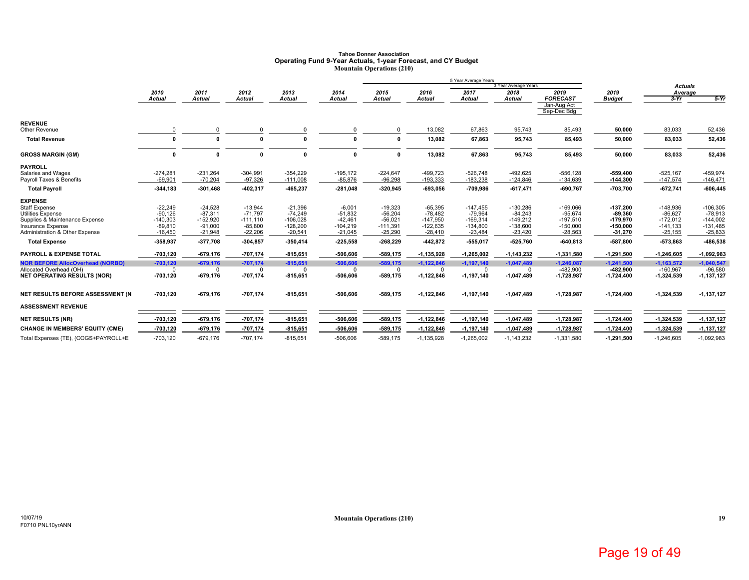### **Tahoe Donner AssociationOperating Fund 9-Year Actuals, 1-year Forecast, and CY Budget Mountain Operations (210)**

|                                                                                                                                                                                     |                                                                           |                                                                            |                                                                              |                                                                               |                                                                             |                                                                              |                                                                               | 5 Year Average Years                                                           | 3 Year Average Years                                                           |                                                                                |                                                                              |                                                                                 |                                                                              |
|-------------------------------------------------------------------------------------------------------------------------------------------------------------------------------------|---------------------------------------------------------------------------|----------------------------------------------------------------------------|------------------------------------------------------------------------------|-------------------------------------------------------------------------------|-----------------------------------------------------------------------------|------------------------------------------------------------------------------|-------------------------------------------------------------------------------|--------------------------------------------------------------------------------|--------------------------------------------------------------------------------|--------------------------------------------------------------------------------|------------------------------------------------------------------------------|---------------------------------------------------------------------------------|------------------------------------------------------------------------------|
|                                                                                                                                                                                     | 2010                                                                      | 2011                                                                       | 2012                                                                         | 2013                                                                          | 2014                                                                        | 2015                                                                         | 2016                                                                          | 2017                                                                           | 2018                                                                           | 2019                                                                           | 2019                                                                         | <b>Actuals</b><br>Average                                                       |                                                                              |
|                                                                                                                                                                                     | <b>Actual</b>                                                             | <b>Actual</b>                                                              | <b>Actual</b>                                                                | <b>Actual</b>                                                                 | Actual                                                                      | <b>Actual</b>                                                                | <b>Actual</b>                                                                 | <b>Actual</b>                                                                  | Actual                                                                         | <b>FORECAST</b>                                                                | <b>Budget</b>                                                                | $3-Yr$                                                                          | $5-Yr$                                                                       |
|                                                                                                                                                                                     |                                                                           |                                                                            |                                                                              |                                                                               |                                                                             |                                                                              |                                                                               |                                                                                |                                                                                | Jan-Aug Act<br>Sep-Dec Bdg                                                     |                                                                              |                                                                                 |                                                                              |
| <b>REVENUE</b><br>Other Revenue                                                                                                                                                     |                                                                           |                                                                            |                                                                              |                                                                               |                                                                             |                                                                              | 13,082                                                                        | 67,863                                                                         | 95,743                                                                         | 85,493                                                                         | 50,000                                                                       | 83,033                                                                          | 52,436                                                                       |
| <b>Total Revenue</b>                                                                                                                                                                | $\Omega$                                                                  |                                                                            |                                                                              |                                                                               | n                                                                           | $\mathbf{0}$                                                                 | 13,082                                                                        | 67,863                                                                         | 95,743                                                                         | 85,493                                                                         | 50,000                                                                       | 83,033                                                                          | 52,436                                                                       |
| <b>GROSS MARGIN (GM)</b>                                                                                                                                                            | $\mathbf{0}$                                                              |                                                                            | $\mathbf{0}$                                                                 | 0                                                                             | $\mathbf{0}$                                                                | $\mathbf{0}$                                                                 | 13,082                                                                        | 67,863                                                                         | 95,743                                                                         | 85,493                                                                         | 50,000                                                                       | 83,033                                                                          | 52,436                                                                       |
| <b>PAYROLL</b><br>Salaries and Wages<br>Payroll Taxes & Benefits                                                                                                                    | $-274,281$<br>$-69,901$                                                   | $-231,264$<br>$-70,204$                                                    | $-304,991$<br>$-97,326$                                                      | $-354,229$<br>$-111,008$                                                      | $-195,172$<br>$-85,876$                                                     | $-224,647$<br>$-96,298$                                                      | $-499,723$<br>$-193,333$                                                      | $-526,748$<br>$-183,238$                                                       | $-492,625$<br>$-124,846$                                                       | $-556, 128$<br>$-134,639$                                                      | $-559,400$<br>$-144,300$                                                     | $-525,167$<br>$-147,574$                                                        | $-459,974$<br>$-146,471$                                                     |
| <b>Total Payroll</b>                                                                                                                                                                | $-344, 183$                                                               | $-301,468$                                                                 | $-402,317$                                                                   | $-465,237$                                                                    | $-281,048$                                                                  | $-320,945$                                                                   | $-693,056$                                                                    | $-709,986$                                                                     | $-617,471$                                                                     | $-690,767$                                                                     | $-703,700$                                                                   | $-672,741$                                                                      | $-606,445$                                                                   |
| <b>EXPENSE</b><br><b>Staff Expense</b><br>Utilities Expense<br>Supplies & Maintenance Expense<br><b>Insurance Expense</b><br>Administration & Other Expense<br><b>Total Expense</b> | $-22,249$<br>$-90,126$<br>$-140,303$<br>$-89,810$<br>$-16,450$<br>358,937 | $-24,528$<br>$-87,311$<br>$-152,920$<br>$-91,000$<br>$-21,948$<br>-377,708 | $-13,944$<br>$-71.797$<br>$-111,110$<br>$-85,800$<br>$-22,206$<br>$-304,857$ | $-21,396$<br>$-74,249$<br>$-106,028$<br>$-128,200$<br>$-20,541$<br>$-350,414$ | $-6,001$<br>$-51,832$<br>$-42,461$<br>$-104,219$<br>$-21,045$<br>$-225,558$ | $-19,323$<br>$-56,204$<br>$-56,021$<br>$-111,391$<br>$-25,290$<br>$-268,229$ | $-65,395$<br>$-78.482$<br>$-147,950$<br>$-122,635$<br>$-28,410$<br>$-442,872$ | $-147,455$<br>$-79,964$<br>$-169,314$<br>$-134,800$<br>$-23,484$<br>$-555,017$ | $-130,286$<br>$-84,243$<br>$-149,212$<br>$-138,600$<br>$-23,420$<br>$-525,760$ | $-169,066$<br>$-95,674$<br>$-197,510$<br>$-150,000$<br>$-28,563$<br>$-640,813$ | $-137,200$<br>$-89.360$<br>$-179,970$<br>$-150,000$<br>$-31,270$<br>-587,800 | $-148,936$<br>$-86,627$<br>$-172,012$<br>$-141,133$<br>$-25, 155$<br>$-573,863$ | $-106,305$<br>$-78.913$<br>$-144,002$<br>$-131,485$<br>$-25,833$<br>-486,538 |
| <b>PAYROLL &amp; EXPENSE TOTAL</b>                                                                                                                                                  | $-703,120$                                                                | $-679,176$                                                                 | $-707.174$                                                                   | $-815,651$                                                                    | -506.606                                                                    | $-589,175$                                                                   | $-1,135,928$                                                                  | $-1,265,002$                                                                   | $-1,143,232$                                                                   | $-1,331,580$                                                                   | $-1,291,500$                                                                 | $-1,246,605$                                                                    | $-1,092,983$                                                                 |
| <b>NOR BEFORE AllocOverhead (NORBO)</b><br>Allocated Overhead (OH)<br><b>NET OPERATING RESULTS (NOR)</b>                                                                            | $-703,120$<br>$\Omega$<br>$-703,120$                                      | $-679,176$<br>$\Omega$<br>$-679,176$                                       | $-707,174$<br>$\Omega$<br>$-707,174$                                         | $-815,651$<br>$\Omega$<br>$-815,651$                                          | $-506,606$<br>$\Omega$<br>-506,606                                          | $-589,175$<br>$\Omega$<br>$-589,175$                                         | $-1,122,846$<br>$\Omega$<br>$-1,122,846$                                      | $-1,197,140$<br>$\Omega$<br>$-1, 197, 140$                                     | $-1,047,489$<br>$\Omega$<br>$-1,047,489$                                       | $-1,246,087$<br>$-482,900$<br>$-1,728,987$                                     | $-1,241,500$<br>$-482,900$<br>$-1,724,400$                                   | $-1,163,572$<br>$-160,967$<br>$-1,324,539$                                      | $-1,040,547$<br>$-96,580$<br>$-1,137,127$                                    |
| NET RESULTS BEFORE ASSESSMENT (N                                                                                                                                                    | $-703,120$                                                                | $-679,176$                                                                 | -707,174                                                                     | $-815,651$                                                                    | -506,606                                                                    | $-589,175$                                                                   | $-1,122,846$                                                                  | $-1, 197, 140$                                                                 | $-1,047,489$                                                                   | $-1,728,987$                                                                   | $-1,724,400$                                                                 | $-1,324,539$                                                                    | $-1,137,127$                                                                 |
| <b>ASSESSMENT REVENUE</b>                                                                                                                                                           |                                                                           |                                                                            |                                                                              |                                                                               |                                                                             |                                                                              |                                                                               |                                                                                |                                                                                |                                                                                |                                                                              |                                                                                 |                                                                              |
| <b>NET RESULTS (NR)</b>                                                                                                                                                             | -703,120                                                                  | $-679,176$                                                                 | $-707,174$                                                                   | $-815,651$                                                                    | $-506,606$                                                                  | $-589,175$                                                                   | $-1,122,846$                                                                  | $-1, 197, 140$                                                                 | $-1,047,489$                                                                   | $-1,728,987$                                                                   | $-1,724,400$                                                                 | $-1,324,539$                                                                    | $-1, 137, 127$                                                               |
| <b>CHANGE IN MEMBERS' EQUITY (CME)</b>                                                                                                                                              | $-703, 120$                                                               | $-679,176$                                                                 | $-707,174$                                                                   | $-815,651$                                                                    | -506,606                                                                    | $-589,175$                                                                   | $-1,122,846$                                                                  | $-1, 197, 140$                                                                 | $-1,047,489$                                                                   | $-1,728,987$                                                                   | $-1,724,400$                                                                 | $-1,324,539$                                                                    | $-1,137,127$                                                                 |
| Total Expenses (TE), (COGS+PAYROLL+E                                                                                                                                                | $-703,120$                                                                | $-679,176$                                                                 | $-707,174$                                                                   | $-815,651$                                                                    | $-506,606$                                                                  | $-589,175$                                                                   | $-1, 135, 928$                                                                | $-1,265,002$                                                                   | $-1,143,232$                                                                   | $-1,331,580$                                                                   | $-1,291,500$                                                                 | $-1,246,605$                                                                    | $-1,092,983$                                                                 |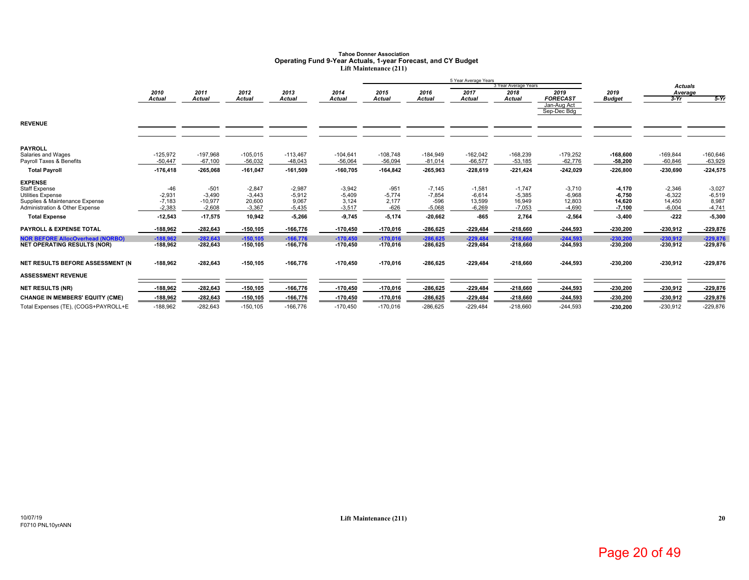# Tahoe Donner Association<br>Operating Fund 9-Year Actuals, 1-year Forecast, and CY Budget<br>Lift Maintenance (211)

|                                         |            |               |               |               |            |               |               | 5 Year Average Years |                      |                 |               |                |            |
|-----------------------------------------|------------|---------------|---------------|---------------|------------|---------------|---------------|----------------------|----------------------|-----------------|---------------|----------------|------------|
|                                         |            |               |               |               |            |               |               |                      | 3 Year Average Years |                 |               | <b>Actuals</b> |            |
|                                         | 2010       | 2011          | 2012          | 2013          | 2014       | 2015          | 2016          | 2017                 | 2018                 | 2019            | 2019          | Average        |            |
|                                         | Actual     | <b>Actual</b> | <b>Actual</b> | <b>Actual</b> | Actual     | <b>Actual</b> | <b>Actual</b> | Actual               | <b>Actual</b>        | <b>FORECAST</b> | <b>Budget</b> | $3-Yr$         | $5-Yr$     |
|                                         |            |               |               |               |            |               |               |                      |                      | Jan-Aug Act     |               |                |            |
|                                         |            |               |               |               |            |               |               |                      |                      | Sep-Dec Bdg     |               |                |            |
| <b>REVENUE</b>                          |            |               |               |               |            |               |               |                      |                      |                 |               |                |            |
|                                         |            |               |               |               |            |               |               |                      |                      |                 |               |                |            |
| <b>PAYROLL</b>                          |            |               |               |               |            |               |               |                      |                      |                 |               |                |            |
| Salaries and Wages                      | $-125,972$ | $-197,968$    | $-105,015$    | $-113,467$    | $-104,641$ | $-108,748$    | $-184,949$    | $-162,042$           | $-168,239$           | $-179,252$      | $-168,600$    | $-169,844$     | $-160,646$ |
| Payroll Taxes & Benefits                | $-50,447$  | $-67,100$     | $-56.032$     | $-48,043$     | $-56,064$  | $-56,094$     | $-81,014$     | $-66,577$            | $-53,185$            | $-62,776$       | $-58,200$     | $-60.846$      | $-63,929$  |
| <b>Total Payroll</b>                    | $-176,418$ | $-265,068$    | $-161,047$    | $-161,509$    | $-160,705$ | $-164,842$    | $-265,963$    | $-228,619$           | $-221,424$           | $-242,029$      | $-226,800$    | $-230,690$     | $-224,575$ |
| <b>EXPENSE</b>                          |            |               |               |               |            |               |               |                      |                      |                 |               |                |            |
| <b>Staff Expense</b>                    | $-46$      | $-501$        | $-2,847$      | $-2,987$      | $-3,942$   | $-951$        | $-7,145$      | $-1,581$             | $-1,747$             | $-3,710$        | $-4,170$      | $-2,346$       | $-3,027$   |
| <b>Utilities Expense</b>                | $-2,931$   | $-3,490$      | $-3,443$      | $-5,912$      | $-5,409$   | $-5,774$      | $-7,854$      | $-6,614$             | $-5,385$             | $-6,968$        | $-6,750$      | $-6,322$       | $-6,519$   |
| Supplies & Maintenance Expense          | $-7,183$   | $-10,977$     | 20,600        | 9,067         | 3,124      | 2,177         | $-596$        | 13,599               | 16,949               | 12,803          | 14,620        | 14,450         | 8,987      |
| Administration & Other Expense          | $-2,383$   | $-2,608$      | $-3,367$      | $-5,435$      | $-3,517$   | $-626$        | $-5,068$      | $-6,269$             | $-7,053$             | $-4,690$        | $-7,100$      | $-6,004$       | $-4,741$   |
| <b>Total Expense</b>                    | $-12,543$  | $-17,575$     | 10,942        | $-5,266$      | 9,745      | $-5,174$      | $-20,662$     | $-865$               | 2,764                | $-2,564$        | $-3,400$      | $-222$         | $-5,300$   |
| <b>PAYROLL &amp; EXPENSE TOTAL</b>      | -188,962   | $-282,643$    | $-150, 105$   | $-166,776$    | $-170,450$ | $-170,016$    | $-286,625$    | $-229,484$           | $-218,660$           | $-244,593$      | $-230,200$    | $-230,912$     | $-229,876$ |
| <b>NOR BEFORE AllocOverhead (NORBO)</b> | $-188.962$ | $-282.643$    | $-150.105$    | $-166,776$    | $-170.450$ | $-170.016$    | $-286.625$    | $-229.484$           | $-218,660$           | $-244.593$      | $-230.200$    | $-230.912$     | $-229.876$ |
| <b>NET OPERATING RESULTS (NOR)</b>      | $-188,962$ | $-282,643$    | -150,105      | $-166,776$    | -170,450   | -170,016      | $-286,625$    | $-229,484$           | $-218,660$           | $-244,593$      | $-230,200$    | $-230,912$     | $-229,876$ |
| NET RESULTS BEFORE ASSESSMENT (N        | -188,962   | $-282,643$    | $-150, 105$   | $-166,776$    | $-170,450$ | $-170,016$    | $-286,625$    | $-229,484$           | $-218,660$           | $-244,593$      | $-230,200$    | $-230,912$     | $-229,876$ |
|                                         |            |               |               |               |            |               |               |                      |                      |                 |               |                |            |
| <b>ASSESSMENT REVENUE</b>               |            |               |               |               |            |               |               |                      |                      |                 |               |                |            |
| <b>NET RESULTS (NR)</b>                 | -188,962   | $-282,643$    | $-150, 105$   | $-166,776$    | $-170,450$ | $-170,016$    | $-286,625$    | $-229,484$           | $-218,660$           | $-244,593$      | $-230,200$    | -230,912       | $-229,876$ |
| <b>CHANGE IN MEMBERS' EQUITY (CME)</b>  | $-188,962$ | $-282,643$    | $-150.105$    | $-166.776$    | $-170,450$ | $-170,016$    | $-286,625$    | $-229,484$           | $-218,660$           | $-244,593$      | $-230,200$    | $-230,912$     | $-229,876$ |
| Total Expenses (TE), (COGS+PAYROLL+E    | $-188,962$ | $-282,643$    | $-150, 105$   | $-166,776$    | $-170,450$ | $-170,016$    | $-286,625$    | $-229,484$           | $-218,660$           | $-244,593$      | $-230,200$    | $-230,912$     | $-229,876$ |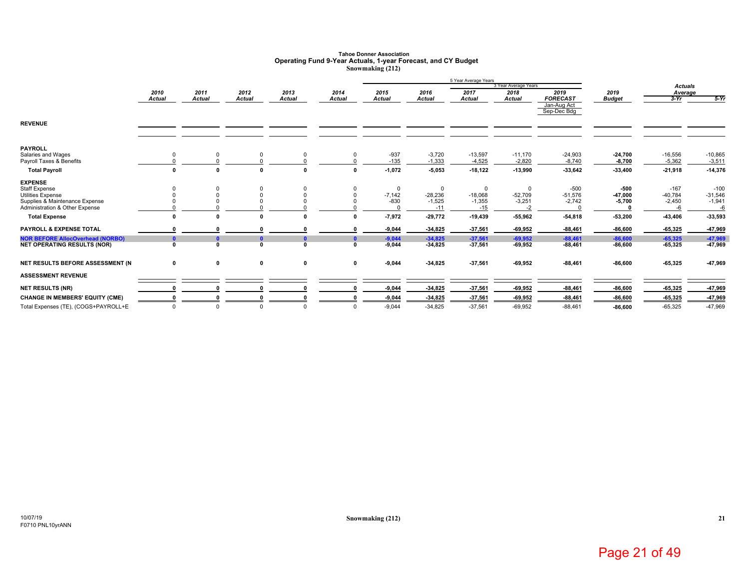# **Tahoe Donner Association Operating Fund 9-Year Actuals, 1-year Forecast, and CY Budget Snowmaking (212)**

|                                                            |                       |                       |                |                       |                       |                       |                       | 5 Year Average Years  | 3 Year Average Years  |                                        |                       | <b>Actuals</b>        |                       |
|------------------------------------------------------------|-----------------------|-----------------------|----------------|-----------------------|-----------------------|-----------------------|-----------------------|-----------------------|-----------------------|----------------------------------------|-----------------------|-----------------------|-----------------------|
|                                                            | 2010<br><b>Actual</b> | 2011<br><b>Actual</b> | 2012<br>Actual | 2013<br><b>Actual</b> | 2014<br><b>Actual</b> | 2015<br><b>Actual</b> | 2016<br><b>Actual</b> | 2017<br><b>Actual</b> | 2018<br><b>Actual</b> | 2019<br><b>FORECAST</b><br>Jan-Aug Act | 2019<br><b>Budget</b> | Average<br>$3-Yr$     | $5-Yr$                |
| <b>REVENUE</b>                                             |                       |                       |                |                       |                       |                       |                       |                       |                       | Sep-Dec Bdg                            |                       |                       |                       |
| <b>PAYROLL</b>                                             |                       |                       |                |                       |                       |                       |                       |                       |                       |                                        |                       |                       |                       |
| Salaries and Wages<br>Payroll Taxes & Benefits             |                       |                       |                |                       |                       | $-937$<br>$-135$      | $-3,720$<br>$-1,333$  | $-13,597$<br>$-4,525$ | $-11,170$<br>$-2,820$ | $-24,903$<br>$-8,740$                  | $-24,700$<br>$-8,700$ | $-16,556$<br>$-5,362$ | $-10,865$<br>$-3,511$ |
| <b>Total Payroll</b>                                       | $\mathbf{0}$          |                       | 0              | $\mathbf{a}$          |                       | $-1,072$              | $-5,053$              | $-18,122$             | $-13,990$             | $-33,642$                              | $-33,400$             | $-21,918$             | $-14,376$             |
| <b>EXPENSE</b>                                             |                       |                       |                |                       |                       |                       |                       |                       |                       |                                        |                       |                       |                       |
| Staff Expense                                              |                       |                       |                |                       |                       | $\mathbf 0$           | $\mathbf 0$           | $^{\circ}$            | 0                     | $-500$                                 | -500                  | $-167$                | $-100$                |
| <b>Utilities Expense</b><br>Supplies & Maintenance Expense |                       |                       |                |                       |                       | $-7,142$<br>$-830$    | $-28,236$<br>$-1,525$ | $-18,068$<br>$-1,355$ | $-52,709$<br>$-3,251$ | $-51,576$                              | $-47,000$             | $-40,784$<br>$-2,450$ | $-31,546$             |
| Administration & Other Expense                             |                       |                       |                |                       |                       | $\Omega$              | $-11$                 | $-15$                 | $-2$                  | $-2,742$                               | $-5,700$              |                       | $-1,941$<br>-6        |
| <b>Total Expense</b>                                       | 0                     |                       | O              |                       |                       | $-7,972$              | $-29,772$             | $-19,439$             | $-55,962$             | $-54,818$                              | $-53,200$             | 43,406                | $-33,593$             |
| PAYROLL & EXPENSE TOTAL                                    |                       |                       |                |                       |                       | $-9,044$              | $-34,825$             | $-37,561$             | $-69,952$             | $-88,461$                              | $-86,600$             | 65,325                | -47,969               |
| <b>NOR BEFORE AllocOverhead (NORBO)</b>                    | $\mathbf{0}$          |                       | $\mathbf{0}$   | $\mathbf{0}$          | n                     | $-9,044$              | $-34,825$             | $-37,561$             | $-69,952$             | $-88,461$                              | $-86,600$             | $-65,325$             | $-47,969$             |
| <b>NET OPERATING RESULTS (NOR)</b>                         | $\mathbf 0$           |                       | $\Omega$       | $\Omega$              | $\Omega$              | $-9,044$              | $-34,825$             | $-37,561$             | $-69,952$             | $-88,461$                              | $-86,600$             | 65,325                | 47,969                |
| NET RESULTS BEFORE ASSESSMENT (N                           | 0                     | 0                     | 0              | 0                     | $\mathbf 0$           | $-9,044$              | $-34,825$             | $-37,561$             | $-69,952$             | $-88,461$                              | $-86,600$             | $-65,325$             | -47,969               |
| <b>ASSESSMENT REVENUE</b>                                  |                       |                       |                |                       |                       |                       |                       |                       |                       |                                        |                       |                       |                       |
| <b>NET RESULTS (NR)</b>                                    |                       |                       |                |                       |                       | $-9,044$              | $-34,825$             | $-37,561$             | $-69,952$             | $-88,461$                              | $-86,600$             | $-65,325$             | $-47,969$             |
| <b>CHANGE IN MEMBERS' EQUITY (CME)</b>                     |                       |                       |                |                       |                       | $-9,044$              | $-34,825$             | $-37,561$             | $-69,952$             | $-88,461$                              | $-86,600$             | $-65,325$             | 47,969                |
| Total Expenses (TE), (COGS+PAYROLL+E                       | $\Omega$              |                       | $\Omega$       |                       | $\Omega$              | $-9.044$              | $-34.825$             | $-37.561$             | $-69.952$             | $-88.461$                              | $-86.600$             | $-65.325$             | $-47,969$             |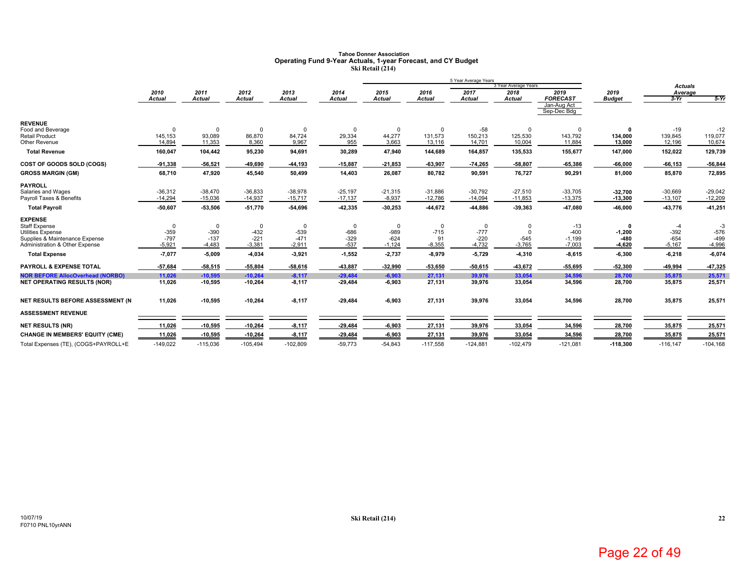# **Tahoe Donner Association Operating Fund 9-Year Actuals, 1-year Forecast, and CY Budget Ski Retail (214)**

|                                                     |                     |                       |                    |                       |                  |                       |                       | 5 Year Average Years  |                       |                                |                       |                   |                  |
|-----------------------------------------------------|---------------------|-----------------------|--------------------|-----------------------|------------------|-----------------------|-----------------------|-----------------------|-----------------------|--------------------------------|-----------------------|-------------------|------------------|
|                                                     |                     |                       |                    |                       |                  |                       |                       |                       | 3 Year Average Years  | 2019                           |                       | <b>Actuals</b>    |                  |
|                                                     | 2010<br>Actual      | 2011<br><b>Actual</b> | 2012<br>Actual     | 2013<br><b>Actual</b> | 2014<br>Actual   | 2015<br><b>Actual</b> | 2016<br><b>Actual</b> | 2017<br><b>Actual</b> | 2018<br><b>Actual</b> | <b>FORECAST</b><br>Jan-Aug Act | 2019<br><b>Budget</b> | Average<br>$3-Yr$ | $5-Yr$           |
|                                                     |                     |                       |                    |                       |                  |                       |                       |                       |                       | Sep-Dec Bdg                    |                       |                   |                  |
| <b>REVENUE</b>                                      |                     |                       |                    |                       |                  |                       |                       |                       |                       |                                |                       |                   |                  |
| Food and Beverage<br><b>Retail Product</b>          | $\Omega$<br>145,153 | 93,089                | $\Omega$<br>86,870 | $\Omega$<br>84,724    | 29,334           | 44,277                | $\Omega$<br>131,573   | $-58$<br>150,213      | 125,530               | $\mathbf 0$<br>143,792         | 134,000               | $-19$<br>139,845  | $-12$<br>119,077 |
| Other Revenue                                       | 14.894              | 11,353                | 8,360              | 9,967                 | 955              | 3,663                 | 13,116                | 14,701                | 10,004                | 11,884                         | 13,000                | 12,196            | 10,674           |
| <b>Total Revenue</b>                                | 160,047             | 104,442               | 95,230             | 94,691                | 30,289           | 47,940                | 144,689               | 164,857               | 135,533               | 155,677                        | 147,000               | 152,022           | 129,739          |
| COST OF GOODS SOLD (COGS)                           | $-91,338$           | $-56,521$             | $-49,690$          | -44,193               | $-15,887$        | $-21,853$             | $-63,907$             | $-74,265$             | $-58,807$             | -65,386                        | $-66,000$             | $-66, 153$        | -56,844          |
| <b>GROSS MARGIN (GM)</b>                            | 68,710              | 47,920                | 45,540             | 50,499                | 14,403           | 26,087                | 80,782                | 90,591                | 76,727                | 90,291                         | 81,000                | 85,870            | 72,895           |
| <b>PAYROLL</b>                                      |                     |                       |                    |                       |                  |                       |                       |                       |                       |                                |                       |                   |                  |
| Salaries and Wages                                  | $-36,312$           | $-38,470$             | $-36,833$          | $-38,978$             | $-25,197$        | $-21,315$             | $-31,886$             | $-30,792$             | $-27,510$             | $-33,705$                      | $-32,700$             | $-30,669$         | $-29,042$        |
| Payroll Taxes & Benefits                            | $-14,294$           | $-15,036$             | $-14,937$          | $-15,717$             | $-17,137$        | $-8,937$              | $-12,786$             | $-14,094$             | $-11,853$             | $-13,375$                      | $-13,300$             | $-13,107$         | $-12,209$        |
| <b>Total Payroll</b>                                | $-50,607$           | -53,506               | $-51,770$          | $-54,696$             | 42,335           | $-30,253$             | -44,672               | -44,886               | $-39,363$             | -47,080                        | -46,000               | -43,776           | $-41,251$        |
| <b>EXPENSE</b>                                      |                     |                       |                    |                       |                  |                       |                       |                       |                       |                                |                       |                   |                  |
| <b>Staff Expense</b>                                | $\mathbf 0$         | $\mathbf 0$           | 0                  | 0                     | $\Omega$         | $\Omega$              | $\mathbf 0$           | $\mathbf 0$           |                       | $-13$                          | 0                     | -4                | $-3$             |
| Utilities Expense<br>Supplies & Maintenance Expense | $-359$<br>$-797$    | $-390$<br>$-137$      | $-432$<br>$-221$   | $-539$<br>$-471$      | $-686$<br>$-329$ | $-989$<br>$-624$      | $-715$<br>91          | $-777$<br>$-220$      | $-545$                | $-400$<br>$-1,199$             | $-1,200$<br>$-480$    | $-392$<br>$-654$  | $-576$<br>$-499$ |
| Administration & Other Expense                      | $-5,921$            | $-4,483$              | $-3,381$           | $-2,911$              | $-537$           | $-1,124$              | $-8,355$              | $-4,732$              | $-3,765$              | $-7,003$                       | $-4,620$              | $-5,167$          | $-4,996$         |
| <b>Total Expense</b>                                | $-7,077$            | $-5,009$              | $-4,034$           | $-3,921$              | $-1,552$         | $-2,737$              | $-8,979$              | $-5,729$              | $-4,310$              | $-8,615$                       | $-6,300$              | $-6,218$          | $-6,074$         |
| <b>PAYROLL &amp; EXPENSE TOTAL</b>                  | $-57,684$           | $-58,515$             | $-55.804$          | $-58,616$             | 43,887           | $-32.990$             | -53,650               | $-50,615$             | -43,672               | 55,695                         | $-52,300$             | -49,994           | 47,325           |
| <b>NOR BEFORE AllocOverhead (NORBO)</b>             | 11,026              | $-10,595$             | $-10.264$          | $-8,117$              | $-29.484$        | $-6,903$              | 27,131                | 39,976                | 33.054                | 34,596                         | 28,700                | 35,875            | 25,571           |
| <b>NET OPERATING RESULTS (NOR)</b>                  | 11,026              | $-10,595$             | $-10,264$          | $-8,117$              | -29,484          | $-6,903$              | 27,131                | 39,976                | 33,054                | 34,596                         | 28,700                | 35,875            | 25,571           |
| NET RESULTS BEFORE ASSESSMENT (N                    | 11,026              | $-10,595$             | $-10,264$          | $-8,117$              | $-29,484$        | $-6,903$              | 27,131                | 39,976                | 33,054                | 34,596                         | 28,700                | 35,875            | 25,571           |
| <b>ASSESSMENT REVENUE</b>                           |                     |                       |                    |                       |                  |                       |                       |                       |                       |                                |                       |                   |                  |
| <b>NET RESULTS (NR)</b>                             | 11,026              | $-10,595$             | $-10,264$          | $-8,117$              | $-29,484$        | $-6,903$              | 27,131                | 39,976                | 33,054                | 34,596                         | 28,700                | 35,875            | 25,571           |
| <b>CHANGE IN MEMBERS' EQUITY (CME)</b>              | 11,026              | $-10,595$             | $-10,264$          | $-8,117$              | $-29,484$        | $-6,903$              | 27,131                | 39,976                | 33,054                | 34,596                         | 28,700                | 35,875            | 25,571           |
| Total Expenses (TE), (COGS+PAYROLL+E                | $-149,022$          | $-115,036$            | $-105,494$         | $-102,809$            | $-59,773$        | $-54,843$             | $-117,558$            | $-124,881$            | $-102,479$            | $-121,081$                     | $-118,300$            | $-116, 147$       | $-104, 168$      |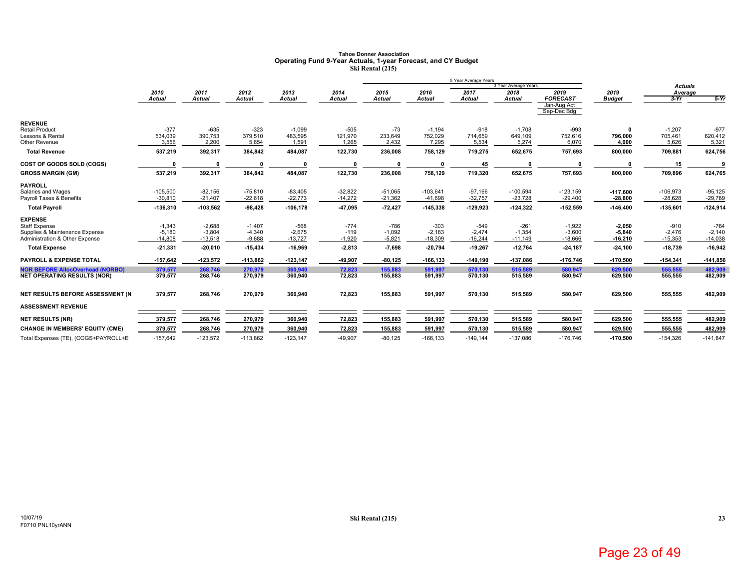# **Tahoe Donner Association Operating Fund 9-Year Actuals, 1-year Forecast, and CY Budget Ski Rental (215)**

|                                                                                                     |                                   |                                   |                                  |                                 |                              |                                |                                 | 5 Year Average Years          |                                 |                                   |                                   |                                 |                                 |
|-----------------------------------------------------------------------------------------------------|-----------------------------------|-----------------------------------|----------------------------------|---------------------------------|------------------------------|--------------------------------|---------------------------------|-------------------------------|---------------------------------|-----------------------------------|-----------------------------------|---------------------------------|---------------------------------|
|                                                                                                     |                                   |                                   |                                  |                                 |                              |                                |                                 |                               | 3 Year Average Years            |                                   |                                   | <b>Actuals</b>                  |                                 |
|                                                                                                     | 2010<br>Actual                    | 2011<br><b>Actual</b>             | 2012<br><b>Actual</b>            | 2013<br><b>Actual</b>           | 2014<br>Actual               | 2015<br><b>Actual</b>          | 2016<br><b>Actual</b>           | 2017<br><b>Actual</b>         | 2018<br>Actual                  | 2019<br><b>FORECAST</b>           | 2019<br><b>Budget</b>             | Average<br>$3-Yr$               | $5-Yr$                          |
|                                                                                                     |                                   |                                   |                                  |                                 |                              |                                |                                 |                               |                                 | Jan-Aug Act<br>Sep-Dec Bdg        |                                   |                                 |                                 |
| <b>REVENUE</b><br><b>Retail Product</b>                                                             | $-377$                            | $-635$                            | $-323$                           | $-1,099$                        | $-505$                       | $-73$                          | $-1,194$                        | $-918$                        | $-1,708$                        | $-993$                            | - 0                               | $-1,207$                        | $-977$                          |
| Lessons & Rental<br>Other Revenue                                                                   | 534,039<br>3,556                  | 390,753<br>2.200                  | 379,510<br>5,654                 | 483,595<br>1,591                | 121,970<br>1.265             | 233,649<br>2,432               | 752,029<br>7,295                | 714,659<br>5,534              | 649,109<br>5,274                | 752,616<br>6,070                  | 796,000<br>4,000                  | 705,461<br>5,626                | 620,412<br>5,321                |
| <b>Total Revenue</b>                                                                                | 537,219                           | 392,317                           | 384,842                          | 484,087                         | 122,730                      | 236,008                        | 758,129                         | 719,275                       | 652,675                         | 757,693                           | 800,000                           | 709,881                         | 624,756                         |
| COST OF GOODS SOLD (COGS)                                                                           |                                   |                                   |                                  |                                 |                              |                                |                                 | 45                            |                                 |                                   |                                   | 15                              |                                 |
| <b>GROSS MARGIN (GM)</b>                                                                            | 537,219                           | 392,317                           | 384,842                          | 484,087                         | 122,730                      | 236,008                        | 758,129                         | 719,320                       | 652,675                         | 757,693                           | 800,000                           | 709,896                         | 624,765                         |
| PAYROLL<br>Salaries and Wages<br>Payroll Taxes & Benefits                                           | $-105,500$<br>$-30,810$           | $-82,156$<br>$-21,407$            | $-75,810$<br>$-22,618$           | $-83,405$<br>$-22,773$          | $-32,822$<br>$-14,272$       | $-51,065$<br>$-21,362$         | $-103,641$<br>$-41,698$         | $-97,166$<br>$-32,757$        | $-100,594$<br>$-23,728$         | $-123,159$<br>$-29,400$           | $-117,600$<br>$-28,800$           | $-106,973$<br>$-28,628$         | $-95,125$<br>$-29,789$          |
| <b>Total Payroll</b>                                                                                | $-136,310$                        | $-103,562$                        | $-98,428$                        | $-106, 178$                     | 47,095                       | $-72,427$                      | $-145,338$                      | $-129,923$                    | $-124,322$                      | $-152,559$                        | $-146,400$                        | $-135,601$                      | $-124,914$                      |
| <b>EXPENSE</b><br>Staff Expense<br>Supplies & Maintenance Expense<br>Administration & Other Expense | $-1,343$<br>$-5,180$<br>$-14,808$ | $-2,688$<br>$-3,804$<br>$-13,518$ | $-1,407$<br>$-4,340$<br>$-9,688$ | $-568$<br>$-2,675$<br>$-13,727$ | $-774$<br>$-119$<br>$-1,920$ | $-786$<br>$-1,092$<br>$-5,821$ | $-303$<br>$-2,183$<br>$-18,309$ | -549<br>$-2,474$<br>$-16,244$ | $-261$<br>$-1,354$<br>$-11,149$ | $-1,922$<br>$-3,600$<br>$-18,666$ | $-2,050$<br>$-5,840$<br>$-16,210$ | $-910$<br>$-2,476$<br>$-15,353$ | $-764$<br>$-2,140$<br>$-14,038$ |
| <b>Total Expense</b>                                                                                | $-21,331$                         | $-20,010$                         | $-15,434$                        | $-16,969$                       | $-2,813$                     | $-7,698$                       | $-20,794$                       | $-19,267$                     | $-12,764$                       | $-24,187$                         | $-24,100$                         | $-18,739$                       | $-16,942$                       |
| <b>PAYROLL &amp; EXPENSE TOTAL</b>                                                                  | $-157,642$                        | $-123,572$                        | $-113,862$                       | $-123, 147$                     | -49,907                      | $-80, 125$                     | $-166, 133$                     | $-149,190$                    | $-137,086$                      | $-176,746$                        | $-170,500$                        | $-154,341$                      | $-141,856$                      |
| <b>NOR BEFORE AllocOverhead (NORBO)</b><br><b>NET OPERATING RESULTS (NOR)</b>                       | 379,577<br>379,577                | 268,746<br>268,746                | 270.979<br>270,979               | 360.940<br>360,940              | 72.823<br>72,823             | 155,883<br>155,883             | 591.997<br>591,997              | 570.130<br>570,130            | 515,589<br>515,589              | 580.947<br>580,947                | 629,500<br>629,500                | 555.555<br>555,555              | 482.909<br>482,909              |
| NET RESULTS BEFORE ASSESSMENT (N                                                                    | 379,577                           | 268,746                           | 270,979                          | 360,940                         | 72,823                       | 155,883                        | 591,997                         | 570,130                       | 515,589                         | 580,947                           | 629,500                           | 555,555                         | 482,909                         |
| <b>ASSESSMENT REVENUE</b>                                                                           |                                   |                                   |                                  |                                 |                              |                                |                                 |                               |                                 |                                   |                                   |                                 |                                 |
| <b>NET RESULTS (NR)</b>                                                                             | 379,577                           | 268,746                           | 270,979                          | 360,940                         | 72,823                       | 155,883                        | 591,997                         | 570,130                       | 515,589                         | 580,947                           | 629,500                           | 555,555                         | 482,909                         |
| <b>CHANGE IN MEMBERS' EQUITY (CME)</b>                                                              | 379,577                           | 268,746                           | 270,979                          | 360,940                         | 72,823                       | 155,883                        | 591,997                         | 570,130                       | 515,589                         | 580,947                           | 629,500                           | 555,555                         | 482,909                         |
| Total Expenses (TE), (COGS+PAYROLL+E                                                                | $-157,642$                        | $-123,572$                        | $-113,862$                       | $-123, 147$                     | $-49,907$                    | $-80, 125$                     | $-166, 133$                     | $-149,144$                    | $-137,086$                      | $-176,746$                        | $-170,500$                        | $-154,326$                      | $-141,847$                      |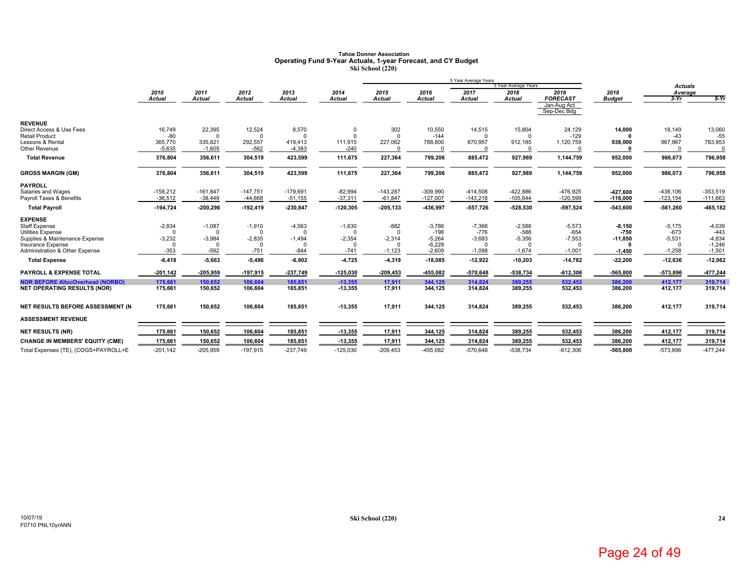### **Tahoe Donner AssociationOperating Fund 9-Year Actuals, 1-year Forecast, and CY Budget Ski School (220)**

|                                                            |                      |               |                      |                      |               |                      |                    | 5 Year Average Years |                      |                            |               |                    |                    |
|------------------------------------------------------------|----------------------|---------------|----------------------|----------------------|---------------|----------------------|--------------------|----------------------|----------------------|----------------------------|---------------|--------------------|--------------------|
|                                                            |                      |               |                      |                      |               |                      |                    |                      | 3 Year Average Years |                            |               | <b>Actuals</b>     |                    |
|                                                            | 2010                 | 2011          | 2012                 | 2013                 | 2014          | 2015                 | 2016               | 2017                 | 2018                 | 2019                       | 2019          | Average            |                    |
|                                                            | Actual               | <b>Actual</b> | Actual               | <b>Actual</b>        | <b>Actual</b> | <b>Actual</b>        | <b>Actual</b>      | <b>Actual</b>        | <b>Actual</b>        | <b>FORECAST</b>            | <b>Budget</b> | $3-Yr$             | $5-Yr$             |
|                                                            |                      |               |                      |                      |               |                      |                    |                      |                      | Jan-Aug Act<br>Sep-Dec Bdg |               |                    |                    |
| <b>REVENUE</b>                                             |                      |               |                      |                      |               |                      |                    |                      |                      |                            |               |                    |                    |
| Direct Access & Use Fees                                   | 16,749               | 22,395        | 12,524               | 8,570                |               | 302                  | 10,550             | 14,515               | 15,804               | 24,129                     | 14,000        | 18.149             | 13,060             |
| <b>Retail Product</b>                                      | -80                  |               | $\Omega$             | $\Omega$             |               | $\Omega$             | $-144$             |                      |                      | $-129$                     |               | $-43$              | -55                |
| Lessons & Rental                                           | 365,770              | 335,821       | 292,557              | 419,413              | 111,915       | 227,062              | 788,800            | 870,957              | 912,185              | 1,120,759                  | 938,000       | 967,967            | 783,953            |
| Other Revenue                                              | $-5,635$             | $-1,605$      | $-562$               | $-4,383$             | $-240$        |                      | $\Omega$           |                      |                      | $\Omega$                   |               | $\Omega$           | $\Omega$           |
| <b>Total Revenue</b>                                       | 376,804              | 356,611       | 304,519              | 423,599              | 111,675       | 227,364              | 799,206            | 885,472              | 927,989              | 1,144,759                  | 952,000       | 986,073            | 796,958            |
| <b>GROSS MARGIN (GM)</b>                                   | 376,804              | 356,611       | 304,519              | 423,599              | 111,675       | 227,364              | 799,206            | 885,472              | 927,989              | 1,144,759                  | 952,000       | 986,073            | 796,958            |
| <b>PAYROLL</b>                                             |                      |               |                      |                      |               |                      |                    |                      |                      |                            |               |                    |                    |
| Salaries and Wages                                         | $-158,212$           | $-161.847$    | $-147.751$           | $-179,691$           | $-82,994$     | $-143,287$           | $-309,990$         | $-414,508$           | $-422,886$           | -476,925                   | -427.600      | $-438,106$         | $-353,519$         |
| Payroll Taxes & Benefits                                   | $-36,512$            | $-38,449$     | $-44,668$            | $-51,155$            | $-37,311$     | $-61,847$            | $-127,007$         | $-143,218$           | $-105,644$           | $-120,599$                 | $-116,000$    | $-123, 154$        | $-111,663$         |
| <b>Total Payroll</b>                                       | $-194,724$           | $-200,296$    | $-192,419$           | $-230,847$           | $-120,305$    | $-205, 133$          | -436,997           | $-557,726$           | -528,530             | $-597,524$                 | -543,600      | $-561,260$         | -465,182           |
| <b>EXPENSE</b>                                             |                      |               |                      |                      |               |                      |                    |                      |                      |                            |               |                    |                    |
| <b>Staff Expense</b>                                       | $-2,834$             | $-1,087$      | $-1,910$             | $-4,563$             | $-1,630$      | $-882$               | $-3,786$           | $-7,366$             | $-2,586$             | $-5,573$                   | $-8,150$      | $-5,175$           | $-4,039$           |
| <b>Utilities Expense</b><br>Supplies & Maintenance Expense | $\Omega$<br>$-3,232$ | $-3,984$      | $\Omega$<br>$-2,835$ | $\Omega$<br>$-1,494$ | $-2,354$      | $\Omega$<br>$-2,314$ | $-198$<br>$-5,264$ | $-776$<br>$-3,683$   | $-588$<br>$-5,356$   | $-654$<br>$-7,553$         | $-750$        | $-673$<br>$-5,531$ | $-443$<br>$-4,834$ |
| Insurance Expense                                          | $\Omega$             | $\Omega$      | $\Omega$             | $\Omega$             |               | $\Omega$             | $-6,228$           | $\Omega$             |                      | $\Omega$                   | $-11,850$     | $\Omega$           | $-1,246$           |
| Administration & Other Expense                             | $-353$               | $-592$        | $-751$               | $-844$               | $-741$        | $-1,123$             | $-2,609$           | $-1,098$             | $-1,674$             | $-1,001$                   | $-1,450$      | $-1,258$           | $-1,501$           |
| <b>Total Expense</b>                                       | $-6,418$             | $-5,663$      | $-5,496$             | $-6,902$             | 4,725         | -4,319               | $-18,085$          | $-12,922$            | $-10,203$            | $-14,782$                  | $-22,200$     | $-12,636$          | $-12,062$          |
| <b>PAYROLL &amp; EXPENSE TOTAL</b>                         | $-201,142$           | $-205,959$    | $-197,915$           | $-237,749$           | $-125,030$    | $-209.453$           | $-455,082$         | $-570.648$           | $-538,734$           | $-612,306$                 | -565,800      | $-573,896$         | 477,244            |
| <b>NOR BEFORE AllocOverhead (NORBO)</b>                    | 175,661              | 150,652       | 106,604              | 185,851              | $-13,355$     | 17,911               | 344,125            | 314,824              | 389,255              | 532,453                    | 386,200       | 412,177            | 319,714            |
| <b>NET OPERATING RESULTS (NOR)</b>                         | 175,661              | 150,652       | 106,604              | 185,851              | $-13,355$     | 17.911               | 344,125            | 314,824              | 389,255              | 532,453                    | 386,200       | 412,177            | 319,714            |
| NET RESULTS BEFORE ASSESSMENT (N                           | 175,661              | 150,652       | 106,604              | 185,851              | $-13,355$     | 17,911               | 344,125            | 314,824              | 389,255              | 532,453                    | 386,200       | 412,177            | 319,714            |
|                                                            |                      |               |                      |                      |               |                      |                    |                      |                      |                            |               |                    |                    |
| <b>ASSESSMENT REVENUE</b>                                  |                      |               |                      |                      |               |                      |                    |                      |                      |                            |               |                    |                    |
| <b>NET RESULTS (NR)</b>                                    | 175,661              | 150,652       | 106,604              | 185,851              | $-13,355$     | 17,911               | 344,125            | 314,824              | 389,255              | 532,453                    | 386,200       | 412,177            | 319,714            |
| <b>CHANGE IN MEMBERS' EQUITY (CME)</b>                     | 175,661              | 150,652       | 106,604              | 185,851              | $-13,355$     | 17,911               | 344,125            | 314,824              | 389,255              | 532,453                    | 386,200       | 412,177            | 319,714            |
| Total Expenses (TE), (COGS+PAYROLL+E                       | $-201,142$           | $-205,959$    | $-197,915$           | $-237,749$           | $-125,030$    | $-209,453$           | $-455,082$         | $-570,648$           | $-538,734$           | $-612,306$                 | -565,800      | $-573,896$         | $-477,244$         |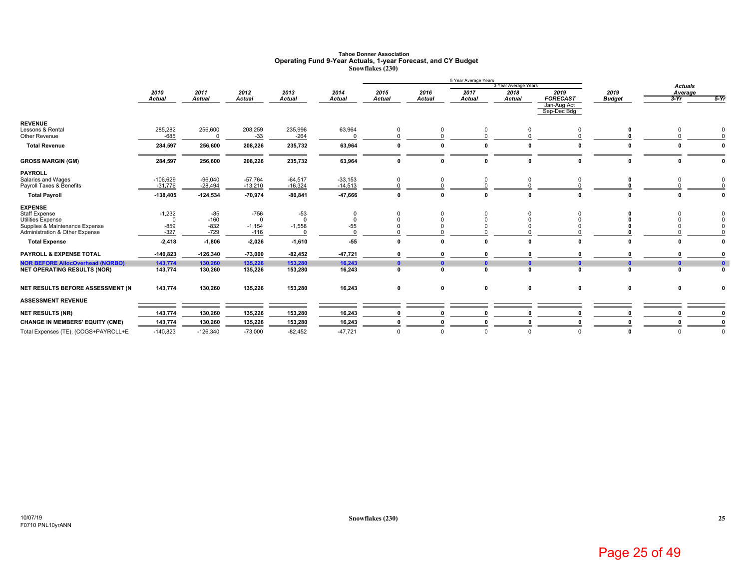### **Tahoe Donner AssociationOperating Fund 9-Year Actuals, 1-year Forecast, and CY Budget Snowflakes (230)**

|                                         | 5 Year Average Years  |                |                |                       |                       |                       |                       |                       |                       |                         |                       |                   |              |
|-----------------------------------------|-----------------------|----------------|----------------|-----------------------|-----------------------|-----------------------|-----------------------|-----------------------|-----------------------|-------------------------|-----------------------|-------------------|--------------|
|                                         |                       |                |                |                       |                       |                       |                       |                       | 3 Year Average Years  |                         |                       | <b>Actuals</b>    |              |
|                                         | 2010<br><b>Actual</b> | 2011<br>Actual | 2012<br>Actual | 2013<br><b>Actual</b> | 2014<br><b>Actual</b> | 2015<br><b>Actual</b> | 2016<br><b>Actual</b> | 2017<br><b>Actual</b> | 2018<br><b>Actual</b> | 2019<br><b>FORECAST</b> | 2019<br><b>Budget</b> | Average<br>$3-Yr$ | $5-Yr$       |
|                                         |                       |                |                |                       |                       |                       |                       |                       |                       | Jan-Aug Act             |                       |                   |              |
|                                         |                       |                |                |                       |                       |                       |                       |                       |                       | Sep-Dec Bdg             |                       |                   |              |
| <b>REVENUE</b>                          |                       |                |                |                       |                       |                       |                       |                       |                       |                         |                       |                   |              |
| Lessons & Rental                        | 285,282               | 256,600        | 208,259        | 235,996               | 63,964                | 0                     | 0                     | 0                     | $\Omega$              |                         |                       | $\Omega$          | $\mathbf 0$  |
| Other Revenue                           | $-685$                | $\Omega$       | $-33$          | $-264$                |                       |                       | $\Omega$              |                       |                       |                         |                       |                   |              |
| <b>Total Revenue</b>                    | 284,597               | 256,600        | 208,226        | 235,732               | 63,964                | $\Omega$              | $\mathbf{0}$          |                       | $\mathbf{r}$          |                         |                       |                   |              |
| <b>GROSS MARGIN (GM)</b>                | 284,597               | 256,600        | 208,226        | 235,732               | 63,964                | $\Omega$              | $\mathbf{0}$          | 0                     | $\mathbf{0}$          |                         |                       | 0                 | $\Omega$     |
| <b>PAYROLL</b>                          |                       |                |                |                       |                       |                       |                       |                       |                       |                         |                       |                   |              |
| Salaries and Wages                      | $-106,629$            | $-96,040$      | $-57,764$      | $-64,517$             | $-33,153$             | 0                     | 0                     |                       | $\Omega$              |                         |                       |                   | 0            |
| Payroll Taxes & Benefits                | $-31,776$             | $-28,494$      | $-13,210$      | $-16,324$             | $-14,513$             | $\Omega$              | $\Omega$              |                       |                       |                         |                       |                   | $\Omega$     |
| <b>Total Payroll</b>                    | $-138,405$            | $-124,534$     | $-70,974$      | $-80, 841$            | -47,666               | $\mathbf{0}$          | $\mathbf{0}$          | $\Omega$              | $\Omega$              |                         |                       |                   | $\mathbf{0}$ |
| <b>EXPENSE</b>                          |                       |                |                |                       |                       |                       |                       |                       |                       |                         |                       |                   |              |
| <b>Staff Expense</b>                    | $-1,232$              | $-85$          | $-756$         | $-53$                 | 0                     | 0                     | 0                     |                       | 0                     | $\Omega$                |                       |                   | 0            |
| <b>Utilities Expense</b>                | $\overline{0}$        | $-160$         | $\Omega$       | $\Omega$              | $\mathbf 0$           | $\Omega$              | $\mathbf 0$           | $\Omega$              |                       | $\Omega$                |                       |                   | $\mathbf 0$  |
| Supplies & Maintenance Expense          | $-859$                | $-832$         | $-1,154$       | $-1,558$              | $-55$                 |                       | $\Omega$              |                       |                       |                         |                       |                   | $\Omega$     |
| Administration & Other Expense          | $-327$                | $-729$         | $-116$         |                       |                       |                       |                       |                       |                       |                         |                       |                   |              |
| <b>Total Expense</b>                    | $-2,418$              | $-1,806$       | $-2,026$       | $-1,610$              | $-55$                 |                       | $\mathbf{r}$          |                       |                       |                         |                       |                   |              |
| <b>PAYROLL &amp; EXPENSE TOTAL</b>      | $-140,823$            | $-126,340$     | $-73,000$      | $-82,452$             | 47,721                |                       |                       |                       |                       |                         |                       |                   |              |
| <b>NOR BEFORE AllocOverhead (NORBO)</b> | 143,774               | 130,260        | 135,226        | 153,280               | 16,243                |                       | $\mathbf{0}$          |                       | $\mathbf{r}$          |                         | $\mathbf{r}$          | $\mathbf{a}$      | $\pmb{0}$    |
| <b>NET OPERATING RESULTS (NOR)</b>      | 143,774               | 130,260        | 135,226        | 153,280               | 16,243                | $\Omega$              | $\mathbf{r}$          |                       | $\mathbf{r}$          |                         | $\sqrt{2}$            | $\mathbf{r}$      | $\mathbf{0}$ |
| NET RESULTS BEFORE ASSESSMENT (N        | 143,774               | 130,260        | 135,226        | 153,280               | 16,243                | 0                     | $\mathbf 0$           | 0                     | $\mathbf 0$           | $\mathbf 0$             | $\mathbf 0$           | 0                 | $\mathbf{0}$ |
| <b>ASSESSMENT REVENUE</b>               |                       |                |                |                       |                       |                       |                       |                       |                       |                         |                       |                   |              |
|                                         |                       |                |                |                       |                       |                       |                       |                       |                       |                         |                       |                   |              |
| <b>NET RESULTS (NR)</b>                 | 143,774               | 130,260        | 135,226        | 153,280               | 16,243                |                       |                       |                       |                       |                         |                       |                   |              |
| <b>CHANGE IN MEMBERS' EQUITY (CME)</b>  | 143,774               | 130,260        | 135,226        | 153,280               | 16,243                |                       |                       |                       |                       |                         |                       |                   |              |
| Total Expenses (TE), (COGS+PAYROLL+E    | $-140,823$            | $-126,340$     | $-73,000$      | $-82,452$             | $-47,721$             | $\Omega$              | $\Omega$              | $\Omega$              | $\Omega$              |                         |                       | $\Omega$          | $\mathbf{0}$ |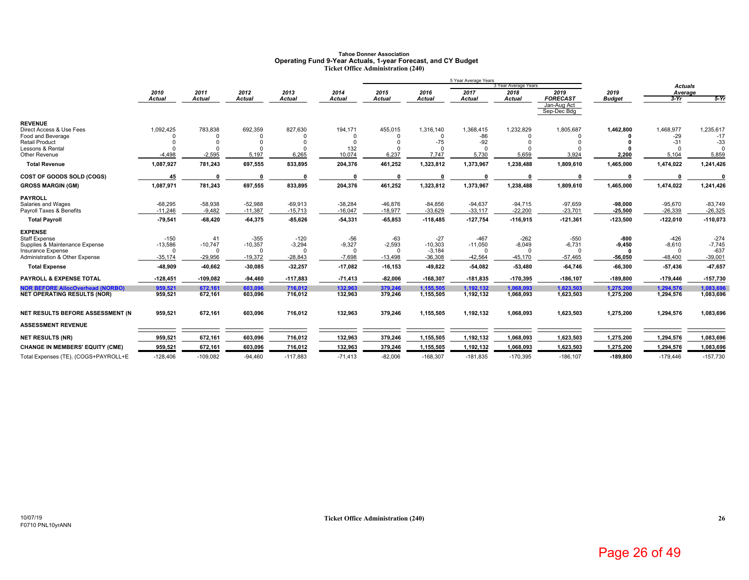### **Tahoe Donner AssociationOperating Fund 9-Year Actuals, 1-year Forecast, and CY Budget Ticket Office Administration (240)**

|                                                            |                     |                 |                     |                    |                   |                   |                       | 5 Year Average Years  |                              |                            |               |                           |                    |
|------------------------------------------------------------|---------------------|-----------------|---------------------|--------------------|-------------------|-------------------|-----------------------|-----------------------|------------------------------|----------------------------|---------------|---------------------------|--------------------|
|                                                            | 2010                | 2011            | 2012                | 2013               | 2014              | 2015              | 2016                  | 2017                  | 3 Year Average Years<br>2018 | 2019                       | 2019          | <b>Actuals</b><br>Average |                    |
|                                                            | <b>Actual</b>       | <b>Actual</b>   | Actual              | <b>Actual</b>      | <b>Actual</b>     | <b>Actual</b>     | <b>Actual</b>         | <b>Actual</b>         | <b>Actual</b>                | <b>FORECAST</b>            | <b>Budget</b> | $3-Yr$                    | $5-Yr$             |
|                                                            |                     |                 |                     |                    |                   |                   |                       |                       |                              | Jan-Aug Act<br>Sep-Dec Bdg |               |                           |                    |
| <b>REVENUE</b>                                             |                     |                 |                     |                    |                   |                   |                       |                       |                              |                            |               |                           |                    |
| Direct Access & Use Fees<br>Food and Beverage              | 1,092,425           | 783,838         | 692,359<br>$\Omega$ | 827,630            | 194,171           | 455,015           | 1,316,140<br>$\Omega$ | 1,368,415<br>-86      | 1,232,829                    | 1,805,687                  | 1,462,800     | 1,468,977<br>$-29$        | 1,235,617<br>$-17$ |
| <b>Retail Product</b>                                      |                     |                 | $\Omega$            | $\Omega$           | $\Omega$          |                   | $-75$                 | $-92$                 |                              |                            |               | $-31$                     | $-33$              |
| Lessons & Rental                                           |                     |                 |                     |                    | 132               |                   |                       |                       |                              |                            |               |                           |                    |
| Other Revenue                                              | $-4,498$            | $-2,595$        | 5,197               | 6,265              | 10,074            | 6.237             | 7,747                 | 5,730                 | 5,659                        | 3,924                      | 2,200         | 5,104                     | 5,859              |
| <b>Total Revenue</b>                                       | 1,087,927           | 781,243         | 697,555             | 833,895            | 204,376           | 461,252           | 1,323,812             | 1,373,967             | 1,238,488                    | 1,809,610                  | 1,465,000     | 1,474,022                 | 1,241,426          |
| COST OF GOODS SOLD (COGS)                                  | 45                  |                 | $\sqrt{2}$          |                    |                   |                   |                       |                       |                              |                            |               |                           |                    |
| <b>GROSS MARGIN (GM)</b>                                   | 1,087,971           | 781,243         | 697,555             | 833,895            | 204,376           | 461,252           | 1,323,812             | 1,373,967             | 1,238,488                    | 1,809,610                  | 1,465,000     | 1,474,022                 | 1,241,426          |
| <b>PAYROLL</b>                                             |                     |                 |                     |                    |                   |                   |                       |                       |                              |                            |               |                           |                    |
| Salaries and Wages                                         | $-68,295$           | $-58,938$       | $-52,988$           | $-69,913$          | $-38,284$         | $-46,876$         | $-84,856$             | $-94,637$             | $-94,715$                    | $-97,659$                  | $-98,000$     | $-95,670$                 | $-83,749$          |
| Payroll Taxes & Benefits                                   | $-11,246$           | $-9,482$        | $-11,387$           | $-15,713$          | $-16,047$         | $-18,977$         | $-33.629$             | $-33,117$             | $-22,200$                    | $-23,701$                  | $-25,500$     | $-26,339$                 | $-26,325$          |
| <b>Total Payroll</b>                                       | $-79,541$           | $-68,420$       | $-64,375$           | $-85,626$          | $-54,331$         | $-65,853$         | $-118,485$            | $-127,754$            | $-116,915$                   | $-121,361$                 | $-123,500$    | $-122,010$                | $-110,073$         |
| <b>EXPENSE</b>                                             |                     |                 |                     |                    |                   |                   |                       |                       |                              |                            |               |                           |                    |
| Staff Expense                                              | $-150$<br>$-13,586$ | 41<br>$-10,747$ | $-355$<br>$-10,357$ | $-120$<br>$-3,294$ | $-56$<br>$-9,327$ | $-63$<br>$-2,593$ | $-27$<br>$-10,303$    | $-467$                | $-262$                       | $-550$                     | $-800$        | $-426$                    | $-274$<br>$-7,745$ |
| Supplies & Maintenance Expense<br><b>Insurance Expense</b> | $\Omega$            |                 | $\Omega$            | $\Omega$           | $\Omega$          |                   | $-3,184$              | $-11,050$<br>$\Omega$ | $-8,049$                     | $-6,731$<br>$\Omega$       | $-9,450$<br>n | $-8,610$                  | $-637$             |
| Administration & Other Expense                             | $-35,174$           | $-29,956$       | $-19,372$           | $-28,843$          | $-7,698$          | $-13,498$         | $-36,308$             | $-42,564$             | $-45,170$                    | $-57,465$                  | -56,050       | $-48,400$                 | $-39,001$          |
| <b>Total Expense</b>                                       | -48,909             | -40,662         | $-30,085$           | $-32,257$          | $-17,082$         | $-16, 153$        | $-49.822$             | $-54,082$             | $-53,480$                    | $-64,746$                  | $-66,300$     | $-57,436$                 | 47,657             |
| <b>PAYROLL &amp; EXPENSE TOTAL</b>                         | $-128,451$          | $-109,082$      | -94,460             | $-117,883$         | $-71,413$         | $-82,006$         | $-168,307$            | $-181,835$            | $-170,395$                   | $-186, 107$                | $-189,800$    | $-179,446$                | $-157,730$         |
| <b>NOR BEFORE AllocOverhead (NORBO)</b>                    | 959.521             | 672,161         | 603.096             | 716.012            | 132.963           | 379.246           | 1.155.505             | 1,192,132             | 1,068,093                    | 1,623,503                  | 1,275,200     | 1,294,576                 | 1.083.696          |
| <b>NET OPERATING RESULTS (NOR)</b>                         | 959,521             | 672,161         | 603,096             | 716,012            | 132,963           | 379,246           | 1,155,505             | 1,192,132             | 1,068,093                    | 1,623,503                  | 1,275,200     | 1,294,576                 | 1,083,696          |
| NET RESULTS BEFORE ASSESSMENT (N                           | 959,521             | 672,161         | 603,096             | 716,012            | 132,963           | 379,246           | 1,155,505             | 1,192,132             | 1,068,093                    | 1,623,503                  | 1,275,200     | 1,294,576                 | 1,083,696          |
| <b>ASSESSMENT REVENUE</b>                                  |                     |                 |                     |                    |                   |                   |                       |                       |                              |                            |               |                           |                    |
| <b>NET RESULTS (NR)</b>                                    | 959,521             | 672,161         | 603,096             | 716,012            | 132,963           | 379,246           | 1,155,505             | 1,192,132             | 1,068,093                    | 1,623,503                  | 1,275,200     | 1,294,576                 | 1,083,696          |
| <b>CHANGE IN MEMBERS' EQUITY (CME)</b>                     | 959,521             | 672,161         | 603,096             | 716,012            | 132,963           | 379,246           | 1,155,505             | 1,192,132             | 1,068,093                    | 1,623,503                  | 1,275,200     | 1,294,576                 | 1,083,696          |
| Total Expenses (TE), (COGS+PAYROLL+E                       | $-128,406$          | $-109,082$      | $-94,460$           | $-117,883$         | $-71,413$         | $-82,006$         | $-168,307$            | $-181,835$            | $-170,395$                   | $-186, 107$                | $-189,800$    | $-179,446$                | $-157,730$         |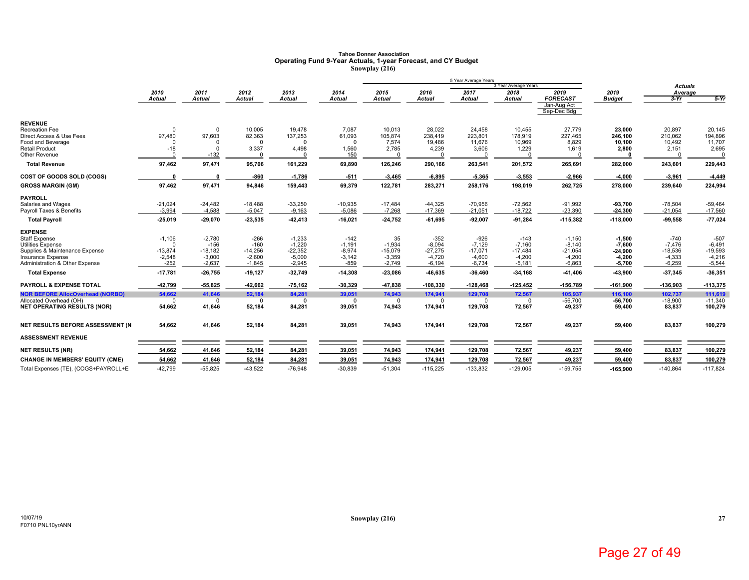# **Tahoe Donner Association Operating Fund 9-Year Actuals, 1-year Forecast, and CY Budget Snowplay (216)**

|                                                            |                       |                       |                       |                       |                      |                       |                       | 5 Year Average Years  |                              |                            |                       |                       |                       |
|------------------------------------------------------------|-----------------------|-----------------------|-----------------------|-----------------------|----------------------|-----------------------|-----------------------|-----------------------|------------------------------|----------------------------|-----------------------|-----------------------|-----------------------|
|                                                            | 2010                  |                       | 2012                  | 2013                  | 2014                 | 2015                  | 2016                  | 2017                  | 3 Year Average Years<br>2018 | 2019                       | 2019                  | <b>Actuals</b>        |                       |
|                                                            | Actual                | 2011<br><b>Actual</b> | <b>Actual</b>         | <b>Actual</b>         | Actual               | <b>Actual</b>         | Actual                | <b>Actual</b>         | <b>Actual</b>                | <b>FORECAST</b>            | <b>Budget</b>         | Average<br>$3-Yr$     | $5-Yr$                |
|                                                            |                       |                       |                       |                       |                      |                       |                       |                       |                              | Jan-Aug Act<br>Sep-Dec Bdg |                       |                       |                       |
| <b>REVENUE</b>                                             |                       |                       |                       |                       |                      |                       |                       |                       |                              |                            |                       |                       |                       |
| <b>Recreation Fee</b>                                      | $\Omega$              | $\Omega$              | 10.005                | 19.478                | 7.087                | 10,013                | 28.022                | 24.458                | 10.455                       | 27.779                     | 23.000                | 20.897                | 20.145                |
| Direct Access & Use Fees<br>Food and Beverage              | 97,480<br>$\Omega$    | 97,603<br>$\Omega$    | 82,363<br>$\mathbf 0$ | 137,253<br>$\Omega$   | 61,093<br>$\Omega$   | 105,874<br>7,574      | 238,419<br>19,486     | 223,801<br>11,676     | 178,919<br>10,969            | 227,465<br>8,829           | 246,100               | 210,062<br>10,492     | 194,896<br>11,707     |
| <b>Retail Product</b>                                      | $-18$                 | $\Omega$              | 3,337                 | 4,498                 | 1,560                | 2,785                 | 4,239                 | 3,606                 | 1,229                        | 1,619                      | 10,100<br>2,800       | 2,151                 | 2,695                 |
| Other Revenue                                              |                       | $-132$                |                       |                       | 150                  |                       |                       |                       |                              |                            |                       |                       |                       |
| <b>Total Revenue</b>                                       | 97,462                | 97,471                | 95,706                | 161,229               | 69,890               | 126,246               | 290,166               | 263,541               | 201,572                      | 265,691                    | 282,000               | 243,601               | 229,443               |
| COST OF GOODS SOLD (COGS)                                  | $\Omega$              |                       | $-860$                | $-1,786$              | $-511$               | $-3,465$              | $-6,895$              | 5,365                 | $-3,553$                     | $-2.966$                   | $-4,000$              | $-3,961$              | -4,449                |
| <b>GROSS MARGIN (GM)</b>                                   | 97,462                | 97,471                | 94,846                | 159,443               | 69,379               | 122,781               | 283,271               | 258,176               | 198,019                      | 262,725                    | 278,000               | 239,640               | 224,994               |
| <b>PAYROLL</b>                                             |                       |                       |                       |                       |                      |                       |                       |                       |                              |                            |                       |                       |                       |
| Salaries and Wages                                         | $-21,024$             | $-24.482$             | $-18.488$             | $-33,250$             | $-10,935$            | $-17.484$             | $-44.325$             | $-70,956$             | $-72,562$                    | $-91,992$                  | $-93,700$             | $-78.504$             | $-59,464$             |
| Payroll Taxes & Benefits                                   | $-3,994$              | $-4,588$              | $-5,047$              | $-9,163$              | $-5,086$             | $-7,268$              | $-17,369$             | $-21,051$             | $-18,722$                    | $-23,390$                  | $-24,300$             | $-21,054$             | $-17,560$             |
| <b>Total Payroll</b>                                       | $-25,019$             | $-29,070$             | -23,535               | $-42,413$             | $-16,021$            | $-24,752$             | $-61,695$             | $-92,007$             | $-91,284$                    | $-115,382$                 | $-118,000$            | $-99,558$             | $-77,024$             |
| <b>EXPENSE</b>                                             |                       |                       |                       |                       |                      |                       |                       |                       |                              |                            |                       |                       |                       |
| Staff Expense                                              | $-1,106$              | $-2,780$              | $-266$                | $-1,233$              | $-142$               | 35                    | $-352$                | $-926$                | $-143$                       | $-1,150$                   | $-1,500$              | $-740$                | $-507$                |
| <b>Utilities Expense</b>                                   | $\Omega$              | $-156$<br>$-18,182$   | $-160$<br>$-14,256$   | $-1,220$              | $-1,191$<br>$-8,974$ | $-1,934$<br>$-15,079$ | $-8,094$<br>$-27,275$ | $-7,129$<br>$-17,071$ | $-7,160$<br>$-17,484$        | $-8,140$                   | $-7,600$              | $-7,476$<br>$-18,536$ | $-6,491$<br>$-19,593$ |
| Supplies & Maintenance Expense<br><b>Insurance Expense</b> | $-13,874$<br>$-2,548$ | $-3,000$              | $-2,600$              | $-22,352$<br>$-5,000$ | $-3,142$             | $-3,359$              | $-4,720$              | $-4,600$              | $-4,200$                     | $-21,054$<br>$-4,200$      | $-24,900$<br>$-4,200$ | $-4,333$              | $-4,216$              |
| Administration & Other Expense                             | $-252$                | $-2,637$              | $-1,845$              | $-2,945$              | $-859$               | $-2,749$              | $-6,194$              | $-6,734$              | $-5,181$                     | $-6,863$                   | $-5,700$              | $-6,259$              | $-5,544$              |
| <b>Total Expense</b>                                       | $-17,781$             | $-26,755$             | $-19,127$             | $-32,749$             | $-14,308$            | $-23,086$             | -46,635               | $-36,460$             | $-34,168$                    | $-41,406$                  | -43,900               | $-37,345$             | $-36,351$             |
| <b>PAYROLL &amp; EXPENSE TOTAL</b>                         | -42,799               | $-55,825$             | $-42,662$             | $-75,162$             | -30,329              | -47,838               | $-108,330$            | $-128,468$            | $-125,452$                   | $-156,789$                 | $-161,900$            | $-136,903$            | $-113,375$            |
| <b>NOR BEFORE AllocOverhead (NORBO)</b>                    | 54,662                | 41,646                | 52.184                | 84,281                | 39,051               | 74,943                | 174,941               | 129,708               | 72,567                       | 105,937                    | 116,100               | 102,737               | 111,619               |
| Allocated Overhead (OH)                                    | $\Omega$              | $\Omega$              | $\Omega$              | $\Omega$              | $\Omega$             | $\Omega$              | $\Omega$              | $\Omega$              | O                            | $-56,700$                  | -56,700               | $-18,900$             | $-11,340$             |
| <b>NET OPERATING RESULTS (NOR)</b>                         | 54,662                | 41,646                | 52,184                | 84,281                | 39,051               | 74,943                | 174,941               | 129,708               | 72,567                       | 49,237                     | 59,400                | 83,837                | 100,279               |
| NET RESULTS BEFORE ASSESSMENT (N                           | 54.662                | 41,646                | 52,184                | 84,281                | 39,051               | 74,943                | 174,941               | 129,708               | 72,567                       | 49,237                     | 59,400                | 83,837                | 100,279               |
| <b>ASSESSMENT REVENUE</b>                                  |                       |                       |                       |                       |                      |                       |                       |                       |                              |                            |                       |                       |                       |
| <b>NET RESULTS (NR)</b>                                    | 54,662                | 41,646                | 52,184                | 84,281                | 39,051               | 74,943                | 174,941               | 129,708               | 72,567                       | 49,237                     | 59,400                | 83,837                | 100,279               |
| <b>CHANGE IN MEMBERS' EQUITY (CME)</b>                     | 54,662                | 41,646                | 52,184                | 84,281                | 39,051               | 74,943                | 174,941               | 129,708               | 72,567                       | 49,237                     | 59,400                | 83,837                | 100,279               |
| Total Expenses (TE), (COGS+PAYROLL+E                       | $-42,799$             | $-55,825$             | $-43,522$             | $-76,948$             | $-30,839$            | $-51,304$             | $-115,225$            | $-133,832$            | $-129,005$                   | $-159,755$                 | $-165,900$            | $-140,864$            | $-117,824$            |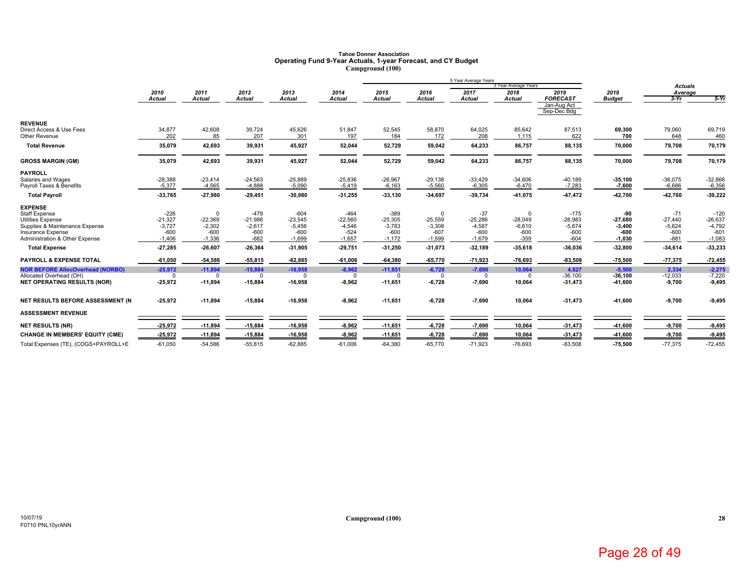# **Tahoe Donner Association Operating Fund 9-Year Actuals, 1-year Forecast, and CY Budget Campground (100)**

|                                                     | 5 Year Average Years |                       |                       |                       |                    |                       |                    |                       |                      |                            |                       |                   |                    |
|-----------------------------------------------------|----------------------|-----------------------|-----------------------|-----------------------|--------------------|-----------------------|--------------------|-----------------------|----------------------|----------------------------|-----------------------|-------------------|--------------------|
|                                                     |                      |                       |                       |                       |                    |                       |                    |                       | 3 Year Average Years |                            |                       | <b>Actuals</b>    |                    |
|                                                     | 2010<br>Actual       | 2011<br><b>Actual</b> | 2012<br><b>Actual</b> | 2013<br><b>Actual</b> | 2014<br>Actual     | 2015<br><b>Actual</b> | 2016<br>Actual     | 2017<br><b>Actual</b> | 2018<br>Actual       | 2019<br><b>FORECAST</b>    | 2019<br><b>Budget</b> | Average<br>$3-Yr$ | $5-Yr$             |
|                                                     |                      |                       |                       |                       |                    |                       |                    |                       |                      | Jan-Aug Act<br>Sep-Dec Bdg |                       |                   |                    |
| <b>REVENUE</b>                                      |                      |                       |                       |                       |                    |                       |                    |                       |                      |                            |                       |                   |                    |
| Direct Access & Use Fees<br>Other Revenue           | 34,877<br>202        | 42,608<br>85          | 39,724<br>207         | 45,626<br>301         | 51,847<br>197      | 52,545<br>184         | 58,870<br>172      | 64,025<br>208         | 85,642<br>1,115      | 87,513<br>622              | 69,300<br>700         | 79,060<br>648     | 69,719<br>460      |
| <b>Total Revenue</b>                                | 35,079               | 42,693                | 39,931                | 45,927                | 52,044             | 52,729                | 59,042             | 64,233                | 86,757               | 88,135                     | 70,000                | 79,708            | 70,179             |
| <b>GROSS MARGIN (GM)</b>                            | 35,079               | 42,693                | 39,931                | 45,927                | 52,044             | 52,729                | 59,042             | 64,233                | 86,757               | 88,135                     | 70,000                | 79,708            | 70,179             |
| <b>PAYROLL</b>                                      |                      |                       |                       |                       |                    |                       |                    |                       |                      |                            |                       |                   |                    |
| Salaries and Wages                                  | $-28,388$            | $-23,414$             | $-24,563$             | $-25,889$             | $-25,836$          | $-26,967$             | $-29,138$          | $-33,429$             | $-34,606$            | $-40,189$                  | $-35,100$             | $-36,075$         | $-32,866$          |
| Payroll Taxes & Benefits                            | $-5.377$             | $-4,565$              | $-4,888$              | $-5,090$              | $-5,419$           | $-6,163$              | $-5,560$           | $-6,305$              | $-6,470$             | $-7,283$                   | $-7,600$              | $-6,686$          | $-6,356$           |
| <b>Total Payroll</b>                                | -33,765              | $-27,980$             | $-29,451$             | $-30,980$             | $-31,255$          | $-33,130$             | $-34,697$          | $-39,734$             | -41,075              | 47,472                     | 42,700                | $-42,760$         | $-39,222$          |
| <b>EXPENSE</b>                                      |                      |                       |                       |                       |                    |                       |                    |                       |                      |                            |                       |                   |                    |
| <b>Staff Expense</b>                                | $-226$               |                       | $-479$                | $-604$                | $-464$             | $-389$                | $\Omega$           | $-37$                 | <sup>0</sup>         | $-175$                     | -90                   | $-71$             | $-120$             |
| <b>Utilities Expense</b>                            | $-21,327$            | $-22,369$             | $-21,986$             | $-23,545$             | $-22,560$          | $-25,305$             | $-25,559$          | $-25,286$             | $-28,049$            | $-28,983$                  | $-27,680$             | $-27,440$         | $-26,637$          |
| Supplies & Maintenance Expense                      | $-3,727$             | $-2,302$              | $-2,617$              | $-5,456$              | $-4,546$           | $-3,783$              | $-3,308$           | $-4,587$              | $-6,610$             | $-5,674$                   | $-3,400$              | $-5,624$          | $-4,792$           |
| Insurance Expense<br>Administration & Other Expense | $-600$<br>$-1,406$   | $-600$<br>$-1,336$    | $-600$<br>$-682$      | $-600$<br>$-1,699$    | $-524$<br>$-1,657$ | $-600$<br>$-1,172$    | $-607$<br>$-1,599$ | $-600$<br>$-1,679$    | $-600$<br>$-359$     | $-600$<br>$-604$           | $-600$<br>$-1,030$    | $-600$<br>$-881$  | $-601$<br>$-1,083$ |
|                                                     |                      |                       |                       |                       |                    |                       |                    |                       |                      |                            |                       |                   |                    |
| <b>Total Expense</b>                                | -27,285              | $-26,607$             | $-26,364$             | $-31,905$             | $-29,751$          | $-31,250$             | $-31,073$          | $-32,189$             | -35,618              | $-36,036$                  | $-32,800$             | $-34,614$         | -33,233            |
| <b>PAYROLL &amp; EXPENSE TOTAL</b>                  | $-61,050$            | 54,586                | $-55,815$             | $-62,885$             | $-61,006$          | $-64,380$             | $-65,770$          | 71,923                | -76,693              | $-83,508$                  | $-75,500$             | $-77,375$         | 72,455             |
| <b>NOR BEFORE AllocOverhead (NORBO)</b>             | $-25,972$            | $-11,894$             | $-15.884$             | $-16.958$             | $-8,962$           | $-11.651$             | $-6,728$           | $-7,690$              | 10,064               | 4.627                      | $-5.500$              | 2,334             | $-2,275$           |
| Allocated Overhead (OH)                             | $\Omega$             | <sup>0</sup>          | $\Omega$              | n                     | $\Omega$           | $\Omega$              | $\Omega$           | $\Omega$              | $\Omega$             | $-36,100$                  | $-36,100$             | $-12,033$         | $-7,220$           |
| <b>NET OPERATING RESULTS (NOR)</b>                  | $-25,972$            | $-11,894$             | $-15,884$             | $-16,958$             | $-8,962$           | $-11,651$             | $-6,728$           | $-7,690$              | 10,064               | $-31,473$                  | -41,600               | $-9,700$          | $-9,495$           |
| NET RESULTS BEFORE ASSESSMENT (N                    | $-25,972$            | $-11,894$             | $-15,884$             | $-16,958$             | $-8,962$           | $-11,651$             | $-6,728$           | $-7,690$              | 10,064               | $-31,473$                  | -41,600               | $-9,700$          | $-9,495$           |
| <b>ASSESSMENT REVENUE</b>                           |                      |                       |                       |                       |                    |                       |                    |                       |                      |                            |                       |                   |                    |
| <b>NET RESULTS (NR)</b>                             | $-25,972$            | $-11,894$             | $-15,884$             | $-16,958$             | $-8,962$           | $-11,651$             | $-6,728$           | $-7,690$              | 10,064               | $-31,473$                  | -41,600               | $-9,700$          | $-9,495$           |
| <b>CHANGE IN MEMBERS' EQUITY (CME)</b>              | $-25,972$            | $-11,894$             | $-15,884$             | $-16,958$             | $-8,962$           | $-11,651$             | $-6,728$           | $-7,690$              | 10,064               | $-31,473$                  | -41,600               | $-9,700$          | $-9,495$           |
| Total Expenses (TE), (COGS+PAYROLL+E                | $-61,050$            | $-54,586$             | $-55,815$             | $-62,885$             | $-61,006$          | $-64,380$             | $-65,770$          | $-71,923$             | $-76,693$            | $-83,508$                  | $-75,500$             | $-77,375$         | $-72,455$          |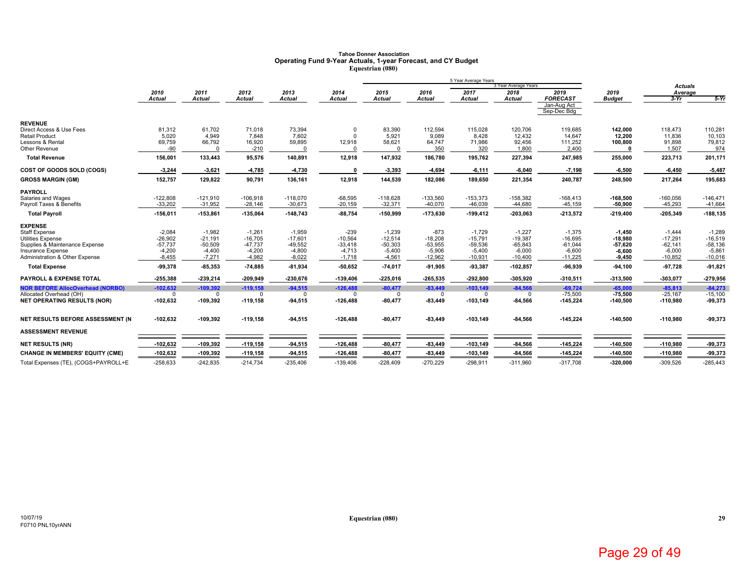# Tahoe Donner Association<br>Operating Fund 9-Year Actuals, 1-year Forecast, and CY Budget<br>Equestrian (080)

| 3 Year Average Years<br><b>Actuals</b><br>2012<br>2013<br>2014<br>2015<br>2017<br>2019<br>2010<br>2011<br>2016<br>2018<br>2019<br>Average<br><b>FORECAST</b><br><b>Actual</b><br><b>Actual</b><br><b>Actual</b><br><b>Actual</b><br>$3-Yr$<br><b>Actual</b><br>Actual<br><b>Actual</b><br><b>Actual</b><br>Actual<br><b>Budget</b><br>Jan-Aug Act<br>Sep-Dec Bdg<br><b>REVENUE</b><br>81,312<br>61,702<br>71,018<br>73,394<br>83,390<br>112,594<br>115,028<br>120,706<br>118,473<br>119,685<br>142.000<br>Direct Access & Use Fees<br>$\Omega$<br>5,921<br>9,089<br><b>Retail Product</b><br>5,020<br>4,949<br>7,602<br>8,428<br>12,432<br>14,647<br>12,200<br>11,836<br>7,848<br>ŋ<br>69,759<br>66,792<br>59,895<br>12,918<br>58,621<br>92,456<br>111,252<br>91,898<br>Lessons & Rental<br>16,920<br>64,747<br>71,986<br>100,800 | $5-Yr$<br>110,281<br>10,103<br>79,812<br>974 |
|-----------------------------------------------------------------------------------------------------------------------------------------------------------------------------------------------------------------------------------------------------------------------------------------------------------------------------------------------------------------------------------------------------------------------------------------------------------------------------------------------------------------------------------------------------------------------------------------------------------------------------------------------------------------------------------------------------------------------------------------------------------------------------------------------------------------------------------|----------------------------------------------|
|                                                                                                                                                                                                                                                                                                                                                                                                                                                                                                                                                                                                                                                                                                                                                                                                                                   |                                              |
|                                                                                                                                                                                                                                                                                                                                                                                                                                                                                                                                                                                                                                                                                                                                                                                                                                   |                                              |
|                                                                                                                                                                                                                                                                                                                                                                                                                                                                                                                                                                                                                                                                                                                                                                                                                                   |                                              |
|                                                                                                                                                                                                                                                                                                                                                                                                                                                                                                                                                                                                                                                                                                                                                                                                                                   |                                              |
|                                                                                                                                                                                                                                                                                                                                                                                                                                                                                                                                                                                                                                                                                                                                                                                                                                   |                                              |
|                                                                                                                                                                                                                                                                                                                                                                                                                                                                                                                                                                                                                                                                                                                                                                                                                                   |                                              |
|                                                                                                                                                                                                                                                                                                                                                                                                                                                                                                                                                                                                                                                                                                                                                                                                                                   |                                              |
| Other Revenue<br>-90<br>350<br>320<br>1,800<br>2,400<br>1,507<br>$-210$                                                                                                                                                                                                                                                                                                                                                                                                                                                                                                                                                                                                                                                                                                                                                           |                                              |
| <b>Total Revenue</b><br>156,001<br>95,576<br>140,891<br>12,918<br>147,932<br>186,780<br>195,762<br>227,394<br>247,985<br>255,000<br>223,713<br>133,443                                                                                                                                                                                                                                                                                                                                                                                                                                                                                                                                                                                                                                                                            | 201,171                                      |
| <b>COST OF GOODS SOLD (COGS)</b><br>$-3,244$<br>$-3,621$<br>-4,785<br>$-4,730$<br>$\Omega$<br>$-3,393$<br>$-4,694$<br>$-6,111$<br>$-6,040$<br>$-7,198$<br>$-6,500$<br>$-6,450$                                                                                                                                                                                                                                                                                                                                                                                                                                                                                                                                                                                                                                                    | $-5,487$                                     |
| 152,757<br>129,822<br>136,161<br>12,918<br>144,539<br>182,086<br>189,650<br>221,354<br>248,500<br>217,264<br>90,791<br>240,787<br><b>GROSS MARGIN (GM)</b>                                                                                                                                                                                                                                                                                                                                                                                                                                                                                                                                                                                                                                                                        | 195,683                                      |
| <b>PAYROLL</b>                                                                                                                                                                                                                                                                                                                                                                                                                                                                                                                                                                                                                                                                                                                                                                                                                    |                                              |
| $-122,808$<br>$-121,910$<br>$-118,070$<br>$-68,595$<br>$-118,628$<br>$-133,560$<br>$-153,373$<br>$-158,382$<br>$-168,413$<br>$-168,500$<br>$-106,918$<br>$-160,056$<br>Salaries and Wages                                                                                                                                                                                                                                                                                                                                                                                                                                                                                                                                                                                                                                         | $-146,471$                                   |
| $-33,202$<br>$-31,952$<br>$-30,673$<br>$-32,371$<br>$-44,680$<br>Payroll Taxes & Benefits<br>$-28.146$<br>$-20,159$<br>$-40.070$<br>$-46.039$<br>$-45, 159$<br>$-50,900$<br>$-45,293$                                                                                                                                                                                                                                                                                                                                                                                                                                                                                                                                                                                                                                             | $-41,664$                                    |
| $-156,011$<br>$-153,861$<br>$-148,743$<br>$-88,754$<br>$-203,063$<br>$-213,572$<br>$-219,400$<br><b>Total Payroll</b><br>$-135,064$<br>$-150,999$<br>$-173,630$<br>$-199,412$<br>$-205,349$                                                                                                                                                                                                                                                                                                                                                                                                                                                                                                                                                                                                                                       | $-188, 135$                                  |
| <b>EXPENSE</b>                                                                                                                                                                                                                                                                                                                                                                                                                                                                                                                                                                                                                                                                                                                                                                                                                    |                                              |
| $-2,084$<br>$-1,982$<br>$-239$<br>$-873$<br><b>Staff Expense</b><br>$-1,261$<br>$-1,959$<br>$-1,239$<br>$-1,729$<br>$-1,227$<br>$-1,375$<br>$-1,450$<br>$-1,444$                                                                                                                                                                                                                                                                                                                                                                                                                                                                                                                                                                                                                                                                  | $-1,289$                                     |
| $-26,902$<br>$-21,191$<br>$-16,705$<br>$-17,601$<br>$-10,564$<br>$-12,514$<br>$-18,208$<br>$-19,387$<br>$-17,291$<br><b>Utilities Expense</b><br>$-15,791$<br>$-16,695$<br>$-18.980$                                                                                                                                                                                                                                                                                                                                                                                                                                                                                                                                                                                                                                              | $-16,519$                                    |
| $-57,737$<br>$-50,509$<br>$-49,552$<br>$-50,303$<br>$-53,955$<br>$-65,843$<br>$-62,141$<br>Supplies & Maintenance Expense<br>$-47,737$<br>$-33,418$<br>$-59,536$<br>$-61,044$<br>57,620                                                                                                                                                                                                                                                                                                                                                                                                                                                                                                                                                                                                                                           | $-58,136$                                    |
| $-4,200$<br>$-4,400$<br>$-4,200$<br>$-4,800$<br>$-4,713$<br>$-5,400$<br>$-5,906$<br>$-6,000$<br>$-6,000$<br>$-5,400$<br>$-6,600$<br>$-6,600$<br>Insurance Expense<br>$-8,455$<br>$-7,271$<br>$-4,982$<br>$-8,022$<br>$-4,561$<br>$-12,962$<br>$-10,400$<br>$-10,852$<br><b>Administration &amp; Other Expense</b><br>$-1,718$<br>$-10,931$<br>$-11,225$<br>$-9,450$                                                                                                                                                                                                                                                                                                                                                                                                                                                               | $-5,861$<br>$-10,016$                        |
| $-99,378$<br>$-85,353$<br>$-81,934$<br>$-50,652$<br>$-74,017$<br>$-91,905$<br>-93,387<br>$-102,857$<br>$-96,939$<br>$-94,100$<br>$-97,728$<br><b>Total Expense</b><br>$-74,885$                                                                                                                                                                                                                                                                                                                                                                                                                                                                                                                                                                                                                                                   | $-91,821$                                    |
|                                                                                                                                                                                                                                                                                                                                                                                                                                                                                                                                                                                                                                                                                                                                                                                                                                   |                                              |
| <b>PAYROLL &amp; EXPENSE TOTAL</b><br>$-255,388$<br>$-239,214$<br>$-230,676$<br>$-139,406$<br>$-265,535$<br>$-292,800$<br>$-305,920$<br>$-310,511$<br>$-313,500$<br>$-209,949$<br>$-225,016$<br>$-303,077$                                                                                                                                                                                                                                                                                                                                                                                                                                                                                                                                                                                                                        | $-279,956$                                   |
| $-109,392$<br>$-126,488$<br>$-83,449$<br>$-84,566$<br><b>NOR BEFORE AllocOverhead (NORBO)</b><br>$-102,632$<br>$-119,158$<br>$-94,515$<br>$-80,477$<br>$-103,149$<br>$-69,724$<br>$-65,000$<br>$-85,813$                                                                                                                                                                                                                                                                                                                                                                                                                                                                                                                                                                                                                          | $-84,273$                                    |
| $-75,500$<br>$-75.500$<br>$-25.167$<br>Allocated Overhead (OH)<br>$^{\circ}$<br>$\Omega$<br>$\Omega$<br>$\Omega$<br>$\mathbf 0$<br>$\Omega$<br>$\Omega$<br>$\Omega$<br>$\Omega$<br>$-102,632$<br>$-109,392$<br>$-119,158$<br>$-80,477$<br>$-83,449$<br><b>NET OPERATING RESULTS (NOR)</b><br>$-94,515$<br>$-126,488$<br>$-103,149$<br>$-84,566$<br>$-145,224$<br>$-140,500$<br>$-110,980$                                                                                                                                                                                                                                                                                                                                                                                                                                         | $-15.100$<br>-99,373                         |
|                                                                                                                                                                                                                                                                                                                                                                                                                                                                                                                                                                                                                                                                                                                                                                                                                                   |                                              |
| NET RESULTS BEFORE ASSESSMENT (N<br>$-102,632$<br>$-109,392$<br>$-80,477$<br>$-83,449$<br>$-84,566$<br>$-140,500$<br>$-110,980$<br>$-119,158$<br>$-94,515$<br>$-126,488$<br>$-103, 149$<br>$-145,224$                                                                                                                                                                                                                                                                                                                                                                                                                                                                                                                                                                                                                             | -99,373                                      |
| <b>ASSESSMENT REVENUE</b>                                                                                                                                                                                                                                                                                                                                                                                                                                                                                                                                                                                                                                                                                                                                                                                                         |                                              |
| $-102,632$<br>$-109,392$<br>$-126,488$<br>$-80,477$<br>$-83,449$<br>$-103, 149$<br>$-84,566$<br>$-145,224$<br>$-140,500$<br>$-110,980$<br>$-119,158$<br>$-94,515$<br><b>NET RESULTS (NR)</b>                                                                                                                                                                                                                                                                                                                                                                                                                                                                                                                                                                                                                                      | $-99,373$                                    |
| $-102,632$<br>$-109,392$<br>$-119,158$<br>$-94,515$<br>$-126,488$<br>$-80,477$<br>$-103, 149$<br>$-84,566$<br>$-145,224$<br>$-140,500$<br>$-110,980$<br><b>CHANGE IN MEMBERS' EQUITY (CME)</b><br>-83,449                                                                                                                                                                                                                                                                                                                                                                                                                                                                                                                                                                                                                         | $-99,373$                                    |
| $-258,633$<br>$-242.835$<br>$-214.734$<br>$-235,406$<br>$-139.406$<br>$-228.409$<br>$-270,229$<br>$-298.911$<br>$-311.960$<br>$-317.708$<br>$-320.000$<br>$-309.526$<br>Total Expenses (TE), (COGS+PAYROLL+E                                                                                                                                                                                                                                                                                                                                                                                                                                                                                                                                                                                                                      | $-285,443$                                   |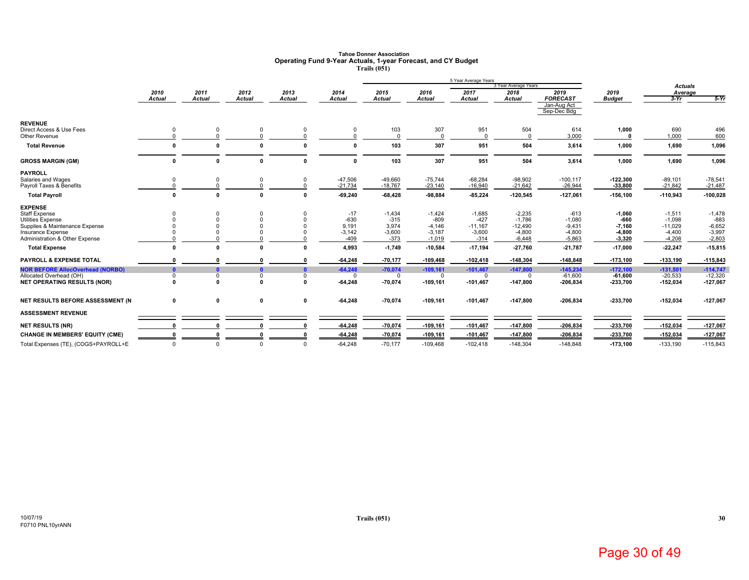### **Tahoe Donner AssociationOperating Fund 9-Year Actuals, 1-year Forecast, and CY Budget Trails (051)**

|                                                                                                                                                             |                                      |                       |                                      |                                     |                                                 |                                                   |                                                        | 5 Year Average Years                                  | 3 Year Average Years                                      |                                                        |                                                        | <b>Actuals</b>                                            |                                                        |
|-------------------------------------------------------------------------------------------------------------------------------------------------------------|--------------------------------------|-----------------------|--------------------------------------|-------------------------------------|-------------------------------------------------|---------------------------------------------------|--------------------------------------------------------|-------------------------------------------------------|-----------------------------------------------------------|--------------------------------------------------------|--------------------------------------------------------|-----------------------------------------------------------|--------------------------------------------------------|
|                                                                                                                                                             | 2010<br><b>Actual</b>                | 2011<br><b>Actual</b> | 2012<br><b>Actual</b>                | 2013<br><b>Actual</b>               | 2014<br>Actual                                  | 2015<br><b>Actual</b>                             | 2016<br><b>Actual</b>                                  | 2017<br>Actual                                        | 2018<br>Actual                                            | 2019<br><b>FORECAST</b><br>Jan-Aug Act                 | 2019<br><b>Budget</b>                                  | Average<br>$3-Yr$                                         | $5-Yr$                                                 |
| <b>REVENUE</b><br>Direct Access & Use Fees<br>Other Revenue<br><b>Total Revenue</b>                                                                         | $\Omega$                             |                       | $\mathbf{r}$                         |                                     |                                                 | 103<br>103                                        | 307<br>$\Omega$<br>307                                 | 951<br>951                                            | 504<br>504                                                | Sep-Dec Bdg<br>614<br>3,000<br>3,614                   | 1,000<br>$\mathbf{r}$<br>1,000                         | 690<br>1,000<br>1,690                                     | 496<br>600<br>1,096                                    |
| <b>GROSS MARGIN (GM)</b>                                                                                                                                    | $\mathbf{r}$                         |                       | $\mathbf{0}$                         | $\Omega$                            | 0                                               | 103                                               | 307                                                    | 951                                                   | 504                                                       | 3,614                                                  | 1,000                                                  | 1,690                                                     | 1,096                                                  |
| <b>PAYROLL</b><br>Salaries and Wages<br>Payroll Taxes & Benefits<br><b>Total Payroll</b>                                                                    | $\mathbf 0$<br>$\Omega$              | $\Omega$              | $\mathbf 0$<br>$\Omega$              | $\mathbf 0$<br>$\Omega$<br>$\Omega$ | $-47,506$<br>$-21,734$<br>$-69,240$             | $-49,660$<br>$-18,767$<br>$-68,428$               | $-75.744$<br>$-23,140$<br>$-98,884$                    | $-68,284$<br>$-16,940$<br>$-85,224$                   | $-98,902$<br>$-21,642$<br>$-120,545$                      | $-100, 117$<br>$-26,944$<br>$-127,061$                 | $-122,300$<br>$-33,800$<br>$-156, 100$                 | $-89,101$<br>$-21,842$<br>$-110,943$                      | $-78,541$<br>$-21,487$<br>$-100,028$                   |
| <b>EXPENSE</b><br><b>Staff Expense</b><br><b>Utilities Expense</b><br>Supplies & Maintenance Expense<br>Insurance Expense<br>Administration & Other Expense |                                      |                       |                                      |                                     | $-17$<br>$-630$<br>9,191<br>$-3,142$<br>$-409$  | $-1,434$<br>$-315$<br>3,974<br>$-3,600$<br>$-373$ | $-1,424$<br>$-809$<br>$-4,146$<br>$-3,187$<br>$-1,019$ | $-1,685$<br>$-427$<br>$-11,167$<br>$-3,600$<br>$-314$ | $-2,235$<br>$-1,786$<br>$-12,490$<br>$-4,800$<br>$-6,448$ | $-613$<br>$-1,080$<br>$-9,431$<br>$-4,800$<br>$-5,863$ | $-1,060$<br>$-660$<br>$-7,160$<br>$-4,800$<br>$-3,320$ | $-1,511$<br>$-1,098$<br>$-11,029$<br>$-4,400$<br>$-4,208$ | $-1,478$<br>$-883$<br>$-6,652$<br>$-3,997$<br>$-2,803$ |
| <b>Total Expense</b>                                                                                                                                        | $\sqrt{2}$                           |                       | $\mathbf{r}$                         |                                     | 4,993                                           | $-1,749$                                          | $-10,584$                                              | $-17,194$                                             | $-27,760$                                                 | $-21,787$                                              | $-17,000$                                              | $-22,247$                                                 | $-15,815$                                              |
| <b>PAYROLL &amp; EXPENSE TOTAL</b><br><b>NOR BEFORE AllocOverhead (NORBO)</b><br>Allocated Overhead (OH)<br><b>NET OPERATING RESULTS (NOR)</b>              | $\mathbf{0}$<br>$\Omega$<br>$\Omega$ | $\Omega$              | $\mathbf{0}$<br>$\Omega$<br>$\Omega$ | n<br>$\mathbf{0}$<br>0<br>0         | $-64.248$<br>$-64,248$<br>$\Omega$<br>$-64,248$ | $-70,177$<br>$-70,074$<br>$\Omega$<br>$-70,074$   | $-109,468$<br>$-109,161$<br>$\Omega$<br>$-109, 161$    | $-102,418$<br>$-101,467$<br>0<br>$-101,467$           | $-148,304$<br>$-147,800$<br>$\Omega$<br>-147,800          | $-148,848$<br>$-145.234$<br>$-61,600$<br>$-206,834$    | $-173,100$<br>$-172.100$<br>$-61.600$<br>-233,700      | $-133,190$<br>$-131,501$<br>$-20,533$<br>$-152,034$       | $-115,843$<br>$-114.747$<br>$-12,320$<br>$-127,067$    |
| NET RESULTS BEFORE ASSESSMENT (N<br><b>ASSESSMENT REVENUE</b>                                                                                               | $\mathbf 0$                          | 0                     | $\mathbf 0$                          | 0                                   | $-64,248$                                       | $-70,074$                                         | $-109, 161$                                            | $-101,467$                                            | -147,800                                                  | $-206,834$                                             | $-233,700$                                             | $-152,034$                                                | $-127,067$                                             |
| <b>NET RESULTS (NR)</b>                                                                                                                                     |                                      |                       |                                      |                                     | $-64,248$                                       | $-70,074$                                         | $-109, 161$                                            | $-101,467$                                            | $-147,800$                                                | $-206,834$                                             | -233,700                                               | -152,034                                                  | $-127,067$                                             |
| <b>CHANGE IN MEMBERS' EQUITY (CME)</b><br>Total Expenses (TE), (COGS+PAYROLL+E                                                                              | $\Omega$                             | $\Omega$              | $\Omega$                             | $\Omega$                            | $-64,248$<br>$-64.248$                          | $-70,074$<br>$-70,177$                            | $-109, 161$<br>$-109,468$                              | $-101,467$<br>$-102,418$                              | $-147,800$<br>$-148,304$                                  | $-206,834$<br>$-148.848$                               | $-233,700$<br>$-173.100$                               | $-152,034$<br>$-133,190$                                  | $-127,067$<br>$-115,843$                               |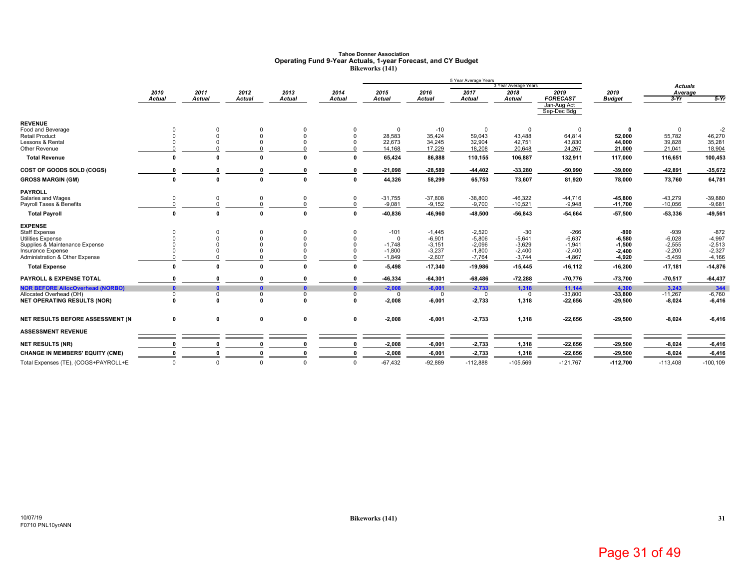### **Tahoe Donner AssociationOperating Fund 9-Year Actuals, 1-year Forecast, and CY Budget Bikeworks (141)**

|                                                            |               |               |              |               |               |                      |                      | 5 Year Average Years | 3 Year Average Years |                            |                  |                           |                  |
|------------------------------------------------------------|---------------|---------------|--------------|---------------|---------------|----------------------|----------------------|----------------------|----------------------|----------------------------|------------------|---------------------------|------------------|
|                                                            | 2010          | 2011          | 2012         | 2013          | 2014          | 2015                 | 2016                 | 2017                 | 2018                 | 2019                       | 2019             | <b>Actuals</b><br>Average |                  |
|                                                            | <b>Actual</b> | <b>Actual</b> | Actual       | <b>Actual</b> | <b>Actual</b> | <b>Actual</b>        | <b>Actual</b>        | <b>Actual</b>        | Actual               | <b>FORECAST</b>            | <b>Budget</b>    | $3-Yr$                    | $5-Yr$           |
|                                                            |               |               |              |               |               |                      |                      |                      |                      | Jan-Aug Act<br>Sep-Dec Bdg |                  |                           |                  |
| <b>REVENUE</b>                                             |               |               |              |               |               |                      |                      |                      |                      |                            |                  |                           |                  |
| Food and Beverage                                          |               |               |              |               | $\Omega$      | $\Omega$             | $-10$                | 0                    | $\Omega$             | $\mathbf 0$                |                  |                           | $-2$             |
| <b>Retail Product</b>                                      |               |               |              | $\Omega$      | $\Omega$      | 28,583               | 35,424               | 59,043               | 43,488               | 64,814                     | 52,000           | 55,782                    | 46,270           |
| Lessons & Rental<br>Other Revenue                          |               |               |              |               |               | 22,673<br>14,168     | 34,245<br>17,229     | 32,904<br>18,208     | 42,751<br>20,648     | 43,830<br>24,267           | 44,000<br>21,000 | 39,828<br>21,041          | 35,281<br>18,904 |
|                                                            |               |               |              |               |               |                      |                      |                      |                      |                            |                  |                           |                  |
| <b>Total Revenue</b>                                       | $\mathbf{r}$  | $\mathbf{r}$  | ŋ            | n             | $\mathbf{r}$  | 65,424               | 86,888               | 110,155              | 106,887              | 132,911                    | 117,000          | 116,651                   | 100,453          |
| COST OF GOODS SOLD (COGS)                                  |               |               |              |               | O             | $-21,098$            | $-28,589$            | -44,402              | $-33,280$            | -50,990                    | $-39,000$        | $-42,891$                 | -35,672          |
| <b>GROSS MARGIN (GM)</b>                                   | 0             |               | $\mathbf 0$  | $\mathbf{r}$  | $\mathbf{0}$  | 44,326               | 58,299               | 65,753               | 73,607               | 81,920                     | 78,000           | 73,760                    | 64,781           |
| <b>PAYROLL</b>                                             |               |               |              |               |               |                      |                      |                      |                      |                            |                  |                           |                  |
| Salaries and Wages                                         |               |               |              |               | $\mathbf 0$   | $-31,755$            | $-37,808$            | $-38,800$            | $-46,322$            | $-44,716$                  | $-45,800$        | $-43,279$                 | $-39,880$        |
| Payroll Taxes & Benefits                                   |               |               |              |               |               | $-9,081$             | $-9,152$             | $-9,700$             | $-10,521$            | $-9,948$                   | $-11,700$        | $-10,056$                 | $-9,681$         |
| <b>Total Payroll</b>                                       | $\mathbf{0}$  |               | $\Omega$     | $\sqrt{2}$    | $\Omega$      | -40,836              | -46,960              | -48,500              | $-56,843$            | -54,664                    | $-57,500$        | -53,336                   | -49,561          |
| <b>EXPENSE</b>                                             |               |               |              |               |               |                      |                      |                      |                      |                            |                  |                           |                  |
| <b>Staff Expense</b>                                       |               |               |              |               | $\Omega$      | $-101$               | $-1,445$             | $-2,520$             | $-30$                | $-266$                     | -800             | $-939$                    | $-872$           |
| Utilities Expense                                          |               |               |              |               | $\Omega$      | <sup>0</sup>         | $-6,901$             | $-5,806$             | $-5,641$             | $-6,637$                   | $-6,580$         | $-6,028$                  | $-4,997$         |
| Supplies & Maintenance Expense                             |               |               |              |               |               | $-1.748$             | $-3,151$             | $-2.096$             | $-3,629$             | $-1,941$                   | $-1,500$         | $-2,555$                  | $-2,513$         |
| <b>Insurance Expense</b><br>Administration & Other Expense |               |               |              |               |               | $-1,800$<br>$-1,849$ | $-3,237$<br>$-2,607$ | $-1,800$<br>$-7,764$ | $-2,400$<br>$-3,744$ | $-2,400$<br>$-4,867$       | $-2,400$         | $-2,200$                  | $-2,327$         |
|                                                            |               |               |              |               |               |                      |                      |                      |                      |                            | $-4,920$         | $-5,459$                  | $-4,166$         |
| <b>Total Expense</b>                                       | n             | $\Omega$      | n            |               | $\Omega$      | $-5,498$             | $-17,340$            | $-19,986$            | $-15,445$            | $-16, 112$                 | $-16,200$        | $-17,181$                 | $-14,876$        |
| <b>PAYROLL &amp; EXPENSE TOTAL</b>                         |               |               |              |               |               | -46,334              | $-64,301$            | $-68,486$            | $-72,288$            | $-70,776$                  | $-73,700$        | $-70,517$                 | $-64,437$        |
| <b>NOR BEFORE AllocOverhead (NORBO)</b>                    | n             |               |              | $\mathbf{r}$  | $\mathbf{r}$  | $-2,008$             | $-6,001$             | $-2,733$             | 1,318                | 11,144                     | 4.300            | 3,243                     | 344              |
| Allocated Overhead (OH)                                    | $\Omega$      | $\Omega$      | $\Omega$     | $\Omega$      | $\Omega$      | $\Omega$             | $\Omega$             | $\Omega$             | $\Omega$             | $-33,800$                  | $-33,800$        | $-11,267$                 | $-6,760$         |
| <b>NET OPERATING RESULTS (NOR)</b>                         |               | $\Omega$      | U            | $\mathbf{r}$  | $\Omega$      | $-2,008$             | $-6,001$             | $-2,733$             | 1,318                | -22,656                    | $-29,500$        | $-8,024$                  | $-6,416$         |
| NET RESULTS BEFORE ASSESSMENT (N                           | 0             | 0             | $\mathbf 0$  | $\mathbf{0}$  | $\mathbf 0$   | $-2,008$             | $-6,001$             | $-2,733$             | 1,318                | $-22,656$                  | $-29,500$        | $-8,024$                  | $-6,416$         |
| <b>ASSESSMENT REVENUE</b>                                  |               |               |              |               |               |                      |                      |                      |                      |                            |                  |                           |                  |
| <b>NET RESULTS (NR)</b>                                    |               |               |              |               |               | $-2,008$             | $-6,001$             | $-2,733$             | 1,318                | $-22,656$                  | $-29,500$        | $-8,024$                  | $-6,416$         |
| <b>CHANGE IN MEMBERS' EQUITY (CME)</b>                     |               |               |              | $\mathbf{r}$  |               | $-2,008$             | $-6,001$             | $-2,733$             | 1,318                | $-22,656$                  | $-29,500$        | $-8,024$                  | $-6,416$         |
| Total Expenses (TE), (COGS+PAYROLL+E                       | $\Omega$      | $\Omega$      | <sup>0</sup> | $\Omega$      | $\Omega$      | $-67,432$            | $-92.889$            | $-112,888$           | $-105,569$           | $-121,767$                 | $-112.700$       | $-113,408$                | $-100, 109$      |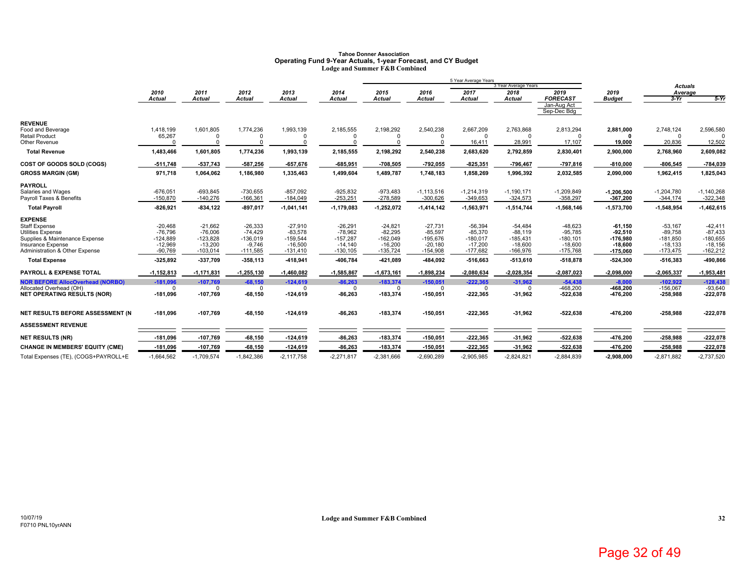#### **Tahoe Donner Association Operating Fund 9-Year Actuals, 1-year Forecast, and CY Budget Lodge and Summer F&B Combined**

|                                                               | 5 Year Average Years   |                            |                        |                        |                        |                        |                        |                        |                           |                            |                        |                          |                         |
|---------------------------------------------------------------|------------------------|----------------------------|------------------------|------------------------|------------------------|------------------------|------------------------|------------------------|---------------------------|----------------------------|------------------------|--------------------------|-------------------------|
|                                                               |                        |                            |                        |                        |                        |                        |                        |                        | 3 Year Average Years      |                            |                        | <b>Actuals</b>           |                         |
|                                                               | 2010<br>Actual         | 2011<br><b>Actual</b>      | 2012<br>Actual         | 2013<br><b>Actual</b>  | 2014<br><b>Actual</b>  | 2015<br><b>Actual</b>  | 2016<br><b>Actual</b>  | 2017<br><b>Actual</b>  | 2018<br><b>Actual</b>     | 2019<br><b>FORECAST</b>    | 2019<br><b>Budget</b>  | Average<br>$3-Yr$        | $5-Yr$                  |
|                                                               |                        |                            |                        |                        |                        |                        |                        |                        |                           | Jan-Aug Act<br>Sep-Dec Bdg |                        |                          |                         |
| <b>REVENUE</b>                                                |                        |                            |                        |                        |                        |                        |                        |                        |                           |                            |                        |                          |                         |
| Food and Beverage                                             | 1,418,199              | 1,601,805                  | 1,774,236              | 1,993,139              | 2,185,555              | 2,198,292              | 2,540,238              | 2,667,209              | 2,763,868                 | 2,813,294                  | 2,881,000              | 2,748,124                | 2,596,580               |
| <b>Retail Product</b><br>Other Revenue                        | 65,267<br>$\Omega$     |                            | $\Omega$<br>$\Omega$   | $\Omega$<br>$\Omega$   |                        | $\Omega$<br>$\Omega$   | $\Omega$               | $\Omega$<br>16,411     | 28,991                    | $\Omega$<br>17,107         | 19,000                 | $\Omega$<br>20,836       | 12,502                  |
| <b>Total Revenue</b>                                          | 1,483,466              | 1,601,805                  | 1,774,236              | 1,993,139              | 2,185,555              | 2,198,292              | 2,540,238              | 2,683,620              | 2,792,859                 | 2,830,401                  | 2,900,000              | 2,768,960                | 2,609,082               |
| COST OF GOODS SOLD (COGS)                                     | $-511,748$             | -537,743                   | $-587,256$             | $-657,676$             | $-685,951$             | $-708,505$             | $-792,055$             | $-825,351$             | $-796,467$                | $-797,816$                 | $-810,000$             | $-806,545$               | -784,039                |
| <b>GROSS MARGIN (GM)</b>                                      | 971,718                | 1,064,062                  | 1,186,980              | 1,335,463              | 1,499,604              | 1,489,787              | 1,748,183              | 1,858,269              | 1,996,392                 | 2,032,585                  | 2,090,000              | 1,962,415                | 1,825,043               |
| <b>PAYROLL</b>                                                |                        |                            |                        |                        |                        |                        |                        |                        |                           |                            |                        |                          |                         |
| Salaries and Wages                                            | $-676,051$             | $-693,845$                 | $-730,655$             | $-857,092$             | $-925,832$             | $-973,483$             | $-1, 113, 516$         | $-1,214,319$           | $-1,190,171$              | $-1,209,849$               | $-1,206,500$           | $-1,204,780$             | $-1,140,268$            |
| Payroll Taxes & Benefits                                      | $-150,870$             | $-140.276$                 | $-166,361$             | $-184,049$             | $-253,251$             | $-278,589$             | $-300,626$             | $-349,653$             | $-324,573$                | $-358,297$                 | $-367,200$             | $-344,174$               | $-322,348$              |
| <b>Total Payroll</b>                                          | $-826,921$             | -834,122                   | $-897,017$             | $-1,041,141$           | $-1,179,083$           | $-1,252,072$           | $-1,414,142$           | $-1,563,971$           | $-1,514,744$              | $-1,568,146$               | $-1,573,700$           | $-1,548,954$             | $-1,462,615$            |
| <b>EXPENSE</b>                                                |                        |                            |                        |                        |                        |                        |                        |                        |                           |                            |                        |                          |                         |
| Staff Expense<br><b>Utilities Expense</b>                     | $-20,468$<br>$-76,796$ | $-21,662$<br>$-76,006$     | $-26,333$<br>$-74.429$ | $-27,910$<br>$-83,578$ | $-26,291$<br>$-78,962$ | $-24,821$<br>$-82,295$ | $-27.731$<br>$-85,597$ | $-56,394$<br>$-85,370$ | $-54,484$<br>$-88,119$    | $-48,623$<br>$-95,785$     | $-61,150$<br>92,510    | $-53,167$<br>$-89,758$   | $-42,411$<br>$-87,433$  |
| Supplies & Maintenance Expense                                | $-124,889$             | $-123,828$                 | $-136,019$             | $-159,544$             | $-157,287$             | $-162,049$             | $-195,676$             | $-180,017$             | $-185,431$                | $-180, 101$                | $-176.980$             | $-181,850$               | $-180,655$              |
| Insurance Expense                                             | $-12,969$              | $-13,200$                  | $-9.746$               | $-16,500$              | $-14,140$              | $-16,200$              | $-20,180$              | $-17,200$              | $-18,600$                 | $-18,600$                  | $-18,600$              | $-18,133$                | $-18,156$               |
| Administration & Other Expense                                | $-90,769$              | $-103,014$                 | $-111,585$             | $-131,410$             | $-130, 105$            | $-135,724$             | $-154,908$             | $-177,682$             | $-166,976$                | $-175,768$                 | $-175,060$             | $-173,475$               | $-162,212$              |
| <b>Total Expense</b>                                          | $-325,892$             | -337,709                   | $-358,113$             | $-418,941$             | -406,784               | -421,089               | -484,092               | -516,663               | -513,610                  | $-518,878$                 | -524,300               | $-516,383$               | -490,866                |
| <b>PAYROLL &amp; EXPENSE TOTAL</b>                            | $-1, 152, 813$         | -1,171,831                 | $-1,255,130$           | $-1,460,082$           | -1,585,867             | $-1,673,161$           | $-1,898,234$           | $-2,080,634$           | $-2,028,354$              | $-2,087,023$               | $-2,098,000$           | $-2,065,337$             | $-1,953,481$            |
| <b>NOR BEFORE AllocOverhead (NORBO)</b>                       | $-181,096$             | $-107,769$                 | $-68,150$              | $-124,619$             | $-86,263$              | $-183,374$             | $-150,051$             | $-222.365$             | $-31,962$                 | $-54,438$                  | $-8.000$               | $-102.922$               | $-128,438$              |
| Allocated Overhead (OH)<br><b>NET OPERATING RESULTS (NOR)</b> | $\Omega$<br>$-181,096$ | <sup>0</sup><br>$-107,769$ | $\Omega$<br>$-68,150$  | $\Omega$<br>$-124,619$ | $\Omega$<br>$-86,263$  | $\Omega$<br>$-183,374$ | $\Omega$<br>$-150,051$ | $\Omega$<br>$-222,365$ | <sup>n</sup><br>$-31,962$ | $-468,200$<br>$-522,638$   | $-468,200$<br>-476,200 | $-156,067$<br>$-258,988$ | $-93,640$<br>$-222,078$ |
|                                                               |                        |                            |                        |                        |                        |                        |                        |                        |                           |                            |                        |                          |                         |
| NET RESULTS BEFORE ASSESSMENT (N                              | $-181,096$             | $-107,769$                 | $-68,150$              | $-124,619$             | $-86,263$              | $-183,374$             | $-150,051$             | $-222,365$             | $-31,962$                 | $-522,638$                 | -476,200               | $-258,988$               | $-222,078$              |
| <b>ASSESSMENT REVENUE</b>                                     |                        |                            |                        |                        |                        |                        |                        |                        |                           |                            |                        |                          |                         |
| <b>NET RESULTS (NR)</b>                                       | $-181,096$             | $-107,769$                 | $-68,150$              | $-124,619$             | $-86,263$              | $-183,374$             | $-150,051$             | $-222,365$             | $-31,962$                 | -522,638                   | -476,200               | $-258,988$               | $-222,078$              |
| <b>CHANGE IN MEMBERS' EQUITY (CME)</b>                        | $-181,096$             | $-107,769$                 | $-68,150$              | $-124,619$             | $-86,263$              | $-183,374$             | $-150,051$             | $-222,365$             | -31,962                   | $-522,638$                 | -476,200               | $-258,988$               | $-222,078$              |
| Total Expenses (TE), (COGS+PAYROLL+E                          | $-1,664,562$           | $-1,709,574$               | $-1,842,386$           | $-2,117,758$           | $-2,271,817$           | $-2,381,666$           | $-2,690,289$           | $-2,905,985$           | $-2,824,821$              | $-2,884,839$               | $-2,908,000$           | $-2,871,882$             | $-2,737,520$            |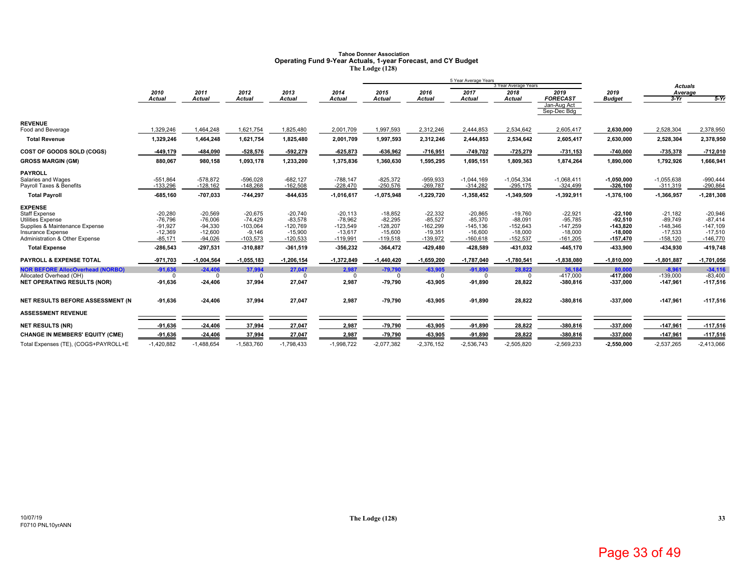# Tahoe Donner Association<br>Operating Fund 9-Year Actuals, 1-year Forecast, and CY Budget<br>The Lodge (128)

|                                                     |                        |                        |                        |                         |                         |                         |                         | 5 Year Average Years     |                         |                                |                         |                         |                         |
|-----------------------------------------------------|------------------------|------------------------|------------------------|-------------------------|-------------------------|-------------------------|-------------------------|--------------------------|-------------------------|--------------------------------|-------------------------|-------------------------|-------------------------|
|                                                     |                        |                        |                        |                         |                         |                         |                         |                          | 3 Year Average Years    |                                |                         | <b>Actuals</b>          |                         |
|                                                     | 2010                   | 2011<br><b>Actual</b>  | 2012<br><b>Actual</b>  | 2013                    | 2014                    | 2015                    | 2016                    | 2017                     | 2018                    | 2019                           | 2019                    | Average                 | $5-Yr$                  |
|                                                     | Actual                 |                        |                        | <b>Actual</b>           | Actual                  | <b>Actual</b>           | <b>Actual</b>           | <b>Actual</b>            | <b>Actual</b>           | <b>FORECAST</b><br>Jan-Aug Act | <b>Budget</b>           | $3-Yr$                  |                         |
|                                                     |                        |                        |                        |                         |                         |                         |                         |                          |                         | Sep-Dec Bdg                    |                         |                         |                         |
| <b>REVENUE</b>                                      |                        |                        |                        |                         |                         |                         |                         |                          |                         |                                |                         |                         |                         |
| Food and Beverage                                   | 1,329,246              | 1,464,248              | 1,621,754              | 1,825,480               | 2,001,709               | 1,997,593               | 2,312,246               | 2,444,853                | 2,534,642               | 2,605,417                      | 2,630,000               | 2,528,304               | 2,378,950               |
| <b>Total Revenue</b>                                | 1,329,246              | 1,464,248              | 1,621,754              | 1,825,480               | 2,001,709               | 1,997,593               | 2,312,246               | 2,444,853                | 2,534,642               | 2,605,417                      | 2,630,000               | 2,528,304               | 2,378,950               |
| COST OF GOODS SOLD (COGS)                           | -449,179               | -484,090               | $-528,576$             | $-592,279$              | $-625,873$              | $-636,962$              | $-716,951$              | $-749,702$               | $-725,279$              | $-731,153$                     | $-740,000$              | $-735,378$              | $-712,010$              |
| <b>GROSS MARGIN (GM)</b>                            | 880,067                | 980,158                | 1,093,178              | 1,233,200               | 1,375,836               | 1,360,630               | 1,595,295               | 1,695,151                | 1,809,363               | 1,874,264                      | 1,890,000               | 1,792,926               | 1,666,941               |
| <b>PAYROLL</b>                                      |                        |                        |                        |                         |                         |                         |                         |                          |                         |                                |                         |                         |                         |
| Salaries and Wages                                  | $-551,864$             | $-578,872$             | $-596,028$             | $-682, 127$             | $-788,147$              | $-825,372$              | $-959,933$              | $-1,044,169$             | $-1,054,334$            | $-1,068,411$                   | $-1,050,000$            | $-1,055,638$            | $-990,444$              |
| Payroll Taxes & Benefits                            | $-133.296$             | $-128.162$             | $-148.268$             | $-162,508$              | $-228,470$              | $-250,576$              | $-269,787$              | $-314,282$               | $-295,175$              | $-324,499$                     | $-326,100$              | $-311,319$              | $-290,864$              |
| <b>Total Payroll</b>                                | $-685,160$             | -707,033               | $-744,297$             | $-844,635$              | $-1,016,617$            | $-1,075,948$            | $-1,229,720$            | $-1,358,452$             | $-1,349,509$            | $-1,392,911$                   | $-1,376,100$            | $-1,366,957$            | $-1,281,308$            |
| <b>EXPENSE</b>                                      |                        |                        |                        |                         |                         |                         |                         |                          |                         |                                |                         |                         |                         |
| Staff Expense                                       | $-20,280$              | $-20,569$              | $-20.675$              | $-20,740$               | $-20,113$               | $-18,852$               | $-22,332$               | $-20,865$                | $-19,760$               | $-22,921$                      | $-22,100$               | $-21.182$               | $-20,946$               |
| <b>Utilities Expense</b>                            | $-76,796$              | $-76,006$              | $-74,429$              | $-83,578$               | $-78,962$               | $-82,295$               | $-85,527$               | $-85,370$                | $-88,091$               | $-95,785$                      | 92,510                  | $-89,749$               | $-87,414$               |
| Supplies & Maintenance Expense<br>Insurance Expense | $-91,927$<br>$-12,369$ | $-94,330$<br>$-12,600$ | $-103,064$<br>$-9,146$ | $-120,769$<br>$-15,900$ | $-123,549$<br>$-13,617$ | $-128,207$<br>$-15,600$ | $-162,299$<br>$-19,351$ | $-145, 136$<br>$-16,600$ | $-152,643$<br>$-18,000$ | $-147,259$<br>$-18,000$        | $-143,820$<br>$-18,000$ | $-148,346$<br>$-17,533$ | $-147,109$<br>$-17,510$ |
| Administration & Other Expense                      | $-85,171$              | $-94.026$              | $-103,573$             | $-120,533$              | $-119,991$              | $-119,518$              | $-139,972$              | $-160,618$               | $-152,537$              | $-161,205$                     | $-157,470$              | $-158,120$              | $-146,770$              |
| <b>Total Expense</b>                                | $-286,543$             | $-297,531$             | $-310,887$             | $-361,519$              | -356,232                | $-364,472$              | $-429,480$              | -428,589                 | -431,032                | $-445,170$                     | -433,900                | -434,930                | -419,748                |
| <b>PAYROLL &amp; EXPENSE TOTAL</b>                  | $-971,703$             | $-1,004,564$           | $-1,055,183$           | $-1,206,154$            | $-1,372,849$            | $-1,440,420$            | $-1,659,200$            | $-1,787,040$             | $-1,780,541$            | $-1,838,080$                   | $-1,810,000$            | $-1,801,887$            | $-1,701,056$            |
| <b>NOR BEFORE AllocOverhead (NORBO)</b>             | $-91,636$              | $-24.406$              | 37.994                 | 27.047                  | 2,987                   | $-79.790$               | $-63.905$               | $-91,890$                | 28.822                  | 36,184                         | 80,000                  | $-8.961$                | $-34.116$               |
| Allocated Overhead (OH)                             | $\Omega$               | O                      | $\Omega$               | $\Omega$                | $\Omega$                | $\Omega$                | $\Omega$                | $\Omega$                 | $\Omega$                | $-417,000$                     | $-417,000$              | $-139,000$              | $-83,400$               |
| <b>NET OPERATING RESULTS (NOR)</b>                  | $-91,636$              | $-24,406$              | 37,994                 | 27,047                  | 2,987                   | $-79,790$               | -63,905                 | $-91,890$                | 28,822                  | $-380,816$                     | $-337,000$              | $-147,961$              | $-117,516$              |
| NET RESULTS BEFORE ASSESSMENT (N                    | $-91,636$              | $-24,406$              | 37,994                 | 27,047                  | 2,987                   | $-79,790$               | $-63,905$               | $-91,890$                | 28,822                  | $-380,816$                     | $-337,000$              | $-147,961$              | $-117,516$              |
| <b>ASSESSMENT REVENUE</b>                           |                        |                        |                        |                         |                         |                         |                         |                          |                         |                                |                         |                         |                         |
| <b>NET RESULTS (NR)</b>                             | $-91,636$              | $-24,406$              | 37,994                 | 27,047                  | 2,987                   | $-79,790$               | $-63,905$               | $-91,890$                | 28,822                  | $-380,816$                     | -337,000                | $-147,961$              | $-117,516$              |
| <b>CHANGE IN MEMBERS' EQUITY (CME)</b>              | $-91,636$              | $-24,406$              | 37,994                 | 27,047                  | 2,987                   | $-79,790$               | $-63,905$               | $-91,890$                | 28,822                  | $-380,816$                     | $-337,000$              | $-147,961$              | $-117,516$              |
| Total Expenses (TE), (COGS+PAYROLL+E                | $-1,420,882$           | $-1,488,654$           | $-1,583,760$           | $-1,798,433$            | $-1,998,722$            | $-2,077,382$            | $-2,376,152$            | $-2,536,743$             | $-2,505,820$            | $-2,569,233$                   | $-2,550,000$            | $-2,537,265$            | $-2,413,066$            |
|                                                     |                        |                        |                        |                         |                         |                         |                         |                          |                         |                                |                         |                         |                         |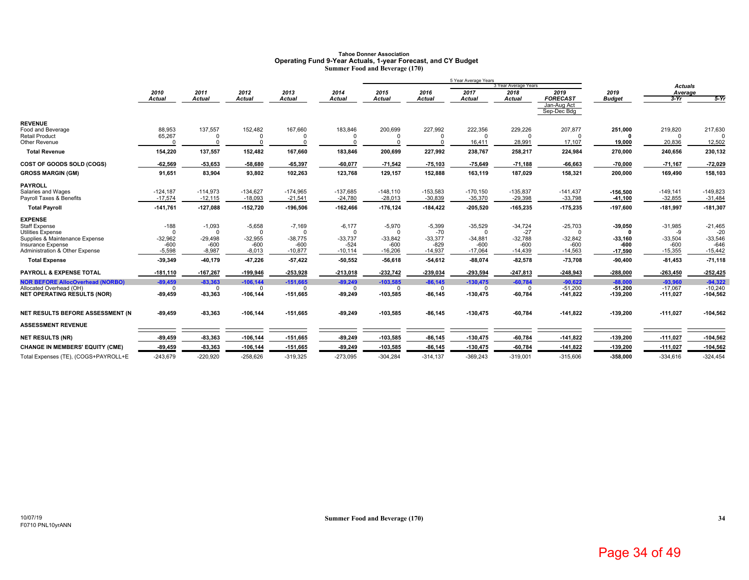#### **Tahoe Donner Association Operating Fund 9-Year Actuals, 1-year Forecast, and CY Budget Summer Food and Beverage (170)**

|                                                               |                         |                         |                         |                         |                         |                         |                         | 5 Year Average Years     | 3 Year Average Years    |                            |                         |                           |                         |
|---------------------------------------------------------------|-------------------------|-------------------------|-------------------------|-------------------------|-------------------------|-------------------------|-------------------------|--------------------------|-------------------------|----------------------------|-------------------------|---------------------------|-------------------------|
|                                                               | 2010                    | 2011                    | 2012                    | 2013                    | 2014                    | 2015                    | 2016                    | 2017                     | 2018                    | 2019                       | 2019                    | <b>Actuals</b><br>Average |                         |
|                                                               | <b>Actual</b>           | <b>Actual</b>           | Actual                  | <b>Actual</b>           | Actual                  | <b>Actual</b>           | <b>Actual</b>           | <b>Actual</b>            | <b>Actual</b>           | <b>FORECAST</b>            | <b>Budget</b>           | $3-Yr$                    | $5-Yr$                  |
|                                                               |                         |                         |                         |                         |                         |                         |                         |                          |                         | Jan-Aug Act<br>Sep-Dec Bdg |                         |                           |                         |
| <b>REVENUE</b>                                                |                         |                         |                         |                         |                         |                         |                         |                          |                         |                            |                         |                           |                         |
| Food and Beverage<br>Retail Product                           | 88,953<br>65,267        | 137,557                 | 152,482                 | 167,660                 | 183,846                 | 200,699                 | 227.992                 | 222,356                  | 229,226                 | 207,877<br>$\Omega$        | 251,000                 | 219,820                   | 217,630                 |
| Other Revenue                                                 |                         |                         |                         |                         |                         |                         | $\Omega$                | 16,411                   | 28,991                  | 17,107                     | 19,000                  | 20,836                    | 12,502                  |
| <b>Total Revenue</b>                                          | 154,220                 | 137,557                 | 152,482                 | 167,660                 | 183,846                 | 200,699                 | 227,992                 | 238,767                  | 258,217                 | 224,984                    | 270,000                 | 240,656                   | 230,132                 |
| COST OF GOODS SOLD (COGS)                                     | $-62,569$               | $-53,653$               | $-58,680$               | $-65,397$               | $-60,077$               | $-71,542$               | $-75,103$               | 75,649                   | $-71,188$               | $-66,663$                  | $-70,000$               | $-71.167$                 | $-72,029$               |
| <b>GROSS MARGIN (GM)</b>                                      | 91,651                  | 83,904                  | 93,802                  | 102,263                 | 123,768                 | 129,157                 | 152,888                 | 163,119                  | 187,029                 | 158,321                    | 200,000                 | 169,490                   | 158,103                 |
| <b>PAYROLL</b>                                                |                         |                         |                         |                         |                         |                         |                         |                          |                         |                            |                         |                           |                         |
| Salaries and Wages<br>Payroll Taxes & Benefits                | $-124,187$<br>$-17,574$ | $-114,973$<br>$-12,115$ | $-134,627$<br>$-18,093$ | $-174,965$<br>$-21,541$ | $-137,685$<br>$-24,780$ | $-148,110$<br>$-28,013$ | $-153,583$<br>$-30,839$ | $-170, 150$<br>$-35,370$ | $-135,837$<br>$-29,398$ | $-141,437$<br>$-33,798$    | $-156,500$<br>$-41,100$ | $-149,141$<br>$-32,855$   | $-149,823$<br>$-31,484$ |
| <b>Total Payroll</b>                                          | $-141,761$              | $-127,088$              | $-152,720$              | $-196,506$              | $-162,466$              | $-176, 124$             | $-184,422$              | $-205,520$               | $-165,235$              | $-175,235$                 | $-197,600$              | $-181,997$                | $-181,307$              |
| <b>EXPENSE</b>                                                |                         |                         |                         |                         |                         |                         |                         |                          |                         |                            |                         |                           |                         |
| Staff Expense                                                 | $-188$                  | $-1,093$                | $-5,658$                | $-7,169$                | $-6,177$                | $-5,970$                | $-5,399$                | $-35,529$                | $-34,724$               | $-25,703$                  | $-39,050$               | $-31,985$                 | $-21,465$               |
| <b>Utilities Expense</b><br>Supplies & Maintenance Expense    | $\Omega$<br>$-32,962$   | $\Omega$<br>$-29,498$   | $\Omega$<br>$-32,955$   | $\Omega$<br>$-38,775$   | $\Omega$<br>$-33,737$   | $-33,842$               | $-70$<br>$-33,377$      | $\Omega$<br>$-34,881$    | $-27$<br>$-32,788$      | $\Omega$<br>$-32,842$      | $-33,160$               | -9<br>$-33,504$           | $-20$<br>$-33,546$      |
| <b>Insurance Expense</b>                                      | $-600$                  | $-600$                  | $-600$                  | $-600$                  | $-524$                  | $-600$                  | $-829$                  | $-600$                   | $-600$                  | $-600$                     | -600                    | $-600$                    | $-646$                  |
| Administration & Other Expense                                | $-5,598$                | $-8,987$                | $-8,013$                | $-10,877$               | $-10.114$               | $-16,206$               | $-14,937$               | $-17,064$                | $-14,439$               | $-14,563$                  | $-17,590$               | $-15,355$                 | $-15,442$               |
| <b>Total Expense</b>                                          | $-39,349$               | -40,179                 | -47,226                 | $-57,422$               | $-50,552$               | $-56,618$               | $-54,612$               | $-88,074$                | $-82,578$               | $-73,708$                  | $-90,400$               | $-81,453$                 | $-71,118$               |
| <b>PAYROLL &amp; EXPENSE TOTAL</b>                            | $-181,110$              | $-167,267$              | $-199,946$              | $-253,928$              | $-213,018$              | $-232,742$              | $-239,034$              | $-293,594$               | $-247,813$              | $-248,943$                 | $-288,000$              | $-263,450$                | $-252,425$              |
| <b>NOR BEFORE AllocOverhead (NORBO)</b>                       | $-89,459$               | $-83,363$               | $-106, 144$             | $-151,665$              | $-89,249$               | $-103,585$              | $-86,145$               | $-130,475$               | $-60,784$               | $-90,622$                  | $-88,000$               | $-93,960$                 | $-94.322$               |
| Allocated Overhead (OH)<br><b>NET OPERATING RESULTS (NOR)</b> | $\Omega$<br>$-89,459$   | $\Omega$<br>$-83,363$   | $\Omega$                | $\Omega$<br>$-151,665$  | $^{\circ}$<br>$-89,249$ | $\Omega$<br>-103,585    | $\Omega$<br>$-86, 145$  | 0                        | $\Omega$<br>$-60,784$   | $-51,200$<br>$-141,822$    | $-51,200$<br>$-139,200$ | $-17,067$                 | $-10,240$<br>$-104,562$ |
|                                                               |                         |                         | $-106, 144$             |                         |                         |                         |                         | $-130,475$               |                         |                            |                         | $-111,027$                |                         |
| NET RESULTS BEFORE ASSESSMENT (N                              | $-89,459$               | $-83,363$               | $-106, 144$             | $-151,665$              | $-89,249$               | $-103,585$              | -86,145                 | $-130,475$               | $-60,784$               | $-141,822$                 | $-139,200$              | $-111,027$                | $-104,562$              |
| <b>ASSESSMENT REVENUE</b>                                     |                         |                         |                         |                         |                         |                         |                         |                          |                         |                            |                         |                           |                         |
| <b>NET RESULTS (NR)</b>                                       | $-89,459$               | $-83,363$               | $-106, 144$             | $-151,665$              | $-89,249$               | $-103,585$              | $-86, 145$              | $-130,475$               | $-60,784$               | $-141,822$                 | $-139,200$              | $-111,027$                | $-104,562$              |
| <b>CHANGE IN MEMBERS' EQUITY (CME)</b>                        | $-89,459$               | $-83,363$               | $-106, 144$             | $-151,665$              | $-89,249$               | $-103,585$              | $-86,145$               | $-130,475$               | $-60,784$               | $-141,822$                 | $-139,200$              | $-111,027$                | $-104,562$              |
| Total Expenses (TE), (COGS+PAYROLL+E                          | $-243,679$              | $-220,920$              | $-258.626$              | $-319,325$              | $-273.095$              | $-304,284$              | $-314.137$              | $-369.243$               | $-319,001$              | $-315.606$                 | -358.000                | $-334.616$                | $-324,454$              |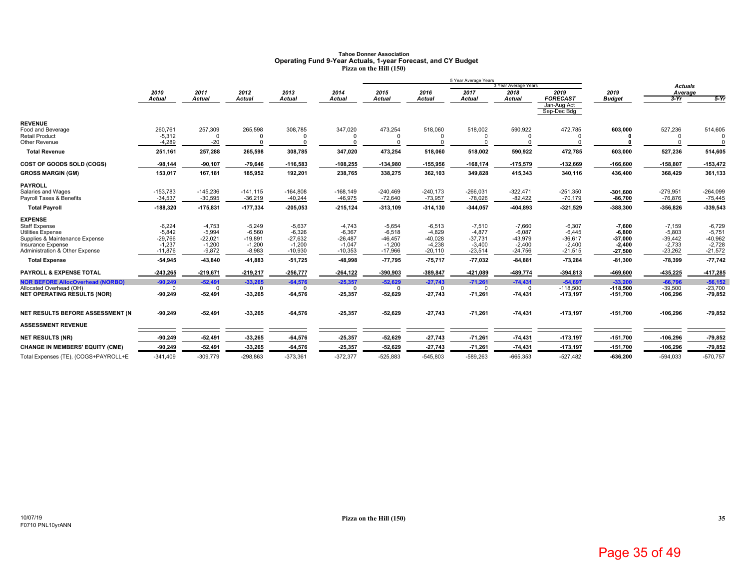### **Tahoe Donner AssociationOperating Fund 9-Year Actuals, 1-year Forecast, and CY Budget Pizza on the Hill (150)**

|                                                               |                       |                       |                        |                       |                       |                        |                       | 5 Year Average Years  |                              |                            |                          |                           |                        |
|---------------------------------------------------------------|-----------------------|-----------------------|------------------------|-----------------------|-----------------------|------------------------|-----------------------|-----------------------|------------------------------|----------------------------|--------------------------|---------------------------|------------------------|
|                                                               | 2010                  | 2011                  | 2012                   | 2013                  | 2014                  | 2015                   | 2016                  | 2017                  | 3 Year Average Years<br>2018 | 2019                       | 2019                     | <b>Actuals</b><br>Average |                        |
|                                                               | <b>Actual</b>         | <b>Actual</b>         | <b>Actual</b>          | <b>Actual</b>         | Actual                | <b>Actual</b>          | <b>Actual</b>         | <b>Actual</b>         | <b>Actual</b>                | <b>FORECAST</b>            | <b>Budget</b>            | $3-Yr$                    | $5-Yr$                 |
|                                                               |                       |                       |                        |                       |                       |                        |                       |                       |                              | Jan-Aug Act<br>Sep-Dec Bdg |                          |                           |                        |
| <b>REVENUE</b>                                                |                       |                       |                        |                       |                       |                        |                       |                       |                              |                            |                          |                           |                        |
| Food and Beverage                                             | 260,761               | 257,309<br>O          | 265,598                | 308,785               | 347,020               | 473,254<br>$\Omega$    | 518,060               | 518,002               | 590,922                      | 472,785                    | 603,000                  | 527,236                   | 514,605                |
| <b>Retail Product</b><br>Other Revenue                        | $-5,312$<br>$-4,289$  | $-20$                 | $\Omega$<br>$\Omega$   |                       | $\Omega$              | $\Omega$               | $\Omega$              | $\Omega$              |                              | n<br>$\Omega$              |                          | $\Omega$                  | $\Omega$               |
| <b>Total Revenue</b>                                          | 251,161               | 257,288               | 265,598                | 308,785               | 347,020               | 473,254                | 518,060               | 518,002               | 590,922                      | 472,785                    | 603,000                  | 527,236                   | 514,605                |
| COST OF GOODS SOLD (COGS)                                     | $-98,144$             | $-90,107$             | $-79,646$              | $-116,583$            | $-108,255$            | -134,980               | $-155,956$            | $-168, 174$           | $-175,579$                   | $-132,669$                 | $-166,600$               | $-158,807$                | $-153,472$             |
| <b>GROSS MARGIN (GM)</b>                                      | 153,017               | 167,181               | 185,952                | 192,201               | 238,765               | 338,275                | 362,103               | 349,828               | 415,343                      | 340,116                    | 436,400                  | 368,429                   | 361,133                |
| <b>PAYROLL</b>                                                |                       |                       |                        |                       |                       |                        |                       |                       |                              |                            |                          |                           |                        |
| Salaries and Wages                                            | $-153,783$            | $-145,236$            | $-141.115$             | $-164,808$            | $-168, 149$           | $-240,469$             | $-240,173$            | $-266,031$            | $-322,471$                   | $-251,350$                 | $-301,600$               | $-279,951$                | $-264,099$             |
| Payroll Taxes & Benefits                                      | $-34,537$             | $-30,595$             | $-36,219$              | $-40,244$             | $-46,975$             | $-72,640$              | $-73,957$             | $-78,026$             | $-82,422$                    | $-70,179$                  | $-86,700$                | $-76,876$                 | $-75,445$              |
| <b>Total Payroll</b>                                          | $-188,320$            | $-175,831$            | -177,334               | $-205,053$            | $-215, 124$           | $-313,109$             | $-314,130$            | $-344,057$            | $-404,893$                   | $-321,529$                 | -388,300                 | $-356,826$                | -339,543               |
| <b>EXPENSE</b>                                                |                       |                       |                        |                       |                       |                        |                       |                       |                              |                            |                          |                           |                        |
| <b>Staff Expense</b>                                          | $-6,224$              | $-4,753$              | $-5,249$               | $-5,637$              | $-4,743$              | $-5,654$               | $-6,513$              | $-7,510$              | $-7,660$                     | $-6,307$                   | $-7,600$                 | $-7,159$                  | $-6,729$               |
| <b>Utilities Expense</b><br>Supplies & Maintenance Expense    | $-5,842$<br>$-29,766$ | $-5,994$<br>$-22,021$ | $-6,560$<br>$-19.891$  | $-6,326$<br>$-27,632$ | $-6,367$<br>$-26.487$ | $-6,518$<br>$-46, 457$ | $-4,829$<br>$-40,028$ | $-4,877$<br>$-37,731$ | $-6,087$<br>$-43,979$        | $-6,445$<br>$-36,617$      | $-6,800$<br>$-37,000$    | $-5,803$<br>$-39,442$     | $-5,751$<br>$-40,962$  |
| Insurance Expense                                             | $-1,237$              | $-1,200$              | $-1,200$               | $-1,200$              | $-1,047$              | $-1,200$               | $-4,238$              | $-3,400$              | $-2,400$                     | $-2,400$                   | $-2,400$                 | $-2,733$                  | $-2,728$               |
| Administration & Other Expense                                | $-11,876$             | $-9,872$              | $-8,983$               | $-10,930$             | $-10,353$             | $-17,966$              | $-20,110$             | $-23,514$             | $-24,756$                    | $-21,515$                  | $-27,500$                | $-23,262$                 | $-21,572$              |
| <b>Total Expense</b>                                          | -54,945               | $-43,840$             | 41,883                 | $-51,725$             | -48,998               | $-77,795$              | 75,717                | 77,032                | $-84,881$                    | $-73,284$                  | $-81,300$                | $-78,399$                 | $-77,742$              |
| <b>PAYROLL &amp; EXPENSE TOTAL</b>                            | $-243,265$            | $-219,671$            | $-219,217$             | $-256,777$            | $-264, 122$           | -390,903               | $-389,847$            | -421,089              | -489,774                     | $-394,813$                 | -469,600                 | $-435,225$                | $-417,285$             |
| <b>NOR BEFORE AllocOverhead (NORBO)</b>                       | $-90,249$             | $-52,491$             | $-33,265$              | $-64,576$             | $-25,357$             | $-52,629$              | $-27,743$             | $-71,261$             | $-74,431$                    | $-54,697$                  | $-33,200$                | $-66,796$                 | $-56,152$              |
| Allocated Overhead (OH)<br><b>NET OPERATING RESULTS (NOR)</b> | $\Omega$              | $\Omega$              | $\mathbf 0$<br>-33,265 | $\Omega$              | $\Omega$<br>-25,357   | $\Omega$<br>$-52,629$  | $\Omega$<br>$-27,743$ | $\Omega$              | $\Omega$<br>-74,431          | $-118,500$<br>$-173, 197$  | $-118,500$<br>$-151,700$ | $-39,500$<br>$-106,296$   | $-23,700$<br>$-79,852$ |
|                                                               | $-90,249$             | $-52,491$             |                        | $-64,576$             |                       |                        |                       | $-71,261$             |                              |                            |                          |                           |                        |
| NET RESULTS BEFORE ASSESSMENT (N                              | $-90,249$             | $-52,491$             | -33,265                | $-64,576$             | -25,357               | $-52,629$              | $-27,743$             | $-71,261$             | 74,431                       | $-173, 197$                | $-151,700$               | $-106,296$                | $-79,852$              |
| <b>ASSESSMENT REVENUE</b>                                     |                       |                       |                        |                       |                       |                        |                       |                       |                              |                            |                          |                           |                        |
| <b>NET RESULTS (NR)</b>                                       | $-90,249$             | $-52,491$             | -33,265                | $-64,576$             | $-25,357$             | $-52,629$              | $-27,743$             | $-71,261$             | $-74,431$                    | $-173,197$                 | $-151,700$               | $-106,296$                | $-79,852$              |
| <b>CHANGE IN MEMBERS' EQUITY (CME)</b>                        | $-90,249$             | $-52,491$             | -33,265                | $-64,576$             | -25,357               | $-52,629$              | $-27,743$             | $-71,261$             | 74,431                       | $-173,197$                 | $-151,700$               | $-106.296$                | -79,852                |
| Total Expenses (TE), (COGS+PAYROLL+E                          | $-341.409$            | $-309.779$            | $-298.863$             | $-373,361$            | $-372,377$            | $-525,883$             | $-545.803$            | $-589,263$            | $-665,353$                   | $-527.482$                 | $-636.200$               | $-594.033$                | $-570,757$             |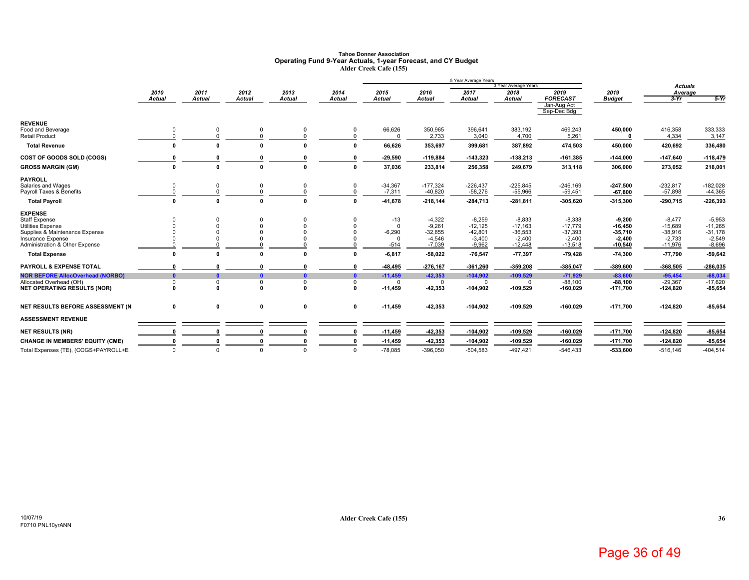### **Tahoe Donner AssociationOperating Fund 9-Year Actuals, 1-year Forecast, and CY Budget Alder Creek Cafe (155)**

|                                                            |               |               |              |               |               |                       |                         | 5 Year Average Years    | 3 Year Average Years    |                                               |                         |                           |                         |
|------------------------------------------------------------|---------------|---------------|--------------|---------------|---------------|-----------------------|-------------------------|-------------------------|-------------------------|-----------------------------------------------|-------------------------|---------------------------|-------------------------|
|                                                            | 2010          | 2011          | 2012         | 2013          | 2014          | 2015                  | 2016                    | 2017                    | 2018                    | 2019                                          | 2019                    | <b>Actuals</b><br>Average |                         |
|                                                            | <b>Actual</b> | <b>Actual</b> | Actual       | <b>Actual</b> | <b>Actual</b> | <b>Actual</b>         | <b>Actual</b>           | <b>Actual</b>           | Actual                  | <b>FORECAST</b><br>Jan-Aug Act<br>Sep-Dec Bdg | <b>Budget</b>           | $3-Yr$                    | $5-Yr$                  |
| <b>REVENUE</b><br>Food and Beverage                        | $\mathbf 0$   | $\Omega$      | 0            | $\mathbf 0$   |               | 66,626                | 350,965                 | 396.641                 | 383,192                 | 469,243                                       | 450,000                 | 416,358                   | 333,333                 |
| <b>Retail Product</b>                                      | $\Omega$      |               | $\Omega$     | $\Omega$      |               |                       | 2,733                   | 3,040                   | 4,700                   | 5,261                                         |                         | 4,334                     | 3,147                   |
| <b>Total Revenue</b>                                       | 0             |               | O            |               |               | 66,626                | 353,697                 | 399,681                 | 387,892                 | 474,503                                       | 450,000                 | 420,692                   | 336,480                 |
| COST OF GOODS SOLD (COGS)                                  |               |               |              |               |               | $-29,590$             | $-119,884$              | $-143,323$              | $-138,213$              | $-161,385$                                    | $-144,000$              | $-147,640$                | $-118,479$              |
| <b>GROSS MARGIN (GM)</b>                                   | 0             | $\Omega$      | 0            | n             |               | 37,036                | 233,814                 | 256,358                 | 249,679                 | 313,118                                       | 306,000                 | 273,052                   | 218,001                 |
| <b>PAYROLL</b>                                             |               |               |              |               |               |                       |                         |                         |                         |                                               |                         |                           |                         |
| Salaries and Wages<br>Payroll Taxes & Benefits             | 0<br>$\Omega$ |               | 0            | 0<br>$\Omega$ |               | $-34,367$<br>$-7,311$ | $-177,324$<br>$-40,820$ | $-226,437$<br>$-58,276$ | $-225,845$<br>$-55,966$ | $-246,169$<br>$-59,451$                       | $-247,500$<br>$-67,800$ | $-232,817$<br>$-57,898$   | $-182,028$<br>$-44,365$ |
| <b>Total Payroll</b>                                       | $\mathbf{0}$  | O             | $\Omega$     | $\Omega$      |               | $-41,678$             | $-218,144$              | -284,713                | $-281,811$              | $-305,620$                                    | $-315,300$              | $-290,715$                | $-226,393$              |
| <b>EXPENSE</b>                                             |               |               |              |               |               |                       |                         |                         |                         |                                               |                         |                           |                         |
| Staff Expense                                              |               |               |              |               |               | $-13$<br>$\Omega$     | $-4,322$<br>$-9.261$    | $-8,259$                | $-8,833$                | $-8,338$                                      | $-9,200$                | $-8,477$                  | $-5,953$<br>$-11.265$   |
| <b>Utilities Expense</b><br>Supplies & Maintenance Expense |               |               |              |               |               | $-6,290$              | $-32,855$               | $-12,125$<br>$-42,801$  | $-17,163$<br>$-36,553$  | $-17.779$<br>$-37,393$                        | $-16.450$<br>$-35,710$  | $-15,689$<br>$-38,916$    | $-31,178$               |
| Insurance Expense                                          |               |               |              |               |               | $\Omega$              | $-4,546$                | $-3,400$                | $-2,400$                | $-2,400$                                      | $-2,400$                | $-2,733$                  | $-2,549$                |
| Administration & Other Expense                             |               |               |              |               |               | $-514$                | $-7,039$                | $-9,962$                | $-12,448$               | $-13,518$                                     | $-10,540$               | $-11,976$                 | $-8,696$                |
| <b>Total Expense</b>                                       | 0             |               | n            |               |               | $-6,817$              | $-58,022$               | $-76,547$               | $-77,397$               | $-79,428$                                     | $-74,300$               | $-77,790$                 | $-59,642$               |
| PAYROLL & EXPENSE TOTAL                                    |               |               |              |               |               | -48,495               | $-276,167$              | $-361,260$              | -359,208                | $-385,047$                                    | $-389,600$              | $-368,505$                | -286,035                |
| <b>NOR BEFORE AllocOverhead (NORBO)</b>                    | $\mathbf{a}$  |               | $\mathbf{a}$ | n             | n             | $-11,459$             | $-42,353$               | $-104,902$              | $-109,529$              | $-71,929$                                     | $-83,600$               | $-95,454$                 | $-68,034$               |
| Allocated Overhead (OH)                                    | 0             | <sup>0</sup>  | 0            | $\Omega$      |               | $\Omega$              | $\Omega$                | $\Omega$                | 0                       | $-88,100$                                     | $-88,100$               | $-29,367$                 | $-17,620$               |
| <b>NET OPERATING RESULTS (NOR)</b>                         | n             | O             | $\Omega$     | $\mathbf{r}$  | $\Omega$      | $-11,459$             | 42,353                  | $-104,902$              | $-109,529$              | $-160,029$                                    | $-171,700$              | $-124,820$                | -85,654                 |
| NET RESULTS BEFORE ASSESSMENT (N)                          | $\mathbf 0$   | 0             | $\mathbf 0$  | $\mathbf 0$   | $\mathbf 0$   | $-11,459$             | 42,353                  | $-104,902$              | $-109,529$              | $-160,029$                                    | $-171,700$              | $-124,820$                | $-85,654$               |
| <b>ASSESSMENT REVENUE</b>                                  |               |               |              |               |               |                       |                         |                         |                         |                                               |                         |                           |                         |
| <b>NET RESULTS (NR)</b>                                    | n             |               |              |               |               | $-11,459$             | 42,353                  | $-104,902$              | $-109,529$              | $-160,029$                                    | $-171,700$              | $-124,820$                | $-85,654$               |
| <b>CHANGE IN MEMBERS' EQUITY (CME)</b>                     |               |               |              |               |               | $-11,459$             | $-42,353$               | $-104,902$              | $-109,529$              | $-160,029$                                    | $-171,700$              | $-124,820$                | $-85,654$               |
| Total Expenses (TE), (COGS+PAYROLL+E                       | $\Omega$      | $\Omega$      | $\Omega$     | $\Omega$      |               | $-78,085$             | $-396,050$              | $-504,583$              | $-497,421$              | $-546,433$                                    | -533,600                | $-516, 146$               | $-404,514$              |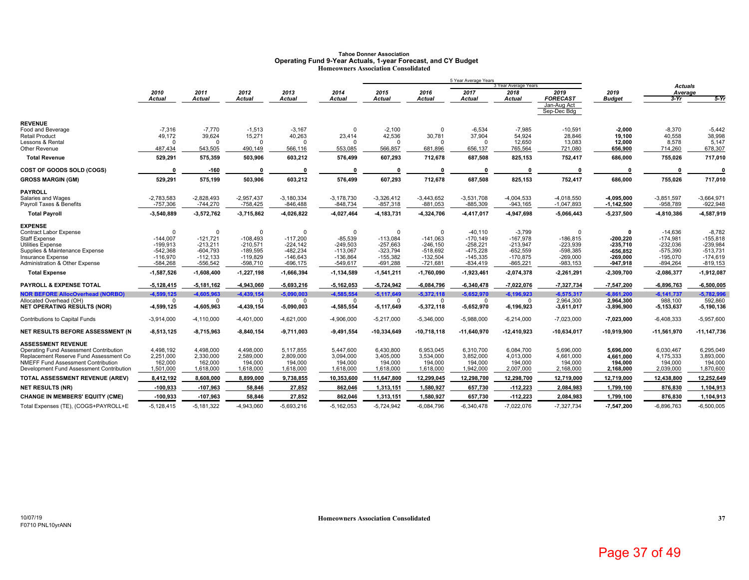### **Tahoe Donner AssociationOperating Fund 9-Year Actuals, 1-year Forecast, and CY Budget Homeowners Association Consolidated**

|                                                                                  |                            |                            |                            |                            |                            |                            |                            | 5 Year Average Years       | 3 Year Average Years       |                                |                              | Actuals                    |                            |
|----------------------------------------------------------------------------------|----------------------------|----------------------------|----------------------------|----------------------------|----------------------------|----------------------------|----------------------------|----------------------------|----------------------------|--------------------------------|------------------------------|----------------------------|----------------------------|
|                                                                                  | 2010                       | 2011                       | 2012                       | 2013                       | 2014                       | 2015                       | 2016                       | 2017                       | 2018                       | 2019                           | 2019                         | Average                    |                            |
|                                                                                  | Actual                     | Actual                     | Actual                     | Actual                     | Actual                     | <b>Actual</b>              | <b>Actual</b>              | <b>Actual</b>              | Actual                     | <b>FORECAST</b><br>Jan-Aug Act | <b>Budget</b>                | $3-Yr$                     | $5-Yr$                     |
|                                                                                  |                            |                            |                            |                            |                            |                            |                            |                            |                            | Sep-Dec Bdg                    |                              |                            |                            |
| <b>REVENUE</b>                                                                   |                            |                            |                            |                            |                            |                            |                            |                            |                            |                                |                              |                            |                            |
| Food and Beverage<br>Retail Product                                              | $-7,316$<br>49,172         | $-7,770$<br>39,624         | $-1,513$<br>15,271         | $-3,167$<br>40,263         | $\Omega$<br>23,414         | $-2,100$<br>42,536         | $\Omega$<br>30,781         | $-6,534$<br>37,904         | $-7,985$<br>54,924         | $-10,591$<br>28,846            | $-2,000$<br>19,100           | $-8,370$<br>40,558         | $-5,442$<br>38,998         |
| Lessons & Rental                                                                 | $\Omega$                   |                            | $\Omega$                   | $\cap$                     |                            | $\Omega$                   | $\Omega$                   | $\Omega$                   | 12,650                     | 13,083                         | 12,000                       | 8,578                      | 5,147                      |
| Other Revenue                                                                    | 487,434                    | 543,505                    | 490,149                    | 566,116                    | 553,085                    | 566,857                    | 681,896                    | 656,137                    | 765,564                    | 721,080                        | 656,900                      | 714,260                    | 678,307                    |
| <b>Total Revenue</b>                                                             | 529,291                    | 575,359                    | 503,906                    | 603,212                    | 576,499                    | 607,293                    | 712,678                    | 687,508                    | 825,153                    | 752,417                        | 686,000                      | 755,026                    | 717,010                    |
| <b>COST OF GOODS SOLD (COGS)</b>                                                 | $\mathbf{0}$               | $-160$                     | $\mathbf{0}$               | $\Omega$                   | $\mathbf{0}$               | $\Omega$                   | 0                          | $\Omega$                   |                            | $\mathbf{0}$                   | 0                            | n                          | $\Omega$                   |
| <b>GROSS MARGIN (GM)</b>                                                         | 529,291                    | 575,199                    | 503,906                    | 603,212                    | 576,499                    | 607,293                    | 712,678                    | 687,508                    | 825,153                    | 752,417                        | 686,000                      | 755,026                    | 717,010                    |
| <b>PAYROLL</b>                                                                   |                            |                            |                            |                            |                            |                            |                            |                            |                            |                                |                              |                            |                            |
| Salaries and Wages<br>Payroll Taxes & Benefits                                   | $-2,783,583$<br>$-757,306$ | $-2,828,493$<br>$-744,270$ | $-2,957,437$<br>$-758,425$ | $-3,180,334$<br>$-846,488$ | $-3,178,730$<br>$-848,734$ | $-3,326,412$<br>$-857,318$ | $-3,443,652$<br>$-881,053$ | $-3,531,708$<br>$-885,309$ | $-4,004,533$<br>$-943,165$ | $-4,018,550$<br>$-1,047,893$   | $-4,095,000$<br>$-1,142,500$ | $-3,851,597$<br>$-958,789$ | $-3,664,971$<br>$-922,948$ |
| <b>Total Payroll</b>                                                             | $-3,540,889$               | $-3,572,762$               | $-3,715,862$               | $-4,026,822$               | $-4,027,464$               | $-4, 183, 731$             | -4,324,706                 | 4,417,017                  | -4,947,698                 | $-5,066,443$                   | $-5,237,500$                 | -4,810,386                 | $-4,587,919$               |
| <b>EXPENSE</b>                                                                   |                            |                            |                            |                            |                            |                            |                            |                            |                            |                                |                              |                            |                            |
| Contract Labor Expense<br><b>Staff Expense</b>                                   | $\mathbf 0$<br>$-144,007$  | $\Omega$<br>$-121.721$     | $\Omega$<br>$-108.493$     | $\Omega$<br>$-117,200$     | $\Omega$<br>$-85,539$      | $\Omega$<br>$-113,084$     | $\Omega$<br>$-141.063$     | $-40,110$<br>$-170, 149$   | $-3,799$<br>$-167,978$     | $\Omega$<br>$-186,815$         | 0<br>$-200,220$              | $-14.636$<br>$-174,981$    | $-8,782$<br>$-155,818$     |
| <b>Utilities Expense</b>                                                         | $-199,913$                 | $-213.211$                 | $-210.571$                 | $-224,142$                 | $-249.503$                 | $-257,663$                 | $-246.150$                 | $-258,221$                 | $-213,947$                 | -223,939                       | $-235.710$                   | $-232.036$                 | $-239,984$                 |
| Supplies & Maintenance Expense                                                   | $-542,368$                 | $-604,793$                 | $-189,595$                 | $-482,234$                 | $-113,067$                 | $-323,794$                 | $-518,692$                 | $-475,228$                 | $-652,559$                 | $-598,385$                     | $-656, 852$                  | $-575,390$                 | $-513,731$                 |
| <b>Insurance Expense</b><br><b>Administration &amp; Other Expense</b>            | $-116,970$<br>$-584,268$   | $-112,133$<br>$-556,542$   | $-119,829$<br>$-598,710$   | $-146,643$<br>$-696, 175$  | $-136,864$                 | $-155,382$<br>$-691,288$   | $-132,504$<br>$-721,681$   | $-145,335$<br>$-834,419$   | $-170,875$<br>$-865,221$   | $-269,000$<br>$-983,153$       | $-269,000$                   | $-195,070$<br>$-894,264$   | $-174,619$<br>$-819, 153$  |
| <b>Total Expense</b>                                                             | $-1,587,526$               | $-1,608,400$               | $-1,227,198$               | $-1,666,394$               | -549,617<br>$-1,134,589$   | $-1,541,211$               | $-1,760,090$               | $-1,923,461$               | $-2,074,378$               | $-2,261,291$                   | -947,918<br>$-2,309,700$     | $-2,086,377$               | $-1,912,087$               |
| <b>PAYROLL &amp; EXPENSE TOTAL</b>                                               | $-5,128,415$               | $-5,181,162$               | $-4,943,060$               | $-5,693,216$               | $-5,162,053$               | $-5,724,942$               | $-6,084,796$               | $-6,340,478$               | -7,022,076                 | $-7,327,734$                   | $-7,547,200$                 | $-6,896,763$               | $-6,500,005$               |
| <b>NOR BEFORE AllocOverhead (NORBO)</b>                                          | $-4,599,125$               | $-4,605,963$               | $-4,439,154$               | $-5,090,003$               | $-4,585,554$               | $-5,117,649$               | $-5,372,118$               | $-5,652,970$               | $-6,196,923$               | $-6,575,317$                   | $-6,861,200$                 | $-6, 141, 737$             | $-5,782,996$               |
| Allocated Overhead (OH)                                                          | $\Omega$                   | $\Omega$                   | $\Omega$                   | $\Omega$                   | $\Omega$                   | $\mathbf 0$                | - 0                        | $\Omega$                   | n                          | 2,964,300                      | 2,964,300                    | 988,100                    | 592,860                    |
| <b>NET OPERATING RESULTS (NOR)</b>                                               | $-4,599,125$               | -4,605,963                 | $-4,439,154$               | $-5,090,003$               | -4,585,554                 | $-5,117,649$               | $-5,372,118$               | $-5,652,970$               | $-6,196,923$               | $-3,611,017$                   | -3,896,900                   | $-5, 153, 637$             | $-5,190,136$               |
| <b>Contributions to Capital Funds</b>                                            | $-3,914,000$               | $-4, 110, 000$             | $-4,401,000$               | $-4,621,000$               | $-4,906,000$               | $-5,217,000$               | $-5,346,000$               | $-5,988,000$               | $-6,214,000$               | $-7,023,000$                   | $-7,023,000$                 | $-6,408,333$               | $-5,957,600$               |
| NET RESULTS BEFORE ASSESSMENT (N                                                 | $-8,513,125$               | $-8,715,963$               | $-8,840,154$               | $-9,711,003$               | $-9,491,554$               | -10,334,649                | $-10,718,118$              | $-11,640,970$              | $-12,410,923$              | $-10,634,017$                  | -10,919,900                  | $-11,561,970$              | $-11, 147, 736$            |
| <b>ASSESSMENT REVENUE</b>                                                        |                            |                            |                            |                            |                            |                            |                            |                            |                            |                                |                              |                            |                            |
| Operating Fund Assessment Contribution<br>Replacement Reserve Fund Assessment Co | 4,498,192<br>2,251,000     | 4,498,000<br>2,330,000     | 4,498,000<br>2,589,000     | 5,117,855<br>2,809,000     | 5,447,600<br>3,094,000     | 6,430,800<br>3,405,000     | 6,953,045<br>3,534,000     | 6,310,700<br>3,852,000     | 6,084,700<br>4,013,000     | 5,696,000<br>4,661,000         | 5,696,000<br>4,661,000       | 6,030,467<br>4,175,333     | 6,295,049<br>3,893,000     |
| NMEFF Fund Assessment Contribution                                               | 162,000                    | 162,000                    | 194,000                    | 194,000                    | 194,000                    | 194,000                    | 194,000                    | 194,000                    | 194,000                    | 194,000                        | 194,000                      | 194,000                    | 194,000                    |
| Development Fund Assessment Contribution                                         | 1,501,000                  | 1,618,000                  | 1,618,000                  | 1,618,000                  | 1,618,000                  | 1,618,000                  | 1,618,000                  | 1,942,000                  | 2,007,000                  | 2,168,000                      | 2,168,000                    | 2,039,000                  | 1,870,600                  |
| TOTAL ASSESSMENT REVENUE (AREV)                                                  | 8,412,192                  | 8,608,000                  | 8,899,000                  | 9,738,855                  | 10,353,600                 | 11,647,800                 | 12,299,045                 | 12,298,700                 | 12,298,700                 | 12,719,000                     | 12,719,000                   | 12,438,800                 | 12,252,649                 |
| <b>NET RESULTS (NR)</b>                                                          | $-100,933$                 | $-107,963$                 | 58,846                     | 27,852                     | 862,046                    | 1,313,151                  | 1,580,927                  | 657,730                    | $-112,223$                 | 2,084,983                      | 1,799,100                    | 876,830                    | 1,104,913                  |
| <b>CHANGE IN MEMBERS' EQUITY (CME)</b>                                           | $-100,933$                 | $-107,963$                 | 58,846                     | 27,852                     | 862,046                    | 1,313,151                  | 1,580,927                  | 657,730                    | $-112,223$                 | 2,084,983                      | 1,799,100                    | 876,830                    | 1,104,913                  |
| Total Expenses (TE), (COGS+PAYROLL+E                                             | $-5,128,415$               | $-5.181.322$               | $-4.943.060$               | $-5,693,216$               | $-5,162,053$               | $-5.724.942$               | $-6.084.796$               | $-6,340,478$               | $-7.022.076$               | $-7,327,734$                   | $-7.547.200$                 | $-6.896.763$               | $-6,500,005$               |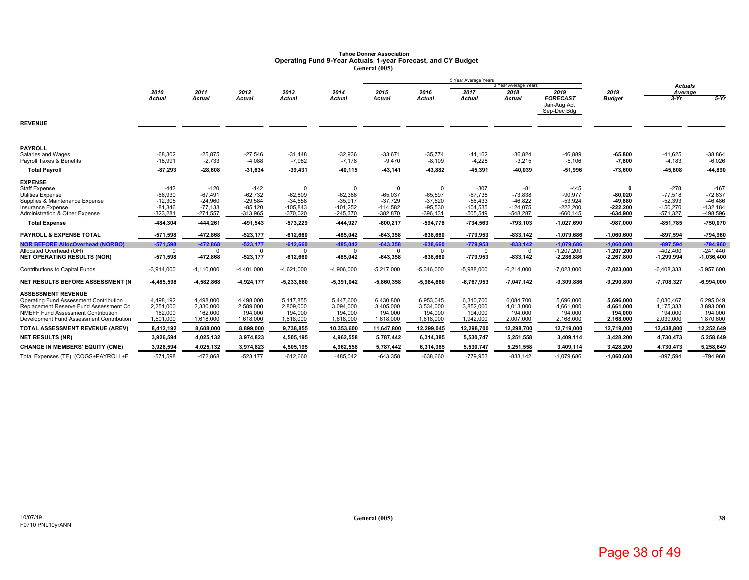# **Tahoe Donner Association Operating Fund 9-Year Actuals, 1-year Forecast, and CY Budget General (005)**

|                                                     |                        |                        |                        |                         |                         |                         |                        | 5 Year Average Years    |                              |                            |                         |                           |                         |
|-----------------------------------------------------|------------------------|------------------------|------------------------|-------------------------|-------------------------|-------------------------|------------------------|-------------------------|------------------------------|----------------------------|-------------------------|---------------------------|-------------------------|
|                                                     | 2010                   | 2011                   | 2012                   | 2013                    | 2014                    | 2015                    | 2016                   | 2017                    | 3 Year Average Years<br>2018 | 2019                       | 2019                    | <b>Actuals</b><br>Average |                         |
|                                                     | <b>Actual</b>          | <b>Actual</b>          | <b>Actual</b>          | <b>Actual</b>           | <b>Actual</b>           | <b>Actual</b>           | <b>Actual</b>          | <b>Actual</b>           | <b>Actual</b>                | <b>FORECAST</b>            | <b>Budget</b>           | $3-Yr$                    | $5-Yr$                  |
|                                                     |                        |                        |                        |                         |                         |                         |                        |                         |                              | Jan-Aug Act<br>Sep-Dec Bdg |                         |                           |                         |
| <b>REVENUE</b>                                      |                        |                        |                        |                         |                         |                         |                        |                         |                              |                            |                         |                           |                         |
| <b>PAYROLL</b>                                      |                        |                        |                        |                         |                         |                         |                        |                         |                              |                            |                         |                           |                         |
| Salaries and Wages<br>Payroll Taxes & Benefits      | $-68,302$<br>$-18,991$ | $-25,875$<br>$-2,733$  | $-27,546$<br>$-4,088$  | $-31,448$<br>$-7,982$   | $-32,936$<br>$-7.178$   | $-33,671$<br>$-9,470$   | $-35,774$<br>$-8,109$  | $-41,162$<br>$-4,228$   | $-36,824$<br>$-3,215$        | $-46,889$<br>$-5,106$      | $-65,800$<br>$-7,800$   | $-41,625$<br>$-4,183$     | $-38,864$<br>$-6,026$   |
| <b>Total Payroll</b>                                | $-87,293$              | $-28,608$              | -31,634                | $-39,431$               | 40,115                  | $-43,141$               | 43,882                 | 45,391                  | $-40,039$                    | $-51,996$                  | $-73,600$               | -45,808                   | 44,890                  |
| <b>EXPENSE</b>                                      |                        |                        |                        |                         |                         |                         |                        |                         |                              |                            |                         |                           |                         |
| <b>Staff Expense</b>                                | $-442$                 | $-120$                 | $-142$                 | $\Omega$                |                         | $\Omega$                |                        | $-307$                  | $-81$                        | $-445$                     |                         | $-278$                    | $-167$                  |
| <b>Utilities Expense</b>                            | $-66,930$              | $-67,491$              | $-62,732$              | $-62,809$               | $-62,388$               | $-65,037$               | $-65,597$              | $-67,738$               | $-73,838$                    | $-90,977$                  | $-80.020$               | $-77,518$                 | $-72,637$               |
| Supplies & Maintenance Expense<br>Insurance Expense | $-12.305$<br>$-81,346$ | $-24,960$<br>$-77,133$ | $-29.584$<br>$-85,120$ | $-34,558$<br>$-105,843$ | $-35.917$<br>$-101,252$ | $-37.729$<br>$-114,582$ | $-37.520$<br>$-95,530$ | $-56.433$<br>$-104,535$ | $-46,822$<br>$-124,075$      | $-53.924$<br>$-222,200$    | $-49.880$<br>$-222,200$ | $-52.393$<br>$-150,270$   | $-46.486$<br>$-132,184$ |
| Administration & Other Expense                      | $-323,281$             | $-274,557$             | $-313,965$             | $-370,020$              | $-245,370$              | $-382.870$              | $-396, 131$            | $-505.549$              | $-548,287$                   | $-660, 145$                | $-634,900$              | $-571,327$                | $-498,596$              |
| <b>Total Expense</b>                                | 484,304                | $-444,261$             | -491,543               | $-573,229$              | -444,927                | $-600,217$              | $-594.778$             | $-734,563$              | -793,103                     | $-1,027,690$               | $-987,000$              | $-851,785$                | $-750,070$              |
| <b>PAYROLL &amp; EXPENSE TOTAL</b>                  | $-571,598$             | -472,868               | $-523,177$             | $-612,660$              | -485,042                | $-643,358$              | $-638,660$             | $-779,953$              | $-833,142$                   | $-1,079,686$               | $-1,060,600$            | $-897,594$                | $-794,960$              |
| <b>NOR BEFORE AllocOverhead (NORBO)</b>             | $-571,598$             | $-472,868$             | $-523,177$             | $-612,660$              | $-485,042$              | $-643,358$              | $-638.660$             | $-779,953$              | $-833,142$                   | $-1,079,686$               | $-1,060,600$            | $-897.594$                | $-794.960$              |
| Allocated Overhead (OH)                             | $^{\circ}$             | $\Omega$               | $\Omega$               | $\Omega$                | $\Omega$                | $\Omega$                | $\Omega$               | $\Omega$                | $\Omega$                     | $-1,207,200$               | $-1.207.200$            | $-402,400$                | $-241,440$              |
| <b>NET OPERATING RESULTS (NOR)</b>                  | $-571,598$             | -472,868               | $-523,177$             | $-612,660$              | -485,042                | $-643,358$              | $-638,660$             | $-779,953$              | -833,142                     | $-2,286,886$               | $-2,267,800$            | $-1,299,994$              | $-1,036,400$            |
| Contributions to Capital Funds                      | $-3,914,000$           | $-4, 110, 000$         | $-4,401,000$           | $-4,621,000$            | $-4,906,000$            | $-5,217,000$            | $-5,346,000$           | $-5,988,000$            | $-6,214,000$                 | $-7,023,000$               | $-7,023,000$            | $-6,408,333$              | $-5,957,600$            |
| NET RESULTS BEFORE ASSESSMENT (N                    | $-4,485,598$           | $-4,582,868$           | -4,924,177             | $-5,233,660$            | 5,391,042               | $-5,860,358$            | -5,984,660             | $-6,767,953$            | 7,047,142                    | $-9,309,886$               | $-9,290,800$            | $-7,708,327$              | $-6,994,000$            |
| <b>ASSESSMENT REVENUE</b>                           |                        |                        |                        |                         |                         |                         |                        |                         |                              |                            |                         |                           |                         |
| Operating Fund Assessment Contribution              | 4,498,192              | 4,498,000              | 4.498.000              | 5,117,855               | 5.447.600               | 6,430,800               | 6,953,045              | 6,310,700               | 6,084,700                    | 5,696,000                  | 5,696,000               | 6,030,467                 | 6,295,049               |
| Replacement Reserve Fund Assessment Co              | 2,251,000              | 2,330,000              | 2,589,000              | 2,809,000               | 3,094,000               | 3,405,000               | 3,534,000              | 3,852,000               | 4,013,000                    | 4,661,000                  | 4,661,000               | 4,175,333                 | 3,893,000               |
| <b>NMEFF Fund Assessment Contribution</b>           | 162,000                | 162,000                | 194.000                | 194,000                 | 194,000                 | 194,000                 | 194,000                | 194,000                 | 194,000                      | 194,000                    | 194.000                 | 194.000                   | 194,000                 |
| Development Fund Assessment Contribution            | 1,501,000              | 1,618,000              | 1,618,000              | 1,618,000               | 1,618,000               | 1,618,000               | 1,618,000              | 1,942,000               | 2,007,000                    | 2,168,000                  | 2,168,000               | 2,039,000                 | 1,870,600               |
| TOTAL ASSESSMENT REVENUE (AREV)                     | 8,412,192              | 8,608,000              | 8,899,000              | 9,738,855               | 10,353,600              | 11,647,800              | 12,299,045             | 12,298,700              | 12,298,700                   | 12,719,000                 | 12,719,000              | 12,438,800                | 12,252,649              |
| <b>NET RESULTS (NR)</b>                             | 3,926,594              | 4,025,132              | 3,974,823              | 4,505,195               | 4,962,558               | 5,787,442               | 6,314,385              | 5,530,747               | 5,251,558                    | 3,409,114                  | 3,428,200               | 4,730,473                 | 5,258,649               |
| <b>CHANGE IN MEMBERS' EQUITY (CME)</b>              | 3,926,594              | 4,025,132              | 3,974,823              | 4,505,195               | 4,962,558               | 5,787,442               | 6,314,385              | 5,530,747               | 5,251,558                    | 3,409,114                  | 3,428,200               | 4,730,473                 | 5,258,649               |
| Total Expenses (TE), (COGS+PAYROLL+E                | $-571,598$             | -472,868               | $-523,177$             | $-612,660$              | $-485,042$              | $-643,358$              | $-638,660$             | $-779,953$              | $-833, 142$                  | $-1,079,686$               | $-1,060,600$            | $-897.594$                | $-794,960$              |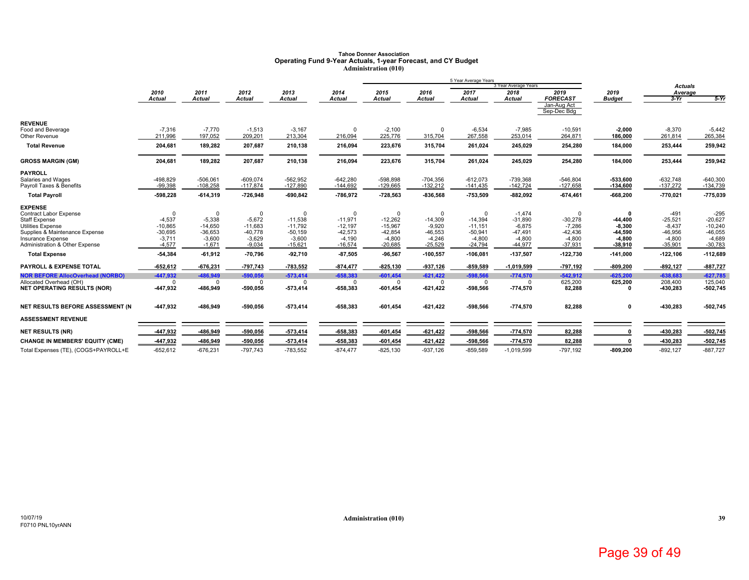### **Tahoe Donner AssociationOperating Fund 9-Year Actuals, 1-year Forecast, and CY Budget Administration (010)**

|                                                  |                       |                       |                       |                        |                        |                        |                       | 5 Year Average Years   |                       |                            |                       |                       |                        |
|--------------------------------------------------|-----------------------|-----------------------|-----------------------|------------------------|------------------------|------------------------|-----------------------|------------------------|-----------------------|----------------------------|-----------------------|-----------------------|------------------------|
|                                                  |                       |                       |                       |                        |                        |                        |                       |                        | 3 Year Average Years  |                            |                       | <b>Actuals</b>        |                        |
|                                                  | 2010<br><b>Actual</b> | 2011<br><b>Actual</b> | 2012<br><b>Actual</b> | 2013<br><b>Actual</b>  | 2014<br>Actual         | 2015<br><b>Actual</b>  | 2016<br><b>Actual</b> | 2017<br><b>Actual</b>  | 2018<br><b>Actual</b> | 2019<br><b>FORECAST</b>    | 2019<br><b>Budget</b> | Average<br>$3-Yr$     | $5-Yr$                 |
|                                                  |                       |                       |                       |                        |                        |                        |                       |                        |                       | Jan-Aug Act<br>Sep-Dec Bdg |                       |                       |                        |
| <b>REVENUE</b>                                   |                       |                       |                       |                        |                        |                        |                       |                        |                       |                            |                       |                       |                        |
| Food and Beverage                                | $-7,316$              | $-7,770$              | $-1,513$              | $-3,167$               | $\Omega$               | $-2,100$               | 0                     | $-6,534$               | $-7,985$              | $-10,591$                  | $-2,000$              | $-8,370$              | $-5,442$               |
| Other Revenue                                    | 211,996               | 197,052               | 209,201               | 213,304                | 216,094                | 225,776                | 315,704               | 267,558                | 253,014               | 264,871                    | 186,000               | 261,814               | 265,384                |
| <b>Total Revenue</b>                             | 204,681               | 189,282               | 207,687               | 210,138                | 216,094                | 223,676                | 315,704               | 261,024                | 245,029               | 254,280                    | 184,000               | 253,444               | 259,942                |
| <b>GROSS MARGIN (GM)</b>                         | 204,681               | 189,282               | 207,687               | 210,138                | 216,094                | 223,676                | 315,704               | 261,024                | 245,029               | 254,280                    | 184,000               | 253,444               | 259,942                |
| <b>PAYROLL</b>                                   |                       |                       |                       |                        |                        |                        |                       |                        |                       |                            |                       |                       |                        |
| Salaries and Wages                               | $-498,829$            | $-506,061$            | $-609,074$            | $-562,952$             | $-642,280$             | $-598,898$             | $-704,356$            | $-612,073$             | $-739,368$            | $-546,804$                 | -533,600              | $-632,748$            | $-640,300$             |
| Payroll Taxes & Benefits                         | $-99,398$             | $-108,258$            | $-117,874$            | $-127,890$             | $-144,692$             | $-129,665$             | $-132,212$            | $-141,435$             | $-142,724$            | $-127,658$                 | $-134,600$            | $-137,272$            | $-134,739$             |
| <b>Total Payroll</b>                             | -598,228              | $-614,319$            | -726,948              | $-690,842$             | -786,972               | $-728,563$             | $-836,568$            | $-753,509$             | $-882,092$            | $-674,461$                 | $-668,200$            | $-770,021$            | $-775,039$             |
| <b>EXPENSE</b>                                   |                       |                       |                       |                        |                        |                        |                       |                        |                       |                            |                       |                       |                        |
| Contract Labor Expense                           | 0                     | $\Omega$              | 0                     | $\Omega$               | $\Omega$               | $\Omega$               | $\Omega$              | $\Omega$               | $-1,474$              | $\Omega$                   | $\Omega$              | $-491$                | $-295$                 |
| <b>Staff Expense</b><br><b>Utilities Expense</b> | $-4,537$<br>$-10,865$ | $-5,338$<br>$-14,650$ | $-5.672$<br>$-11.683$ | $-11,538$<br>$-11,792$ | $-11.971$<br>$-12,197$ | $-12,262$<br>$-15,967$ | $-14.309$<br>$-9,920$ | $-14,394$<br>$-11,151$ | $-31,890$<br>$-6,875$ | $-30,278$<br>$-7,286$      | $-44.400$<br>$-8,300$ | $-25,521$<br>$-8,437$ | $-20.627$<br>$-10,240$ |
| Supplies & Maintenance Expense                   | $-30,695$             | $-36,653$             | $-40,778$             | $-50,159$              | $-42,573$              | $-42,854$              | $-46,553$             | $-50,941$              | $-47,491$             | $-42,436$                  | 44,590                | $-46,956$             | $-46,055$              |
| Insurance Expense                                | $-3,711$              | $-3,600$              | $-3,629$              | $-3,600$               | $-4,190$               | $-4,800$               | $-4.246$              | $-4,800$               | $-4,800$              | $-4,800$                   | $-4,800$              | $-4,800$              | $-4,689$               |
| Administration & Other Expense                   | $-4,577$              | $-1,671$              | $-9,034$              | $-15,621$              | $-16,574$              | $-20,685$              | $-25,529$             | $-24,794$              | $-44,977$             | $-37,931$                  | $-38,910$             | $-35,901$             | $-30,783$              |
| <b>Total Expense</b>                             | 54,384                | $-61,912$             | $-70,796$             | $-92,710$              | $-87,505$              | $-96,567$              | $-100,557$            | $-106,081$             | $-137,507$            | $-122,730$                 | $-141,000$            | $-122,106$            | $-112,689$             |
| PAYROLL & EXPENSE TOTAL                          | $-652,612$            | $-676,231$            | -797,743              | $-783,552$             | $-874,477$             | $-825, 130$            | $-937,126$            | $-859,589$             | $-1,019,599$          | $-797,192$                 | $-809,200$            | $-892, 127$           | $-887,727$             |
| <b>NOR BEFORE AllocOverhead (NORBO)</b>          | -447,932              | $-486,949$            | $-590,056$            | $-573,414$             | $-658,383$             | $-601.454$             | $-621,422$            | $-598.566$             | $-774,570$            | $-542,912$                 | $-625.200$            | $-638.683$            | $-627,785$             |
| Allocated Overhead (OH)                          | $\Omega$              | O                     | $\Omega$              | $\Omega$               | $\Omega$               | $\Omega$               | $\Omega$              | $\Omega$               |                       | 625,200                    | 625,200               | 208,400               | 125.040                |
| <b>NET OPERATING RESULTS (NOR)</b>               | -447,932              | -486,949              | $-590,056$            | $-573,414$             | $-658,383$             | $-601,454$             | $-621,422$            | -598,566               | -774,570              | 82,288                     |                       | $-430,283$            | $-502,745$             |
| NET RESULTS BEFORE ASSESSMENT (N                 | -447,932              | $-486,949$            | $-590,056$            | $-573,414$             | $-658,383$             | $-601,454$             | $-621,422$            | -598,566               | $-774,570$            | 82,288                     | 0                     | -430,283              | $-502,745$             |
| <b>ASSESSMENT REVENUE</b>                        |                       |                       |                       |                        |                        |                        |                       |                        |                       |                            |                       |                       |                        |
| <b>NET RESULTS (NR)</b>                          | 447,932               | $-486,949$            | -590,056              | $-573,414$             | $-658,383$             | $-601,454$             | $-621,422$            | $-598,566$             | -774,570              | 82,288                     |                       | -430,283              | $-502,745$             |
| <b>CHANGE IN MEMBERS' EQUITY (CME)</b>           | 447,932               | -486,949              | $-590,056$            | $-573,414$             | $-658,383$             | $-601,454$             | $-621,422$            | -598,566               | $-774,570$            | 82,288                     |                       | $-430,283$            | $-502,745$             |
| Total Expenses (TE), (COGS+PAYROLL+E             | $-652,612$            | $-676,231$            | $-797,743$            | $-783,552$             | $-874,477$             | $-825,130$             | $-937,126$            | $-859,589$             | $-1,019,599$          | $-797,192$                 | $-809,200$            | $-892, 127$           | $-887,727$             |
|                                                  |                       |                       |                       |                        |                        |                        |                       |                        |                       |                            |                       |                       |                        |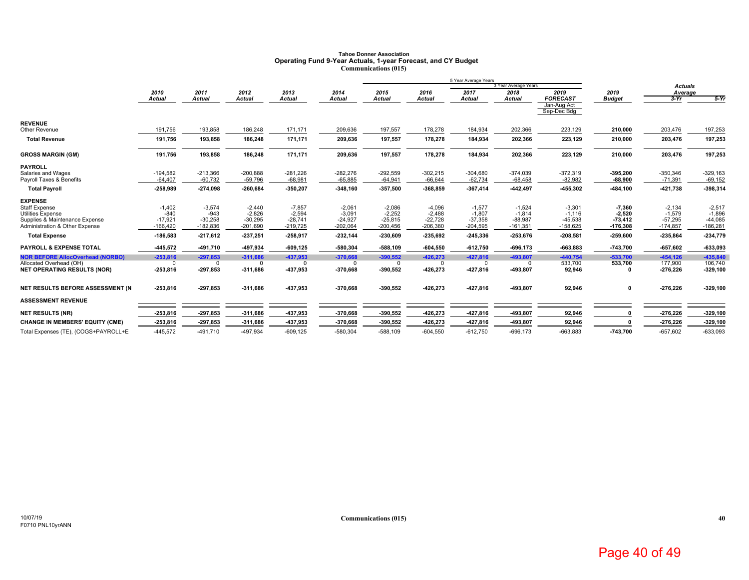### **Tahoe Donner AssociationOperating Fund 9-Year Actuals, 1-year Forecast, and CY Budget Communications (015)**

|                                                                                                                                 |                                               |                                               |                                                 |                                                 |                                                 |                                                 |                                                 | 5 Year Average Years                            | 3 Year Average Years                            |                                                 |                                                 |                                                 |                                                 |
|---------------------------------------------------------------------------------------------------------------------------------|-----------------------------------------------|-----------------------------------------------|-------------------------------------------------|-------------------------------------------------|-------------------------------------------------|-------------------------------------------------|-------------------------------------------------|-------------------------------------------------|-------------------------------------------------|-------------------------------------------------|-------------------------------------------------|-------------------------------------------------|-------------------------------------------------|
|                                                                                                                                 | 2010                                          | 2011                                          | 2012                                            | 2013                                            | 2014                                            | 2015                                            | 2016                                            | 2017                                            | 2018                                            | 2019                                            | 2019                                            | <b>Actuals</b><br>Average                       |                                                 |
|                                                                                                                                 | <b>Actual</b>                                 | <b>Actual</b>                                 | <b>Actual</b>                                   | <b>Actual</b>                                   | <b>Actual</b>                                   | <b>Actual</b>                                   | <b>Actual</b>                                   | <b>Actual</b>                                   | <b>Actual</b>                                   | <b>FORECAST</b>                                 | <b>Budget</b>                                   | $3-Yr$                                          | $5-Yr$                                          |
|                                                                                                                                 |                                               |                                               |                                                 |                                                 |                                                 |                                                 |                                                 |                                                 |                                                 | Jan-Aug Act<br>Sep-Dec Bdg                      |                                                 |                                                 |                                                 |
| <b>REVENUE</b><br>Other Revenue                                                                                                 | 191,756                                       | 193,858                                       | 186,248                                         | 171,171                                         | 209,636                                         | 197,557                                         | 178,278                                         | 184,934                                         | 202,366                                         | 223,129                                         | 210,000                                         | 203,476                                         | 197,253                                         |
| <b>Total Revenue</b>                                                                                                            | 191,756                                       | 193,858                                       | 186,248                                         | 171,171                                         | 209,636                                         | 197,557                                         | 178,278                                         | 184,934                                         | 202,366                                         | 223,129                                         | 210,000                                         | 203,476                                         | 197,253                                         |
| <b>GROSS MARGIN (GM)</b>                                                                                                        | 191,756                                       | 193,858                                       | 186,248                                         | 171,171                                         | 209,636                                         | 197,557                                         | 178,278                                         | 184,934                                         | 202,366                                         | 223,129                                         | 210,000                                         | 203,476                                         | 197,253                                         |
| <b>PAYROLL</b><br>Salaries and Wages                                                                                            | $-194,582$                                    | $-213,366$                                    | $-200,888$                                      | $-281,226$                                      | $-282,276$                                      | $-292,559$                                      | $-302,215$                                      | $-304,680$                                      | $-374,039$                                      | $-372,319$                                      | $-395,200$                                      | $-350,346$                                      | $-329,163$                                      |
| Payroll Taxes & Benefits                                                                                                        | $-64,407$                                     | $-60,732$                                     | $-59,796$                                       | $-68,981$                                       | $-65,885$                                       | $-64,941$                                       | $-66.644$                                       | $-62,734$                                       | $-68,458$                                       | $-82,982$                                       | $-88,900$                                       | $-71,391$                                       | $-69,152$                                       |
| <b>Total Payroll</b>                                                                                                            | -258,989                                      | -274,098                                      | $-260.684$                                      | $-350,207$                                      | $-348,160$                                      | $-357,500$                                      | $-368,859$                                      | $-367,414$                                      | $-442,497$                                      | -455,302                                        | -484,100                                        | -421,738                                        | -398,314                                        |
| <b>EXPENSE</b><br>Staff Expense<br><b>Utilities Expense</b><br>Supplies & Maintenance Expense<br>Administration & Other Expense | $-1,402$<br>$-840$<br>$-17,921$<br>$-166,420$ | $-3,574$<br>$-943$<br>$-30,258$<br>$-182,836$ | $-2,440$<br>$-2,826$<br>$-30,295$<br>$-201,690$ | $-7,857$<br>$-2,594$<br>$-28,741$<br>$-219,725$ | $-2,061$<br>$-3,091$<br>$-24,927$<br>$-202,064$ | $-2,086$<br>$-2,252$<br>$-25,815$<br>$-200,456$ | $-4,096$<br>$-2.488$<br>$-22,728$<br>$-206,380$ | $-1,577$<br>$-1.807$<br>$-37,358$<br>$-204,595$ | $-1,524$<br>$-1,814$<br>$-88,987$<br>$-161,351$ | $-3,301$<br>$-1,116$<br>$-45,538$<br>$-158,625$ | $-7,360$<br>$-2.520$<br>$-73,412$<br>$-176,308$ | $-2,134$<br>$-1,579$<br>$-57,295$<br>$-174,857$ | $-2,517$<br>$-1,896$<br>$-44,085$<br>$-186,281$ |
| <b>Total Expense</b>                                                                                                            | $-186,583$                                    | $-217,612$                                    | $-237,251$                                      | $-258,917$                                      | $-232,144$                                      | $-230,609$                                      | $-235,692$                                      | $-245,336$                                      | -253,676                                        | $-208,581$                                      | $-259,600$                                      | -235,864                                        | $-234,779$                                      |
| <b>PAYROLL &amp; EXPENSE TOTAL</b>                                                                                              | -445,572                                      | -491,710                                      | -497,934                                        | $-609, 125$                                     | -580,304                                        | $-588,109$                                      | $-604,550$                                      | $-612,750$                                      | $-696, 173$                                     | $-663,883$                                      | $-743,700$                                      | $-657,602$                                      | -633,093                                        |
| <b>NOR BEFORE AllocOverhead (NORBO)</b><br>Allocated Overhead (OH)<br><b>NET OPERATING RESULTS (NOR)</b>                        | $-253,816$<br>$\Omega$<br>$-253,816$          | $-297,853$<br>$\Omega$<br>$-297,853$          | $-311.686$<br>$\Omega$<br>$-311,686$            | $-437.953$<br>$\Omega$<br>$-437,953$            | $-370.668$<br>$\Omega$<br>-370,668              | $-390.552$<br>$\Omega$<br>$-390,552$            | $-426.273$<br>$\Omega$<br>-426,273              | $-427.816$<br>$\Omega$<br>$-427,816$            | -493.807<br>-493,807                            | $-440.754$<br>533,700<br>92,946                 | $-533.700$<br>533,700<br>0                      | $-454.126$<br>177,900<br>$-276,226$             | $-435.840$<br>106,740<br>$-329,100$             |
| NET RESULTS BEFORE ASSESSMENT (N                                                                                                | -253.816                                      | $-297,853$                                    | $-311.686$                                      | $-437,953$                                      | $-370,668$                                      | -390,552                                        | -426,273                                        | $-427,816$                                      | -493,807                                        | 92,946                                          | $\mathbf 0$                                     | $-276,226$                                      | $-329,100$                                      |
| <b>ASSESSMENT REVENUE</b>                                                                                                       |                                               |                                               |                                                 |                                                 |                                                 |                                                 |                                                 |                                                 |                                                 |                                                 |                                                 |                                                 |                                                 |
| <b>NET RESULTS (NR)</b>                                                                                                         | $-253,816$                                    | $-297,853$                                    | $-311,686$                                      | -437,953                                        | -370,668                                        | $-390,552$                                      | -426,273                                        | -427,816                                        | -493,807                                        | 92,946                                          | $\Omega$                                        | $-276,226$                                      | $-329,100$                                      |
| <b>CHANGE IN MEMBERS' EQUITY (CME)</b>                                                                                          | $-253,816$                                    | $-297,853$                                    | $-311.686$                                      | -437,953                                        | -370.668                                        | -390,552                                        | -426,273                                        | -427.816                                        | -493,807                                        | 92,946                                          |                                                 | $-276,226$                                      | $-329,100$                                      |
| Total Expenses (TE), (COGS+PAYROLL+E                                                                                            | $-445,572$                                    | $-491,710$                                    | $-497,934$                                      | $-609, 125$                                     | $-580,304$                                      | $-588,109$                                      | $-604,550$                                      | $-612,750$                                      | $-696, 173$                                     | $-663,883$                                      | $-743,700$                                      | $-657,602$                                      | $-633,093$                                      |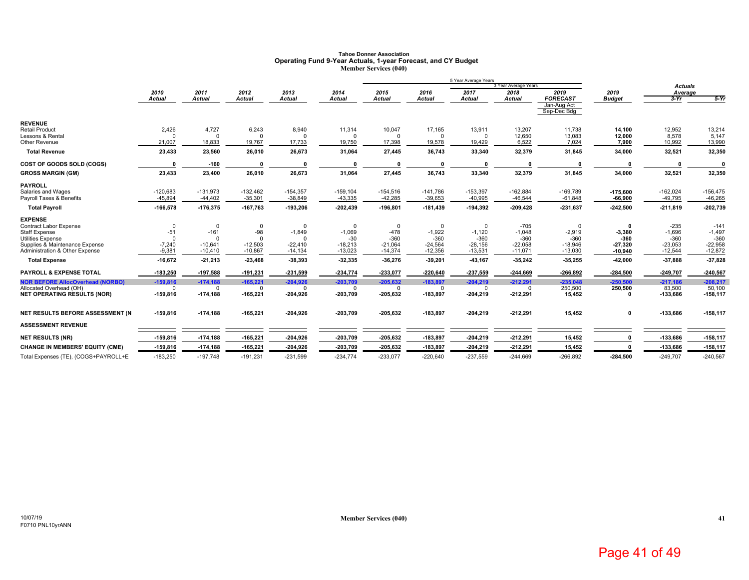#### **Tahoe Donner Association Operating Fund 9-Year Actuals, 1-year Forecast, and CY Budget Member Services (040)**

|                                                  |                   |                       |                   |                       |                    |                       |                       | 5 Year Average Years  |                       |                         |                       |                    |                    |
|--------------------------------------------------|-------------------|-----------------------|-------------------|-----------------------|--------------------|-----------------------|-----------------------|-----------------------|-----------------------|-------------------------|-----------------------|--------------------|--------------------|
|                                                  |                   |                       |                   |                       |                    |                       |                       |                       | 3 Year Average Years  |                         |                       | <b>Actuals</b>     |                    |
|                                                  | 2010<br>Actual    | 2011<br><b>Actual</b> | 2012<br>Actual    | 2013<br><b>Actual</b> | 2014<br>Actual     | 2015<br><b>Actual</b> | 2016<br><b>Actual</b> | 2017<br><b>Actual</b> | 2018<br><b>Actual</b> | 2019<br><b>FORECAST</b> | 2019<br><b>Budget</b> | Average<br>$3-Yr$  | $5-Yr$             |
|                                                  |                   |                       |                   |                       |                    |                       |                       |                       |                       | Jan-Aug Act             |                       |                    |                    |
|                                                  |                   |                       |                   |                       |                    |                       |                       |                       |                       | Sep-Dec Bdg             |                       |                    |                    |
| <b>REVENUE</b>                                   |                   |                       |                   |                       |                    |                       |                       |                       |                       |                         |                       |                    |                    |
| <b>Retail Product</b><br>Lessons & Rental        | 2,426<br>$\Omega$ | 4,727<br>$\Omega$     | 6,243<br>$\Omega$ | 8,940<br>$\Omega$     | 11,314<br>$\Omega$ | 10,047                | 17,165<br>$\Omega$    | 13,911<br>$\Omega$    | 13,207<br>12,650      | 11,738<br>13,083        | 14,100<br>12,000      | 12,952<br>8,578    | 13,214<br>5,147    |
| Other Revenue                                    | 21,007            | 18,833                | 19.767            | 17,733                | 19.750             | 17,398                | 19,578                | 19,429                | 6,522                 | 7,024                   | 7,900                 | 10,992             | 13,990             |
| <b>Total Revenue</b>                             | 23,433            | 23,560                | 26,010            | 26,673                | 31,064             | 27,445                | 36,743                | 33,340                | 32,379                | 31,845                  | 34,000                | 32,521             | 32,350             |
| COST OF GOODS SOLD (COGS)                        | n                 | $-160$                | $\Omega$          |                       | n                  | $\Omega$              | $\mathbf{0}$          | $\mathbf{a}$          |                       | n                       | n                     |                    |                    |
| <b>GROSS MARGIN (GM)</b>                         | 23,433            | 23,400                | 26,010            | 26,673                | 31,064             | 27,445                | 36,743                | 33,340                | 32,379                | 31,845                  | 34,000                | 32,521             | 32,350             |
| <b>PAYROLL</b>                                   |                   |                       |                   |                       |                    |                       |                       |                       |                       |                         |                       |                    |                    |
| Salaries and Wages                               | $-120,683$        | $-131,973$            | $-132,462$        | $-154,357$            | $-159, 104$        | $-154,516$            | $-141,786$            | $-153,397$            | $-162,884$            | $-169,789$              | $-175,600$            | $-162,024$         | $-156,475$         |
| Payroll Taxes & Benefits                         | $-45,894$         | $-44,402$             | $-35,301$         | $-38,849$             | $-43,335$          | $-42,285$             | $-39,653$             | $-40,995$             | $-46,544$             | $-61,848$               | $-66,900$             | $-49,795$          | $-46,265$          |
| <b>Total Payroll</b>                             | $-166,578$        | $-176,375$            | $-167,763$        | $-193,206$            | $-202,439$         | $-196,801$            | $-181,439$            | $-194,392$            | $-209,428$            | $-231,637$              | $-242,500$            | $-211,819$         | $-202,739$         |
| <b>EXPENSE</b>                                   |                   |                       |                   |                       |                    |                       |                       |                       |                       |                         |                       |                    |                    |
| Contract Labor Expense                           | 0                 | $\mathbf 0$           | $\mathbf 0$       | $\Omega$              | $\Omega$           | $\Omega$<br>$-478$    | $\mathbf 0$           | $\Omega$              | $-705$                | $\Omega$                | 0                     | $-235$             | $-141$             |
| <b>Staff Expense</b><br><b>Utilities Expense</b> | $-51$<br>$\Omega$ | $-161$<br>$\Omega$    | $-98$<br>$\Omega$ | $-1,849$<br>$\Omega$  | $-1,069$<br>$-30$  | $-360$                | $-1,922$<br>$-360$    | $-1,120$<br>$-360$    | $-1,048$<br>$-360$    | $-2,919$<br>$-360$      | $-3,380$<br>$-360$    | $-1,696$<br>$-360$ | $-1,497$<br>$-360$ |
| Supplies & Maintenance Expense                   | $-7,240$          | $-10,641$             | $-12,503$         | $-22,410$             | $-18,213$          | $-21,064$             | $-24,564$             | $-28,156$             | $-22,058$             | $-18,946$               | 27,320                | $-23,053$          | $-22,958$          |
| Administration & Other Expense                   | $-9,381$          | $-10,410$             | $-10,867$         | $-14,134$             | $-13,023$          | $-14,374$             | $-12,356$             | $-13,531$             | $-11,071$             | $-13,030$               | $-10,940$             | $-12,544$          | $-12,872$          |
| <b>Total Expense</b>                             | $-16,672$         | $-21,213$             | $-23,468$         | $-38,393$             | $-32,335$          | $-36,276$             | $-39,201$             | $-43.167$             | $-35,242$             | -35,255                 | -42,000               | $-37.888$          | $-37,828$          |
| <b>PAYROLL &amp; EXPENSE TOTAL</b>               | $-183,250$        | $-197,588$            | $-191,231$        | $-231,599$            | -234,774           | -233.077              | $-220,640$            | $-237,559$            | $-244,669$            | $-266,892$              | $-284,500$            | $-249,707$         | $-240,567$         |
| <b>NOR BEFORE AllocOverhead (NORBO)</b>          | $-159.816$        | $-174.188$            | $-165.221$        | $-204.926$            | $-203.709$         | $-205.632$            | $-183.897$            | $-204.219$            | $-212.291$            | $-235.048$              | $-250.500$            | $-217.186$         | $-208.217$         |
| Allocated Overhead (OH)                          | $\Omega$          | $\Omega$              | $\mathbf 0$       | $\Omega$              | $\Omega$           | $\Omega$              | $\Omega$              | $\Omega$              | ŋ                     | 250,500                 | 250,500               | 83,500             | 50,100             |
| <b>NET OPERATING RESULTS (NOR)</b>               | $-159,816$        | $-174,188$            | $-165,221$        | $-204,926$            | $-203,709$         | $-205,632$            | $-183,897$            | $-204,219$            | $-212,291$            | 15,452                  | 0                     | -133,686           | $-158, 117$        |
| NET RESULTS BEFORE ASSESSMENT (N                 | $-159,816$        | $-174,188$            | $-165,221$        | $-204,926$            | $-203,709$         | $-205,632$            | $-183,897$            | $-204,219$            | $-212,291$            | 15,452                  | 0                     | -133,686           | $-158, 117$        |
| <b>ASSESSMENT REVENUE</b>                        |                   |                       |                   |                       |                    |                       |                       |                       |                       |                         |                       |                    |                    |
| <b>NET RESULTS (NR)</b>                          | -159,816          | $-174,188$            | $-165,221$        | $-204,926$            | $-203,709$         | $-205,632$            | $-183,897$            | $-204,219$            | $-212,291$            | 15,452                  |                       | -133,686           | $-158,117$         |
| <b>CHANGE IN MEMBERS' EQUITY (CME)</b>           | $-159,816$        | $-174, 188$           | $-165,221$        | $-204,926$            | $-203,709$         | $-205,632$            | -183,897              | $-204,219$            | $-212,291$            | 15,452                  | $\Omega$              | -133,686           | $-158, 117$        |
| Total Expenses (TE), (COGS+PAYROLL+E             | $-183,250$        | $-197.748$            | $-191,231$        | $-231,599$            | $-234.774$         | $-233,077$            | $-220.640$            | $-237,559$            | $-244.669$            | $-266.892$              | $-284,500$            | $-249,707$         | $-240,567$         |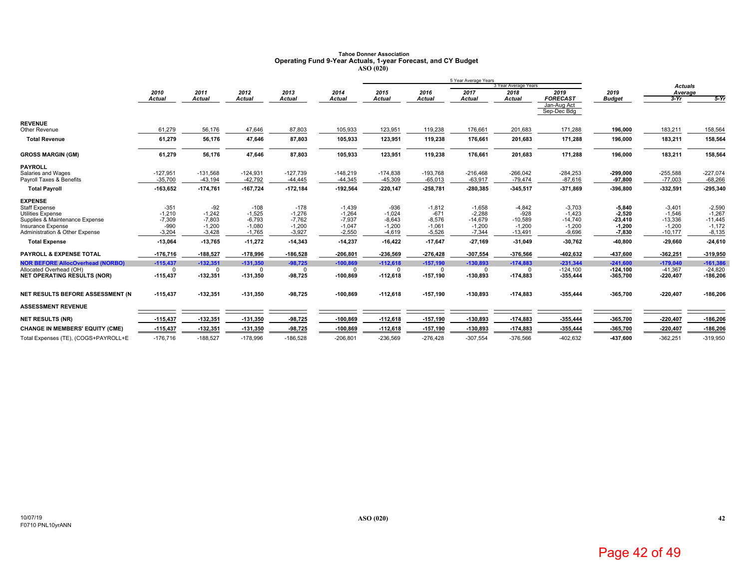### **Tahoe Donner Association Operating Fund 9-Year Actuals, 1-year Forecast, and CY Budget ASO (020)**

|                                                                                                                                                      |                                                      |                                                       |                                                        |                                                                     |                                                          |                                                        |                                                        | 5 Year Average Years                                      |                                                          |                                                           |                                                           |                                                            |                                                           |
|------------------------------------------------------------------------------------------------------------------------------------------------------|------------------------------------------------------|-------------------------------------------------------|--------------------------------------------------------|---------------------------------------------------------------------|----------------------------------------------------------|--------------------------------------------------------|--------------------------------------------------------|-----------------------------------------------------------|----------------------------------------------------------|-----------------------------------------------------------|-----------------------------------------------------------|------------------------------------------------------------|-----------------------------------------------------------|
|                                                                                                                                                      | 2010                                                 | 2011                                                  | 2012                                                   | 2013                                                                | 2014                                                     | 2015                                                   | 2016                                                   | 2017                                                      | 3 Year Average Years<br>2018                             | 2019                                                      | 2019                                                      | <b>Actuals</b>                                             |                                                           |
|                                                                                                                                                      | <b>Actual</b>                                        | <b>Actual</b>                                         | <b>Actual</b>                                          | <b>Actual</b>                                                       | Actual                                                   | <b>Actual</b>                                          | <b>Actual</b>                                          | <b>Actual</b>                                             | Actual                                                   | <b>FORECAST</b>                                           | <b>Budget</b>                                             | Average<br>$3-Yr$                                          | $5-Yr$                                                    |
|                                                                                                                                                      |                                                      |                                                       |                                                        |                                                                     |                                                          |                                                        |                                                        |                                                           |                                                          | Jan-Aug Act<br>Sep-Dec Bdg                                |                                                           |                                                            |                                                           |
| <b>REVENUE</b><br>Other Revenue                                                                                                                      | 61,279                                               | 56,176                                                | 47,646                                                 | 87,803                                                              | 105,933                                                  | 123,951                                                | 119,238                                                | 176,661                                                   | 201,683                                                  | 171,288                                                   | 196,000                                                   | 183,211                                                    | 158,564                                                   |
| <b>Total Revenue</b>                                                                                                                                 | 61,279                                               | 56,176                                                | 47,646                                                 | 87,803                                                              | 105,933                                                  | 123,951                                                | 119,238                                                | 176,661                                                   | 201,683                                                  | 171,288                                                   | 196,000                                                   | 183,211                                                    | 158,564                                                   |
| <b>GROSS MARGIN (GM)</b>                                                                                                                             | 61,279                                               | 56,176                                                | 47,646                                                 | 87,803                                                              | 105,933                                                  | 123,951                                                | 119,238                                                | 176,661                                                   | 201,683                                                  | 171,288                                                   | 196,000                                                   | 183,211                                                    | 158,564                                                   |
| <b>PAYROLL</b><br>Salaries and Wages<br>Payroll Taxes & Benefits                                                                                     | $-127,951$<br>$-35,700$                              | $-131,568$<br>$-43,194$                               | $-124,931$<br>$-42,792$                                | $-127,739$<br>$-44,445$                                             | $-148,219$<br>$-44,345$                                  | $-174,838$<br>$-45,309$                                | $-193,768$<br>$-65,013$                                | $-216,468$<br>$-63,917$                                   | $-266,042$<br>$-79,474$                                  | $-284,253$<br>$-87,616$                                   | $-299.000$<br>$-97.800$                                   | $-255,588$<br>$-77,003$                                    | $-227,074$<br>$-68,266$                                   |
| <b>Total Payroll</b>                                                                                                                                 | $-163,652$                                           | $-174,761$                                            | $-167,724$                                             | $-172,184$                                                          | $-192,564$                                               | $-220,147$                                             | $-258,781$                                             | $-280,385$                                                | $-345,517$                                               | $-371,869$                                                | -396,800                                                  | $-332,591$                                                 | $-295,340$                                                |
| <b>EXPENSE</b><br>Staff Expense<br><b>Utilities Expense</b><br>Supplies & Maintenance Expense<br>Insurance Expense<br>Administration & Other Expense | $-351$<br>$-1,210$<br>$-7,309$<br>$-990$<br>$-3.204$ | $-92$<br>$-1.242$<br>$-7,803$<br>$-1,200$<br>$-3,428$ | $-108$<br>$-1,525$<br>$-6,793$<br>$-1,080$<br>$-1.765$ | $-178$<br>$-1,276$<br>$-7,762$<br>$-1,200$<br>$-3,927$<br>$-14,343$ | $-1,439$<br>$-1.264$<br>$-7,937$<br>$-1,047$<br>$-2,550$ | $-936$<br>$-1,024$<br>$-8,643$<br>$-1,200$<br>$-4,619$ | $-1,812$<br>$-671$<br>$-8,576$<br>$-1,061$<br>$-5,526$ | $-1,658$<br>$-2.288$<br>$-14,679$<br>$-1,200$<br>$-7.344$ | $-4,842$<br>$-928$<br>$-10,589$<br>$-1,200$<br>$-13,491$ | $-3,703$<br>$-1.423$<br>$-14,740$<br>$-1,200$<br>$-9,696$ | $-5,840$<br>$-2.520$<br>$-23,410$<br>$-1,200$<br>$-7,830$ | $-3,401$<br>$-1,546$<br>$-13,336$<br>$-1,200$<br>$-10,177$ | $-2,590$<br>$-1,267$<br>$-11,445$<br>$-1,172$<br>$-8,135$ |
| <b>Total Expense</b>                                                                                                                                 | $-13,064$                                            | $-13,765$                                             | $-11,272$                                              |                                                                     | $-14,237$                                                | $-16,422$                                              | $-17,647$                                              | -27,169                                                   | $-31,049$                                                | $-30,762$                                                 | -40,800                                                   | $-29,660$                                                  | $-24,610$                                                 |
| <b>PAYROLL &amp; EXPENSE TOTAL</b>                                                                                                                   | $-176,716$                                           | $-188,527$                                            | $-178,996$                                             | $-186,528$                                                          | $-206,801$                                               | -236.569                                               | $-276,428$                                             | $-307,554$                                                | -376,566                                                 | -402,632                                                  | -437,600                                                  | $-362,251$                                                 | $-319,950$                                                |
| <b>NOR BEFORE AllocOverhead (NORBO)</b><br>Allocated Overhead (OH)<br><b>NET OPERATING RESULTS (NOR)</b>                                             | $-115,437$<br>$\Omega$<br>$-115,437$                 | $-132,351$<br>$\Omega$<br>$-132,351$                  | $-131,350$<br>$\Omega$<br>$-131,350$                   | $-98,725$<br>$\Omega$<br>$-98,725$                                  | $-100,869$<br>$\Omega$<br>$-100,869$                     | $-112,618$<br>$\Omega$<br>$-112,618$                   | $-157,190$<br>$\Omega$<br>$-157,190$                   | $-130,893$<br>$\mathbf 0$<br>$-130,893$                   | $-174,883$<br>$\Omega$<br>-174,883                       | $-231,344$<br>$-124.100$<br>-355,444                      | $-241,600$<br>$-124.100$<br>$-365,700$                    | $-179,040$<br>$-41.367$<br>$-220,407$                      | $-161,386$<br>$-24.820$<br>$-186,206$                     |
| NET RESULTS BEFORE ASSESSMENT (N                                                                                                                     | $-115,437$                                           | $-132,351$                                            | $-131,350$                                             | $-98,725$                                                           | -100,869                                                 | $-112,618$                                             | $-157,190$                                             | $-130,893$                                                | -174,883                                                 | $-355.444$                                                | $-365,700$                                                | $-220,407$                                                 | $-186,206$                                                |
| <b>ASSESSMENT REVENUE</b>                                                                                                                            |                                                      |                                                       |                                                        |                                                                     |                                                          |                                                        |                                                        |                                                           |                                                          |                                                           |                                                           |                                                            |                                                           |
| <b>NET RESULTS (NR)</b>                                                                                                                              | $-115,437$                                           | $-132,351$                                            | $-131,350$                                             | $-98,725$                                                           | $-100,869$                                               | $-112,618$                                             | $-157,190$                                             | $-130,893$                                                | $-174,883$                                               | $-355,444$                                                | -365,700                                                  | $-220,407$                                                 | $-186,206$                                                |
| <b>CHANGE IN MEMBERS' EQUITY (CME)</b>                                                                                                               | $-115,437$                                           | $-132,351$                                            | $-131.350$                                             | $-98,725$                                                           | $-100.869$                                               | $-112,618$                                             | $-157.190$                                             | $-130.893$                                                | $-174,883$                                               | $-355,444$                                                | $-365,700$                                                | $-220.407$                                                 | $-186,206$                                                |
| Total Expenses (TE), (COGS+PAYROLL+E                                                                                                                 | $-176,716$                                           | $-188,527$                                            | $-178,996$                                             | $-186,528$                                                          | $-206,801$                                               | $-236,569$                                             | $-276,428$                                             | $-307,554$                                                | $-376,566$                                               | $-402,632$                                                | -437,600                                                  | $-362,251$                                                 | $-319,950$                                                |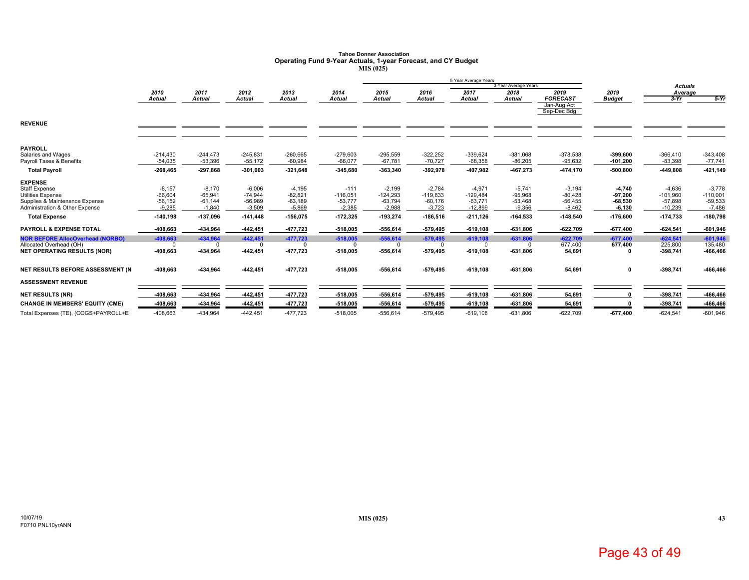### **Tahoe Donner AssociationOperating Fund 9-Year Actuals, 1-year Forecast, and CY Budget MIS (025)**

|                                         |               |               |            |               |               |            |               | 5 Year Average Years |                      |                 |               |                |            |
|-----------------------------------------|---------------|---------------|------------|---------------|---------------|------------|---------------|----------------------|----------------------|-----------------|---------------|----------------|------------|
|                                         |               |               |            |               |               |            |               |                      | 3 Year Average Years |                 |               | <b>Actuals</b> |            |
|                                         | 2010          | 2011          | 2012       | 2013          | 2014          | 2015       | 2016          | 2017                 | 2018                 | 2019            | 2019          | Average        |            |
|                                         | <b>Actual</b> | <b>Actual</b> | Actual     | <b>Actual</b> | <b>Actual</b> | Actual     | <b>Actual</b> | <b>Actual</b>        | <b>Actual</b>        | <b>FORECAST</b> | <b>Budget</b> | $3-Yr$         | $5-Yr$     |
|                                         |               |               |            |               |               |            |               |                      |                      | Jan-Aug Act     |               |                |            |
|                                         |               |               |            |               |               |            |               |                      |                      | Sep-Dec Bdg     |               |                |            |
| <b>REVENUE</b>                          |               |               |            |               |               |            |               |                      |                      |                 |               |                |            |
|                                         |               |               |            |               |               |            |               |                      |                      |                 |               |                |            |
|                                         |               |               |            |               |               |            |               |                      |                      |                 |               |                |            |
| <b>PAYROLL</b>                          |               |               |            |               |               |            |               |                      |                      |                 |               |                |            |
| Salaries and Wages                      | $-214,430$    | $-244.473$    | $-245,831$ | $-260,665$    | $-279,603$    | $-295,559$ | $-322,252$    | $-339,624$           | $-381,068$           | $-378,538$      | $-399,600$    | $-366,410$     | $-343,408$ |
| Payroll Taxes & Benefits                | $-54,035$     | $-53,396$     | $-55,172$  | $-60,984$     | $-66,077$     | $-67,781$  | $-70,727$     | $-68,358$            | $-86,205$            | $-95,632$       | $-101,200$    | $-83,398$      | $-77,741$  |
| <b>Total Payroll</b>                    | -268,465      | $-297.868$    | $-301.003$ | $-321.648$    | $-345.680$    | $-363.340$ | $-392.978$    | -407.982             | -467.273             | $-474.170$      | $-500.800$    | $-449.808$     | $-421,149$ |
| <b>EXPENSE</b>                          |               |               |            |               |               |            |               |                      |                      |                 |               |                |            |
| <b>Staff Expense</b>                    | $-8,157$      | $-8.170$      | $-6.006$   | $-4,195$      | $-111$        | $-2,199$   | $-2.784$      | $-4.971$             | $-5.741$             | $-3,194$        | $-4,740$      | $-4.636$       | $-3.778$   |
| <b>Utilities Expense</b>                | $-66,604$     | $-65,941$     | $-74.944$  | $-82,821$     | $-116,051$    | $-124,293$ | $-119,833$    | $-129,484$           | $-95,968$            | $-80,428$       | $-97,200$     | $-101,960$     | $-110,001$ |
| Supplies & Maintenance Expense          | $-56, 152$    | $-61,144$     | $-56,989$  | $-63,189$     | $-53,777$     | $-63,794$  | $-60,176$     | $-63,771$            | $-53,468$            | $-56,455$       | $-68,530$     | $-57.898$      | $-59,533$  |
| Administration & Other Expense          | $-9,285$      | $-1,840$      | $-3,509$   | $-5,869$      | $-2,385$      | $-2,988$   | $-3,723$      | $-12,899$            | $-9,356$             | $-8,462$        | $-6,130$      | $-10,239$      | $-7,486$   |
| <b>Total Expense</b>                    | $-140,198$    | $-137,096$    | $-141,448$ | $-156,075$    | $-172,325$    | $-193,274$ | $-186,516$    | $-211,126$           | $-164,533$           | $-148,540$      | $-176,600$    | $-174,733$     | $-180,798$ |
| <b>PAYROLL &amp; EXPENSE TOTAL</b>      | -408,663      | -434,964      | $-442,451$ | -477,723      | $-518,005$    | $-556,614$ | $-579,495$    | $-619, 108$          | $-631,806$           | $-622,709$      | $-677,400$    | $-624,541$     | $-601,946$ |
| <b>NOR BEFORE AllocOverhead (NORBO)</b> | -408,663      | $-434.964$    | $-442,451$ | $-477,723$    | $-518,005$    | $-556.614$ | $-579,495$    | $-619,108$           | $-631,806$           | $-622.709$      | $-677,400$    | $-624.541$     | $-601,946$ |
| Allocated Overhead (OH)                 | $\Omega$      |               | $\Omega$   |               | $\Omega$      | $\Omega$   | $\Omega$      | $\Omega$             |                      | 677,400         | 677,400       | 225,800        | 135,480    |
| <b>NET OPERATING RESULTS (NOR)</b>      | -408,663      | -434,964      | $-442,451$ | $-477,723$    | $-518,005$    | $-556,614$ | $-579,495$    | $-619, 108$          | $-631,806$           | 54,691          | 0             | -398,741       | -466,466   |
| NET RESULTS BEFORE ASSESSMENT (N        | -408,663      | -434,964      | $-442,451$ | $-477,723$    | $-518,005$    | $-556,614$ | $-579,495$    | $-619,108$           | $-631,806$           | 54,691          | $\mathbf 0$   | -398,741       | -466,466   |
|                                         |               |               |            |               |               |            |               |                      |                      |                 |               |                |            |
| <b>ASSESSMENT REVENUE</b>               |               |               |            |               |               |            |               |                      |                      |                 |               |                |            |
| <b>NET RESULTS (NR)</b>                 | -408,663      | -434,964      | -442,451   | -477,723      | $-518,005$    | $-556,614$ | $-579,495$    | $-619, 108$          | $-631,806$           | 54,691          | C             | $-398,741$     | -466,466   |
| <b>CHANGE IN MEMBERS' EQUITY (CME)</b>  | -408,663      | -434,964      | $-442,451$ | -477,723      | $-518,005$    | $-556,614$ | $-579,495$    | $-619, 108$          | $-631,806$           | 54,691          |               | $-398,741$     | -466,466   |
| Total Expenses (TE), (COGS+PAYROLL+E    | $-408,663$    | $-434,964$    | $-442,451$ | $-477,723$    | $-518,005$    | $-556,614$ | $-579,495$    | $-619,108$           | $-631,806$           | $-622,709$      | $-677,400$    | $-624,541$     | $-601,946$ |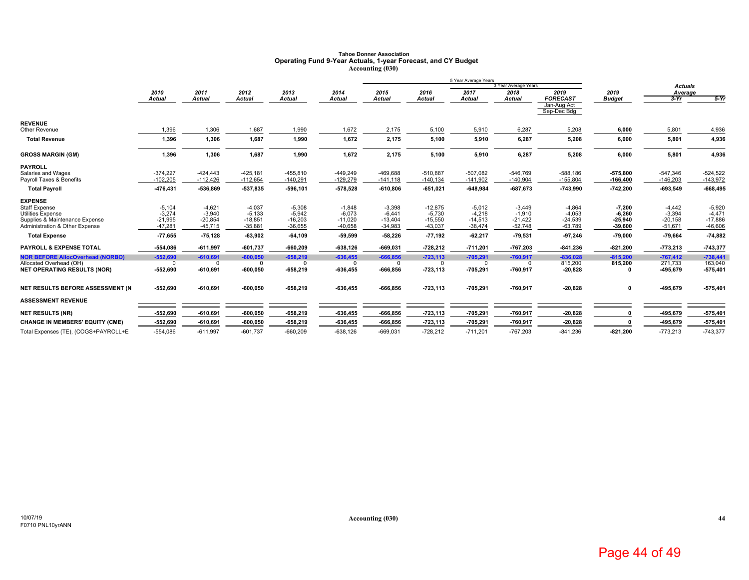# **Tahoe Donner Association Operating Fund 9-Year Actuals, 1-year Forecast, and CY Budget Accounting (030)**

|                                                                  |                          |                          |                          |                          |                          |                          |                           | 5 Year Average Years     |                          |                            |                        |                          |                          |
|------------------------------------------------------------------|--------------------------|--------------------------|--------------------------|--------------------------|--------------------------|--------------------------|---------------------------|--------------------------|--------------------------|----------------------------|------------------------|--------------------------|--------------------------|
|                                                                  |                          |                          |                          |                          |                          |                          |                           |                          | 3 Year Average Years     |                            |                        | <b>Actuals</b>           |                          |
|                                                                  | 2010<br><b>Actual</b>    | 2011<br><b>Actual</b>    | 2012<br>Actual           | 2013<br><b>Actual</b>    | 2014<br>Actual           | 2015<br><b>Actual</b>    | 2016<br><b>Actual</b>     | 2017<br><b>Actual</b>    | 2018<br><b>Actual</b>    | 2019<br><b>FORECAST</b>    | 2019<br><b>Budget</b>  | Average<br>$3-Yr$        | $5-Yr$                   |
|                                                                  |                          |                          |                          |                          |                          |                          |                           |                          |                          | Jan-Aug Act<br>Sep-Dec Bdg |                        |                          |                          |
| <b>REVENUE</b>                                                   |                          |                          |                          |                          |                          |                          |                           |                          |                          |                            |                        |                          |                          |
| Other Revenue                                                    | 1.396                    | 1,306                    | 1.687                    | 1.990                    | 1.672                    | 2.175                    | 5,100                     | 5.910                    | 6.287                    | 5.208                      | 6,000                  | 5,801                    | 4,936                    |
| <b>Total Revenue</b>                                             | 1,396                    | 1,306                    | 1,687                    | 1,990                    | 1,672                    | 2,175                    | 5,100                     | 5,910                    | 6,287                    | 5,208                      | 6,000                  | 5,801                    | 4,936                    |
| <b>GROSS MARGIN (GM)</b>                                         | 1,396                    | 1,306                    | 1,687                    | 1,990                    | 1,672                    | 2,175                    | 5,100                     | 5,910                    | 6,287                    | 5,208                      | 6,000                  | 5,801                    | 4,936                    |
| <b>PAYROLL</b>                                                   |                          |                          |                          |                          |                          |                          |                           |                          |                          |                            |                        |                          |                          |
| Salaries and Wages<br>Payroll Taxes & Benefits                   | $-374,227$<br>$-102,205$ | $-424.443$<br>$-112,426$ | $-425,181$<br>$-112,654$ | $-455,810$<br>$-140,291$ | $-449,249$<br>$-129,279$ | $-469,688$<br>$-141,118$ | $-510.887$<br>$-140, 134$ | $-507.082$<br>$-141,902$ | $-546.769$<br>$-140,904$ | $-588,186$<br>$-155,804$   | -575.800<br>$-166,400$ | $-547,346$<br>$-146,203$ | $-524,522$<br>$-143,972$ |
| <b>Total Payroll</b>                                             | 476,431                  | -536,869                 | -537,835                 | $-596, 101$              | -578,528                 | $-610,806$               | $-651,021$                | $-648,984$               | $-687,673$               | $-743,990$                 | $-742,200$             | $-693,549$               | $-668,495$               |
| <b>EXPENSE</b>                                                   |                          |                          |                          |                          |                          |                          |                           |                          |                          |                            |                        |                          |                          |
| <b>Staff Expense</b>                                             | $-5,104$                 | $-4,621$                 | $-4,037$                 | $-5,308$                 | $-1.848$                 | $-3,398$                 | $-12,875$                 | $-5,012$                 | $-3,449$                 | $-4,864$                   | $-7,200$               | $-4,442$                 | $-5,920$                 |
| <b>Utilities Expense</b>                                         | $-3.274$                 | $-3,940$                 | $-5.133$                 | $-5,942$                 | $-6.073$                 | $-6.441$                 | $-5.730$                  | $-4.218$                 | $-1,910$                 | $-4.053$                   | $-6.260$               | $-3,394$                 | $-4.471$                 |
| Supplies & Maintenance Expense<br>Administration & Other Expense | $-21,995$<br>$-47,281$   | $-20,854$<br>$-45,715$   | $-18,851$<br>$-35,881$   | $-16,203$<br>$-36,655$   | $-11,020$<br>$-40,658$   | $-13,404$<br>$-34,983$   | $-15,550$<br>$-43,037$    | $-14,513$<br>$-38,474$   | $-21,422$<br>$-52,748$   | $-24,539$<br>$-63,789$     | $-25,940$<br>$-39,600$ | $-20,158$<br>$-51,671$   | $-17,886$<br>$-46,606$   |
|                                                                  |                          |                          |                          |                          |                          |                          |                           |                          |                          |                            |                        |                          |                          |
| <b>Total Expense</b>                                             | $-77,655$                | $-75, 128$               | $-63.902$                | $-64,109$                | $-59,599$                | $-58,226$                | $-77,192$                 | $-62,217$                | $-79,531$                | $-97,246$                  | $-79,000$              | $-79,664$                | $-74,882$                |
| <b>PAYROLL &amp; EXPENSE TOTAL</b>                               | -554,086                 | $-611,997$               | $-601,737$               | $-660,209$               | $-638,126$               | $-669,031$               | $-728,212$                | $-711,201$               | -767,203                 | $-841,236$                 | $-821,200$             | $-773,213$               | $-743,377$               |
| <b>NOR BEFORE AllocOverhead (NORBO)</b>                          | $-552.690$               | $-610.691$               | $-600.050$               | $-658.219$               | $-636.455$               | $-666.856$               | $-723.113$                | $-705.291$               | $-760.917$               | $-836.028$                 | $-815.200$             | $-767.412$               | $-738.441$               |
| Allocated Overhead (OH)                                          | $\Omega$                 | $\Omega$                 | $\Omega$                 | n                        | <sup>n</sup>             | n                        | $\Omega$                  | 0                        |                          | 815,200                    | 815,200                | 271,733                  | 163,040                  |
| <b>NET OPERATING RESULTS (NOR)</b>                               | -552,690                 | $-610,691$               | $-600,050$               | $-658,219$               | $-636,455$               | $-666,856$               | $-723, 113$               | $-705,291$               | $-760,917$               | $-20,828$                  | n                      | $-495,679$               | $-575,401$               |
| NET RESULTS BEFORE ASSESSMENT (N                                 | -552.690                 | $-610,691$               | $-600.050$               | $-658,219$               | $-636,455$               | $-666,856$               | $-723, 113$               | $-705,291$               | $-760,917$               | $-20,828$                  | $\mathbf{0}$           | $-495,679$               | $-575,401$               |
| <b>ASSESSMENT REVENUE</b>                                        |                          |                          |                          |                          |                          |                          |                           |                          |                          |                            |                        |                          |                          |
| <b>NET RESULTS (NR)</b>                                          | -552,690                 | $-610,691$               | $-600,050$               | $-658,219$               | $-636,455$               | $-666,856$               | $-723, 113$               | $-705,291$               | $-760,917$               | $-20,828$                  |                        | -495,679                 | $-575,401$               |
| <b>CHANGE IN MEMBERS' EQUITY (CME)</b>                           | -552,690                 | $-610,691$               | $-600,050$               | $-658,219$               | $-636,455$               | $-666,856$               | $-723,113$                | $-705,291$               | $-760,917$               | $-20,828$                  |                        | $-495,679$               | $-575,401$               |
| Total Expenses (TE), (COGS+PAYROLL+E                             | $-554,086$               | $-611,997$               | $-601,737$               | $-660,209$               | $-638,126$               | $-669,031$               | $-728,212$                | $-711,201$               | $-767,203$               | $-841,236$                 | $-821,200$             | $-773,213$               | $-743,377$               |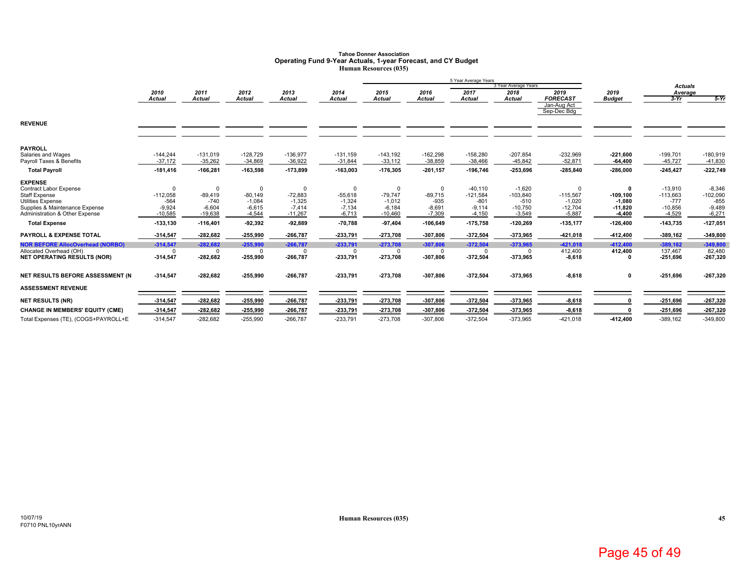### **Tahoe Donner AssociationOperating Fund 9-Year Actuals, 1-year Forecast, and CY Budget Human Resources (035)**

|                                           |               |               |            |               |               |               |               | 5 Year Average Years |                      |                            |               |                |            |
|-------------------------------------------|---------------|---------------|------------|---------------|---------------|---------------|---------------|----------------------|----------------------|----------------------------|---------------|----------------|------------|
|                                           |               |               |            |               |               |               |               |                      | 3 Year Average Years |                            |               | <b>Actuals</b> |            |
|                                           | 2010          | 2011          | 2012       | 2013          | 2014          | 2015          | 2016          | 2017                 | 2018                 | 2019                       | 2019          | Average        |            |
|                                           | <b>Actual</b> | <b>Actual</b> | Actual     | <b>Actual</b> | <b>Actual</b> | <b>Actual</b> | <b>Actual</b> | Actual               | Actual               | <b>FORECAST</b>            | <b>Budget</b> | $3-Yr$         | $5-Yr$     |
|                                           |               |               |            |               |               |               |               |                      |                      | Jan-Aug Act<br>Sep-Dec Bdg |               |                |            |
|                                           |               |               |            |               |               |               |               |                      |                      |                            |               |                |            |
| <b>REVENUE</b>                            |               |               |            |               |               |               |               |                      |                      |                            |               |                |            |
|                                           |               |               |            |               |               |               |               |                      |                      |                            |               |                |            |
|                                           |               |               |            |               |               |               |               |                      |                      |                            |               |                |            |
| <b>PAYROLL</b>                            |               |               |            |               |               |               |               |                      |                      |                            |               |                |            |
| Salaries and Wages                        | $-144,244$    | $-131,019$    | $-128,729$ | $-136,977$    | $-131,159$    | $-143,192$    | $-162,298$    | $-158,280$           | $-207,854$           | $-232,969$                 | $-221,600$    | $-199,701$     | $-180,919$ |
| Payroll Taxes & Benefits                  | $-37,172$     | $-35,262$     | $-34,869$  | $-36,922$     | $-31,844$     | $-33,112$     | $-38,859$     | $-38,466$            | $-45,842$            | $-52,871$                  | $-64,400$     | $-45,727$      | $-41,830$  |
| <b>Total Payroll</b>                      | $-181,416$    | $-166,281$    | -163,598   | $-173,899$    | $-163.003$    | $-176,305$    | $-201.157$    | $-196.746$           | -253.696             | $-285.840$                 | $-286,000$    | $-245.427$     | $-222,749$ |
| <b>EXPENSE</b>                            |               |               |            |               |               |               |               |                      |                      |                            |               |                |            |
| <b>Contract Labor Expense</b>             | $\Omega$      |               | $\Omega$   | $\Omega$      | $\Omega$      | $\Omega$      | $\mathbf 0$   | $-40,110$            | $-1,620$             | $\Omega$                   | $\Omega$      | $-13,910$      | $-8,346$   |
| <b>Staff Expense</b>                      | $-112,058$    | $-89,419$     | $-80.149$  | $-72,883$     | $-55,618$     | $-79.747$     | $-89.715$     | $-121,584$           | $-103,840$           | $-115,567$                 | $-109, 100$   | $-113,663$     | $-102,090$ |
| <b>Utilities Expense</b>                  | $-564$        | $-740$        | $-1.084$   | $-1.325$      | $-1.324$      | $-1,012$      | $-935$        | $-801$               | $-510$               | $-1.020$                   | $-1.080$      | $-777$         | $-855$     |
| Supplies & Maintenance Expense            | $-9,924$      | $-6,604$      | $-6,615$   | $-7,414$      | $-7,134$      | $-6,184$      | $-8,691$      | $-9,114$             | $-10,750$            | $-12,704$                  | $-11,820$     | $-10,856$      | $-9,489$   |
| <b>Administration &amp; Other Expense</b> | $-10,585$     | $-19,638$     | $-4,544$   | $-11,267$     | $-6.713$      | $-10.460$     | $-7,309$      | $-4.150$             | $-3,549$             | $-5.887$                   | $-4,400$      | $-4,529$       | $-6,271$   |
| <b>Total Expense</b>                      | $-133,130$    | $-116,401$    | $-92,392$  | $-92,889$     | $-70,788$     | 97,404        | $-106,649$    | $-175,758$           | $-120,269$           | $-135, 177$                | $-126,400$    | $-143,735$     | $-127,051$ |
| <b>PAYROLL &amp; EXPENSE TOTAL</b>        | $-314,547$    | $-282,682$    | $-255,990$ | $-266,787$    | $-233,791$    | $-273,708$    | $-307,806$    | $-372,504$           | -373,965             | $-421,018$                 | -412,400      | $-389,162$     | $-349,800$ |
| <b>NOR BEFORE AllocOverhead (NORBO)</b>   | $-314,547$    | $-282,682$    | $-255,990$ | $-266,787$    | $-233,791$    | $-273,708$    | $-307.806$    | $-372,504$           | $-373.965$           | $-421.018$                 | $-412.400$    | $-389.162$     | $-349.800$ |
| Allocated Overhead (OH)                   | O             |               | $\Omega$   |               | $\Omega$      | $\Omega$      | $\cap$        | $^{\circ}$           |                      | 412,400                    | 412,400       | 137,467        | 82,480     |
| <b>NET OPERATING RESULTS (NOR)</b>        | $-314,547$    | $-282,682$    | $-255,990$ | $-266,787$    | $-233,791$    | $-273,708$    | $-307,806$    | $-372,504$           | -373,965             | $-8,618$                   |               | $-251,696$     | $-267,320$ |
| NET RESULTS BEFORE ASSESSMENT (N          | $-314,547$    | $-282,682$    | -255,990   | $-266,787$    | $-233,791$    | $-273,708$    | $-307,806$    | $-372,504$           | -373,965             | $-8,618$                   | 0             | $-251.696$     | $-267,320$ |
|                                           |               |               |            |               |               |               |               |                      |                      |                            |               |                |            |
| <b>ASSESSMENT REVENUE</b>                 |               |               |            |               |               |               |               |                      |                      |                            |               |                |            |
| <b>NET RESULTS (NR)</b>                   | $-314,547$    | $-282,682$    | $-255,990$ | $-266,787$    | $-233,791$    | $-273,708$    | $-307,806$    | -372,504             | -373,965             | $-8,618$                   | O             | $-251,696$     | $-267,320$ |
| <b>CHANGE IN MEMBERS' EQUITY (CME)</b>    | $-314,547$    | $-282,682$    | $-255,990$ | $-266,787$    | $-233,791$    | $-273,708$    | $-307,806$    | $-372,504$           | -373,965             | $-8,618$                   |               | $-251,696$     | $-267,320$ |
| Total Expenses (TE), (COGS+PAYROLL+E      | $-314,547$    | $-282,682$    | $-255,990$ | $-266,787$    | $-233,791$    | $-273,708$    | $-307,806$    | $-372,504$           | $-373,965$           | $-421,018$                 | $-412,400$    | $-389,162$     | $-349,800$ |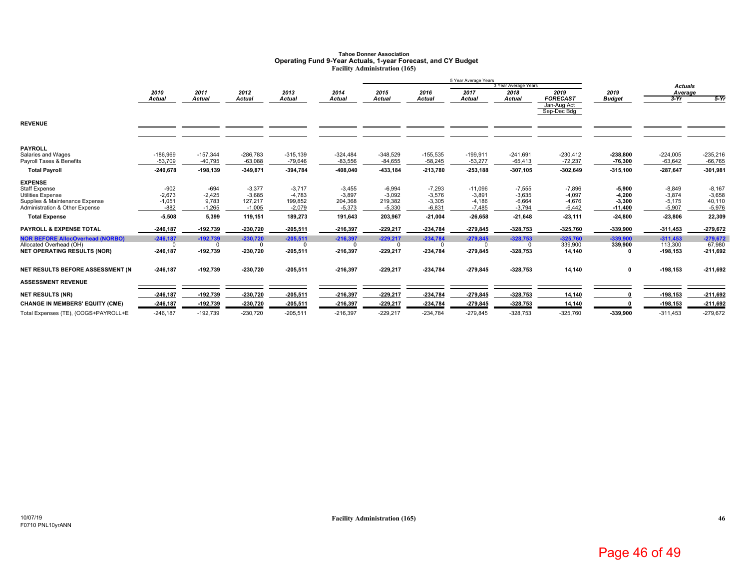### **Tahoe Donner AssociationOperating Fund 9-Year Actuals, 1-year Forecast, and CY Budget Facility Administration (165)**

|                                         |               |               |             |               |                |               |               | 5 Year Average Years |                      |                 |               |                |            |
|-----------------------------------------|---------------|---------------|-------------|---------------|----------------|---------------|---------------|----------------------|----------------------|-----------------|---------------|----------------|------------|
|                                         |               |               |             |               |                |               |               |                      | 3 Year Average Years |                 |               | <b>Actuals</b> |            |
|                                         | 2010          | 2011          | 2012        | 2013          | 2014           | 2015          | 2016          | 2017                 | 2018                 | 2019            | 2019          | Average        |            |
|                                         | <b>Actual</b> | <b>Actual</b> | Actual      | <b>Actual</b> | Actual         | <b>Actual</b> | <b>Actual</b> | Actual               | <b>Actual</b>        | <b>FORECAST</b> | <b>Budget</b> | $3-Yr$         | $5-Yr$     |
|                                         |               |               |             |               |                |               |               |                      |                      | Jan-Aug Act     |               |                |            |
|                                         |               |               |             |               |                |               |               |                      |                      | Sep-Dec Bdg     |               |                |            |
| <b>REVENUE</b>                          |               |               |             |               |                |               |               |                      |                      |                 |               |                |            |
|                                         |               |               |             |               |                |               |               |                      |                      |                 |               |                |            |
|                                         |               |               |             |               |                |               |               |                      |                      |                 |               |                |            |
| <b>PAYROLL</b>                          |               |               |             |               |                |               |               |                      |                      |                 |               |                |            |
| Salaries and Wages                      | $-186,969$    | $-157,344$    | $-286,783$  | $-315,139$    | $-324,484$     | $-348,529$    | $-155,535$    | $-199,911$           | $-241,691$           | $-230,412$      | $-238,800$    | $-224,005$     | $-235,216$ |
| Payroll Taxes & Benefits                | $-53,709$     | $-40,795$     | $-63,088$   | $-79,646$     | $-83,556$      | $-84,655$     | $-58,245$     | $-53,277$            | $-65,413$            | $-72,237$       | $-76,300$     | $-63,642$      | $-66,765$  |
| <b>Total Payroll</b>                    | $-240,678$    | $-198,139$    | $-349,871$  | $-394,784$    | -408,040       | $-433, 184$   | $-213,780$    | $-253,188$           | $-307,105$           | $-302,649$      | $-315,100$    | $-287,647$     | $-301,981$ |
| <b>EXPENSE</b>                          |               |               |             |               |                |               |               |                      |                      |                 |               |                |            |
| Staff Expense                           | $-902$        | $-694$        | $-3,377$    | $-3,717$      | $-3,455$       | $-6,994$      | $-7,293$      | $-11,096$            | $-7,555$             | $-7,896$        | $-5,900$      | $-8,849$       | $-8,167$   |
| <b>Utilities Expense</b>                | $-2,673$      | $-2,425$      | $-3.685$    | $-4,783$      | $-3,897$       | $-3,092$      | $-3,576$      | $-3,891$             | $-3,635$             | $-4,097$        | $-4,200$      | $-3,874$       | $-3,658$   |
| Supplies & Maintenance Expense          | $-1,051$      | 9,783         | 127,217     | 199,852       | 204,368        | 219,382       | $-3,305$      | $-4,186$             | $-6,664$             | $-4,676$        | $-3,300$      | $-5,175$       | 40,110     |
| Administration & Other Expense          | $-882$        | $-1,265$      | $-1,005$    | $-2,079$      | $-5,373$       | $-5,330$      | $-6,831$      | $-7,485$             | $-3,794$             | $-6,442$        | $-11,400$     | $-5,907$       | $-5,976$   |
| <b>Total Expense</b>                    | $-5,508$      | 5,399         | 119,151     | 189,273       | 191,643        | 203,967       | $-21,004$     | $-26,658$            | $-21,648$            | $-23,111$       | $-24,800$     | $-23,806$      | 22,309     |
| <b>PAYROLL &amp; EXPENSE TOTAL</b>      | -246.187      | $-192,739$    | $-230,720$  | $-205,511$    | $-216,397$     | $-229,217$    | $-234,784$    | $-279,845$           | $-328,753$           | $-325,760$      | $-339,900$    | $-311,453$     | $-279,672$ |
| <b>NOR BEFORE AllocOverhead (NORBO)</b> | $-246,187$    | $-192,739$    | $-230,720$  | $-205,511$    | $-216,397$     | $-229.217$    | $-234,784$    | $-279,845$           | $-328,753$           | $-325.760$      | $-339.900$    | $-311.453$     | $-279,672$ |
| Allocated Overhead (OH)                 | $\mathbf 0$   | $\Omega$      | $\mathbf 0$ | $\Omega$      | $\overline{0}$ | $\Omega$      | $\Omega$      | $\mathbf 0$          | $\Omega$             | 339,900         | 339,900       | 113,300        | 67,980     |
| <b>NET OPERATING RESULTS (NOR)</b>      | $-246, 187$   | $-192,739$    | $-230,720$  | $-205,511$    | $-216,397$     | $-229,217$    | $-234,784$    | $-279,845$           | -328,753             | 14,140          | 0             | $-198,153$     | $-211,692$ |
| NET RESULTS BEFORE ASSESSMENT (N        | $-246, 187$   | $-192,739$    | $-230,720$  | $-205,511$    | $-216,397$     | $-229,217$    | -234,784      | $-279,845$           | $-328,753$           | 14,140          | 0             | $-198, 153$    | $-211,692$ |
|                                         |               |               |             |               |                |               |               |                      |                      |                 |               |                |            |
| <b>ASSESSMENT REVENUE</b>               |               |               |             |               |                |               |               |                      |                      |                 |               |                |            |
| <b>NET RESULTS (NR)</b>                 | 246,187       | $-192,739$    | -230,720    | $-205,511$    | $-216,397$     | $-229,217$    | -234,784      | $-279,845$           | -328,753             | 14,140          | O             | $-198,153$     | $-211,692$ |
| <b>CHANGE IN MEMBERS' EQUITY (CME)</b>  | $-246, 187$   | $-192,739$    | -230,720    | $-205,511$    | $-216,397$     | $-229,217$    | $-234,784$    | $-279,845$           | $-328,753$           | 14,140          | n             | $-198,153$     | $-211,692$ |
| Total Expenses (TE), (COGS+PAYROLL+E    | $-246, 187$   | $-192,739$    | $-230,720$  | $-205,511$    | $-216,397$     | $-229,217$    | $-234,784$    | $-279,845$           | $-328,753$           | $-325,760$      | $-339,900$    | $-311.453$     | $-279,672$ |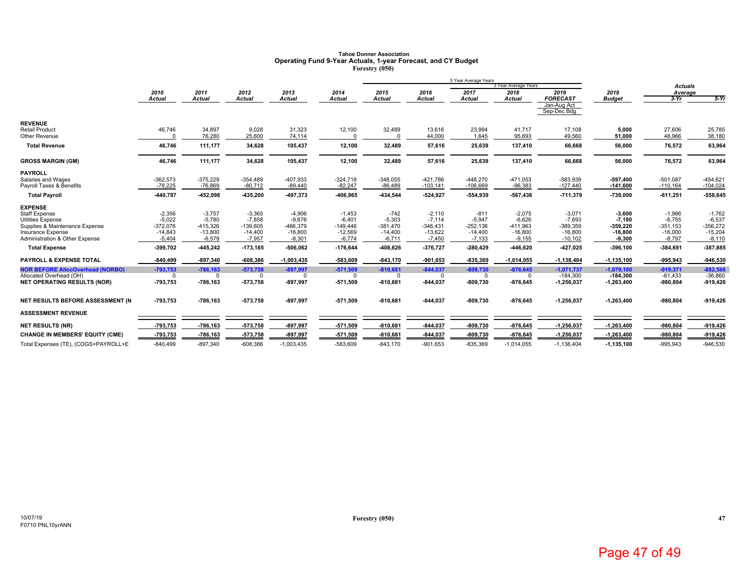# **Tahoe Donner Association Operating Fund 9-Year Actuals, 1-year Forecast, and CY Budget Forestry (050)**

|                                                |                         |                         |                         |                         |                         |                         |                          | 5 Year Average Years     |                         |                                               |                        |                          |                          |
|------------------------------------------------|-------------------------|-------------------------|-------------------------|-------------------------|-------------------------|-------------------------|--------------------------|--------------------------|-------------------------|-----------------------------------------------|------------------------|--------------------------|--------------------------|
|                                                |                         |                         |                         |                         |                         |                         |                          |                          | 3 Year Average Years    |                                               |                        | <b>Actuals</b>           |                          |
|                                                | 2010                    | 2011                    | 2012                    | 2013                    | 2014                    | 2015                    | 2016                     | 2017                     | 2018                    | 2019                                          | 2019                   | Average                  |                          |
|                                                | <b>Actual</b>           | <b>Actual</b>           | Actual                  | <b>Actual</b>           | Actual                  | <b>Actual</b>           | <b>Actual</b>            | <b>Actual</b>            | Actual                  | <b>FORECAST</b><br>Jan-Aug Act<br>Sep-Dec Bdg | <b>Budget</b>          | $3-Yr$                   | $5-Yr$                   |
| <b>REVENUE</b>                                 |                         |                         |                         |                         |                         |                         |                          |                          |                         |                                               |                        |                          |                          |
| <b>Retail Product</b><br>Other Revenue         | 46,746<br>$\Omega$      | 34,897<br>76.280        | 9,028<br>25,600         | 31,323<br>74,114        | 12,100<br>$\Omega$      | 32,489<br>$\Omega$      | 13,616<br>44,000         | 23,994<br>1.645          | 41,717<br>95,693        | 17,108<br>49,560                              | 5,000<br>51,000        | 27,606<br>48,966         | 25,785<br>38,180         |
| <b>Total Revenue</b>                           | 46,746                  | 111,177                 | 34,628                  | 105,437                 | 12,100                  | 32,489                  | 57,616                   | 25,639                   | 137,410                 | 66,668                                        | 56,000                 | 76,572                   | 63,964                   |
| <b>GROSS MARGIN (GM)</b>                       | 46,746                  | 111,177                 | 34,628                  | 105,437                 | 12,100                  | 32,489                  | 57,616                   | 25,639                   | 137,410                 | 66,668                                        | 56,000                 | 76,572                   | 63,964                   |
| <b>PAYROLL</b>                                 |                         |                         |                         |                         |                         |                         |                          |                          |                         |                                               |                        |                          |                          |
| Salaries and Wages<br>Payroll Taxes & Benefits | $-362,573$<br>$-78,225$ | $-375,229$<br>$-76,869$ | $-354,489$<br>$-80,712$ | $-407,933$<br>$-89,440$ | $-324,718$<br>$-82,247$ | $-348,055$<br>$-86,489$ | $-421,786$<br>$-103,141$ | $-448,270$<br>$-106,669$ | $-471,053$<br>$-96,383$ | $-583,939$<br>$-127,440$                      | -597.400<br>$-141,600$ | $-501,087$<br>$-110,164$ | $-454,621$<br>$-104,024$ |
| <b>Total Payroll</b>                           | -440,797                | $-452,098$              | $-435,200$              | -497,373                | -406,965                | -434,544                | $-524,927$               | -554,939                 | -567,436                | $-711,379$                                    | -739.000               | $-611,251$               | $-558,645$               |
| <b>EXPENSE</b>                                 |                         |                         |                         |                         |                         |                         |                          |                          |                         |                                               |                        |                          |                          |
| <b>Staff Expense</b>                           | $-2,356$                | $-3,757$                | $-3,365$                | $-4,906$                | $-1,453$                | $-742$                  | $-2,110$                 | $-811$                   | $-2,075$                | $-3,071$                                      | $-3,600$               | $-1,986$                 | $-1,762$                 |
| <b>Utilities Expense</b>                       | $-5,022$                | $-5,780$                | $-7,858$                | $-9,676$                | $-6,401$                | $-5,303$                | $-7,114$                 | $-5,947$                 | $-6,626$                | $-7,693$                                      | $-7,180$               | $-6,755$                 | $-6,537$                 |
| Supplies & Maintenance Expense                 | $-372,076$              | $-415,326$              | $-139,605$              | $-466,379$              | $-149,446$              | $-381,470$              | $-346,431$               | $-252,138$               | $-411,963$              | $-389,359$                                    | -359.220               | $-351,153$               | $-356,272$               |
| Insurance Expense                              | $-14,843$               | $-13,800$               | $-14,400$               | $-16,800$               | $-12,569$               | $-14,400$               | $-13,622$                | $-14,400$                | $-16,800$               | $-16,800$                                     | $-16,800$              | $-16,000$                | $-15,204$                |
| Administration & Other Expense                 | $-5,404$                | $-6,579$                | $-7,957$                | $-8,301$                | $-6,774$                | $-6,711$                | $-7,450$                 | $-7,133$                 | $-9,155$                | $-10,102$                                     | $-9,300$               | $-8,797$                 | $-8,110$                 |
| <b>Total Expense</b>                           | -399,702                | $-445,242$              | $-173,185$              | $-506,062$              | $-176,644$              | $-408,626$              | $-376,727$               | $-280,429$               | $-446,620$              | $-427,025$                                    | $-396,100$             | $-384,691$               | -387,885                 |
| <b>PAYROLL &amp; EXPENSE TOTAL</b>             | $-840,499$              | $-897,340$              | $-608,386$              | $-1,003,435$            | -583.609                | $-843,170$              | $-901,653$               | $-835,369$               | $-1,014,055$            | $-1,138,404$                                  | $-1, 135, 100$         | $-995,943$               | $-946,530$               |
| <b>NOR BEFORE AllocOverhead (NORBO)</b>        | $-793,753$              | $-786,163$              | $-573,758$              | $-897.997$              | $-571,509$              | $-810.681$              | $-844,037$               | $-809,730$               | $-876,645$              | $-1,071,737$                                  | $-1,079,100$           | $-919,371$               | $-882.566$               |
| Allocated Overhead (OH)                        | $\Omega$                | O                       | $\Omega$                | $\Omega$                | $\Omega$                | $\Omega$                | $\Omega$                 | $\Omega$                 | $\Omega$                | $-184,300$                                    | $-184,300$             | $-61,433$                | $-36,860$                |
| <b>NET OPERATING RESULTS (NOR)</b>             | -793,753                | $-786,163$              | $-573,758$              | $-897,997$              | $-571,509$              | $-810,681$              | $-844,037$               | $-809,730$               | -876,645                | $-1,256,037$                                  | $-1,263,400$           | $-980,804$               | $-919,426$               |
| NET RESULTS BEFORE ASSESSMENT (N               | -793,753                | $-786,163$              | $-573,758$              | $-897,997$              | $-571,509$              | $-810,681$              | $-844,037$               | $-809,730$               | -876,645                | $-1,256,037$                                  | $-1,263,400$           | $-980,804$               | $-919,426$               |
| <b>ASSESSMENT REVENUE</b>                      |                         |                         |                         |                         |                         |                         |                          |                          |                         |                                               |                        |                          |                          |
| <b>NET RESULTS (NR)</b>                        | -793,753                | $-786,163$              | $-573,758$              | $-897,997$              | $-571,509$              | $-810,681$              | $-844,037$               | $-809,730$               | $-876,645$              | $-1,256,037$                                  | $-1,263,400$           | $-980,804$               | $-919,426$               |
| <b>CHANGE IN MEMBERS' EQUITY (CME)</b>         | -793,753                | $-786,163$              | $-573,758$              | $-897,997$              | $-571,509$              | $-810,681$              | $-844,037$               | $-809,730$               | -876,645                | $-1,256,037$                                  | $-1,263,400$           | $-980,804$               | $-919,426$               |
| Total Expenses (TE), (COGS+PAYROLL+E           | $-840,499$              | $-897,340$              | $-608,386$              | $-1,003,435$            | $-583,609$              | $-843,170$              | $-901,653$               | $-835,369$               | $-1,014,055$            | $-1,138,404$                                  | $-1, 135, 100$         | $-995,943$               | $-946,530$               |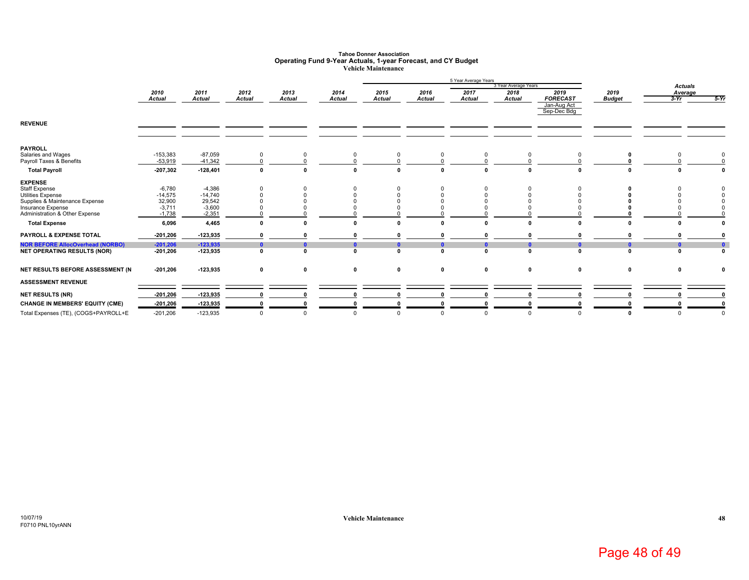### **Tahoe Donner AssociationOperating Fund 9-Year Actuals, 1-year Forecast, and CY Budget Vehicle Maintenance**

|                                         |               |               |               |               |               |               |               | 5 Year Average Years | 3 Year Average Years |                 |               |                           |              |
|-----------------------------------------|---------------|---------------|---------------|---------------|---------------|---------------|---------------|----------------------|----------------------|-----------------|---------------|---------------------------|--------------|
|                                         | 2010          | 2011          | 2012          | 2013          | 2014          | 2015          | 2016          | 2017                 | 2018                 | 2019            | 2019          | <b>Actuals</b><br>Average |              |
|                                         | <b>Actual</b> | <b>Actual</b> | <b>Actual</b> | <b>Actual</b> | <b>Actual</b> | <b>Actual</b> | <b>Actual</b> | <b>Actual</b>        | <b>Actual</b>        | <b>FORECAST</b> | <b>Budget</b> | $3-Yr$                    | $5-Yr$       |
|                                         |               |               |               |               |               |               |               |                      |                      | Jan-Aug Act     |               |                           |              |
|                                         |               |               |               |               |               |               |               |                      |                      | Sep-Dec Bdg     |               |                           |              |
| <b>REVENUE</b>                          |               |               |               |               |               |               |               |                      |                      |                 |               |                           |              |
|                                         |               |               |               |               |               |               |               |                      |                      |                 |               |                           |              |
|                                         |               |               |               |               |               |               |               |                      |                      |                 |               |                           |              |
| <b>PAYROLL</b>                          |               |               |               |               |               |               |               |                      |                      |                 |               |                           |              |
| Salaries and Wages                      | $-153,383$    | $-87,059$     | $\mathbf 0$   |               | $\mathbf 0$   | 0             | 0             | 0                    | 0                    |                 |               | $\mathbf 0$               | 0            |
| Payroll Taxes & Benefits                | $-53,919$     | $-41,342$     |               |               |               |               |               |                      |                      |                 |               |                           |              |
| <b>Total Payroll</b>                    | $-207,302$    | $-128,401$    | $\Omega$      | n             | $\mathbf{r}$  | n             | n             | $\mathbf{r}$         | $\Omega$             |                 | n             | n                         | $\mathbf{0}$ |
| <b>EXPENSE</b>                          |               |               |               |               |               |               |               |                      |                      |                 |               |                           |              |
| <b>Staff Expense</b>                    | $-6,780$      | $-4,386$      |               |               |               |               |               |                      |                      |                 |               |                           |              |
| Utilities Expense                       | $-14,575$     | $-14.740$     |               |               |               |               |               |                      |                      |                 |               |                           |              |
| Supplies & Maintenance Expense          | 32,900        | 29,542        |               |               |               |               |               |                      |                      |                 |               |                           |              |
| Insurance Expense                       | $-3,711$      | $-3,600$      |               |               |               |               |               |                      |                      |                 |               |                           |              |
| Administration & Other Expense          | $-1,738$      | $-2,351$      |               |               |               |               |               |                      |                      |                 |               |                           |              |
| <b>Total Expense</b>                    | 6,096         | 4,465         | $\Omega$      |               | n             | n             |               |                      | $\sqrt{2}$           |                 |               |                           |              |
| PAYROLL & EXPENSE TOTAL                 | $-201,206$    | $-123,935$    |               |               |               |               |               |                      |                      |                 |               |                           |              |
| <b>NOR BEFORE AllocOverhead (NORBO)</b> | $-201,206$    | $-123,935$    | n             |               | n             | 0             | $\mathbf{a}$  | n                    |                      |                 | n             | 0                         | $\bullet$    |
| <b>NET OPERATING RESULTS (NOR)</b>      | $-201,206$    | $-123,935$    | $\Omega$      | n             | $\Omega$      | n             | $\mathbf{a}$  | $\mathbf{r}$         | $\Omega$             |                 | $\mathbf{0}$  | $\Omega$                  | $\mathbf{0}$ |
| NET RESULTS BEFORE ASSESSMENT (N        | $-201,206$    | $-123,935$    | $\mathbf 0$   | 0             | $\mathbf 0$   | $\mathbf 0$   | $\mathbf 0$   | 0                    | $\mathbf 0$          | $\mathbf 0$     | $\mathbf 0$   | 0                         | $\mathbf 0$  |
|                                         |               |               |               |               |               |               |               |                      |                      |                 |               |                           |              |
| <b>ASSESSMENT REVENUE</b>               |               |               |               |               |               |               |               |                      |                      |                 |               |                           |              |
| <b>NET RESULTS (NR)</b>                 | $-201,206$    | $-123,935$    |               |               |               |               |               |                      |                      |                 |               |                           |              |
| <b>CHANGE IN MEMBERS' EQUITY (CME)</b>  | $-201,206$    | $-123,935$    |               |               |               |               |               |                      |                      |                 |               |                           |              |
| Total Expenses (TE), (COGS+PAYROLL+E    | $-201,206$    | $-123,935$    | $\Omega$      | $\Omega$      | $\Omega$      | $\Omega$      | $\Omega$      | $\Omega$             | $\Omega$             |                 | $\Omega$      | $\Omega$                  | $\Omega$     |